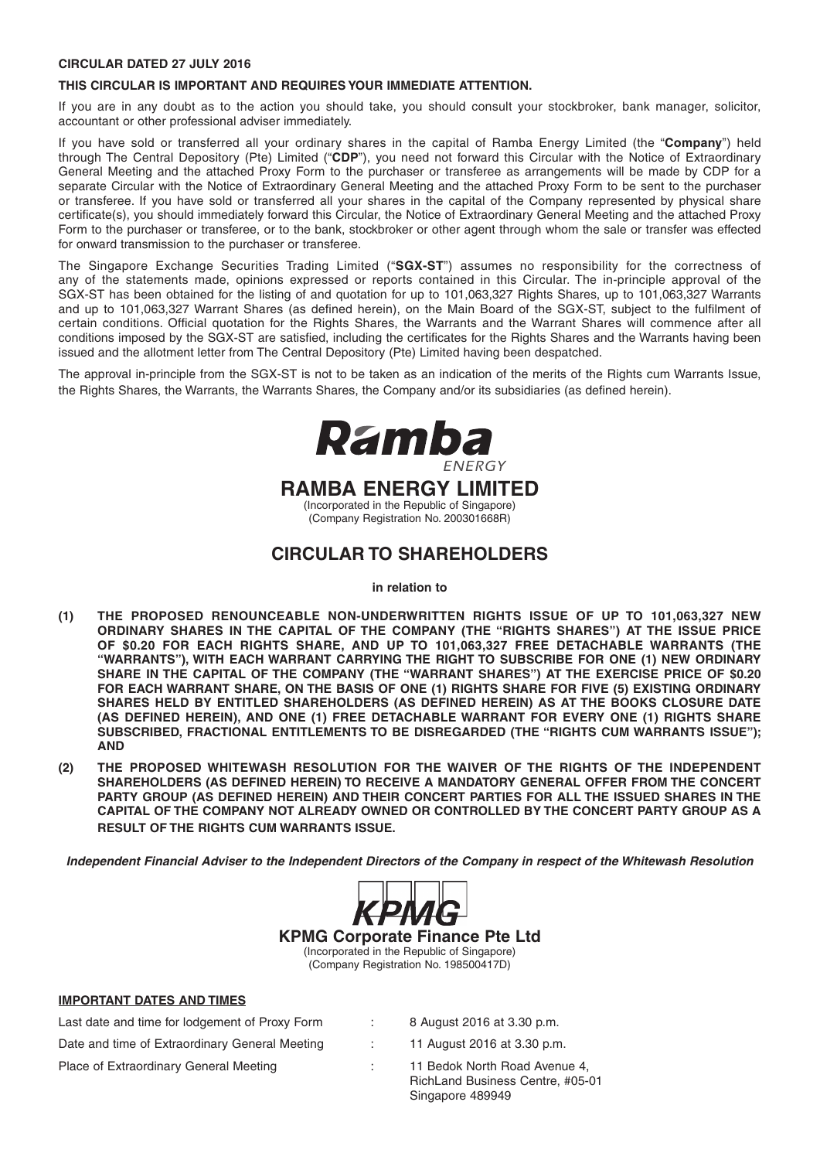#### **CIRCULAR DATED 27 JULY 2016**

#### **THIS CIRCULAR IS IMPORTANT AND REQUIRES YOUR IMMEDIATE ATTENTION.**

If you are in any doubt as to the action you should take, you should consult your stockbroker, bank manager, solicitor, accountant or other professional adviser immediately.

If you have sold or transferred all your ordinary shares in the capital of Ramba Energy Limited (the "**Company**") held through The Central Depository (Pte) Limited ("**CDP**"), you need not forward this Circular with the Notice of Extraordinary General Meeting and the attached Proxy Form to the purchaser or transferee as arrangements will be made by CDP for a separate Circular with the Notice of Extraordinary General Meeting and the attached Proxy Form to be sent to the purchaser or transferee. If you have sold or transferred all your shares in the capital of the Company represented by physical share certificate(s), you should immediately forward this Circular, the Notice of Extraordinary General Meeting and the attached Proxy Form to the purchaser or transferee, or to the bank, stockbroker or other agent through whom the sale or transfer was effected for onward transmission to the purchaser or transferee.

The Singapore Exchange Securities Trading Limited ("**SGX-ST**") assumes no responsibility for the correctness of any of the statements made, opinions expressed or reports contained in this Circular. The in-principle approval of the SGX-ST has been obtained for the listing of and quotation for up to 101,063,327 Rights Shares, up to 101,063,327 Warrants and up to 101,063,327 Warrant Shares (as defined herein), on the Main Board of the SGX-ST, subject to the fulfilment of certain conditions. Official quotation for the Rights Shares, the Warrants and the Warrant Shares will commence after all conditions imposed by the SGX-ST are satisfied, including the certificates for the Rights Shares and the Warrants having been issued and the allotment letter from The Central Depository (Pte) Limited having been despatched.

The approval in-principle from the SGX-ST is not to be taken as an indication of the merits of the Rights cum Warrants Issue, the Rights Shares, the Warrants, the Warrants Shares, the Company and/or its subsidiaries (as defined herein).



### **CIRCULAR TO SHAREHOLDERS**

#### **in relation to**

- **(1) THE PROPOSED RENOUNCEABLE NON-UNDERWRITTEN RIGHTS ISSUE OF UP TO 101,063,327 NEW ORDINARY SHARES IN THE CAPITAL OF THE COMPANY (THE "RIGHTS SHARES") AT THE ISSUE PRICE OF \$0.20 FOR EACH RIGHTS SHARE, AND UP TO 101,063,327 FREE DETACHABLE WARRANTS (THE "WARRANTS"), WITH EACH WARRANT CARRYING THE RIGHT TO SUBSCRIBE FOR ONE (1) NEW ORDINARY**  SHARE IN THE CAPITAL OF THE COMPANY (THE "WARRANT SHARES") AT THE EXERCISE PRICE OF \$0.20 **FOR EACH WARRANT SHARE, ON THE BASIS OF ONE (1) RIGHTS SHARE FOR FIVE (5) EXISTING ORDINARY SHARES HELD BY ENTITLED SHAREHOLDERS (AS DEFINED HEREIN) AS AT THE BOOKS CLOSURE DATE (AS DEFINED HEREIN), AND ONE (1) FREE DETACHABLE WARRANT FOR EVERY ONE (1) RIGHTS SHARE SUBSCRIBED, FRACTIONAL ENTITLEMENTS TO BE DISREGARDED (THE "RIGHTS CUM WARRANTS ISSUE"); AND**
- **(2) THE PROPOSED WHITEWASH RESOLUTION FOR THE WAIVER OF THE RIGHTS OF THE INDEPENDENT SHAREHOLDERS (AS DEFINED HEREIN) TO RECEIVE A MANDATORY GENERAL OFFER FROM THE CONCERT PARTY GROUP (AS DEFINED HEREIN) AND THEIR CONCERT PARTIES FOR ALL THE ISSUED SHARES IN THE CAPITAL OF THE COMPANY NOT ALREADY OWNED OR CONTROLLED BY THE CONCERT PARTY GROUP AS A RESULT OF THE RIGHTS CUM WARRANTS ISSUE.**

*Independent Financial Adviser to the Independent Directors of the Company in respect of the Whitewash Resolution* 



**KPMG Corporate Finance Pte Ltd**

(Incorporated in the Republic of Singapore) (Company Registration No. 198500417D)

#### **IMPORTANT DATES AND TIMES**

Last date and time for lodgement of Proxy Form : 8 August 2016 at 3.30 p.m. Date and time of Extraordinary General Meeting : 11 August 2016 at 3.30 p.m.

- 
- Place of Extraordinary General Meeting : 11 Bedok North Road Avenue 4, RichLand Business Centre, #05-01 Singapore 489949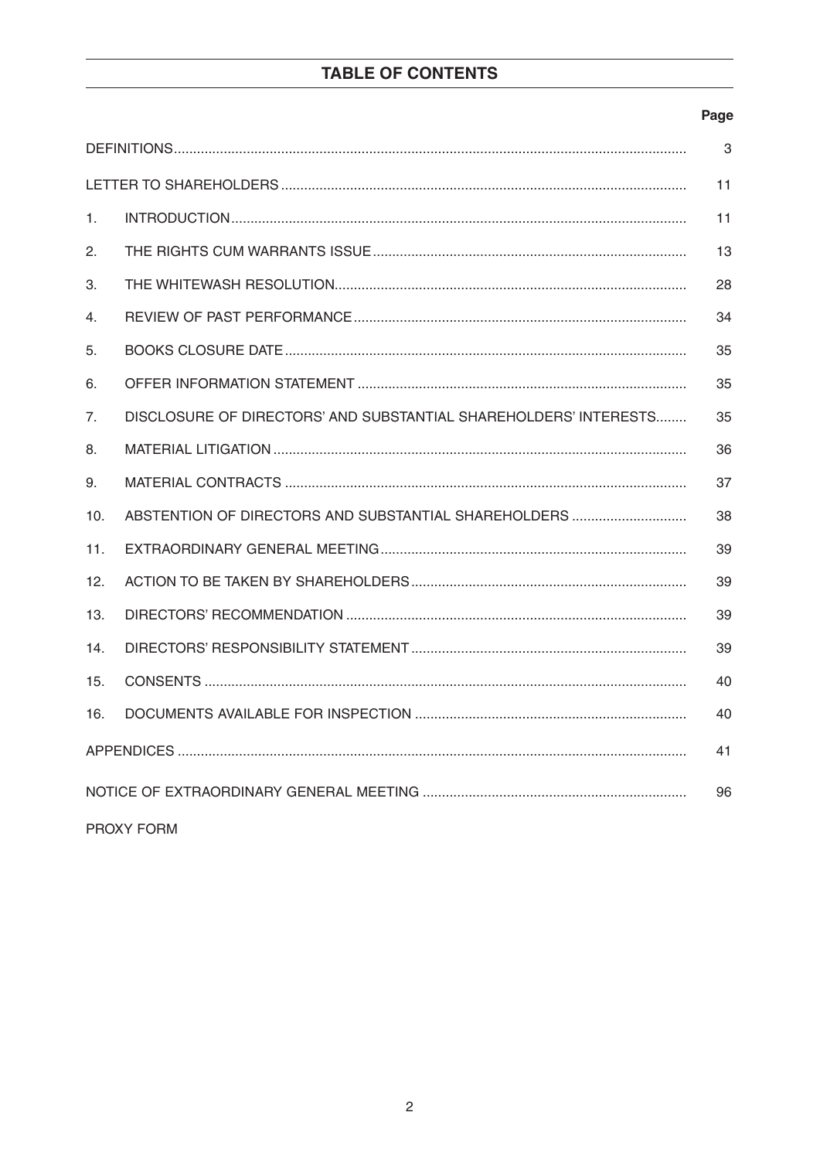# TABLE OF CONTENTS

### Page

| 3          |                                                                  |    |  |  |  |  |
|------------|------------------------------------------------------------------|----|--|--|--|--|
|            |                                                                  | 11 |  |  |  |  |
| 1.         |                                                                  | 11 |  |  |  |  |
| 2.         |                                                                  | 13 |  |  |  |  |
| З.         |                                                                  | 28 |  |  |  |  |
| 4.         |                                                                  | 34 |  |  |  |  |
| 5.         |                                                                  | 35 |  |  |  |  |
| 6.         |                                                                  | 35 |  |  |  |  |
| 7.         | DISCLOSURE OF DIRECTORS' AND SUBSTANTIAL SHAREHOLDERS' INTERESTS | 35 |  |  |  |  |
| 8.         |                                                                  | 36 |  |  |  |  |
| 9.         |                                                                  | 37 |  |  |  |  |
| 10.        | ABSTENTION OF DIRECTORS AND SUBSTANTIAL SHAREHOLDERS             | 38 |  |  |  |  |
| 11.        |                                                                  | 39 |  |  |  |  |
| 12.        |                                                                  | 39 |  |  |  |  |
| 13.        |                                                                  | 39 |  |  |  |  |
| 14.        |                                                                  | 39 |  |  |  |  |
| 15.        |                                                                  | 40 |  |  |  |  |
| 16.<br>40  |                                                                  |    |  |  |  |  |
| 41         |                                                                  |    |  |  |  |  |
| 96         |                                                                  |    |  |  |  |  |
| PROXY FORM |                                                                  |    |  |  |  |  |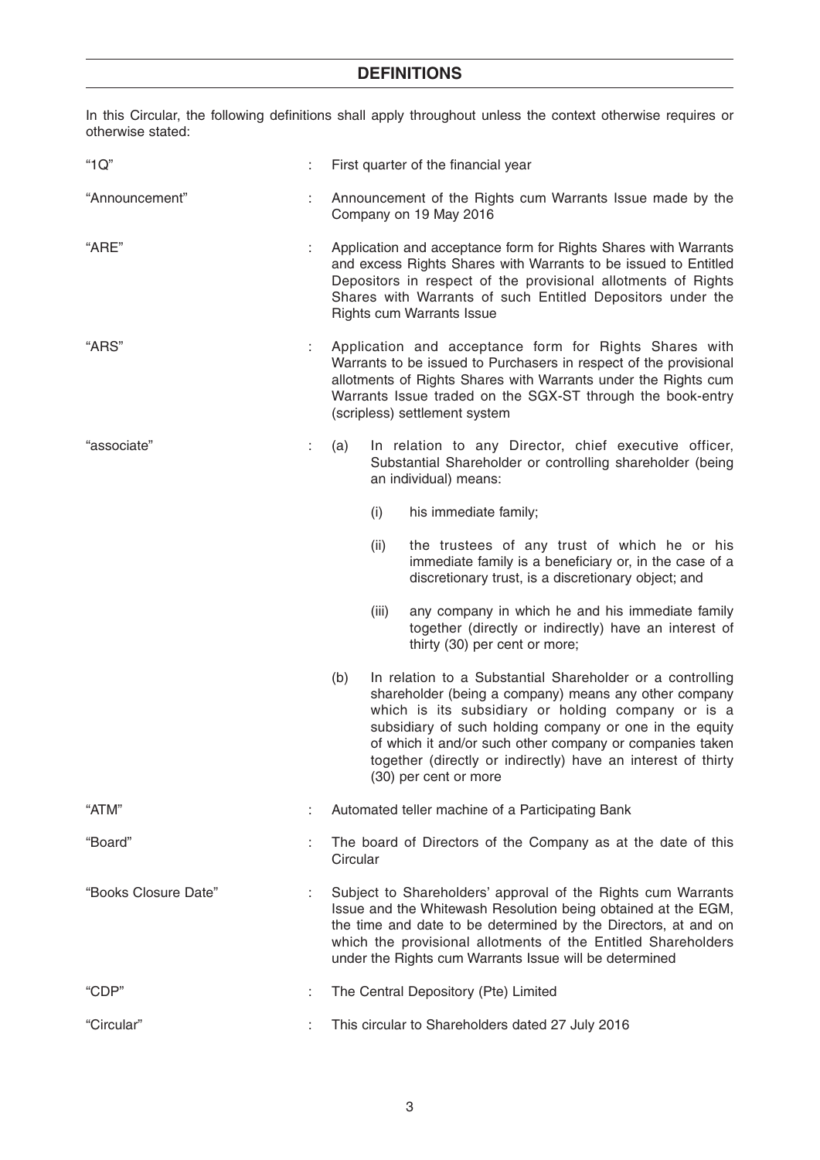In this Circular, the following definitions shall apply throughout unless the context otherwise requires or otherwise stated:

| "1Q"                 |   | First quarter of the financial year                                                                                                                                                                                                                                                                                        |       |                                                                                                                                                                                                                                                                                                                                                                                          |  |  |
|----------------------|---|----------------------------------------------------------------------------------------------------------------------------------------------------------------------------------------------------------------------------------------------------------------------------------------------------------------------------|-------|------------------------------------------------------------------------------------------------------------------------------------------------------------------------------------------------------------------------------------------------------------------------------------------------------------------------------------------------------------------------------------------|--|--|
| "Announcement"       |   | Announcement of the Rights cum Warrants Issue made by the<br>Company on 19 May 2016                                                                                                                                                                                                                                        |       |                                                                                                                                                                                                                                                                                                                                                                                          |  |  |
| "ARE"                |   |                                                                                                                                                                                                                                                                                                                            |       | Application and acceptance form for Rights Shares with Warrants<br>and excess Rights Shares with Warrants to be issued to Entitled<br>Depositors in respect of the provisional allotments of Rights<br>Shares with Warrants of such Entitled Depositors under the<br><b>Rights cum Warrants Issue</b>                                                                                    |  |  |
| "ARS"                | ÷ | Application and acceptance form for Rights Shares with<br>Warrants to be issued to Purchasers in respect of the provisional<br>allotments of Rights Shares with Warrants under the Rights cum<br>Warrants Issue traded on the SGX-ST through the book-entry<br>(scripless) settlement system                               |       |                                                                                                                                                                                                                                                                                                                                                                                          |  |  |
| "associate"          | ÷ | (a)                                                                                                                                                                                                                                                                                                                        |       | In relation to any Director, chief executive officer,<br>Substantial Shareholder or controlling shareholder (being<br>an individual) means:                                                                                                                                                                                                                                              |  |  |
|                      |   |                                                                                                                                                                                                                                                                                                                            | (i)   | his immediate family;                                                                                                                                                                                                                                                                                                                                                                    |  |  |
|                      |   |                                                                                                                                                                                                                                                                                                                            | (ii)  | the trustees of any trust of which he or his<br>immediate family is a beneficiary or, in the case of a<br>discretionary trust, is a discretionary object; and                                                                                                                                                                                                                            |  |  |
|                      |   |                                                                                                                                                                                                                                                                                                                            | (iii) | any company in which he and his immediate family<br>together (directly or indirectly) have an interest of<br>thirty (30) per cent or more;                                                                                                                                                                                                                                               |  |  |
|                      |   | (b)                                                                                                                                                                                                                                                                                                                        |       | In relation to a Substantial Shareholder or a controlling<br>shareholder (being a company) means any other company<br>which is its subsidiary or holding company or is a<br>subsidiary of such holding company or one in the equity<br>of which it and/or such other company or companies taken<br>together (directly or indirectly) have an interest of thirty<br>(30) per cent or more |  |  |
| "ATM"                |   | Automated teller machine of a Participating Bank                                                                                                                                                                                                                                                                           |       |                                                                                                                                                                                                                                                                                                                                                                                          |  |  |
| "Board"              |   | The board of Directors of the Company as at the date of this<br>Circular                                                                                                                                                                                                                                                   |       |                                                                                                                                                                                                                                                                                                                                                                                          |  |  |
| "Books Closure Date" |   | Subject to Shareholders' approval of the Rights cum Warrants<br>Issue and the Whitewash Resolution being obtained at the EGM,<br>the time and date to be determined by the Directors, at and on<br>which the provisional allotments of the Entitled Shareholders<br>under the Rights cum Warrants Issue will be determined |       |                                                                                                                                                                                                                                                                                                                                                                                          |  |  |
| "CDP"                |   | The Central Depository (Pte) Limited                                                                                                                                                                                                                                                                                       |       |                                                                                                                                                                                                                                                                                                                                                                                          |  |  |
| "Circular"           |   | This circular to Shareholders dated 27 July 2016                                                                                                                                                                                                                                                                           |       |                                                                                                                                                                                                                                                                                                                                                                                          |  |  |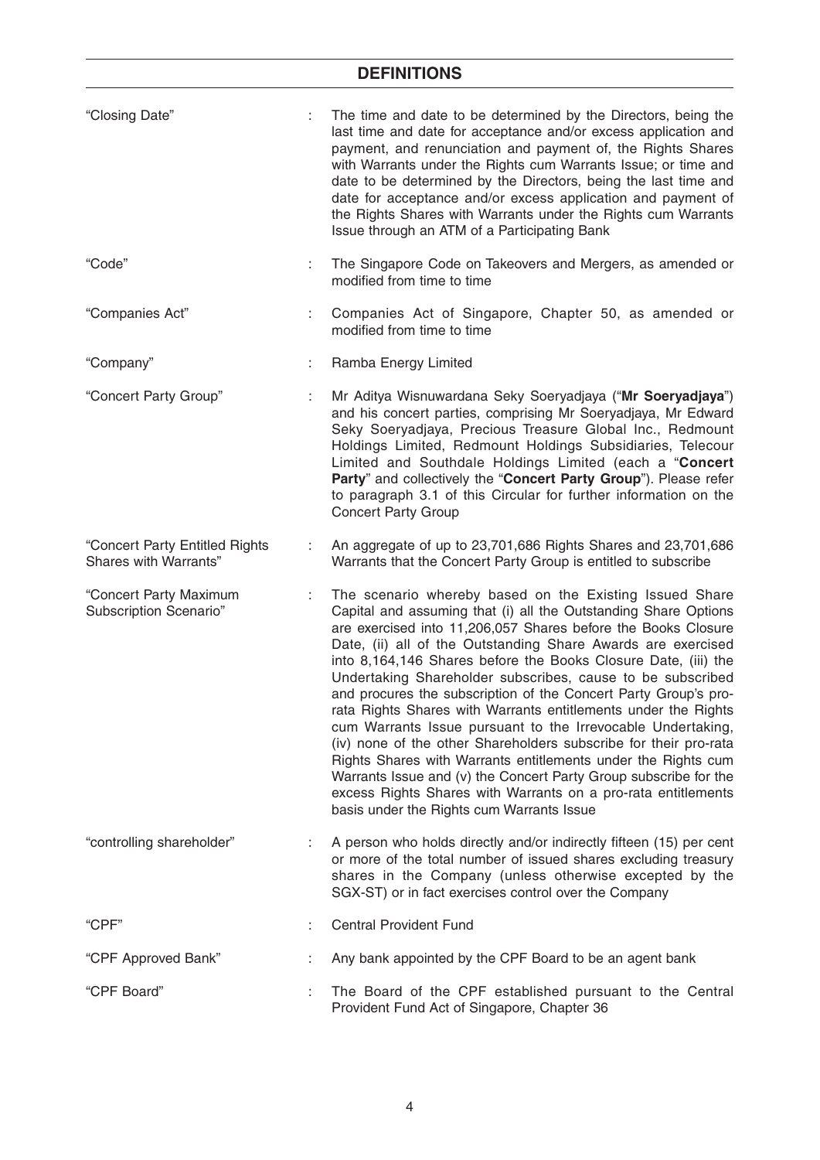| "Closing Date"                                          | ÷  | The time and date to be determined by the Directors, being the<br>last time and date for acceptance and/or excess application and<br>payment, and renunciation and payment of, the Rights Shares<br>with Warrants under the Rights cum Warrants Issue; or time and<br>date to be determined by the Directors, being the last time and<br>date for acceptance and/or excess application and payment of<br>the Rights Shares with Warrants under the Rights cum Warrants<br>Issue through an ATM of a Participating Bank                                                                                                                                                                                                                                                                                                                                                                                                 |
|---------------------------------------------------------|----|------------------------------------------------------------------------------------------------------------------------------------------------------------------------------------------------------------------------------------------------------------------------------------------------------------------------------------------------------------------------------------------------------------------------------------------------------------------------------------------------------------------------------------------------------------------------------------------------------------------------------------------------------------------------------------------------------------------------------------------------------------------------------------------------------------------------------------------------------------------------------------------------------------------------|
| "Code"                                                  | ÷  | The Singapore Code on Takeovers and Mergers, as amended or<br>modified from time to time                                                                                                                                                                                                                                                                                                                                                                                                                                                                                                                                                                                                                                                                                                                                                                                                                               |
| "Companies Act"                                         | ÷. | Companies Act of Singapore, Chapter 50, as amended or<br>modified from time to time                                                                                                                                                                                                                                                                                                                                                                                                                                                                                                                                                                                                                                                                                                                                                                                                                                    |
| "Company"                                               | ÷. | Ramba Energy Limited                                                                                                                                                                                                                                                                                                                                                                                                                                                                                                                                                                                                                                                                                                                                                                                                                                                                                                   |
| "Concert Party Group"                                   | ÷  | Mr Aditya Wisnuwardana Seky Soeryadjaya ("Mr Soeryadjaya")<br>and his concert parties, comprising Mr Soeryadjaya, Mr Edward<br>Seky Soeryadjaya, Precious Treasure Global Inc., Redmount<br>Holdings Limited, Redmount Holdings Subsidiaries, Telecour<br>Limited and Southdale Holdings Limited (each a "Concert<br>Party" and collectively the "Concert Party Group"). Please refer<br>to paragraph 3.1 of this Circular for further information on the<br><b>Concert Party Group</b>                                                                                                                                                                                                                                                                                                                                                                                                                                |
| "Concert Party Entitled Rights<br>Shares with Warrants" | ÷  | An aggregate of up to 23,701,686 Rights Shares and 23,701,686<br>Warrants that the Concert Party Group is entitled to subscribe                                                                                                                                                                                                                                                                                                                                                                                                                                                                                                                                                                                                                                                                                                                                                                                        |
| "Concert Party Maximum<br>Subscription Scenario"        | ÷  | The scenario whereby based on the Existing Issued Share<br>Capital and assuming that (i) all the Outstanding Share Options<br>are exercised into 11,206,057 Shares before the Books Closure<br>Date, (ii) all of the Outstanding Share Awards are exercised<br>into 8,164,146 Shares before the Books Closure Date, (iii) the<br>Undertaking Shareholder subscribes, cause to be subscribed<br>and procures the subscription of the Concert Party Group's pro-<br>rata Rights Shares with Warrants entitlements under the Rights<br>cum Warrants Issue pursuant to the Irrevocable Undertaking,<br>(iv) none of the other Shareholders subscribe for their pro-rata<br>Rights Shares with Warrants entitlements under the Rights cum<br>Warrants Issue and (v) the Concert Party Group subscribe for the<br>excess Rights Shares with Warrants on a pro-rata entitlements<br>basis under the Rights cum Warrants Issue |
| "controlling shareholder"                               |    | A person who holds directly and/or indirectly fifteen (15) per cent<br>or more of the total number of issued shares excluding treasury<br>shares in the Company (unless otherwise excepted by the<br>SGX-ST) or in fact exercises control over the Company                                                                                                                                                                                                                                                                                                                                                                                                                                                                                                                                                                                                                                                             |
| "CPF"                                                   |    | <b>Central Provident Fund</b>                                                                                                                                                                                                                                                                                                                                                                                                                                                                                                                                                                                                                                                                                                                                                                                                                                                                                          |
| "CPF Approved Bank"                                     |    | Any bank appointed by the CPF Board to be an agent bank                                                                                                                                                                                                                                                                                                                                                                                                                                                                                                                                                                                                                                                                                                                                                                                                                                                                |
| "CPF Board"                                             | ÷  | The Board of the CPF established pursuant to the Central<br>Provident Fund Act of Singapore, Chapter 36                                                                                                                                                                                                                                                                                                                                                                                                                                                                                                                                                                                                                                                                                                                                                                                                                |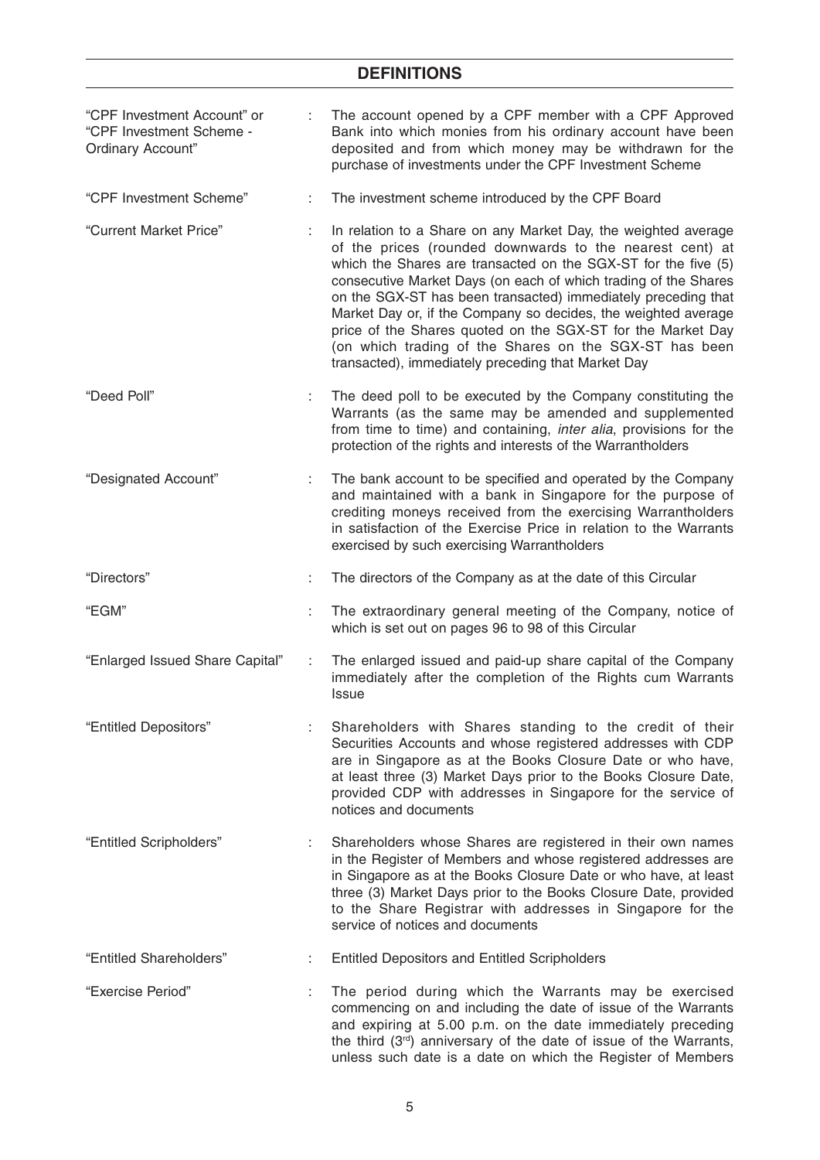| "CPF Investment Account" or<br>"CPF Investment Scheme -<br>Ordinary Account" |    | The account opened by a CPF member with a CPF Approved<br>Bank into which monies from his ordinary account have been<br>deposited and from which money may be withdrawn for the<br>purchase of investments under the CPF Investment Scheme                                                                                                                                                                                                                                                                                                                                        |
|------------------------------------------------------------------------------|----|-----------------------------------------------------------------------------------------------------------------------------------------------------------------------------------------------------------------------------------------------------------------------------------------------------------------------------------------------------------------------------------------------------------------------------------------------------------------------------------------------------------------------------------------------------------------------------------|
| "CPF Investment Scheme"                                                      | ÷  | The investment scheme introduced by the CPF Board                                                                                                                                                                                                                                                                                                                                                                                                                                                                                                                                 |
| "Current Market Price"                                                       | ÷. | In relation to a Share on any Market Day, the weighted average<br>of the prices (rounded downwards to the nearest cent) at<br>which the Shares are transacted on the SGX-ST for the five (5)<br>consecutive Market Days (on each of which trading of the Shares<br>on the SGX-ST has been transacted) immediately preceding that<br>Market Day or, if the Company so decides, the weighted average<br>price of the Shares quoted on the SGX-ST for the Market Day<br>(on which trading of the Shares on the SGX-ST has been<br>transacted), immediately preceding that Market Day |
| "Deed Poll"                                                                  |    | The deed poll to be executed by the Company constituting the<br>Warrants (as the same may be amended and supplemented<br>from time to time) and containing, inter alia, provisions for the<br>protection of the rights and interests of the Warrantholders                                                                                                                                                                                                                                                                                                                        |
| "Designated Account"                                                         | ÷. | The bank account to be specified and operated by the Company<br>and maintained with a bank in Singapore for the purpose of<br>crediting moneys received from the exercising Warrantholders<br>in satisfaction of the Exercise Price in relation to the Warrants<br>exercised by such exercising Warrantholders                                                                                                                                                                                                                                                                    |
| "Directors"                                                                  |    | The directors of the Company as at the date of this Circular                                                                                                                                                                                                                                                                                                                                                                                                                                                                                                                      |
| "EGM"                                                                        | ÷. | The extraordinary general meeting of the Company, notice of<br>which is set out on pages 96 to 98 of this Circular                                                                                                                                                                                                                                                                                                                                                                                                                                                                |
| "Enlarged Issued Share Capital"                                              | ÷  | The enlarged issued and paid-up share capital of the Company<br>immediately after the completion of the Rights cum Warrants<br><b>Issue</b>                                                                                                                                                                                                                                                                                                                                                                                                                                       |
| "Entitled Depositors"                                                        |    | Shareholders with Shares standing to the credit of their<br>Securities Accounts and whose registered addresses with CDP<br>are in Singapore as at the Books Closure Date or who have,<br>at least three (3) Market Days prior to the Books Closure Date,<br>provided CDP with addresses in Singapore for the service of<br>notices and documents                                                                                                                                                                                                                                  |
| "Entitled Scripholders"                                                      |    | Shareholders whose Shares are registered in their own names<br>in the Register of Members and whose registered addresses are<br>in Singapore as at the Books Closure Date or who have, at least<br>three (3) Market Days prior to the Books Closure Date, provided<br>to the Share Registrar with addresses in Singapore for the<br>service of notices and documents                                                                                                                                                                                                              |
| "Entitled Shareholders"                                                      |    | <b>Entitled Depositors and Entitled Scripholders</b>                                                                                                                                                                                                                                                                                                                                                                                                                                                                                                                              |
| "Exercise Period"                                                            | ÷  | The period during which the Warrants may be exercised<br>commencing on and including the date of issue of the Warrants<br>and expiring at 5.00 p.m. on the date immediately preceding<br>the third (3rd) anniversary of the date of issue of the Warrants,<br>unless such date is a date on which the Register of Members                                                                                                                                                                                                                                                         |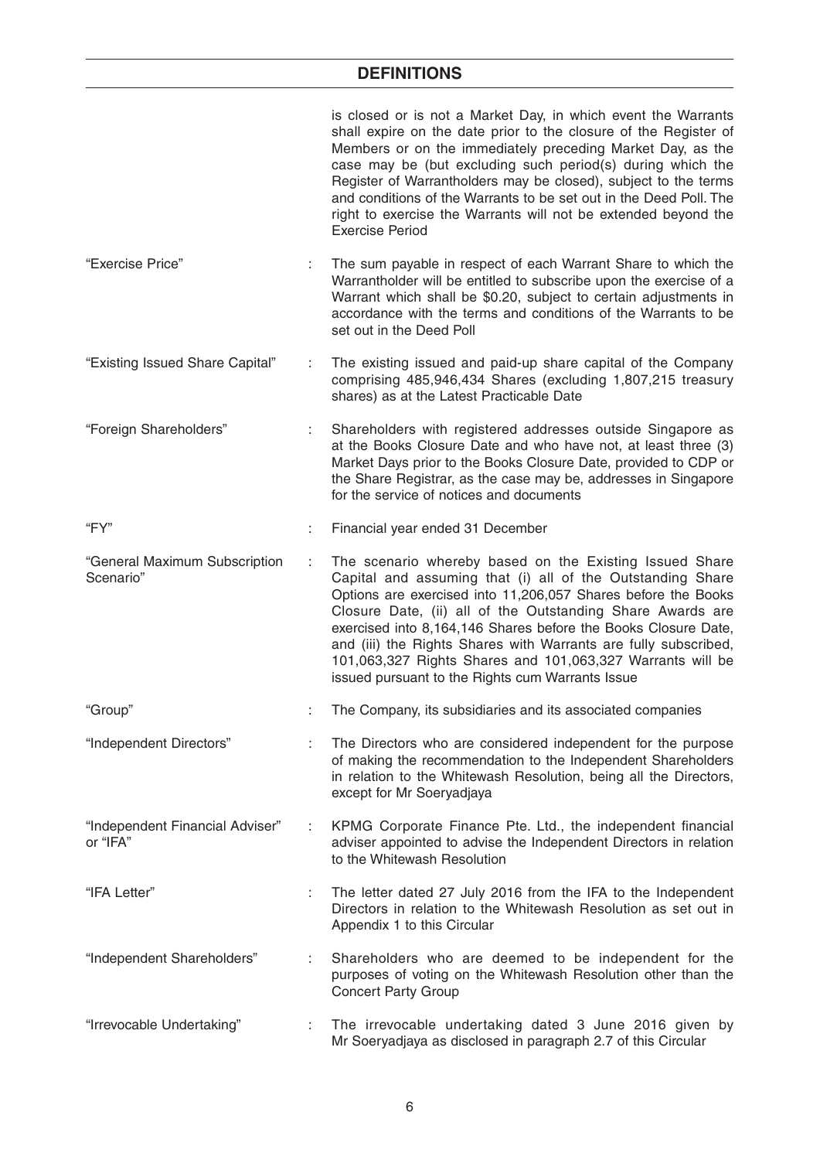|                                             |   | is closed or is not a Market Day, in which event the Warrants<br>shall expire on the date prior to the closure of the Register of<br>Members or on the immediately preceding Market Day, as the<br>case may be (but excluding such period(s) during which the<br>Register of Warrantholders may be closed), subject to the terms<br>and conditions of the Warrants to be set out in the Deed Poll. The<br>right to exercise the Warrants will not be extended beyond the<br><b>Exercise Period</b>          |
|---------------------------------------------|---|-------------------------------------------------------------------------------------------------------------------------------------------------------------------------------------------------------------------------------------------------------------------------------------------------------------------------------------------------------------------------------------------------------------------------------------------------------------------------------------------------------------|
| "Exercise Price"                            |   | The sum payable in respect of each Warrant Share to which the<br>Warrantholder will be entitled to subscribe upon the exercise of a<br>Warrant which shall be \$0.20, subject to certain adjustments in<br>accordance with the terms and conditions of the Warrants to be<br>set out in the Deed Poll                                                                                                                                                                                                       |
| "Existing Issued Share Capital"             | ÷ | The existing issued and paid-up share capital of the Company<br>comprising 485,946,434 Shares (excluding 1,807,215 treasury<br>shares) as at the Latest Practicable Date                                                                                                                                                                                                                                                                                                                                    |
| "Foreign Shareholders"                      |   | Shareholders with registered addresses outside Singapore as<br>at the Books Closure Date and who have not, at least three (3)<br>Market Days prior to the Books Closure Date, provided to CDP or<br>the Share Registrar, as the case may be, addresses in Singapore<br>for the service of notices and documents                                                                                                                                                                                             |
| "FY"                                        | ÷ | Financial year ended 31 December                                                                                                                                                                                                                                                                                                                                                                                                                                                                            |
| "General Maximum Subscription<br>Scenario"  |   | The scenario whereby based on the Existing Issued Share<br>Capital and assuming that (i) all of the Outstanding Share<br>Options are exercised into 11,206,057 Shares before the Books<br>Closure Date, (ii) all of the Outstanding Share Awards are<br>exercised into 8,164,146 Shares before the Books Closure Date,<br>and (iii) the Rights Shares with Warrants are fully subscribed,<br>101,063,327 Rights Shares and 101,063,327 Warrants will be<br>issued pursuant to the Rights cum Warrants Issue |
| "Group"                                     |   | The Company, its subsidiaries and its associated companies                                                                                                                                                                                                                                                                                                                                                                                                                                                  |
| "Independent Directors"                     |   | The Directors who are considered independent for the purpose<br>of making the recommendation to the Independent Shareholders<br>in relation to the Whitewash Resolution, being all the Directors,<br>except for Mr Soeryadjaya                                                                                                                                                                                                                                                                              |
| "Independent Financial Adviser"<br>or "IFA" | ÷ | KPMG Corporate Finance Pte. Ltd., the independent financial<br>adviser appointed to advise the Independent Directors in relation<br>to the Whitewash Resolution                                                                                                                                                                                                                                                                                                                                             |
| "IFA Letter"                                |   | The letter dated 27 July 2016 from the IFA to the Independent<br>Directors in relation to the Whitewash Resolution as set out in<br>Appendix 1 to this Circular                                                                                                                                                                                                                                                                                                                                             |
| "Independent Shareholders"                  | ÷ | Shareholders who are deemed to be independent for the<br>purposes of voting on the Whitewash Resolution other than the<br><b>Concert Party Group</b>                                                                                                                                                                                                                                                                                                                                                        |
| "Irrevocable Undertaking"                   |   | The irrevocable undertaking dated 3 June 2016 given by<br>Mr Soeryadjaya as disclosed in paragraph 2.7 of this Circular                                                                                                                                                                                                                                                                                                                                                                                     |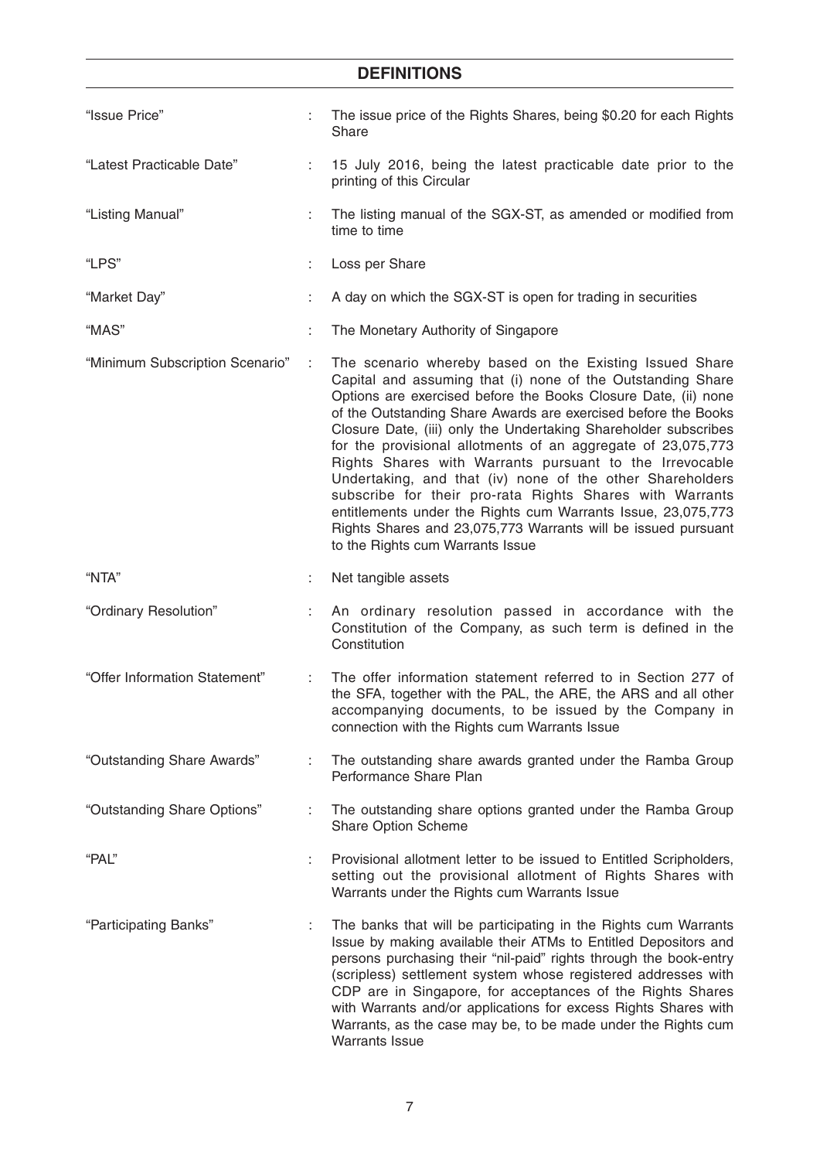| "Issue Price"                   |    | The issue price of the Rights Shares, being \$0.20 for each Rights<br>Share                                                                                                                                                                                                                                                                                                                                                                                                                                                                                                                                                                                                                                                                            |
|---------------------------------|----|--------------------------------------------------------------------------------------------------------------------------------------------------------------------------------------------------------------------------------------------------------------------------------------------------------------------------------------------------------------------------------------------------------------------------------------------------------------------------------------------------------------------------------------------------------------------------------------------------------------------------------------------------------------------------------------------------------------------------------------------------------|
| "Latest Practicable Date"       | ÷. | 15 July 2016, being the latest practicable date prior to the<br>printing of this Circular                                                                                                                                                                                                                                                                                                                                                                                                                                                                                                                                                                                                                                                              |
| "Listing Manual"                | ÷  | The listing manual of the SGX-ST, as amended or modified from<br>time to time                                                                                                                                                                                                                                                                                                                                                                                                                                                                                                                                                                                                                                                                          |
| "LPS"                           | ÷  | Loss per Share                                                                                                                                                                                                                                                                                                                                                                                                                                                                                                                                                                                                                                                                                                                                         |
| "Market Day"                    |    | A day on which the SGX-ST is open for trading in securities                                                                                                                                                                                                                                                                                                                                                                                                                                                                                                                                                                                                                                                                                            |
| "MAS"                           |    | The Monetary Authority of Singapore                                                                                                                                                                                                                                                                                                                                                                                                                                                                                                                                                                                                                                                                                                                    |
| "Minimum Subscription Scenario" | ÷  | The scenario whereby based on the Existing Issued Share<br>Capital and assuming that (i) none of the Outstanding Share<br>Options are exercised before the Books Closure Date, (ii) none<br>of the Outstanding Share Awards are exercised before the Books<br>Closure Date, (iii) only the Undertaking Shareholder subscribes<br>for the provisional allotments of an aggregate of 23,075,773<br>Rights Shares with Warrants pursuant to the Irrevocable<br>Undertaking, and that (iv) none of the other Shareholders<br>subscribe for their pro-rata Rights Shares with Warrants<br>entitlements under the Rights cum Warrants Issue, 23,075,773<br>Rights Shares and 23,075,773 Warrants will be issued pursuant<br>to the Rights cum Warrants Issue |
| "NTA"                           | ÷. | Net tangible assets                                                                                                                                                                                                                                                                                                                                                                                                                                                                                                                                                                                                                                                                                                                                    |
| "Ordinary Resolution"           |    | An ordinary resolution passed in accordance with the<br>Constitution of the Company, as such term is defined in the<br>Constitution                                                                                                                                                                                                                                                                                                                                                                                                                                                                                                                                                                                                                    |
| "Offer Information Statement"   | ÷  | The offer information statement referred to in Section 277 of<br>the SFA, together with the PAL, the ARE, the ARS and all other<br>accompanying documents, to be issued by the Company in<br>connection with the Rights cum Warrants Issue                                                                                                                                                                                                                                                                                                                                                                                                                                                                                                             |
| "Outstanding Share Awards"      |    | The outstanding share awards granted under the Ramba Group<br>Performance Share Plan                                                                                                                                                                                                                                                                                                                                                                                                                                                                                                                                                                                                                                                                   |
| "Outstanding Share Options"     | ÷. | The outstanding share options granted under the Ramba Group<br>Share Option Scheme                                                                                                                                                                                                                                                                                                                                                                                                                                                                                                                                                                                                                                                                     |
| "PAL"                           | ÷  | Provisional allotment letter to be issued to Entitled Scripholders,<br>setting out the provisional allotment of Rights Shares with<br>Warrants under the Rights cum Warrants Issue                                                                                                                                                                                                                                                                                                                                                                                                                                                                                                                                                                     |
| "Participating Banks"           |    | The banks that will be participating in the Rights cum Warrants<br>Issue by making available their ATMs to Entitled Depositors and<br>persons purchasing their "nil-paid" rights through the book-entry<br>(scripless) settlement system whose registered addresses with<br>CDP are in Singapore, for acceptances of the Rights Shares<br>with Warrants and/or applications for excess Rights Shares with<br>Warrants, as the case may be, to be made under the Rights cum<br><b>Warrants Issue</b>                                                                                                                                                                                                                                                    |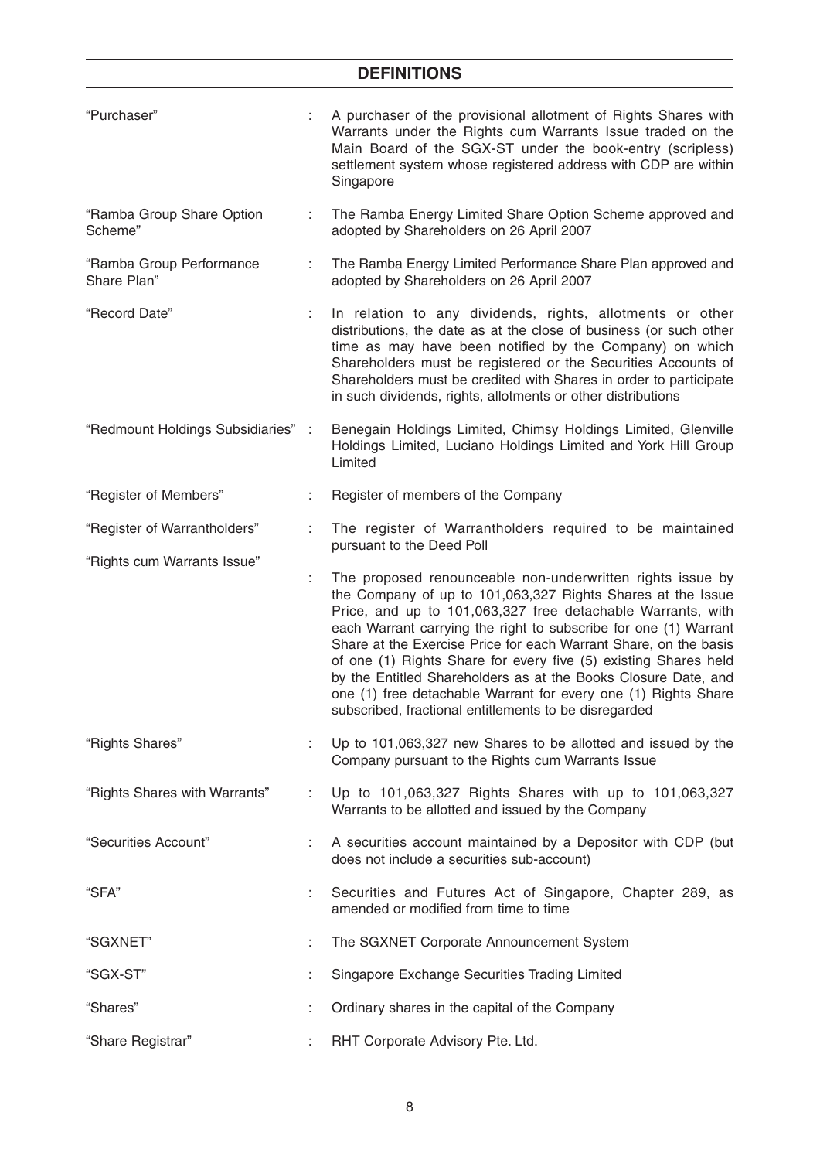| "Purchaser"                             |      | A purchaser of the provisional allotment of Rights Shares with<br>Warrants under the Rights cum Warrants Issue traded on the<br>Main Board of the SGX-ST under the book-entry (scripless)<br>settlement system whose registered address with CDP are within<br>Singapore                                                                                                                                                                                                                                                                                                                         |  |  |  |  |
|-----------------------------------------|------|--------------------------------------------------------------------------------------------------------------------------------------------------------------------------------------------------------------------------------------------------------------------------------------------------------------------------------------------------------------------------------------------------------------------------------------------------------------------------------------------------------------------------------------------------------------------------------------------------|--|--|--|--|
| "Ramba Group Share Option<br>Scheme"    |      | The Ramba Energy Limited Share Option Scheme approved and<br>adopted by Shareholders on 26 April 2007                                                                                                                                                                                                                                                                                                                                                                                                                                                                                            |  |  |  |  |
| "Ramba Group Performance<br>Share Plan" |      | The Ramba Energy Limited Performance Share Plan approved and<br>adopted by Shareholders on 26 April 2007                                                                                                                                                                                                                                                                                                                                                                                                                                                                                         |  |  |  |  |
| "Record Date"                           |      | In relation to any dividends, rights, allotments or other<br>distributions, the date as at the close of business (or such other<br>time as may have been notified by the Company) on which<br>Shareholders must be registered or the Securities Accounts of<br>Shareholders must be credited with Shares in order to participate<br>in such dividends, rights, allotments or other distributions                                                                                                                                                                                                 |  |  |  |  |
| "Redmount Holdings Subsidiaries"        | - 11 | Benegain Holdings Limited, Chimsy Holdings Limited, Glenville<br>Holdings Limited, Luciano Holdings Limited and York Hill Group<br>Limited                                                                                                                                                                                                                                                                                                                                                                                                                                                       |  |  |  |  |
| "Register of Members"                   |      | Register of members of the Company                                                                                                                                                                                                                                                                                                                                                                                                                                                                                                                                                               |  |  |  |  |
| "Register of Warrantholders"            | ÷    | The register of Warrantholders required to be maintained                                                                                                                                                                                                                                                                                                                                                                                                                                                                                                                                         |  |  |  |  |
| "Rights cum Warrants Issue"             |      | pursuant to the Deed Poll                                                                                                                                                                                                                                                                                                                                                                                                                                                                                                                                                                        |  |  |  |  |
|                                         | ÷.   | The proposed renounceable non-underwritten rights issue by<br>the Company of up to 101,063,327 Rights Shares at the Issue<br>Price, and up to 101,063,327 free detachable Warrants, with<br>each Warrant carrying the right to subscribe for one (1) Warrant<br>Share at the Exercise Price for each Warrant Share, on the basis<br>of one (1) Rights Share for every five (5) existing Shares held<br>by the Entitled Shareholders as at the Books Closure Date, and<br>one (1) free detachable Warrant for every one (1) Rights Share<br>subscribed, fractional entitlements to be disregarded |  |  |  |  |
| "Rights Shares"                         |      | Up to 101,063,327 new Shares to be allotted and issued by the<br>Company pursuant to the Rights cum Warrants Issue                                                                                                                                                                                                                                                                                                                                                                                                                                                                               |  |  |  |  |
| "Rights Shares with Warrants"           |      | Up to 101,063,327 Rights Shares with up to 101,063,327<br>Warrants to be allotted and issued by the Company                                                                                                                                                                                                                                                                                                                                                                                                                                                                                      |  |  |  |  |
| "Securities Account"                    |      | A securities account maintained by a Depositor with CDP (but<br>does not include a securities sub-account)                                                                                                                                                                                                                                                                                                                                                                                                                                                                                       |  |  |  |  |
| "SFA"                                   |      | Securities and Futures Act of Singapore, Chapter 289, as<br>amended or modified from time to time                                                                                                                                                                                                                                                                                                                                                                                                                                                                                                |  |  |  |  |
| "SGXNET"                                |      | The SGXNET Corporate Announcement System                                                                                                                                                                                                                                                                                                                                                                                                                                                                                                                                                         |  |  |  |  |
| "SGX-ST"                                |      | Singapore Exchange Securities Trading Limited                                                                                                                                                                                                                                                                                                                                                                                                                                                                                                                                                    |  |  |  |  |
| "Shares"                                |      | Ordinary shares in the capital of the Company                                                                                                                                                                                                                                                                                                                                                                                                                                                                                                                                                    |  |  |  |  |
| "Share Registrar"                       |      | RHT Corporate Advisory Pte. Ltd.                                                                                                                                                                                                                                                                                                                                                                                                                                                                                                                                                                 |  |  |  |  |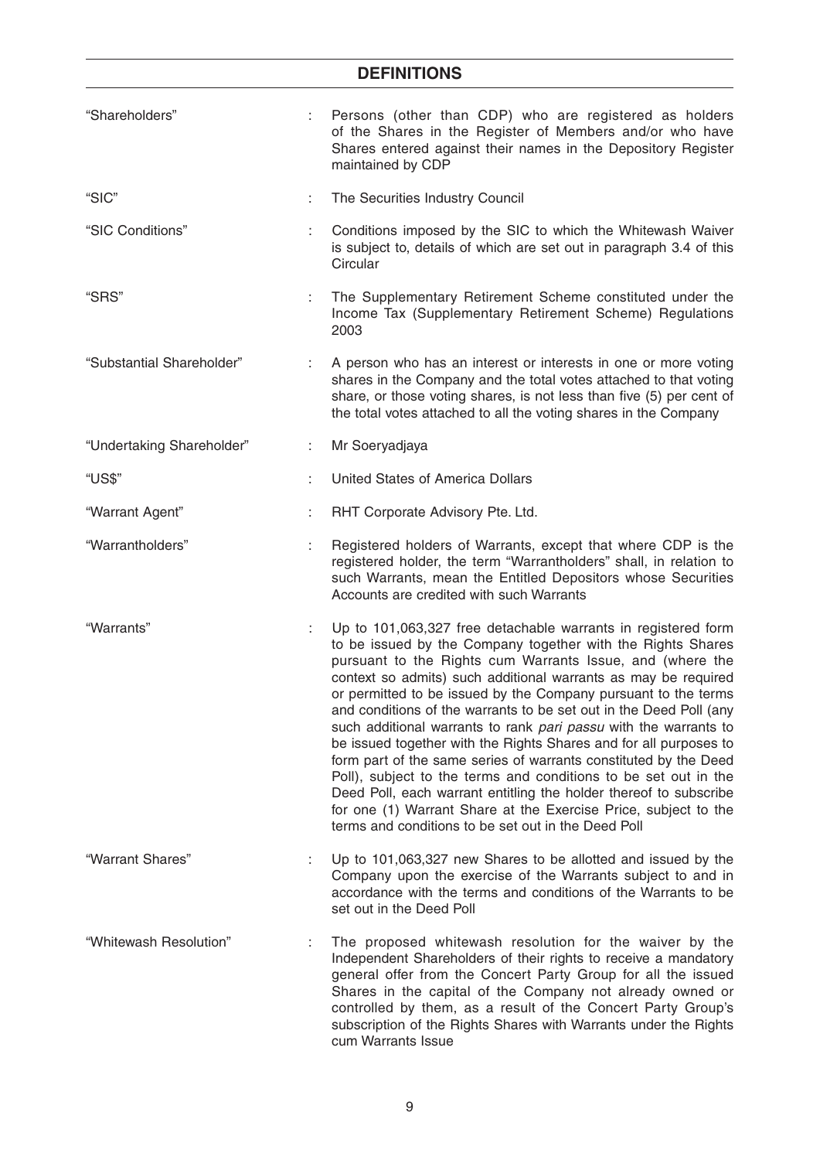# **DEFINITIONS** "Shareholders" : Persons (other than CDP) who are registered as holders of the Shares in the Register of Members and/or who have Shares entered against their names in the Depository Register maintained by CDP "SIC" : The Securities Industry Council "SIC Conditions" : Conditions imposed by the SIC to which the Whitewash Waiver is subject to, details of which are set out in paragraph 3.4 of this **Circular** "SRS" : The Supplementary Retirement Scheme constituted under the Income Tax (Supplementary Retirement Scheme) Regulations 2003 "Substantial Shareholder" : A person who has an interest or interests in one or more voting shares in the Company and the total votes attached to that voting share, or those voting shares, is not less than five (5) per cent of the total votes attached to all the voting shares in the Company "Undertaking Shareholder" : Mr Soeryadjaya "US\$" : United States of America Dollars "Warrant Agent" : RHT Corporate Advisory Pte. Ltd. "Warrantholders" : Registered holders of Warrants, except that where CDP is the registered holder, the term "Warrantholders" shall, in relation to such Warrants, mean the Entitled Depositors whose Securities Accounts are credited with such Warrants "Warrants" : Up to 101,063,327 free detachable warrants in registered form to be issued by the Company together with the Rights Shares pursuant to the Rights cum Warrants Issue, and (where the context so admits) such additional warrants as may be required or permitted to be issued by the Company pursuant to the terms and conditions of the warrants to be set out in the Deed Poll (any such additional warrants to rank *pari passu* with the warrants to be issued together with the Rights Shares and for all purposes to form part of the same series of warrants constituted by the Deed Poll), subject to the terms and conditions to be set out in the Deed Poll, each warrant entitling the holder thereof to subscribe for one (1) Warrant Share at the Exercise Price, subject to the terms and conditions to be set out in the Deed Poll "Warrant Shares" : Up to 101,063,327 new Shares to be allotted and issued by the Company upon the exercise of the Warrants subject to and in accordance with the terms and conditions of the Warrants to be set out in the Deed Poll "Whitewash Resolution" : The proposed whitewash resolution for the waiver by the Independent Shareholders of their rights to receive a mandatory general offer from the Concert Party Group for all the issued Shares in the capital of the Company not already owned or controlled by them, as a result of the Concert Party Group's subscription of the Rights Shares with Warrants under the Rights

cum Warrants Issue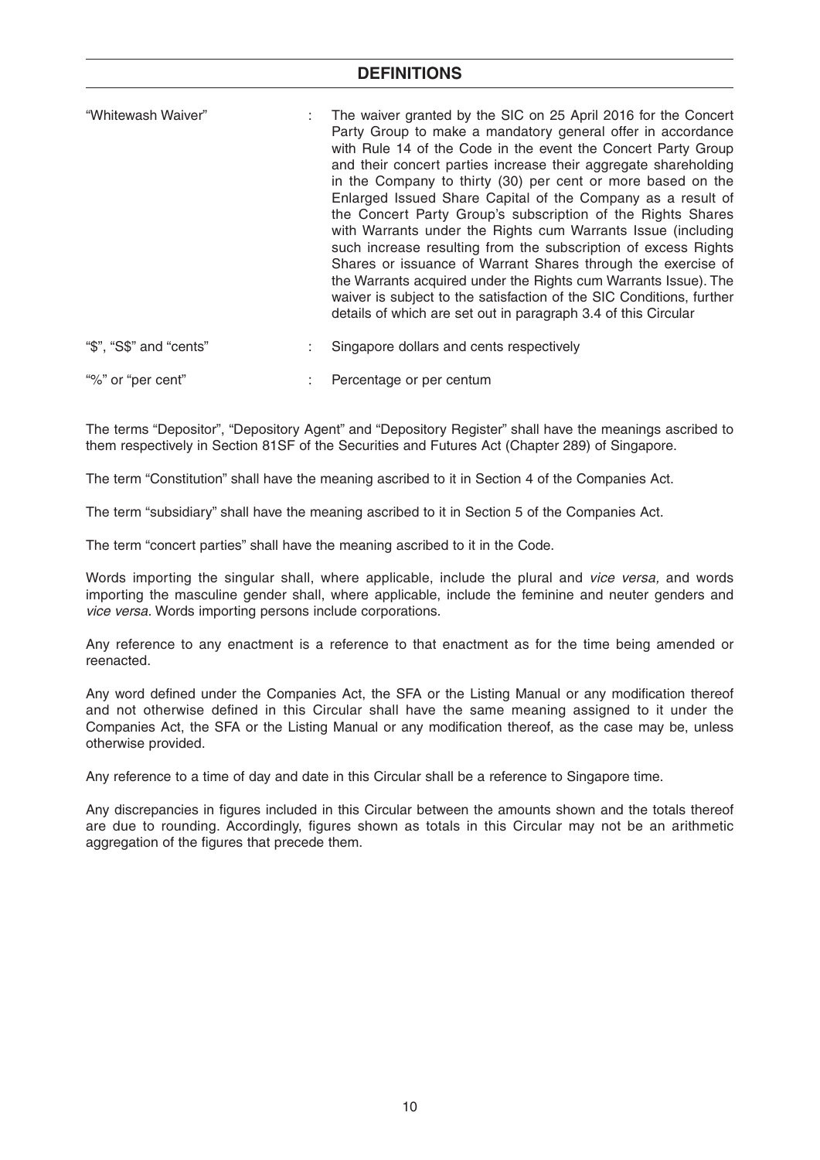| details of which are set out in paragraph 3.4 of this Circular |
|----------------------------------------------------------------|
|----------------------------------------------------------------|

| "\$", "S\$" and "cents" | Singapore dollars and cents respectively |  |
|-------------------------|------------------------------------------|--|
|                         |                                          |  |

"%" or "per cent" : Percentage or per centum

The terms "Depositor", "Depository Agent" and "Depository Register" shall have the meanings ascribed to them respectively in Section 81SF of the Securities and Futures Act (Chapter 289) of Singapore.

The term "Constitution" shall have the meaning ascribed to it in Section 4 of the Companies Act.

The term "subsidiary" shall have the meaning ascribed to it in Section 5 of the Companies Act.

The term "concert parties" shall have the meaning ascribed to it in the Code.

Words importing the singular shall, where applicable, include the plural and *vice versa,* and words importing the masculine gender shall, where applicable, include the feminine and neuter genders and *vice versa.* Words importing persons include corporations.

Any reference to any enactment is a reference to that enactment as for the time being amended or reenacted.

Any word defined under the Companies Act, the SFA or the Listing Manual or any modification thereof and not otherwise defined in this Circular shall have the same meaning assigned to it under the Companies Act, the SFA or the Listing Manual or any modification thereof, as the case may be, unless otherwise provided.

Any reference to a time of day and date in this Circular shall be a reference to Singapore time.

Any discrepancies in figures included in this Circular between the amounts shown and the totals thereof are due to rounding. Accordingly, figures shown as totals in this Circular may not be an arithmetic aggregation of the figures that precede them.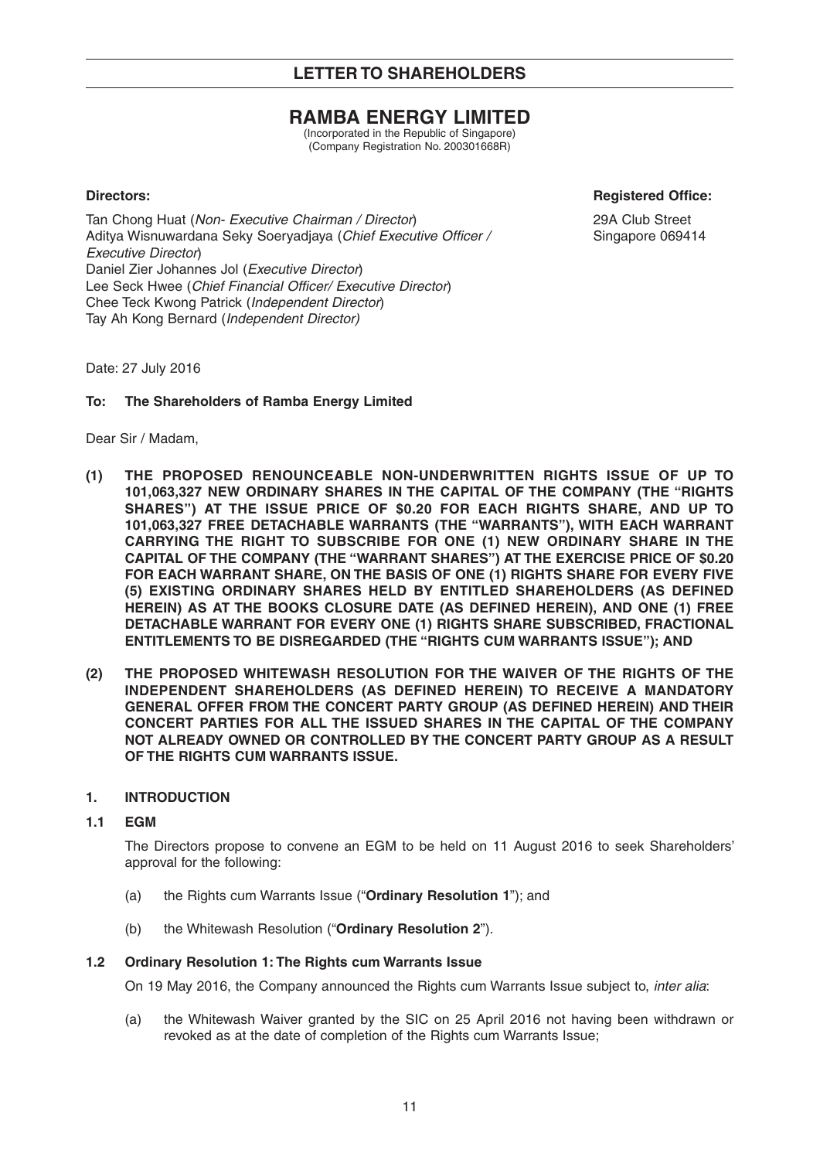# **RAMBA ENERGY LIMITED**

(Incorporated in the Republic of Singapore) (Company Registration No. 200301668R)

**Directors:** Registered Office:

Tan Chong Huat (*Non- Executive Chairman / Director*) 29A Club Street Aditya Wisnuwardana Seky Soeryadjaya (Chief Executive Officer / Singapore 069414 *Executive Director*) Daniel Zier Johannes Jol (*Executive Director*) Lee Seck Hwee (Chief Financial Officer/ Executive Director) Chee Teck Kwong Patrick (*Independent Director*) Tay Ah Kong Bernard (*Independent Director)* 

Date: 27 July 2016

#### **To: The Shareholders of Ramba Energy Limited**

Dear Sir / Madam,

- **(1) THE PROPOSED RENOUNCEABLE NON-UNDERWRITTEN RIGHTS ISSUE OF UP TO 101,063,327 NEW ORDINARY SHARES IN THE CAPITAL OF THE COMPANY (THE "RIGHTS SHARES") AT THE ISSUE PRICE OF \$0.20 FOR EACH RIGHTS SHARE, AND UP TO 101,063,327 FREE DETACHABLE WARRANTS (THE "WARRANTS"), WITH EACH WARRANT CARRYING THE RIGHT TO SUBSCRIBE FOR ONE (1) NEW ORDINARY SHARE IN THE CAPITAL OF THE COMPANY (THE "WARRANT SHARES") AT THE EXERCISE PRICE OF \$0.20 FOR EACH WARRANT SHARE, ON THE BASIS OF ONE (1) RIGHTS SHARE FOR EVERY FIVE (5) EXISTING ORDINARY SHARES HELD BY ENTITLED SHAREHOLDERS (AS DEFINED HEREIN) AS AT THE BOOKS CLOSURE DATE (AS DEFINED HEREIN), AND ONE (1) FREE DETACHABLE WARRANT FOR EVERY ONE (1) RIGHTS SHARE SUBSCRIBED, FRACTIONAL ENTITLEMENTS TO BE DISREGARDED (THE "RIGHTS CUM WARRANTS ISSUE"); AND**
- **(2) THE PROPOSED WHITEWASH RESOLUTION FOR THE WAIVER OF THE RIGHTS OF THE INDEPENDENT SHAREHOLDERS (AS DEFINED HEREIN) TO RECEIVE A MANDATORY GENERAL OFFER FROM THE CONCERT PARTY GROUP (AS DEFINED HEREIN) AND THEIR CONCERT PARTIES FOR ALL THE ISSUED SHARES IN THE CAPITAL OF THE COMPANY NOT ALREADY OWNED OR CONTROLLED BY THE CONCERT PARTY GROUP AS A RESULT OF THE RIGHTS CUM WARRANTS ISSUE.**

#### **1. INTRODUCTION**

#### **1.1 EGM**

 The Directors propose to convene an EGM to be held on 11 August 2016 to seek Shareholders' approval for the following:

- (a) the Rights cum Warrants Issue ("**Ordinary Resolution 1**"); and
- (b) the Whitewash Resolution ("**Ordinary Resolution 2**").

#### **1.2 Ordinary Resolution 1: The Rights cum Warrants Issue**

On 19 May 2016, the Company announced the Rights cum Warrants Issue subject to, *inter alia*:

 (a) the Whitewash Waiver granted by the SIC on 25 April 2016 not having been withdrawn or revoked as at the date of completion of the Rights cum Warrants Issue;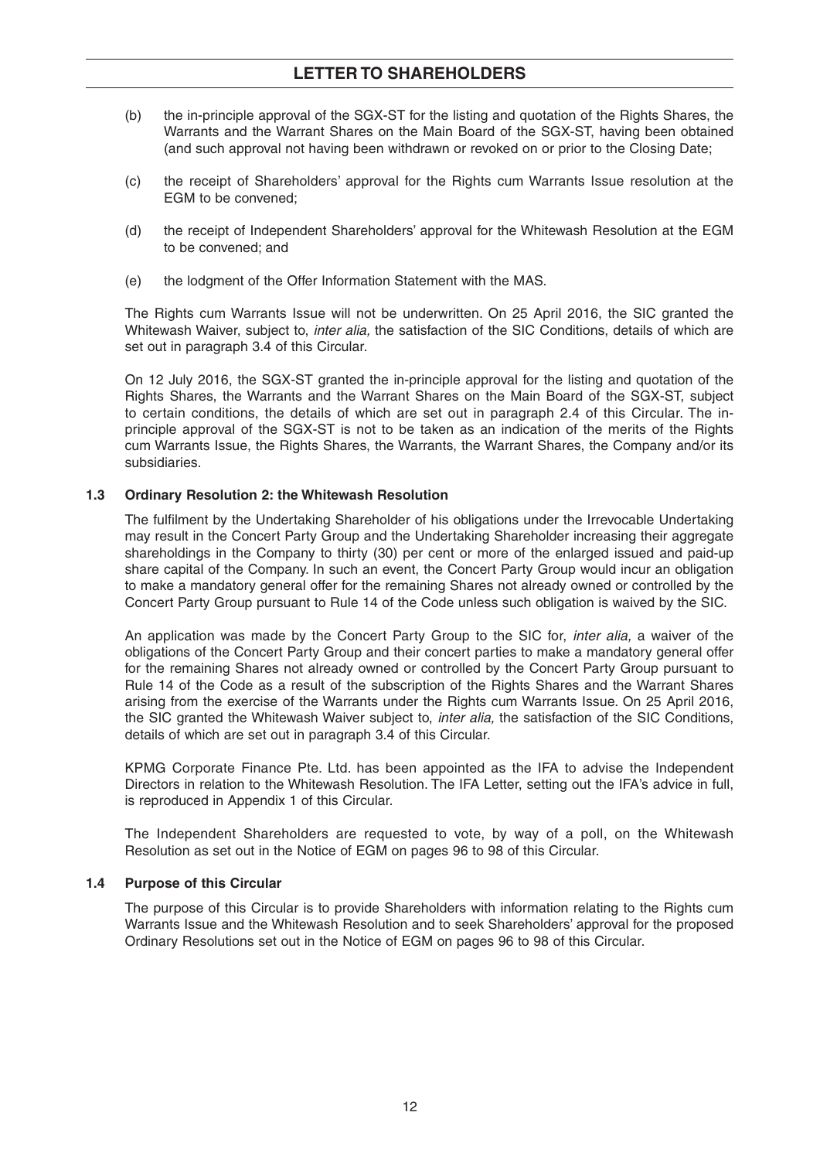- (b) the in-principle approval of the SGX-ST for the listing and quotation of the Rights Shares, the Warrants and the Warrant Shares on the Main Board of the SGX-ST, having been obtained (and such approval not having been withdrawn or revoked on or prior to the Closing Date;
- (c) the receipt of Shareholders' approval for the Rights cum Warrants Issue resolution at the EGM to be convened;
- (d) the receipt of Independent Shareholders' approval for the Whitewash Resolution at the EGM to be convened; and
- (e) the lodgment of the Offer Information Statement with the MAS.

 The Rights cum Warrants Issue will not be underwritten. On 25 April 2016, the SIC granted the Whitewash Waiver, subject to, *inter alia,* the satisfaction of the SIC Conditions, details of which are set out in paragraph 3.4 of this Circular.

 On 12 July 2016, the SGX-ST granted the in-principle approval for the listing and quotation of the Rights Shares, the Warrants and the Warrant Shares on the Main Board of the SGX-ST, subject to certain conditions, the details of which are set out in paragraph 2.4 of this Circular. The inprinciple approval of the SGX-ST is not to be taken as an indication of the merits of the Rights cum Warrants Issue, the Rights Shares, the Warrants, the Warrant Shares, the Company and/or its subsidiaries.

#### **1.3 Ordinary Resolution 2: the Whitewash Resolution**

The fulfilment by the Undertaking Shareholder of his obligations under the Irrevocable Undertaking may result in the Concert Party Group and the Undertaking Shareholder increasing their aggregate shareholdings in the Company to thirty (30) per cent or more of the enlarged issued and paid-up share capital of the Company. In such an event, the Concert Party Group would incur an obligation to make a mandatory general offer for the remaining Shares not already owned or controlled by the Concert Party Group pursuant to Rule 14 of the Code unless such obligation is waived by the SIC.

 An application was made by the Concert Party Group to the SIC for, *inter alia,* a waiver of the obligations of the Concert Party Group and their concert parties to make a mandatory general offer for the remaining Shares not already owned or controlled by the Concert Party Group pursuant to Rule 14 of the Code as a result of the subscription of the Rights Shares and the Warrant Shares arising from the exercise of the Warrants under the Rights cum Warrants Issue. On 25 April 2016, the SIC granted the Whitewash Waiver subject to, *inter alia,* the satisfaction of the SIC Conditions, details of which are set out in paragraph 3.4 of this Circular.

 KPMG Corporate Finance Pte. Ltd. has been appointed as the IFA to advise the Independent Directors in relation to the Whitewash Resolution. The IFA Letter, setting out the IFA's advice in full, is reproduced in Appendix 1 of this Circular.

 The Independent Shareholders are requested to vote, by way of a poll, on the Whitewash Resolution as set out in the Notice of EGM on pages 96 to 98 of this Circular.

#### **1.4 Purpose of this Circular**

 The purpose of this Circular is to provide Shareholders with information relating to the Rights cum Warrants Issue and the Whitewash Resolution and to seek Shareholders' approval for the proposed Ordinary Resolutions set out in the Notice of EGM on pages 96 to 98 of this Circular.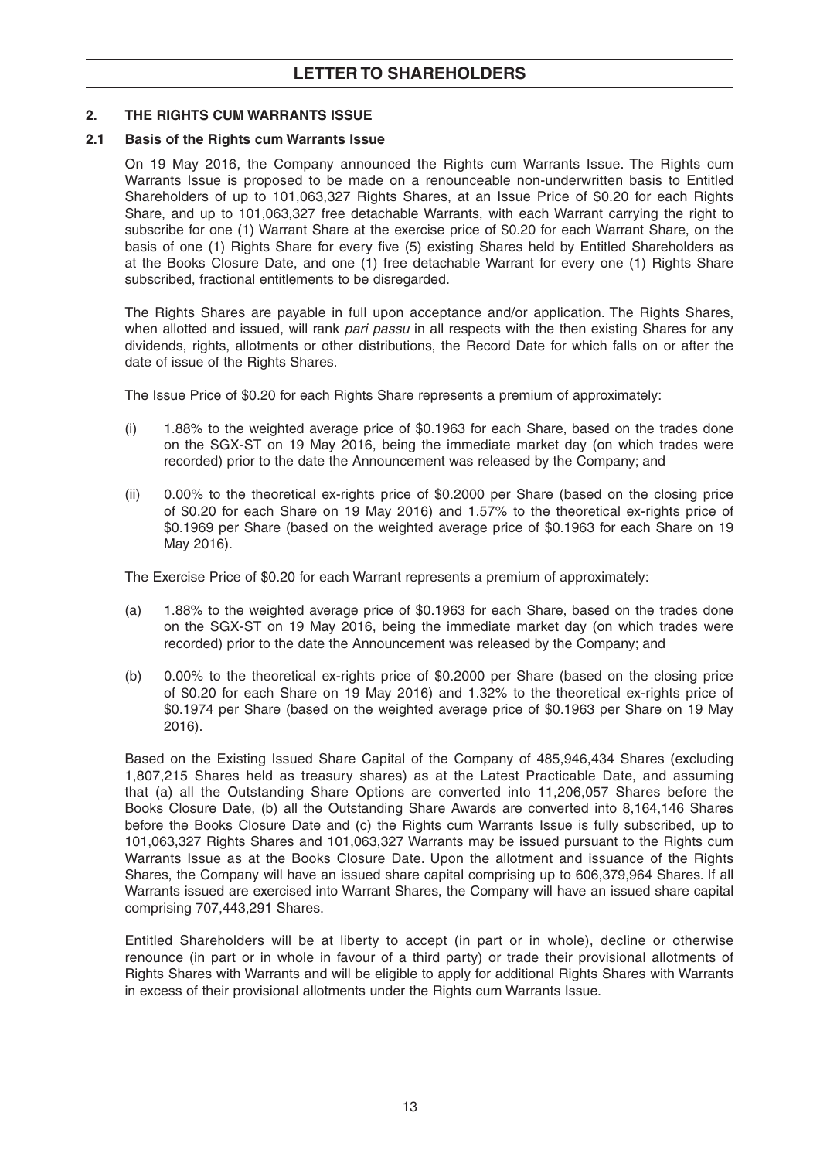#### **2. THE RIGHTS CUM WARRANTS ISSUE**

#### **2.1 Basis of the Rights cum Warrants Issue**

 On 19 May 2016, the Company announced the Rights cum Warrants Issue. The Rights cum Warrants Issue is proposed to be made on a renounceable non-underwritten basis to Entitled Shareholders of up to 101,063,327 Rights Shares, at an Issue Price of \$0.20 for each Rights Share, and up to 101,063,327 free detachable Warrants, with each Warrant carrying the right to subscribe for one (1) Warrant Share at the exercise price of \$0.20 for each Warrant Share, on the basis of one (1) Rights Share for every five (5) existing Shares held by Entitled Shareholders as at the Books Closure Date, and one (1) free detachable Warrant for every one (1) Rights Share subscribed, fractional entitlements to be disregarded.

 The Rights Shares are payable in full upon acceptance and/or application. The Rights Shares, when allotted and issued, will rank *pari passu* in all respects with the then existing Shares for any dividends, rights, allotments or other distributions, the Record Date for which falls on or after the date of issue of the Rights Shares.

The Issue Price of \$0.20 for each Rights Share represents a premium of approximately:

- (i) 1.88% to the weighted average price of \$0.1963 for each Share, based on the trades done on the SGX-ST on 19 May 2016, being the immediate market day (on which trades were recorded) prior to the date the Announcement was released by the Company; and
- (ii) 0.00% to the theoretical ex-rights price of \$0.2000 per Share (based on the closing price of \$0.20 for each Share on 19 May 2016) and 1.57% to the theoretical ex-rights price of \$0.1969 per Share (based on the weighted average price of \$0.1963 for each Share on 19 May 2016).

The Exercise Price of \$0.20 for each Warrant represents a premium of approximately:

- (a) 1.88% to the weighted average price of \$0.1963 for each Share, based on the trades done on the SGX-ST on 19 May 2016, being the immediate market day (on which trades were recorded) prior to the date the Announcement was released by the Company; and
- (b) 0.00% to the theoretical ex-rights price of \$0.2000 per Share (based on the closing price of \$0.20 for each Share on 19 May 2016) and 1.32% to the theoretical ex-rights price of \$0.1974 per Share (based on the weighted average price of \$0.1963 per Share on 19 May 2016).

 Based on the Existing Issued Share Capital of the Company of 485,946,434 Shares (excluding 1,807,215 Shares held as treasury shares) as at the Latest Practicable Date, and assuming that (a) all the Outstanding Share Options are converted into 11,206,057 Shares before the Books Closure Date, (b) all the Outstanding Share Awards are converted into 8,164,146 Shares before the Books Closure Date and (c) the Rights cum Warrants Issue is fully subscribed, up to 101,063,327 Rights Shares and 101,063,327 Warrants may be issued pursuant to the Rights cum Warrants Issue as at the Books Closure Date. Upon the allotment and issuance of the Rights Shares, the Company will have an issued share capital comprising up to 606,379,964 Shares. If all Warrants issued are exercised into Warrant Shares, the Company will have an issued share capital comprising 707,443,291 Shares.

 Entitled Shareholders will be at liberty to accept (in part or in whole), decline or otherwise renounce (in part or in whole in favour of a third party) or trade their provisional allotments of Rights Shares with Warrants and will be eligible to apply for additional Rights Shares with Warrants in excess of their provisional allotments under the Rights cum Warrants Issue.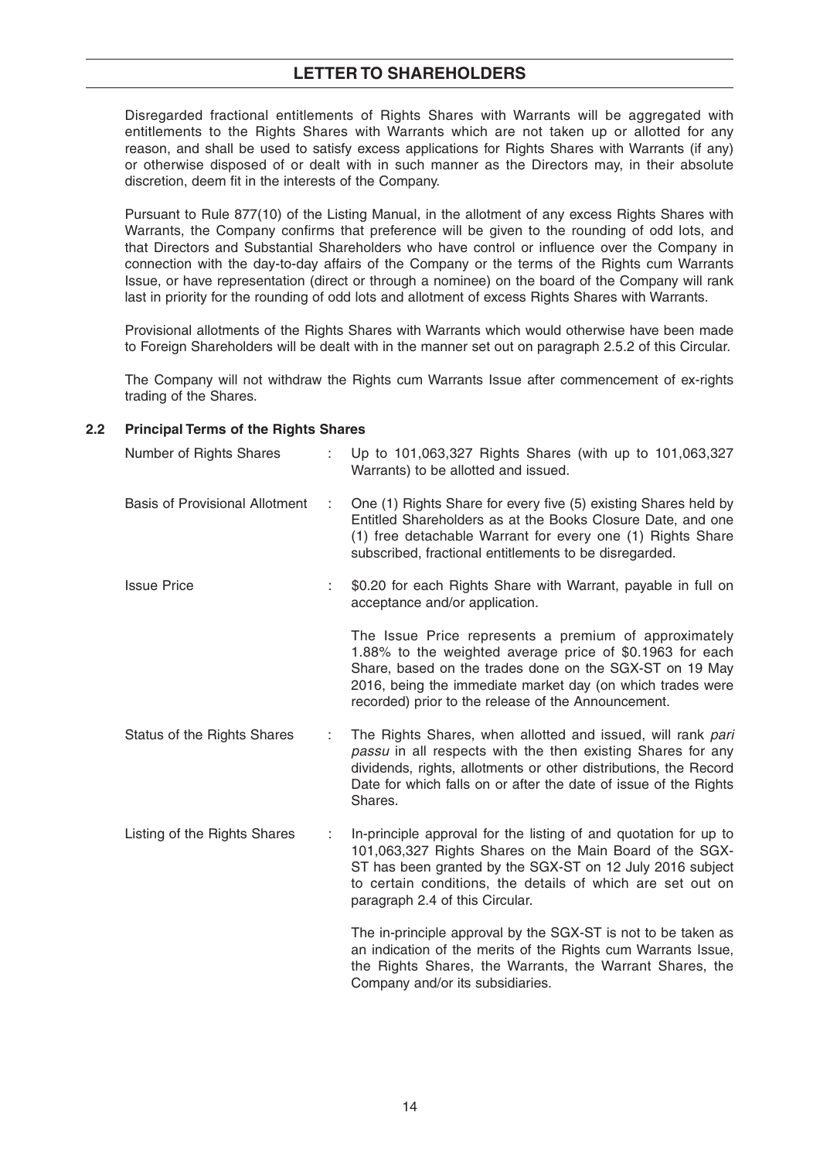Disregarded fractional entitlements of Rights Shares with Warrants will be aggregated with entitlements to the Rights Shares with Warrants which are not taken up or allotted for any reason, and shall be used to satisfy excess applications for Rights Shares with Warrants (if any) or otherwise disposed of or dealt with in such manner as the Directors may, in their absolute discretion, deem fit in the interests of the Company.

 Pursuant to Rule 877(10) of the Listing Manual, in the allotment of any excess Rights Shares with Warrants, the Company confirms that preference will be given to the rounding of odd lots, and that Directors and Substantial Shareholders who have control or influence over the Company in connection with the day-to-day affairs of the Company or the terms of the Rights cum Warrants Issue, or have representation (direct or through a nominee) on the board of the Company will rank last in priority for the rounding of odd lots and allotment of excess Rights Shares with Warrants.

 Provisional allotments of the Rights Shares with Warrants which would otherwise have been made to Foreign Shareholders will be dealt with in the manner set out on paragraph 2.5.2 of this Circular.

 The Company will not withdraw the Rights cum Warrants Issue after commencement of ex-rights trading of the Shares.

#### **2.2 Principal Terms of the Rights Shares**

| Number of Rights Shares               |    | Up to 101,063,327 Rights Shares (with up to 101,063,327<br>Warrants) to be allotted and issued.                                                                                                                                                                                                   |
|---------------------------------------|----|---------------------------------------------------------------------------------------------------------------------------------------------------------------------------------------------------------------------------------------------------------------------------------------------------|
| <b>Basis of Provisional Allotment</b> |    | One (1) Rights Share for every five (5) existing Shares held by<br>Entitled Shareholders as at the Books Closure Date, and one<br>(1) free detachable Warrant for every one (1) Rights Share<br>subscribed, fractional entitlements to be disregarded.                                            |
| <b>Issue Price</b>                    | ÷. | \$0.20 for each Rights Share with Warrant, payable in full on<br>acceptance and/or application.                                                                                                                                                                                                   |
|                                       |    | The Issue Price represents a premium of approximately<br>1.88% to the weighted average price of \$0.1963 for each<br>Share, based on the trades done on the SGX-ST on 19 May<br>2016, being the immediate market day (on which trades were<br>recorded) prior to the release of the Announcement. |
| <b>Status of the Rights Shares</b>    | ÷  | The Rights Shares, when allotted and issued, will rank pari<br>passu in all respects with the then existing Shares for any<br>dividends, rights, allotments or other distributions, the Record<br>Date for which falls on or after the date of issue of the Rights<br>Shares.                     |
| Listing of the Rights Shares          | ÷  | In-principle approval for the listing of and quotation for up to<br>101,063,327 Rights Shares on the Main Board of the SGX-<br>ST has been granted by the SGX-ST on 12 July 2016 subject<br>to certain conditions, the details of which are set out on<br>paragraph 2.4 of this Circular.         |
|                                       |    | The in-principle approval by the SGX-ST is not to be taken as<br>an indication of the merits of the Rights cum Warrants Issue,<br>the Rights Shares, the Warrants, the Warrant Shares, the<br>Company and/or its subsidiaries.                                                                    |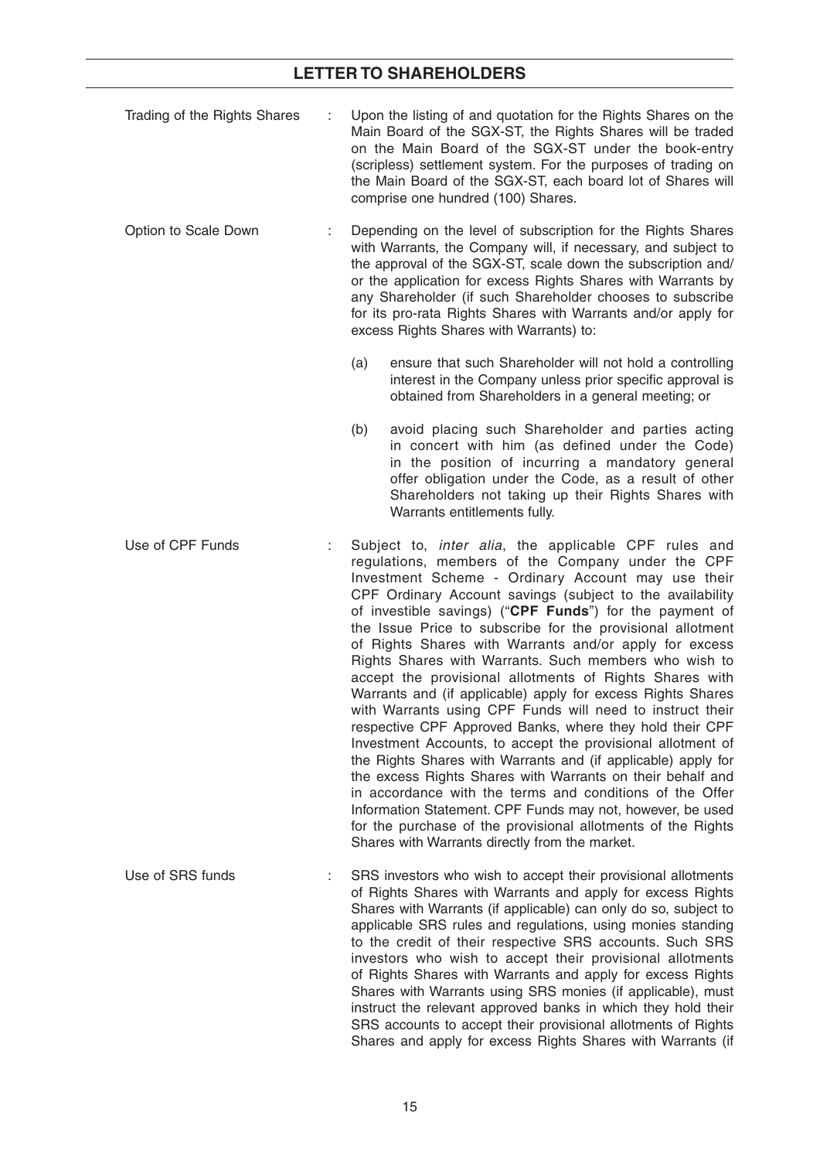- Trading of the Rights Shares : Upon the listing of and quotation for the Rights Shares on the Main Board of the SGX-ST, the Rights Shares will be traded on the Main Board of the SGX-ST under the book-entry (scripless) settlement system. For the purposes of trading on the Main Board of the SGX-ST, each board lot of Shares will comprise one hundred (100) Shares.
- Option to Scale Down : Depending on the level of subscription for the Rights Shares with Warrants, the Company will, if necessary, and subject to the approval of the SGX-ST, scale down the subscription and/ or the application for excess Rights Shares with Warrants by any Shareholder (if such Shareholder chooses to subscribe for its pro-rata Rights Shares with Warrants and/or apply for excess Rights Shares with Warrants) to:
	- (a) ensure that such Shareholder will not hold a controlling interest in the Company unless prior specific approval is obtained from Shareholders in a general meeting; or
	- (b) avoid placing such Shareholder and parties acting in concert with him (as defined under the Code) in the position of incurring a mandatory general offer obligation under the Code, as a result of other Shareholders not taking up their Rights Shares with Warrants entitlements fully.
- Use of CPF Funds : Subject to, *inter alia*, the applicable CPF rules and regulations, members of the Company under the CPF Investment Scheme - Ordinary Account may use their CPF Ordinary Account savings (subject to the availability of investible savings) ("**CPF Funds**") for the payment of the Issue Price to subscribe for the provisional allotment of Rights Shares with Warrants and/or apply for excess Rights Shares with Warrants. Such members who wish to accept the provisional allotments of Rights Shares with Warrants and (if applicable) apply for excess Rights Shares with Warrants using CPF Funds will need to instruct their respective CPF Approved Banks, where they hold their CPF Investment Accounts, to accept the provisional allotment of the Rights Shares with Warrants and (if applicable) apply for the excess Rights Shares with Warrants on their behalf and in accordance with the terms and conditions of the Offer Information Statement. CPF Funds may not, however, be used for the purchase of the provisional allotments of the Rights Shares with Warrants directly from the market.
- Use of SRS funds : SRS investors who wish to accept their provisional allotments of Rights Shares with Warrants and apply for excess Rights Shares with Warrants (if applicable) can only do so, subject to applicable SRS rules and regulations, using monies standing to the credit of their respective SRS accounts. Such SRS investors who wish to accept their provisional allotments of Rights Shares with Warrants and apply for excess Rights Shares with Warrants using SRS monies (if applicable), must instruct the relevant approved banks in which they hold their SRS accounts to accept their provisional allotments of Rights Shares and apply for excess Rights Shares with Warrants (if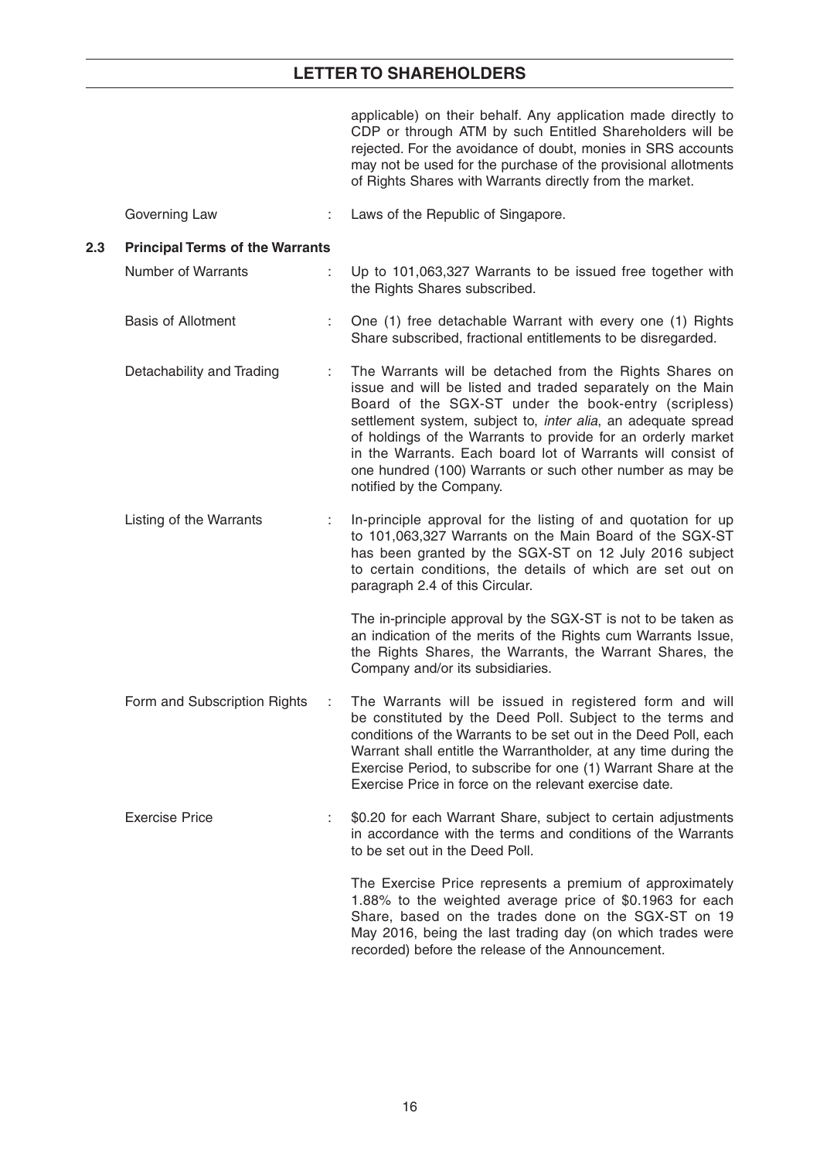applicable) on their behalf. Any application made directly to CDP or through ATM by such Entitled Shareholders will be rejected. For the avoidance of doubt, monies in SRS accounts may not be used for the purchase of the provisional allotments of Rights Shares with Warrants directly from the market.

Governing Law : Laws of the Republic of Singapore.

#### **2.3 Principal Terms of the Warrants**

 Number of Warrants : Up to 101,063,327 Warrants to be issued free together with the Rights Shares subscribed.

#### Basis of Allotment : One (1) free detachable Warrant with every one (1) Rights Share subscribed, fractional entitlements to be disregarded.

- Detachability and Trading : The Warrants will be detached from the Rights Shares on issue and will be listed and traded separately on the Main Board of the SGX-ST under the book-entry (scripless) settlement system, subject to, *inter alia*, an adequate spread of holdings of the Warrants to provide for an orderly market in the Warrants. Each board lot of Warrants will consist of one hundred (100) Warrants or such other number as may be notified by the Company.
- Listing of the Warrants : In-principle approval for the listing of and quotation for up to 101,063,327 Warrants on the Main Board of the SGX-ST has been granted by the SGX-ST on 12 July 2016 subject to certain conditions, the details of which are set out on paragraph 2.4 of this Circular.

 The in-principle approval by the SGX-ST is not to be taken as an indication of the merits of the Rights cum Warrants Issue, the Rights Shares, the Warrants, the Warrant Shares, the Company and/or its subsidiaries.

- Form and Subscription Rights : The Warrants will be issued in registered form and will be constituted by the Deed Poll. Subject to the terms and conditions of the Warrants to be set out in the Deed Poll, each Warrant shall entitle the Warrantholder, at any time during the Exercise Period, to subscribe for one (1) Warrant Share at the Exercise Price in force on the relevant exercise date.
- Exercise Price :  $$0.20$  for each Warrant Share, subject to certain adjustments in accordance with the terms and conditions of the Warrants to be set out in the Deed Poll.

 The Exercise Price represents a premium of approximately 1.88% to the weighted average price of \$0.1963 for each Share, based on the trades done on the SGX-ST on 19 May 2016, being the last trading day (on which trades were recorded) before the release of the Announcement.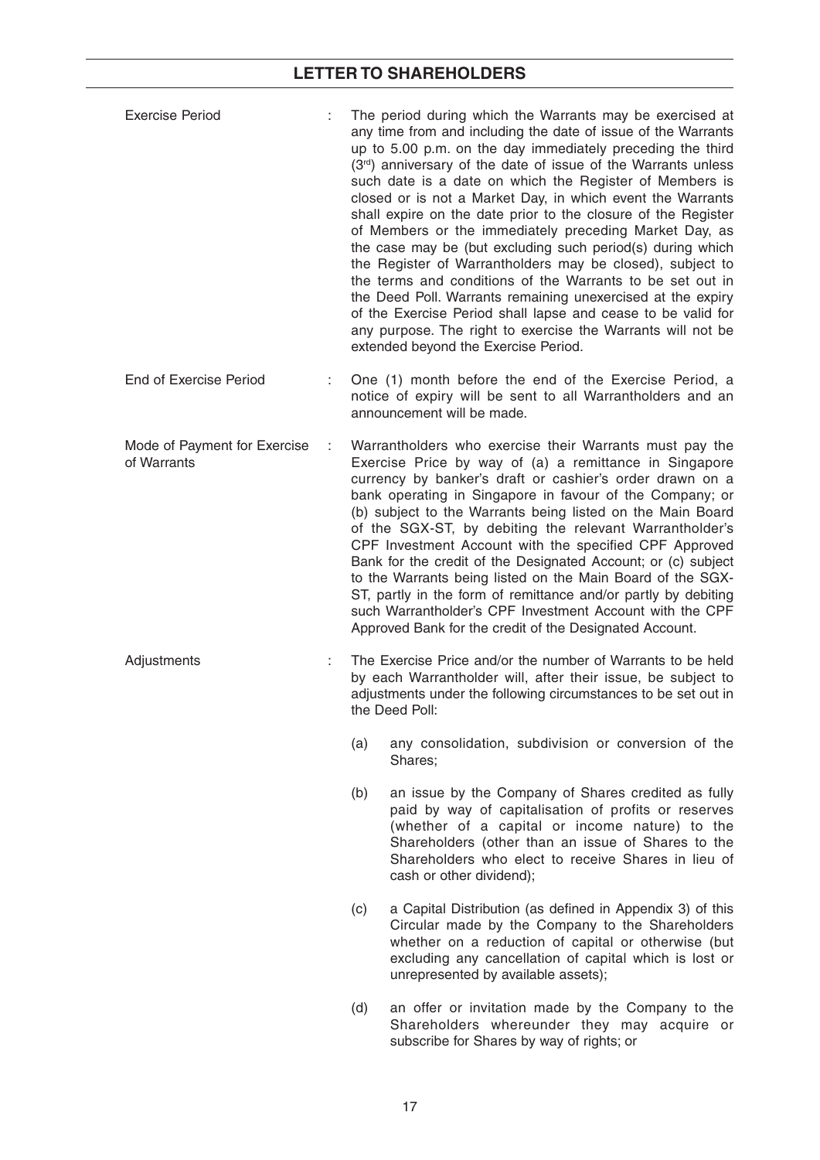| <b>Exercise Period</b>                      |   |     | The period during which the Warrants may be exercised at<br>any time from and including the date of issue of the Warrants<br>up to 5.00 p.m. on the day immediately preceding the third<br>(3rd) anniversary of the date of issue of the Warrants unless<br>such date is a date on which the Register of Members is<br>closed or is not a Market Day, in which event the Warrants<br>shall expire on the date prior to the closure of the Register<br>of Members or the immediately preceding Market Day, as<br>the case may be (but excluding such period(s) during which<br>the Register of Warrantholders may be closed), subject to<br>the terms and conditions of the Warrants to be set out in<br>the Deed Poll. Warrants remaining unexercised at the expiry<br>of the Exercise Period shall lapse and cease to be valid for<br>any purpose. The right to exercise the Warrants will not be<br>extended beyond the Exercise Period. |
|---------------------------------------------|---|-----|--------------------------------------------------------------------------------------------------------------------------------------------------------------------------------------------------------------------------------------------------------------------------------------------------------------------------------------------------------------------------------------------------------------------------------------------------------------------------------------------------------------------------------------------------------------------------------------------------------------------------------------------------------------------------------------------------------------------------------------------------------------------------------------------------------------------------------------------------------------------------------------------------------------------------------------------|
| <b>End of Exercise Period</b>               |   |     | One (1) month before the end of the Exercise Period, a<br>notice of expiry will be sent to all Warrantholders and an<br>announcement will be made.                                                                                                                                                                                                                                                                                                                                                                                                                                                                                                                                                                                                                                                                                                                                                                                         |
| Mode of Payment for Exercise<br>of Warrants | ÷ |     | Warrantholders who exercise their Warrants must pay the<br>Exercise Price by way of (a) a remittance in Singapore<br>currency by banker's draft or cashier's order drawn on a<br>bank operating in Singapore in favour of the Company; or<br>(b) subject to the Warrants being listed on the Main Board<br>of the SGX-ST, by debiting the relevant Warrantholder's<br>CPF Investment Account with the specified CPF Approved<br>Bank for the credit of the Designated Account; or (c) subject<br>to the Warrants being listed on the Main Board of the SGX-<br>ST, partly in the form of remittance and/or partly by debiting<br>such Warrantholder's CPF Investment Account with the CPF<br>Approved Bank for the credit of the Designated Account.                                                                                                                                                                                       |
| Adjustments                                 |   |     | The Exercise Price and/or the number of Warrants to be held<br>by each Warrantholder will, after their issue, be subject to<br>adjustments under the following circumstances to be set out in<br>the Deed Poll:                                                                                                                                                                                                                                                                                                                                                                                                                                                                                                                                                                                                                                                                                                                            |
|                                             |   | (a) | any consolidation, subdivision or conversion of the<br>Shares;                                                                                                                                                                                                                                                                                                                                                                                                                                                                                                                                                                                                                                                                                                                                                                                                                                                                             |
|                                             |   | (b) | an issue by the Company of Shares credited as fully<br>paid by way of capitalisation of profits or reserves<br>(whether of a capital or income nature) to the<br>Shareholders (other than an issue of Shares to the<br>Shareholders who elect to receive Shares in lieu of<br>cash or other dividend);                                                                                                                                                                                                                                                                                                                                                                                                                                                                                                                                                                                                                                     |
|                                             |   | (c) | a Capital Distribution (as defined in Appendix 3) of this<br>Circular made by the Company to the Shareholders<br>whether on a reduction of capital or otherwise (but<br>excluding any cancellation of capital which is lost or<br>unrepresented by available assets);                                                                                                                                                                                                                                                                                                                                                                                                                                                                                                                                                                                                                                                                      |
|                                             |   | (d) | an offer or invitation made by the Company to the<br>Shareholders whereunder they may acquire or                                                                                                                                                                                                                                                                                                                                                                                                                                                                                                                                                                                                                                                                                                                                                                                                                                           |

subscribe for Shares by way of rights; or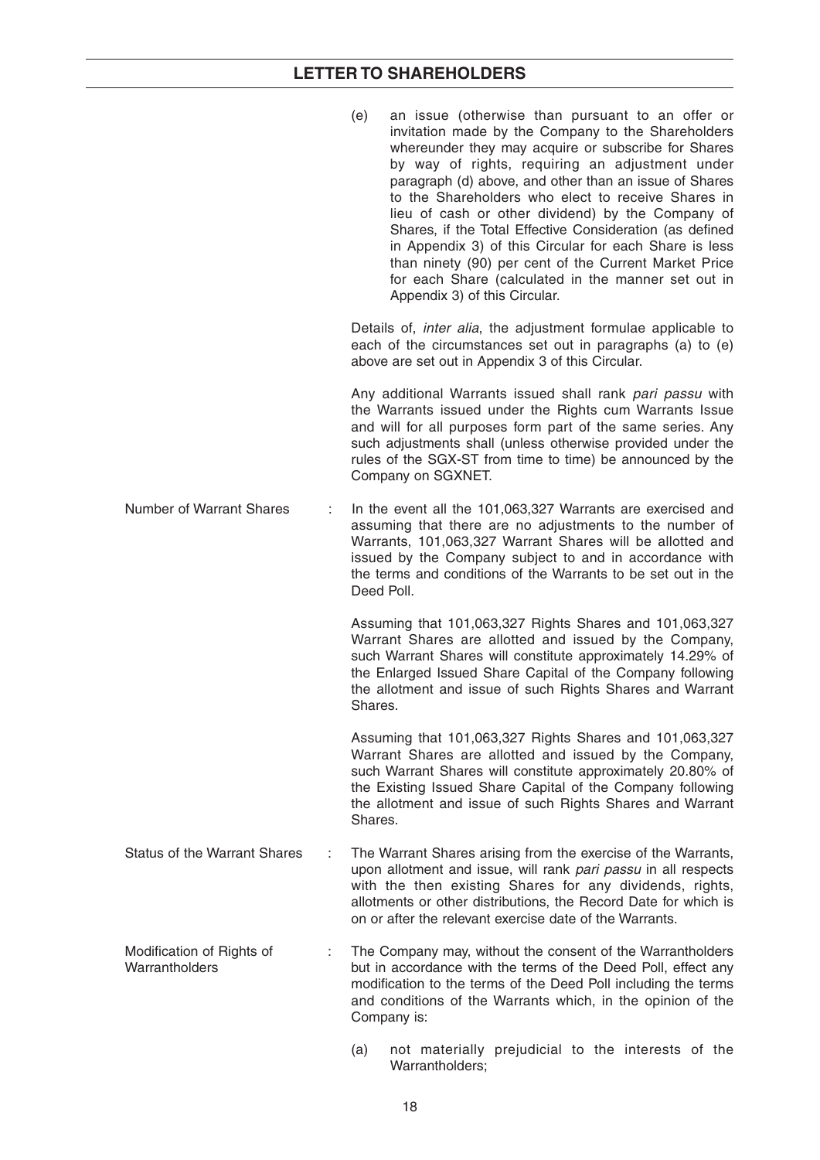|                                             |    | an issue (otherwise than pursuant to an offer or<br>(e)<br>invitation made by the Company to the Shareholders<br>whereunder they may acquire or subscribe for Shares<br>by way of rights, requiring an adjustment under<br>paragraph (d) above, and other than an issue of Shares<br>to the Shareholders who elect to receive Shares in<br>lieu of cash or other dividend) by the Company of<br>Shares, if the Total Effective Consideration (as defined<br>in Appendix 3) of this Circular for each Share is less<br>than ninety (90) per cent of the Current Market Price<br>for each Share (calculated in the manner set out in<br>Appendix 3) of this Circular. |
|---------------------------------------------|----|---------------------------------------------------------------------------------------------------------------------------------------------------------------------------------------------------------------------------------------------------------------------------------------------------------------------------------------------------------------------------------------------------------------------------------------------------------------------------------------------------------------------------------------------------------------------------------------------------------------------------------------------------------------------|
|                                             |    | Details of, <i>inter alia</i> , the adjustment formulae applicable to<br>each of the circumstances set out in paragraphs (a) to (e)<br>above are set out in Appendix 3 of this Circular.                                                                                                                                                                                                                                                                                                                                                                                                                                                                            |
|                                             |    | Any additional Warrants issued shall rank pari passu with<br>the Warrants issued under the Rights cum Warrants Issue<br>and will for all purposes form part of the same series. Any<br>such adjustments shall (unless otherwise provided under the<br>rules of the SGX-ST from time to time) be announced by the<br>Company on SGXNET.                                                                                                                                                                                                                                                                                                                              |
| <b>Number of Warrant Shares</b>             | ÷. | In the event all the 101,063,327 Warrants are exercised and<br>assuming that there are no adjustments to the number of<br>Warrants, 101,063,327 Warrant Shares will be allotted and<br>issued by the Company subject to and in accordance with<br>the terms and conditions of the Warrants to be set out in the<br>Deed Poll.                                                                                                                                                                                                                                                                                                                                       |
|                                             |    | Assuming that 101,063,327 Rights Shares and 101,063,327<br>Warrant Shares are allotted and issued by the Company,<br>such Warrant Shares will constitute approximately 14.29% of<br>the Enlarged Issued Share Capital of the Company following<br>the allotment and issue of such Rights Shares and Warrant<br>Shares.                                                                                                                                                                                                                                                                                                                                              |
|                                             |    | Assuming that 101,063,327 Rights Shares and 101,063,327<br>Warrant Shares are allotted and issued by the Company,<br>such Warrant Shares will constitute approximately 20.80% of<br>the Existing Issued Share Capital of the Company following<br>the allotment and issue of such Rights Shares and Warrant<br>Shares.                                                                                                                                                                                                                                                                                                                                              |
| <b>Status of the Warrant Shares</b>         |    | The Warrant Shares arising from the exercise of the Warrants,<br>upon allotment and issue, will rank pari passu in all respects<br>with the then existing Shares for any dividends, rights,<br>allotments or other distributions, the Record Date for which is<br>on or after the relevant exercise date of the Warrants.                                                                                                                                                                                                                                                                                                                                           |
| Modification of Rights of<br>Warrantholders |    | The Company may, without the consent of the Warrantholders<br>but in accordance with the terms of the Deed Poll, effect any<br>modification to the terms of the Deed Poll including the terms<br>and conditions of the Warrants which, in the opinion of the<br>Company is:                                                                                                                                                                                                                                                                                                                                                                                         |
|                                             |    | not materially prejudicial to the interests of the<br>(a)                                                                                                                                                                                                                                                                                                                                                                                                                                                                                                                                                                                                           |

Warrantholders;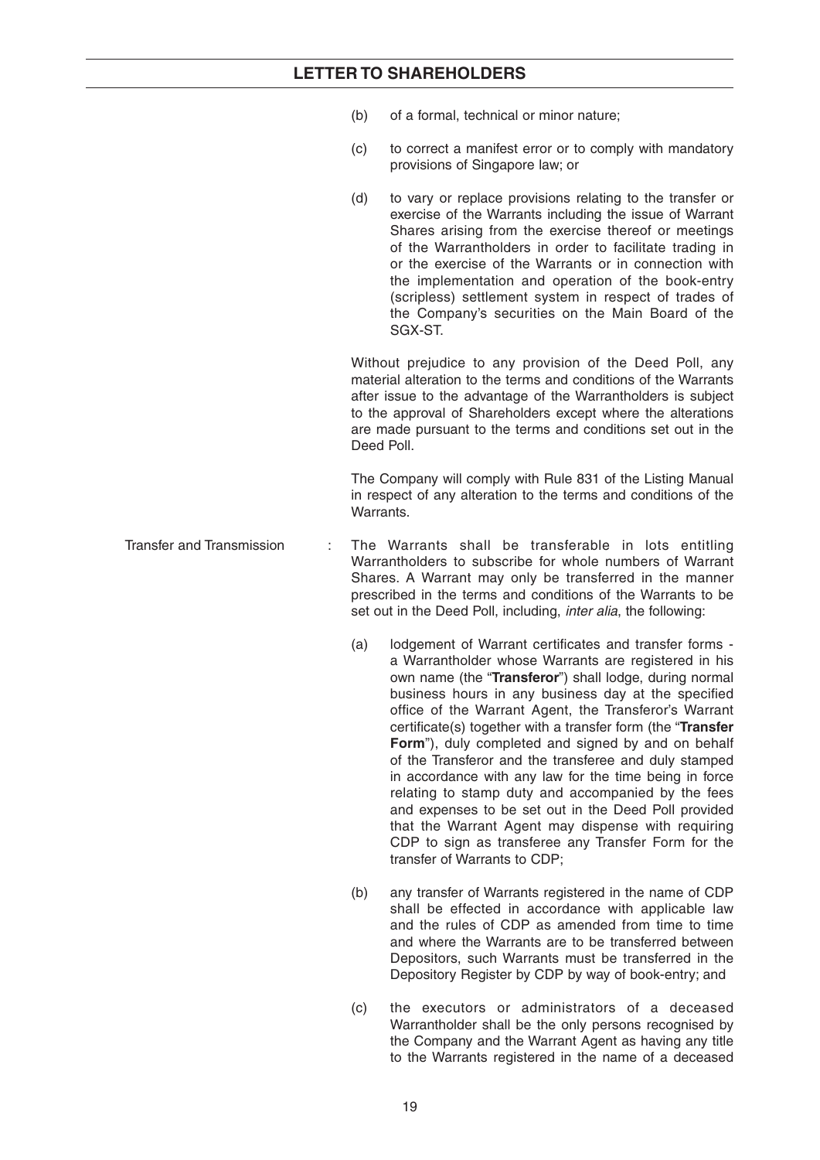- (b) of a formal, technical or minor nature;
- (c) to correct a manifest error or to comply with mandatory provisions of Singapore law; or
- (d) to vary or replace provisions relating to the transfer or exercise of the Warrants including the issue of Warrant Shares arising from the exercise thereof or meetings of the Warrantholders in order to facilitate trading in or the exercise of the Warrants or in connection with the implementation and operation of the book-entry (scripless) settlement system in respect of trades of the Company's securities on the Main Board of the SGX-ST.

Without prejudice to any provision of the Deed Poll, any material alteration to the terms and conditions of the Warrants after issue to the advantage of the Warrantholders is subject to the approval of Shareholders except where the alterations are made pursuant to the terms and conditions set out in the Deed Poll.

 The Company will comply with Rule 831 of the Listing Manual in respect of any alteration to the terms and conditions of the **Warrants** 

- Transfer and Transmission : The Warrants shall be transferable in lots entitling Warrantholders to subscribe for whole numbers of Warrant Shares. A Warrant may only be transferred in the manner prescribed in the terms and conditions of the Warrants to be set out in the Deed Poll, including, *inter alia*, the following:
	- (a) lodgement of Warrant certificates and transfer forms a Warrantholder whose Warrants are registered in his own name (the "**Transferor**") shall lodge, during normal business hours in any business day at the specified office of the Warrant Agent, the Transferor's Warrant certificate(s) together with a transfer form (the "Transfer **Form**"), duly completed and signed by and on behalf of the Transferor and the transferee and duly stamped in accordance with any law for the time being in force relating to stamp duty and accompanied by the fees and expenses to be set out in the Deed Poll provided that the Warrant Agent may dispense with requiring CDP to sign as transferee any Transfer Form for the transfer of Warrants to CDP;
	- (b) any transfer of Warrants registered in the name of CDP shall be effected in accordance with applicable law and the rules of CDP as amended from time to time and where the Warrants are to be transferred between Depositors, such Warrants must be transferred in the Depository Register by CDP by way of book-entry; and
	- (c) the executors or administrators of a deceased Warrantholder shall be the only persons recognised by the Company and the Warrant Agent as having any title to the Warrants registered in the name of a deceased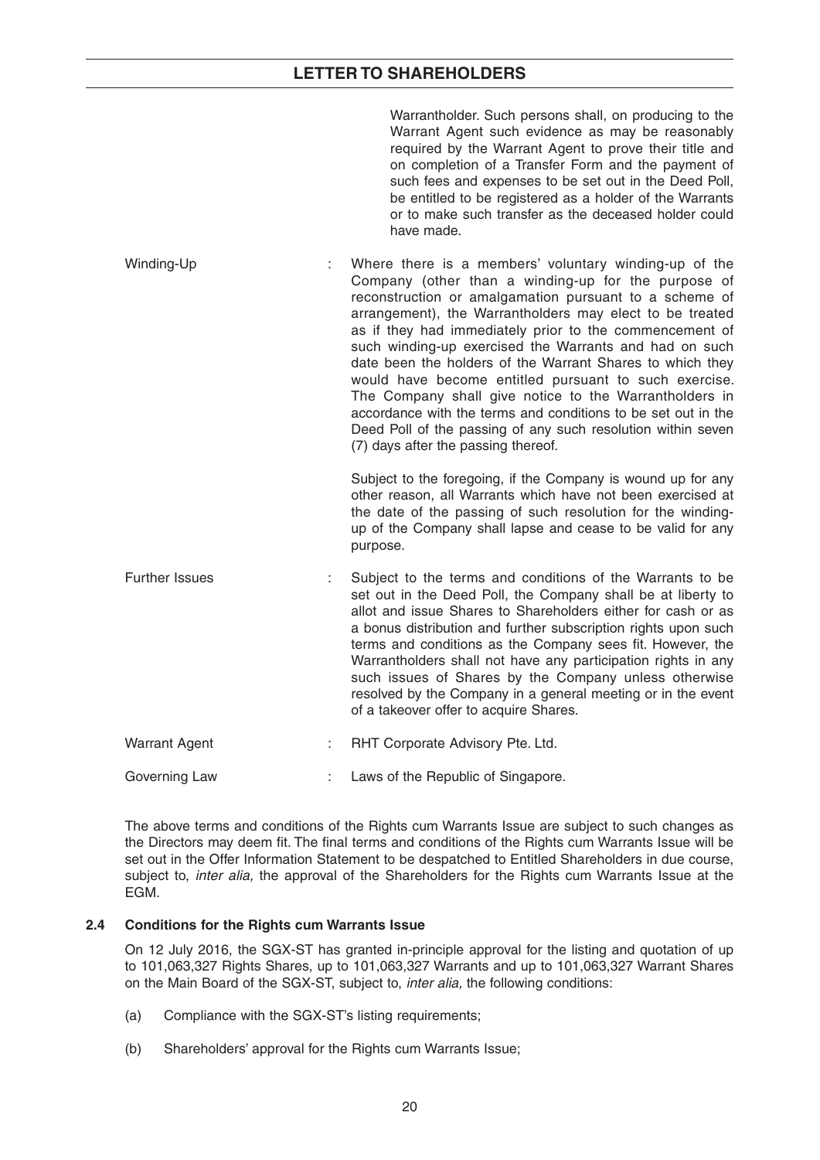Warrantholder. Such persons shall, on producing to the Warrant Agent such evidence as may be reasonably required by the Warrant Agent to prove their title and on completion of a Transfer Form and the payment of such fees and expenses to be set out in the Deed Poll, be entitled to be registered as a holder of the Warrants or to make such transfer as the deceased holder could have made.

Winding-Up : Where there is a members' voluntary winding-up of the Company (other than a winding-up for the purpose of reconstruction or amalgamation pursuant to a scheme of arrangement), the Warrantholders may elect to be treated as if they had immediately prior to the commencement of such winding-up exercised the Warrants and had on such date been the holders of the Warrant Shares to which they would have become entitled pursuant to such exercise. The Company shall give notice to the Warrantholders in accordance with the terms and conditions to be set out in the Deed Poll of the passing of any such resolution within seven (7) days after the passing thereof.

> Subject to the foregoing, if the Company is wound up for any other reason, all Warrants which have not been exercised at the date of the passing of such resolution for the windingup of the Company shall lapse and cease to be valid for any purpose.

- Further Issues : Subject to the terms and conditions of the Warrants to be set out in the Deed Poll, the Company shall be at liberty to allot and issue Shares to Shareholders either for cash or as a bonus distribution and further subscription rights upon such terms and conditions as the Company sees fit. However, the Warrantholders shall not have any participation rights in any such issues of Shares by the Company unless otherwise resolved by the Company in a general meeting or in the event of a takeover offer to acquire Shares.
- Warrant Agent : RHT Corporate Advisory Pte. Ltd.

 The above terms and conditions of the Rights cum Warrants Issue are subject to such changes as the Directors may deem fit. The final terms and conditions of the Rights cum Warrants Issue will be set out in the Offer Information Statement to be despatched to Entitled Shareholders in due course, subject to, *inter alia,* the approval of the Shareholders for the Rights cum Warrants Issue at the EGM.

#### **2.4 Conditions for the Rights cum Warrants Issue**

 On 12 July 2016, the SGX-ST has granted in-principle approval for the listing and quotation of up to 101,063,327 Rights Shares, up to 101,063,327 Warrants and up to 101,063,327 Warrant Shares on the Main Board of the SGX-ST, subject to, *inter alia,* the following conditions:

- (a) Compliance with the SGX-ST's listing requirements;
- (b) Shareholders' approval for the Rights cum Warrants Issue;

Governing Law : Laws of the Republic of Singapore.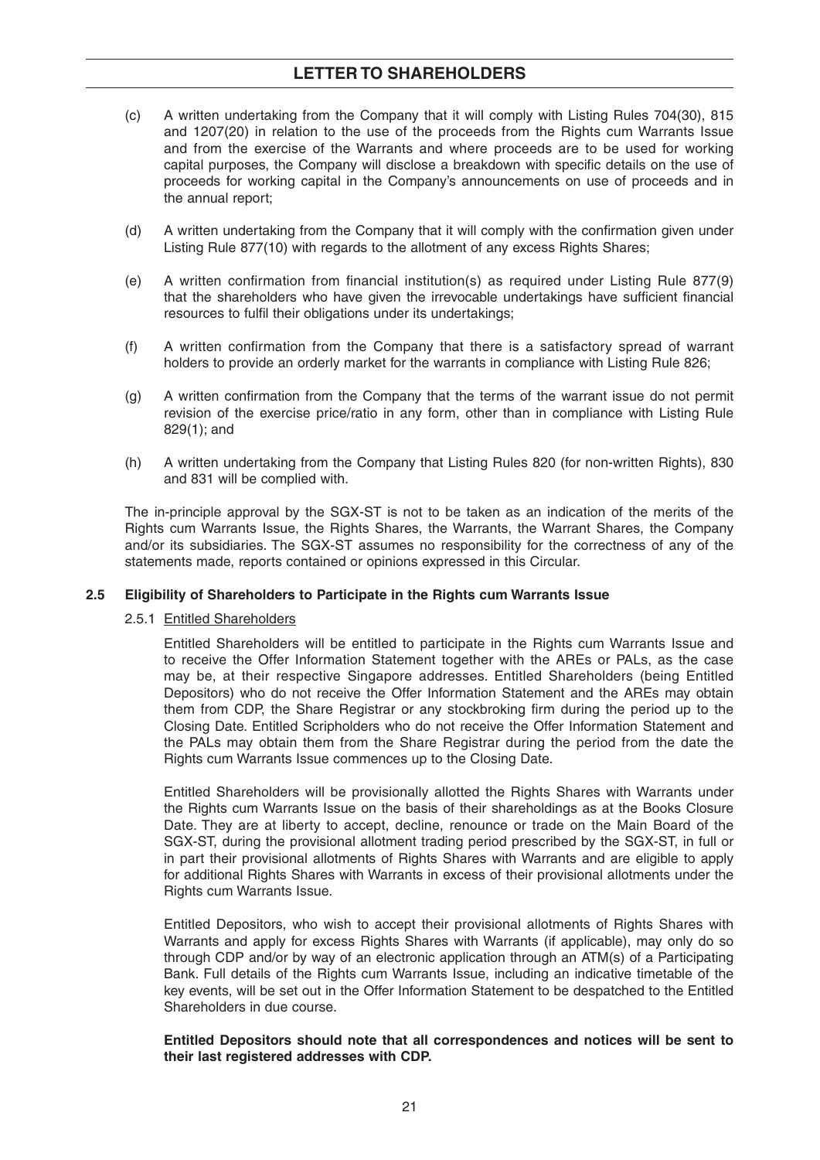- (c) A written undertaking from the Company that it will comply with Listing Rules 704(30), 815 and 1207(20) in relation to the use of the proceeds from the Rights cum Warrants Issue and from the exercise of the Warrants and where proceeds are to be used for working capital purposes, the Company will disclose a breakdown with specific details on the use of proceeds for working capital in the Company's announcements on use of proceeds and in the annual report;
- (d) A written undertaking from the Company that it will comply with the confirmation given under Listing Rule 877(10) with regards to the allotment of any excess Rights Shares;
- (e) A written confirmation from financial institution(s) as required under Listing Rule 877(9) that the shareholders who have given the irrevocable undertakings have sufficient financial resources to fulfil their obligations under its undertakings;
- $(f)$  A written confirmation from the Company that there is a satisfactory spread of warrant holders to provide an orderly market for the warrants in compliance with Listing Rule 826;
- $(g)$  A written confirmation from the Company that the terms of the warrant issue do not permit revision of the exercise price/ratio in any form, other than in compliance with Listing Rule 829(1); and
- (h) A written undertaking from the Company that Listing Rules 820 (for non-written Rights), 830 and 831 will be complied with.

 The in-principle approval by the SGX-ST is not to be taken as an indication of the merits of the Rights cum Warrants Issue, the Rights Shares, the Warrants, the Warrant Shares, the Company and/or its subsidiaries. The SGX-ST assumes no responsibility for the correctness of any of the statements made, reports contained or opinions expressed in this Circular.

#### **2.5 Eligibility of Shareholders to Participate in the Rights cum Warrants Issue**

#### 2.5.1 Entitled Shareholders

 Entitled Shareholders will be entitled to participate in the Rights cum Warrants Issue and to receive the Offer Information Statement together with the AREs or PALs, as the case may be, at their respective Singapore addresses. Entitled Shareholders (being Entitled Depositors) who do not receive the Offer Information Statement and the AREs may obtain them from CDP, the Share Registrar or any stockbroking firm during the period up to the Closing Date. Entitled Scripholders who do not receive the Offer Information Statement and the PALs may obtain them from the Share Registrar during the period from the date the Rights cum Warrants Issue commences up to the Closing Date.

 Entitled Shareholders will be provisionally allotted the Rights Shares with Warrants under the Rights cum Warrants Issue on the basis of their shareholdings as at the Books Closure Date. They are at liberty to accept, decline, renounce or trade on the Main Board of the SGX-ST, during the provisional allotment trading period prescribed by the SGX-ST, in full or in part their provisional allotments of Rights Shares with Warrants and are eligible to apply for additional Rights Shares with Warrants in excess of their provisional allotments under the Rights cum Warrants Issue.

 Entitled Depositors, who wish to accept their provisional allotments of Rights Shares with Warrants and apply for excess Rights Shares with Warrants (if applicable), may only do so through CDP and/or by way of an electronic application through an ATM(s) of a Participating Bank. Full details of the Rights cum Warrants Issue, including an indicative timetable of the key events, will be set out in the Offer Information Statement to be despatched to the Entitled Shareholders in due course.

#### **Entitled Depositors should note that all correspondences and notices will be sent to their last registered addresses with CDP.**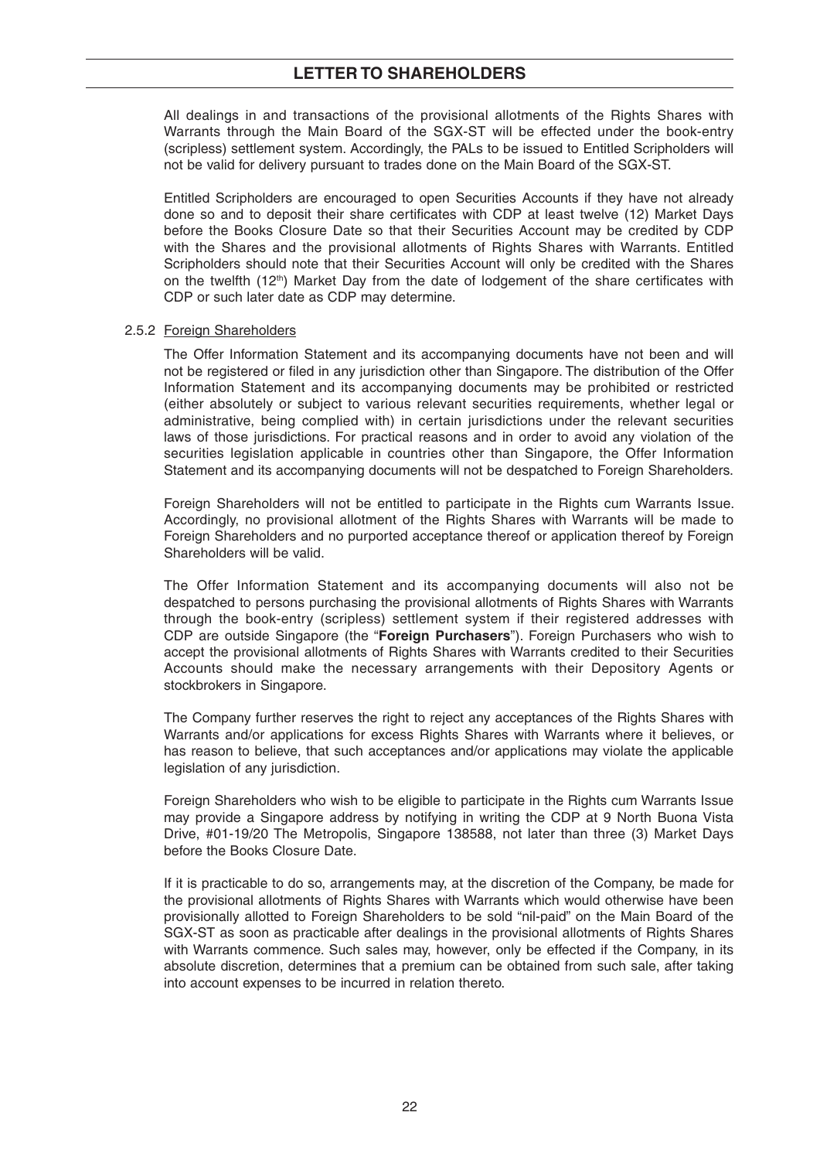All dealings in and transactions of the provisional allotments of the Rights Shares with Warrants through the Main Board of the SGX-ST will be effected under the book-entry (scripless) settlement system. Accordingly, the PALs to be issued to Entitled Scripholders will not be valid for delivery pursuant to trades done on the Main Board of the SGX-ST.

 Entitled Scripholders are encouraged to open Securities Accounts if they have not already done so and to deposit their share certificates with CDP at least twelve (12) Market Days before the Books Closure Date so that their Securities Account may be credited by CDP with the Shares and the provisional allotments of Rights Shares with Warrants. Entitled Scripholders should note that their Securities Account will only be credited with the Shares on the twelfth  $(12<sup>th</sup>)$  Market Day from the date of lodgement of the share certificates with CDP or such later date as CDP may determine.

#### 2.5.2 Foreign Shareholders

 The Offer Information Statement and its accompanying documents have not been and will not be registered or filed in any jurisdiction other than Singapore. The distribution of the Offer Information Statement and its accompanying documents may be prohibited or restricted (either absolutely or subject to various relevant securities requirements, whether legal or administrative, being complied with) in certain jurisdictions under the relevant securities laws of those jurisdictions. For practical reasons and in order to avoid any violation of the securities legislation applicable in countries other than Singapore, the Offer Information Statement and its accompanying documents will not be despatched to Foreign Shareholders.

 Foreign Shareholders will not be entitled to participate in the Rights cum Warrants Issue. Accordingly, no provisional allotment of the Rights Shares with Warrants will be made to Foreign Shareholders and no purported acceptance thereof or application thereof by Foreign Shareholders will be valid.

 The Offer Information Statement and its accompanying documents will also not be despatched to persons purchasing the provisional allotments of Rights Shares with Warrants through the book-entry (scripless) settlement system if their registered addresses with CDP are outside Singapore (the "**Foreign Purchasers**"). Foreign Purchasers who wish to accept the provisional allotments of Rights Shares with Warrants credited to their Securities Accounts should make the necessary arrangements with their Depository Agents or stockbrokers in Singapore.

 The Company further reserves the right to reject any acceptances of the Rights Shares with Warrants and/or applications for excess Rights Shares with Warrants where it believes, or has reason to believe, that such acceptances and/or applications may violate the applicable legislation of any jurisdiction.

 Foreign Shareholders who wish to be eligible to participate in the Rights cum Warrants Issue may provide a Singapore address by notifying in writing the CDP at 9 North Buona Vista Drive, #01-19/20 The Metropolis, Singapore 138588, not later than three (3) Market Days before the Books Closure Date.

 If it is practicable to do so, arrangements may, at the discretion of the Company, be made for the provisional allotments of Rights Shares with Warrants which would otherwise have been provisionally allotted to Foreign Shareholders to be sold "nil-paid" on the Main Board of the SGX-ST as soon as practicable after dealings in the provisional allotments of Rights Shares with Warrants commence. Such sales may, however, only be effected if the Company, in its absolute discretion, determines that a premium can be obtained from such sale, after taking into account expenses to be incurred in relation thereto.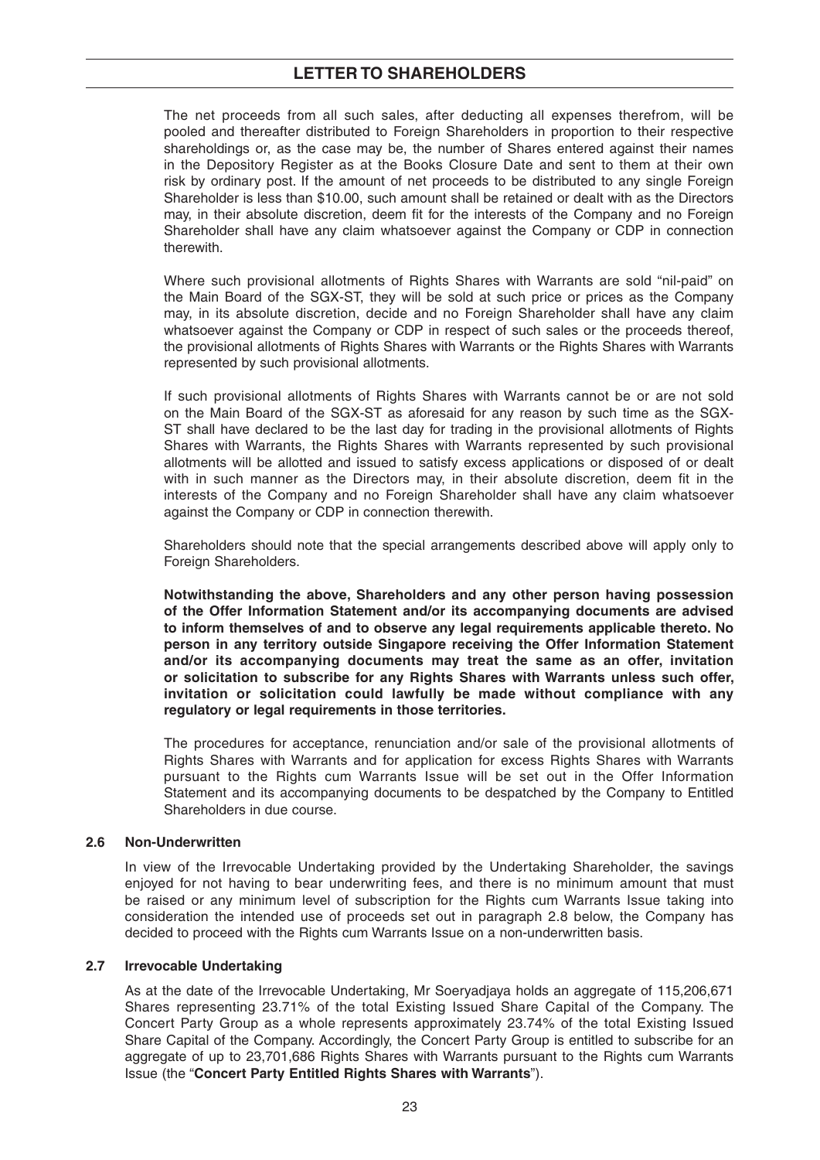The net proceeds from all such sales, after deducting all expenses therefrom, will be pooled and thereafter distributed to Foreign Shareholders in proportion to their respective shareholdings or, as the case may be, the number of Shares entered against their names in the Depository Register as at the Books Closure Date and sent to them at their own risk by ordinary post. If the amount of net proceeds to be distributed to any single Foreign Shareholder is less than \$10.00, such amount shall be retained or dealt with as the Directors may, in their absolute discretion, deem fit for the interests of the Company and no Foreign Shareholder shall have any claim whatsoever against the Company or CDP in connection therewith.

 Where such provisional allotments of Rights Shares with Warrants are sold "nil-paid" on the Main Board of the SGX-ST, they will be sold at such price or prices as the Company may, in its absolute discretion, decide and no Foreign Shareholder shall have any claim whatsoever against the Company or CDP in respect of such sales or the proceeds thereof, the provisional allotments of Rights Shares with Warrants or the Rights Shares with Warrants represented by such provisional allotments.

 If such provisional allotments of Rights Shares with Warrants cannot be or are not sold on the Main Board of the SGX-ST as aforesaid for any reason by such time as the SGX-ST shall have declared to be the last day for trading in the provisional allotments of Rights Shares with Warrants, the Rights Shares with Warrants represented by such provisional allotments will be allotted and issued to satisfy excess applications or disposed of or dealt with in such manner as the Directors may, in their absolute discretion, deem fit in the interests of the Company and no Foreign Shareholder shall have any claim whatsoever against the Company or CDP in connection therewith.

 Shareholders should note that the special arrangements described above will apply only to Foreign Shareholders.

 **Notwithstanding the above, Shareholders and any other person having possession of the Offer Information Statement and/or its accompanying documents are advised to inform themselves of and to observe any legal requirements applicable thereto. No person in any territory outside Singapore receiving the Offer Information Statement and/or its accompanying documents may treat the same as an offer, invitation or solicitation to subscribe for any Rights Shares with Warrants unless such offer, invitation or solicitation could lawfully be made without compliance with any regulatory or legal requirements in those territories.**

 The procedures for acceptance, renunciation and/or sale of the provisional allotments of Rights Shares with Warrants and for application for excess Rights Shares with Warrants pursuant to the Rights cum Warrants Issue will be set out in the Offer Information Statement and its accompanying documents to be despatched by the Company to Entitled Shareholders in due course.

#### **2.6 Non-Underwritten**

 In view of the Irrevocable Undertaking provided by the Undertaking Shareholder, the savings enjoyed for not having to bear underwriting fees, and there is no minimum amount that must be raised or any minimum level of subscription for the Rights cum Warrants Issue taking into consideration the intended use of proceeds set out in paragraph 2.8 below, the Company has decided to proceed with the Rights cum Warrants Issue on a non-underwritten basis.

#### **2.7 Irrevocable Undertaking**

 As at the date of the Irrevocable Undertaking, Mr Soeryadjaya holds an aggregate of 115,206,671 Shares representing 23.71% of the total Existing Issued Share Capital of the Company. The Concert Party Group as a whole represents approximately 23.74% of the total Existing Issued Share Capital of the Company. Accordingly, the Concert Party Group is entitled to subscribe for an aggregate of up to 23,701,686 Rights Shares with Warrants pursuant to the Rights cum Warrants Issue (the "**Concert Party Entitled Rights Shares with Warrants**").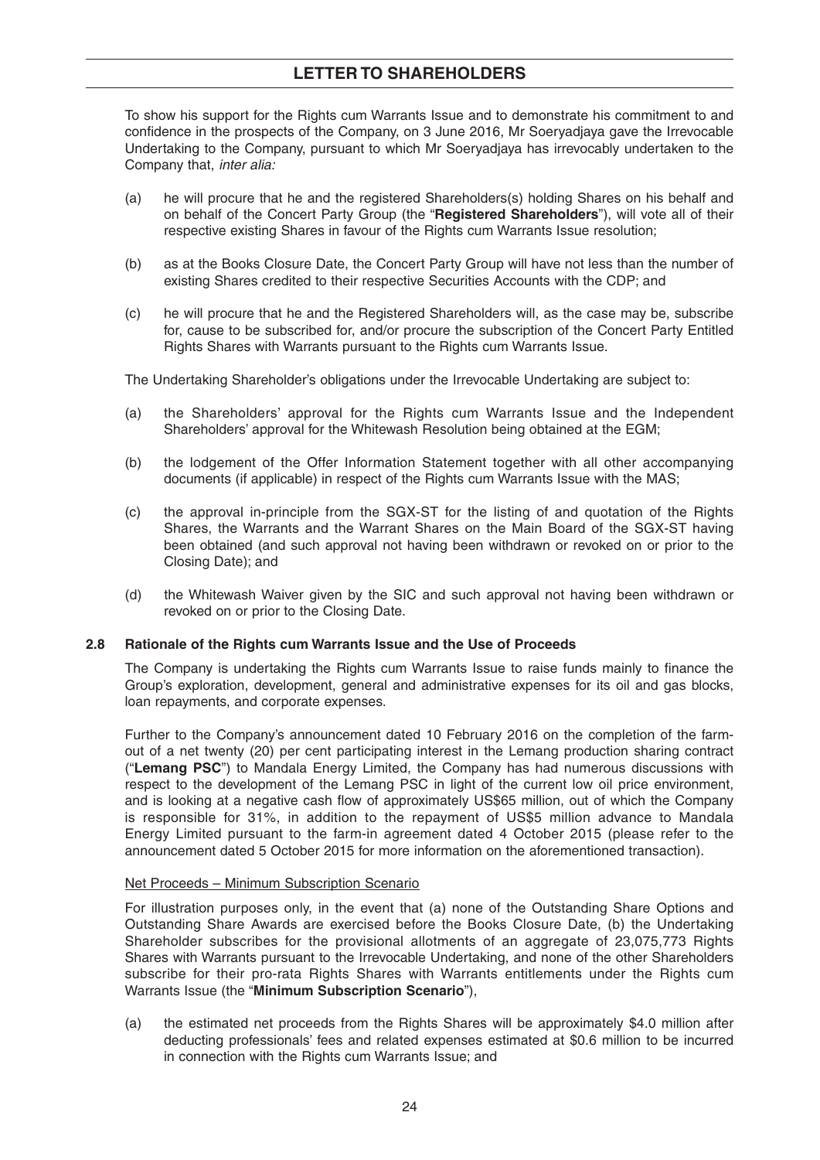To show his support for the Rights cum Warrants Issue and to demonstrate his commitment to and confidence in the prospects of the Company, on 3 June 2016, Mr Soeryadiaya gave the Irrevocable Undertaking to the Company, pursuant to which Mr Soeryadjaya has irrevocably undertaken to the Company that, *inter alia:*

- (a) he will procure that he and the registered Shareholders(s) holding Shares on his behalf and on behalf of the Concert Party Group (the "**Registered Shareholders**"), will vote all of their respective existing Shares in favour of the Rights cum Warrants Issue resolution;
- (b) as at the Books Closure Date, the Concert Party Group will have not less than the number of existing Shares credited to their respective Securities Accounts with the CDP; and
- (c) he will procure that he and the Registered Shareholders will, as the case may be, subscribe for, cause to be subscribed for, and/or procure the subscription of the Concert Party Entitled Rights Shares with Warrants pursuant to the Rights cum Warrants Issue.

The Undertaking Shareholder's obligations under the Irrevocable Undertaking are subject to:

- (a) the Shareholders' approval for the Rights cum Warrants Issue and the Independent Shareholders' approval for the Whitewash Resolution being obtained at the EGM;
- (b) the lodgement of the Offer Information Statement together with all other accompanying documents (if applicable) in respect of the Rights cum Warrants Issue with the MAS;
- (c) the approval in-principle from the SGX-ST for the listing of and quotation of the Rights Shares, the Warrants and the Warrant Shares on the Main Board of the SGX-ST having been obtained (and such approval not having been withdrawn or revoked on or prior to the Closing Date); and
- (d) the Whitewash Waiver given by the SIC and such approval not having been withdrawn or revoked on or prior to the Closing Date.

#### **2.8 Rationale of the Rights cum Warrants Issue and the Use of Proceeds**

The Company is undertaking the Rights cum Warrants Issue to raise funds mainly to finance the Group's exploration, development, general and administrative expenses for its oil and gas blocks, loan repayments, and corporate expenses.

 Further to the Company's announcement dated 10 February 2016 on the completion of the farmout of a net twenty (20) per cent participating interest in the Lemang production sharing contract ("**Lemang PSC**") to Mandala Energy Limited, the Company has had numerous discussions with respect to the development of the Lemang PSC in light of the current low oil price environment, and is looking at a negative cash flow of approximately US\$65 million, out of which the Company is responsible for 31%, in addition to the repayment of US\$5 million advance to Mandala Energy Limited pursuant to the farm-in agreement dated 4 October 2015 (please refer to the announcement dated 5 October 2015 for more information on the aforementioned transaction).

#### Net Proceeds – Minimum Subscription Scenario

 For illustration purposes only, in the event that (a) none of the Outstanding Share Options and Outstanding Share Awards are exercised before the Books Closure Date, (b) the Undertaking Shareholder subscribes for the provisional allotments of an aggregate of 23,075,773 Rights Shares with Warrants pursuant to the Irrevocable Undertaking, and none of the other Shareholders subscribe for their pro-rata Rights Shares with Warrants entitlements under the Rights cum Warrants Issue (the "**Minimum Subscription Scenario**"),

 (a) the estimated net proceeds from the Rights Shares will be approximately \$4.0 million after deducting professionals' fees and related expenses estimated at \$0.6 million to be incurred in connection with the Rights cum Warrants Issue; and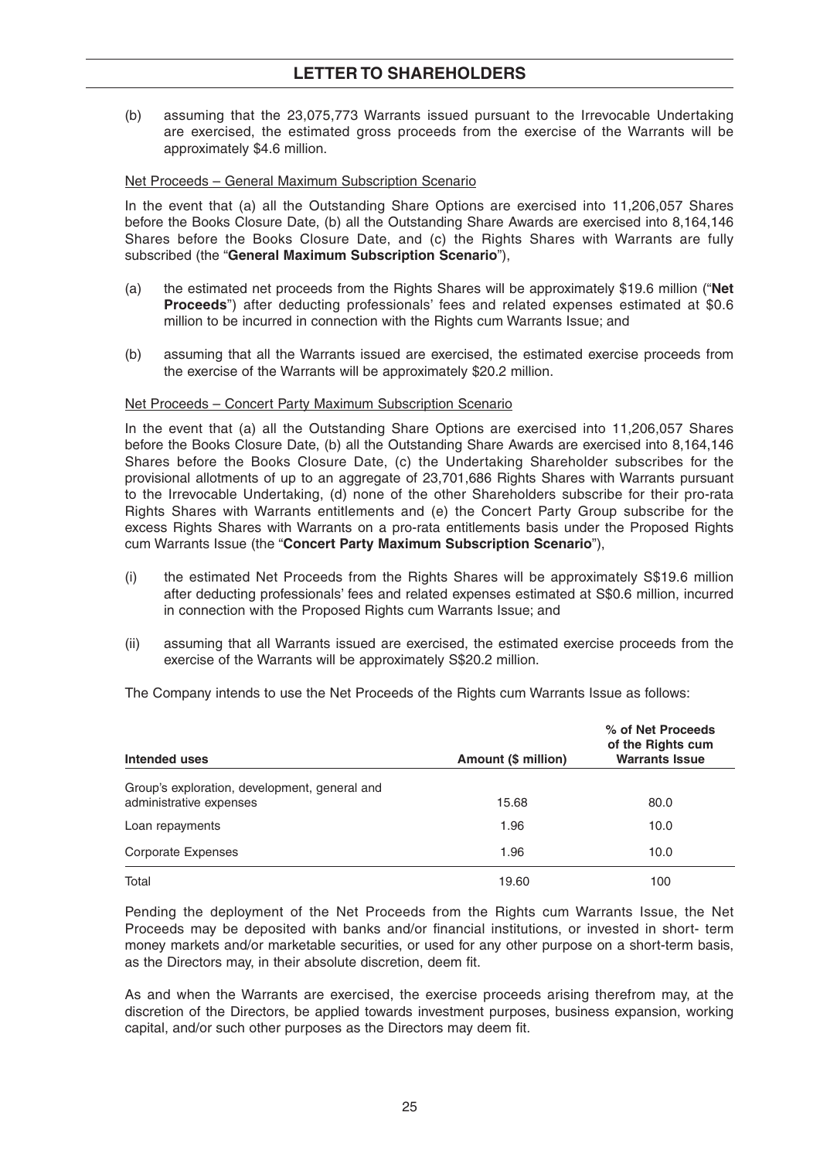(b) assuming that the 23,075,773 Warrants issued pursuant to the Irrevocable Undertaking are exercised, the estimated gross proceeds from the exercise of the Warrants will be approximately \$4.6 million.

#### Net Proceeds – General Maximum Subscription Scenario

 In the event that (a) all the Outstanding Share Options are exercised into 11,206,057 Shares before the Books Closure Date, (b) all the Outstanding Share Awards are exercised into 8,164,146 Shares before the Books Closure Date, and (c) the Rights Shares with Warrants are fully subscribed (the "**General Maximum Subscription Scenario**"),

- (a) the estimated net proceeds from the Rights Shares will be approximately \$19.6 million ("**Net Proceeds**") after deducting professionals' fees and related expenses estimated at \$0.6 million to be incurred in connection with the Rights cum Warrants Issue; and
- (b) assuming that all the Warrants issued are exercised, the estimated exercise proceeds from the exercise of the Warrants will be approximately \$20.2 million.

#### Net Proceeds – Concert Party Maximum Subscription Scenario

 In the event that (a) all the Outstanding Share Options are exercised into 11,206,057 Shares before the Books Closure Date, (b) all the Outstanding Share Awards are exercised into 8,164,146 Shares before the Books Closure Date, (c) the Undertaking Shareholder subscribes for the provisional allotments of up to an aggregate of 23,701,686 Rights Shares with Warrants pursuant to the Irrevocable Undertaking, (d) none of the other Shareholders subscribe for their pro-rata Rights Shares with Warrants entitlements and (e) the Concert Party Group subscribe for the excess Rights Shares with Warrants on a pro-rata entitlements basis under the Proposed Rights cum Warrants Issue (the "**Concert Party Maximum Subscription Scenario**"),

- (i) the estimated Net Proceeds from the Rights Shares will be approximately S\$19.6 million after deducting professionals' fees and related expenses estimated at S\$0.6 million, incurred in connection with the Proposed Rights cum Warrants Issue; and
- (ii) assuming that all Warrants issued are exercised, the estimated exercise proceeds from the exercise of the Warrants will be approximately S\$20.2 million.

The Company intends to use the Net Proceeds of the Rights cum Warrants Issue as follows:

| Intended uses                                                            | Amount (\$ million) | % of Net Proceeds<br>of the Rights cum<br><b>Warrants Issue</b> |
|--------------------------------------------------------------------------|---------------------|-----------------------------------------------------------------|
| Group's exploration, development, general and<br>administrative expenses | 15.68               | 80.0                                                            |
| Loan repayments                                                          | 1.96                | 10.0                                                            |
| Corporate Expenses                                                       | 1.96                | 10.0                                                            |
| Total                                                                    | 19.60               | 100                                                             |

 Pending the deployment of the Net Proceeds from the Rights cum Warrants Issue, the Net Proceeds may be deposited with banks and/or financial institutions, or invested in short- term money markets and/or marketable securities, or used for any other purpose on a short-term basis, as the Directors may, in their absolute discretion, deem fit.

 As and when the Warrants are exercised, the exercise proceeds arising therefrom may, at the discretion of the Directors, be applied towards investment purposes, business expansion, working capital, and/or such other purposes as the Directors may deem fit.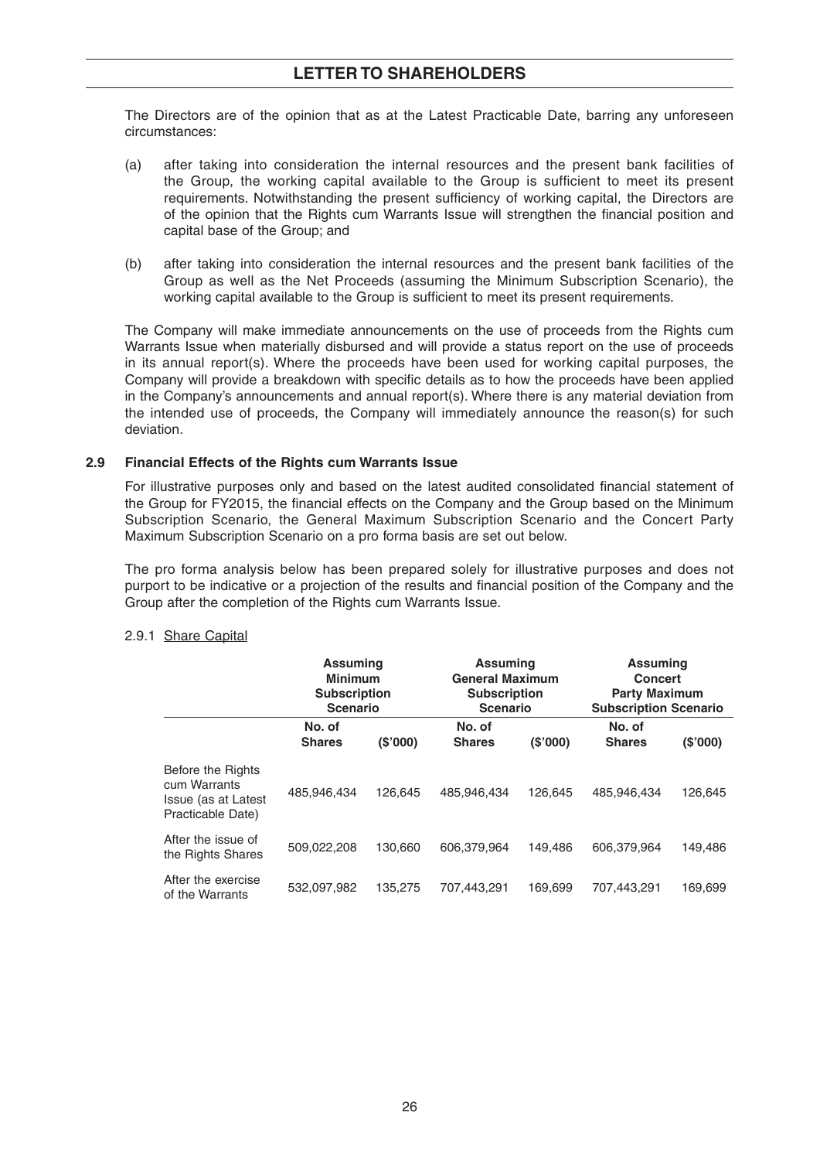The Directors are of the opinion that as at the Latest Practicable Date, barring any unforeseen circumstances:

- (a) after taking into consideration the internal resources and the present bank facilities of the Group, the working capital available to the Group is sufficient to meet its present requirements. Notwithstanding the present sufficiency of working capital, the Directors are of the opinion that the Rights cum Warrants Issue will strengthen the financial position and capital base of the Group; and
- (b) after taking into consideration the internal resources and the present bank facilities of the Group as well as the Net Proceeds (assuming the Minimum Subscription Scenario), the working capital available to the Group is sufficient to meet its present requirements.

 The Company will make immediate announcements on the use of proceeds from the Rights cum Warrants Issue when materially disbursed and will provide a status report on the use of proceeds in its annual report(s). Where the proceeds have been used for working capital purposes, the Company will provide a breakdown with specific details as to how the proceeds have been applied in the Company's announcements and annual report(s). Where there is any material deviation from the intended use of proceeds, the Company will immediately announce the reason(s) for such deviation.

#### **2.9 Financial Effects of the Rights cum Warrants Issue**

For illustrative purposes only and based on the latest audited consolidated financial statement of the Group for FY2015, the financial effects on the Company and the Group based on the Minimum Subscription Scenario, the General Maximum Subscription Scenario and the Concert Party Maximum Subscription Scenario on a pro forma basis are set out below.

 The pro forma analysis below has been prepared solely for illustrative purposes and does not purport to be indicative or a projection of the results and financial position of the Company and the Group after the completion of the Rights cum Warrants Issue.

|                                                                               | <b>Assuming</b><br><b>Minimum</b><br><b>Subscription</b><br><b>Scenario</b> |         | <b>Assuming</b><br><b>General Maximum</b><br><b>Subscription</b><br><b>Scenario</b> |         | <b>Assuming</b><br><b>Concert</b><br><b>Party Maximum</b><br><b>Subscription Scenario</b> |         |
|-------------------------------------------------------------------------------|-----------------------------------------------------------------------------|---------|-------------------------------------------------------------------------------------|---------|-------------------------------------------------------------------------------------------|---------|
|                                                                               | No. of<br><b>Shares</b>                                                     | (S'000) | No. of<br><b>Shares</b>                                                             | (S'000) | No. of<br><b>Shares</b>                                                                   | (S'000) |
| Before the Rights<br>cum Warrants<br>Issue (as at Latest<br>Practicable Date) | 485,946,434                                                                 | 126.645 | 485,946,434                                                                         | 126.645 | 485.946.434                                                                               | 126,645 |
| After the issue of<br>the Rights Shares                                       | 509,022,208                                                                 | 130.660 | 606.379.964                                                                         | 149.486 | 606.379.964                                                                               | 149,486 |
| After the exercise<br>of the Warrants                                         | 532.097.982                                                                 | 135.275 | 707.443.291                                                                         | 169.699 | 707.443.291                                                                               | 169,699 |

#### 2.9.1 Share Capital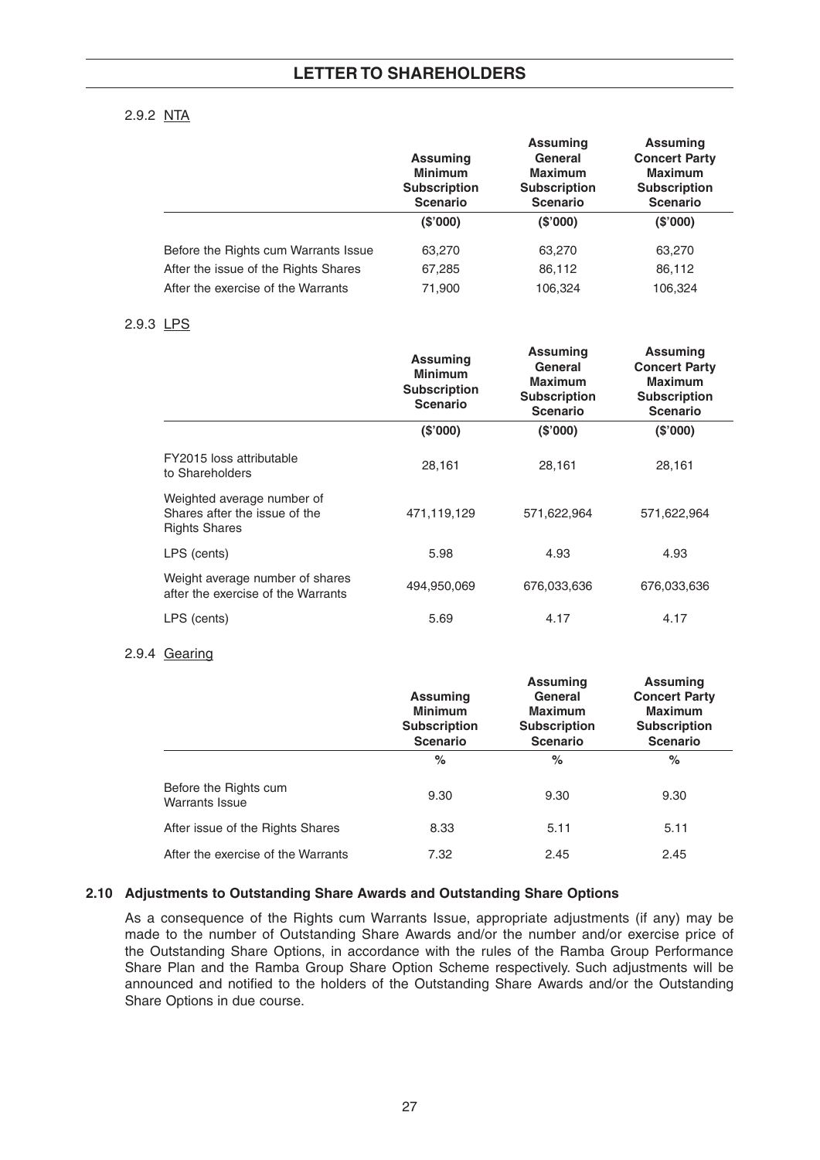#### 2.9.2 NTA

|                                      | <b>Assuming</b><br><b>Minimum</b><br><b>Subscription</b><br><b>Scenario</b> | <b>Assuming</b><br>General<br><b>Maximum</b><br><b>Subscription</b><br><b>Scenario</b> | <b>Assuming</b><br><b>Concert Party</b><br><b>Maximum</b><br><b>Subscription</b><br><b>Scenario</b> |
|--------------------------------------|-----------------------------------------------------------------------------|----------------------------------------------------------------------------------------|-----------------------------------------------------------------------------------------------------|
|                                      | (S'000)                                                                     | (S'000)                                                                                | (S'000)                                                                                             |
| Before the Rights cum Warrants Issue | 63,270                                                                      | 63,270                                                                                 | 63,270                                                                                              |
| After the issue of the Rights Shares | 67,285                                                                      | 86,112                                                                                 | 86,112                                                                                              |
| After the exercise of the Warrants   | 71,900                                                                      | 106,324                                                                                | 106,324                                                                                             |

#### 2.9.3 LPS

|                                                                                     | <b>Assuming</b><br><b>Minimum</b><br><b>Subscription</b><br><b>Scenario</b> | <b>Assuming</b><br>General<br><b>Maximum</b><br><b>Subscription</b><br><b>Scenario</b> | <b>Assuming</b><br><b>Concert Party</b><br><b>Maximum</b><br><b>Subscription</b><br><b>Scenario</b> |
|-------------------------------------------------------------------------------------|-----------------------------------------------------------------------------|----------------------------------------------------------------------------------------|-----------------------------------------------------------------------------------------------------|
|                                                                                     | (S'000)                                                                     | (S'000)                                                                                | (S'000)                                                                                             |
| FY2015 loss attributable<br>to Shareholders                                         | 28,161                                                                      | 28,161                                                                                 | 28,161                                                                                              |
| Weighted average number of<br>Shares after the issue of the<br><b>Rights Shares</b> | 471,119,129                                                                 | 571,622,964                                                                            | 571,622,964                                                                                         |
| LPS (cents)                                                                         | 5.98                                                                        | 4.93                                                                                   | 4.93                                                                                                |
| Weight average number of shares<br>after the exercise of the Warrants               | 494,950,069                                                                 | 676,033,636                                                                            | 676,033,636                                                                                         |
| LPS (cents)                                                                         | 5.69                                                                        | 4.17                                                                                   | 4.17                                                                                                |

#### 2.9.4 Gearing

|                                                | <b>Assuming</b><br><b>Minimum</b><br><b>Subscription</b><br><b>Scenario</b> | <b>Assuming</b><br>General<br><b>Maximum</b><br><b>Subscription</b><br><b>Scenario</b> | <b>Assuming</b><br><b>Concert Party</b><br><b>Maximum</b><br><b>Subscription</b><br><b>Scenario</b> |
|------------------------------------------------|-----------------------------------------------------------------------------|----------------------------------------------------------------------------------------|-----------------------------------------------------------------------------------------------------|
|                                                | $\%$                                                                        | %                                                                                      | $\%$                                                                                                |
| Before the Rights cum<br><b>Warrants Issue</b> | 9.30                                                                        | 9.30                                                                                   | 9.30                                                                                                |
| After issue of the Rights Shares               | 8.33                                                                        | 5.11                                                                                   | 5.11                                                                                                |
| After the exercise of the Warrants             | 7.32                                                                        | 2.45                                                                                   | 2.45                                                                                                |

#### **2.10 Adjustments to Outstanding Share Awards and Outstanding Share Options**

 As a consequence of the Rights cum Warrants Issue, appropriate adjustments (if any) may be made to the number of Outstanding Share Awards and/or the number and/or exercise price of the Outstanding Share Options, in accordance with the rules of the Ramba Group Performance Share Plan and the Ramba Group Share Option Scheme respectively. Such adjustments will be announced and notified to the holders of the Outstanding Share Awards and/or the Outstanding Share Options in due course.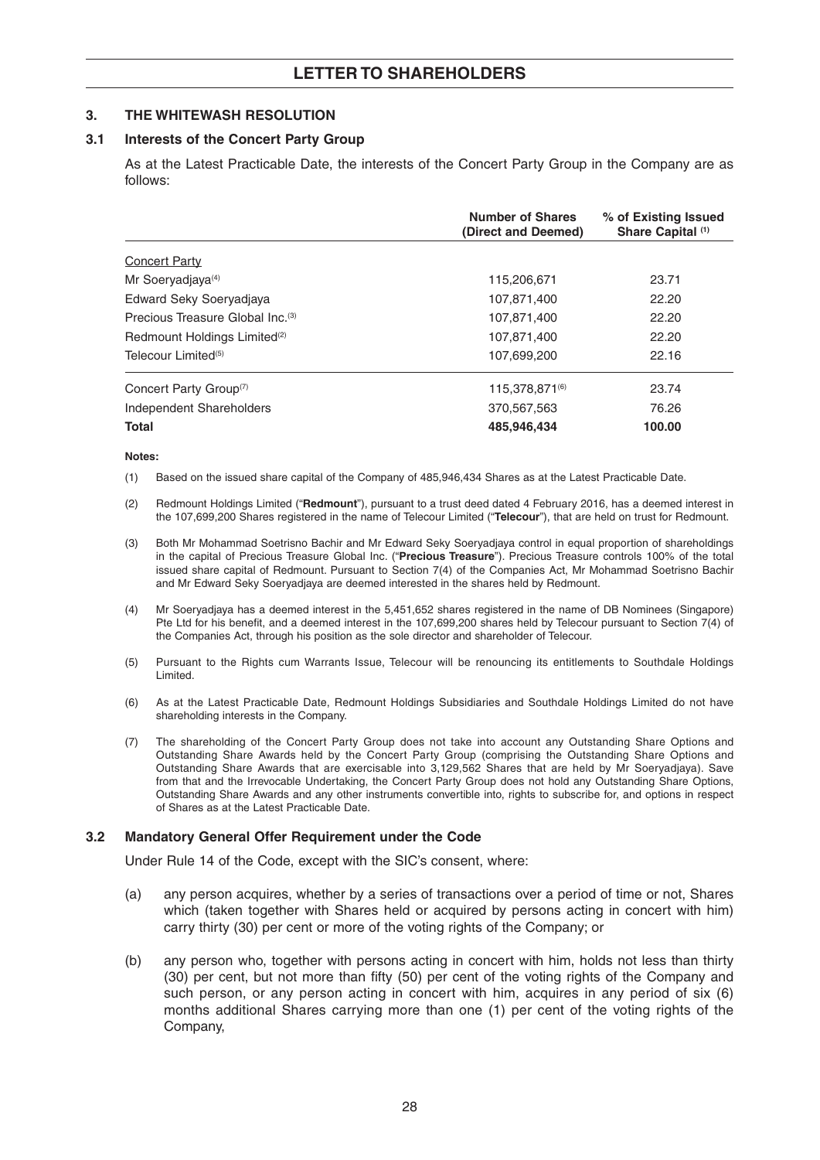#### **3. THE WHITEWASH RESOLUTION**

#### **3.1 Interests of the Concert Party Group**

 As at the Latest Practicable Date, the interests of the Concert Party Group in the Company are as follows:

|                                              | <b>Number of Shares</b><br>(Direct and Deemed) | % of Existing Issued<br>Share Capital (1) |
|----------------------------------------------|------------------------------------------------|-------------------------------------------|
| <b>Concert Party</b>                         |                                                |                                           |
| Mr Soeryadjaya <sup>(4)</sup>                | 115,206,671                                    | 23.71                                     |
| Edward Seky Soeryadjaya                      | 107,871,400                                    | 22.20                                     |
| Precious Treasure Global Inc. <sup>(3)</sup> | 107,871,400                                    | 22.20                                     |
| Redmount Holdings Limited <sup>(2)</sup>     | 107,871,400                                    | 22.20                                     |
| Telecour Limited <sup>(5)</sup>              | 107.699.200                                    | 22.16                                     |
| Concert Party Group <sup>(7)</sup>           | 115,378,871(6)                                 | 23.74                                     |
| Independent Shareholders                     | 370,567,563                                    | 76.26                                     |
| <b>Total</b>                                 | 485,946,434                                    | 100.00                                    |

#### **Notes:**

- (1) Based on the issued share capital of the Company of 485,946,434 Shares as at the Latest Practicable Date.
- (2) Redmount Holdings Limited ("**Redmount**"), pursuant to a trust deed dated 4 February 2016, has a deemed interest in the 107,699,200 Shares registered in the name of Telecour Limited ("**Telecour**"), that are held on trust for Redmount.
- (3) Both Mr Mohammad Soetrisno Bachir and Mr Edward Seky Soeryadjaya control in equal proportion of shareholdings in the capital of Precious Treasure Global Inc. ("**Precious Treasure**"). Precious Treasure controls 100% of the total issued share capital of Redmount. Pursuant to Section 7(4) of the Companies Act, Mr Mohammad Soetrisno Bachir and Mr Edward Seky Soeryadjaya are deemed interested in the shares held by Redmount.
- (4) Mr Soeryadjaya has a deemed interest in the 5,451,652 shares registered in the name of DB Nominees (Singapore) Pte Ltd for his benefit, and a deemed interest in the 107,699,200 shares held by Telecour pursuant to Section 7(4) of the Companies Act, through his position as the sole director and shareholder of Telecour.
- (5) Pursuant to the Rights cum Warrants Issue, Telecour will be renouncing its entitlements to Southdale Holdings Limited.
- (6) As at the Latest Practicable Date, Redmount Holdings Subsidiaries and Southdale Holdings Limited do not have shareholding interests in the Company.
- (7) The shareholding of the Concert Party Group does not take into account any Outstanding Share Options and Outstanding Share Awards held by the Concert Party Group (comprising the Outstanding Share Options and Outstanding Share Awards that are exercisable into 3,129,562 Shares that are held by Mr Soeryadjaya). Save from that and the Irrevocable Undertaking, the Concert Party Group does not hold any Outstanding Share Options, Outstanding Share Awards and any other instruments convertible into, rights to subscribe for, and options in respect of Shares as at the Latest Practicable Date.

#### **3.2 Mandatory General Offer Requirement under the Code**

Under Rule 14 of the Code, except with the SIC's consent, where:

- (a) any person acquires, whether by a series of transactions over a period of time or not, Shares which (taken together with Shares held or acquired by persons acting in concert with him) carry thirty (30) per cent or more of the voting rights of the Company; or
- (b) any person who, together with persons acting in concert with him, holds not less than thirty (30) per cent, but not more than fifty (50) per cent of the voting rights of the Company and such person, or any person acting in concert with him, acquires in any period of six (6) months additional Shares carrying more than one (1) per cent of the voting rights of the Company,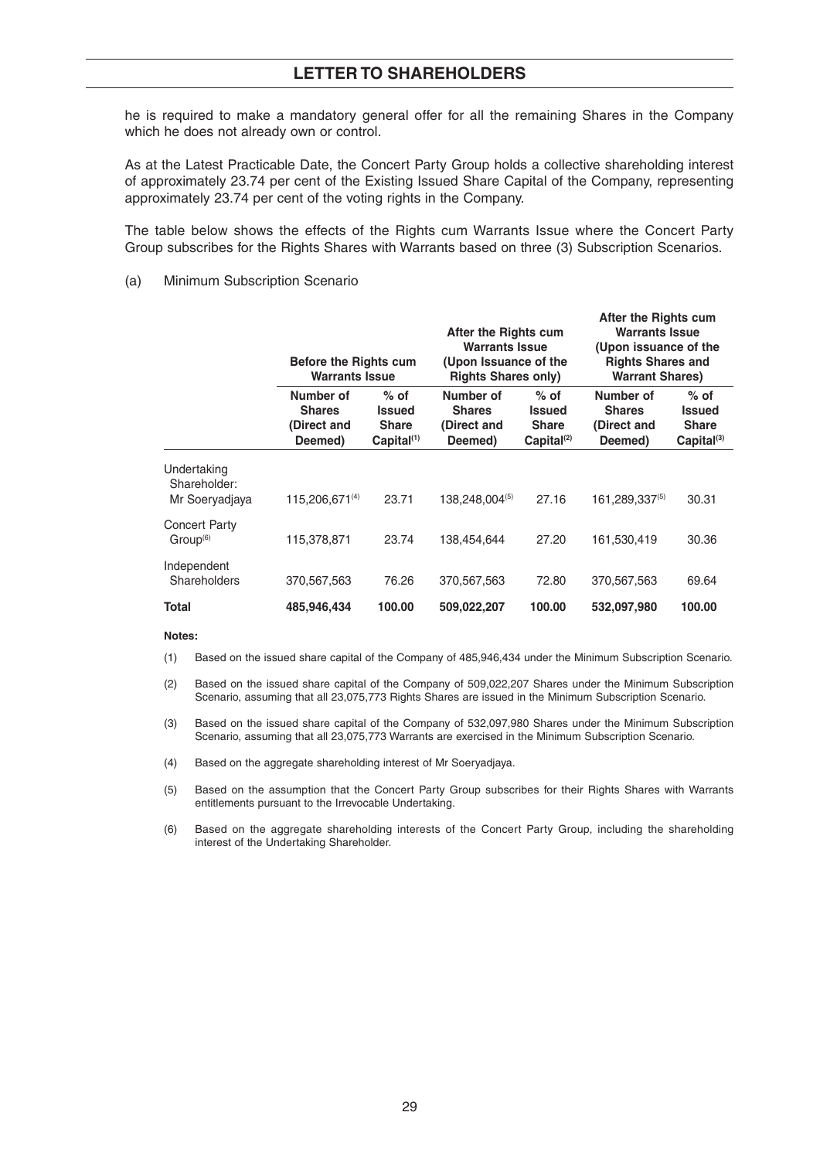he is required to make a mandatory general offer for all the remaining Shares in the Company which he does not already own or control.

 As at the Latest Practicable Date, the Concert Party Group holds a collective shareholding interest of approximately 23.74 per cent of the Existing Issued Share Capital of the Company, representing approximately 23.74 per cent of the voting rights in the Company.

 The table below shows the effects of the Rights cum Warrants Issue where the Concert Party Group subscribes for the Rights Shares with Warrants based on three (3) Subscription Scenarios.

#### (a) Minimum Subscription Scenario

|                                               | <b>Before the Rights cum</b><br><b>Warrants Issue</b> |                                                                   | After the Rights cum<br><b>Warrants Issue</b><br>(Upon Issuance of the<br><b>Rights Shares only)</b> |                                                            | After the Rights cum<br><b>Warrants Issue</b><br>(Upon issuance of the<br><b>Rights Shares and</b><br><b>Warrant Shares)</b> |                                                            |
|-----------------------------------------------|-------------------------------------------------------|-------------------------------------------------------------------|------------------------------------------------------------------------------------------------------|------------------------------------------------------------|------------------------------------------------------------------------------------------------------------------------------|------------------------------------------------------------|
|                                               | Number of<br><b>Shares</b><br>(Direct and<br>Deemed)  | $%$ of<br><b>Issued</b><br><b>Share</b><br>Capital <sup>(1)</sup> | Number of<br><b>Shares</b><br>(Direct and<br>Deemed)                                                 | $%$ of<br><b>Issued</b><br><b>Share</b><br>$Capital^{(2)}$ | Number of<br><b>Shares</b><br>(Direct and<br>Deemed)                                                                         | $%$ of<br><b>Issued</b><br><b>Share</b><br>$Capital^{(3)}$ |
| Undertaking<br>Shareholder:<br>Mr Soeryadjaya | $115,206,671^{(4)}$                                   | 23.71                                                             | 138,248,004(5)                                                                                       | 27.16                                                      | 161,289,337(5)                                                                                                               | 30.31                                                      |
| <b>Concert Party</b><br>Group <sup>(6)</sup>  | 115,378,871                                           | 23.74                                                             | 138,454,644                                                                                          | 27.20                                                      | 161,530,419                                                                                                                  | 30.36                                                      |
| Independent<br>Shareholders                   | 370,567,563                                           | 76.26                                                             | 370,567,563                                                                                          | 72.80                                                      | 370,567,563                                                                                                                  | 69.64                                                      |
| Total                                         | 485,946,434                                           | 100.00                                                            | 509,022,207                                                                                          | 100.00                                                     | 532,097,980                                                                                                                  | 100.00                                                     |

#### **Notes:**

(1) Based on the issued share capital of the Company of 485,946,434 under the Minimum Subscription Scenario.

 (2) Based on the issued share capital of the Company of 509,022,207 Shares under the Minimum Subscription Scenario, assuming that all 23,075,773 Rights Shares are issued in the Minimum Subscription Scenario.

- (3) Based on the issued share capital of the Company of 532,097,980 Shares under the Minimum Subscription Scenario, assuming that all 23,075,773 Warrants are exercised in the Minimum Subscription Scenario.
- (4) Based on the aggregate shareholding interest of Mr Soeryadjaya.
- (5) Based on the assumption that the Concert Party Group subscribes for their Rights Shares with Warrants entitlements pursuant to the Irrevocable Undertaking.
- (6) Based on the aggregate shareholding interests of the Concert Party Group, including the shareholding interest of the Undertaking Shareholder.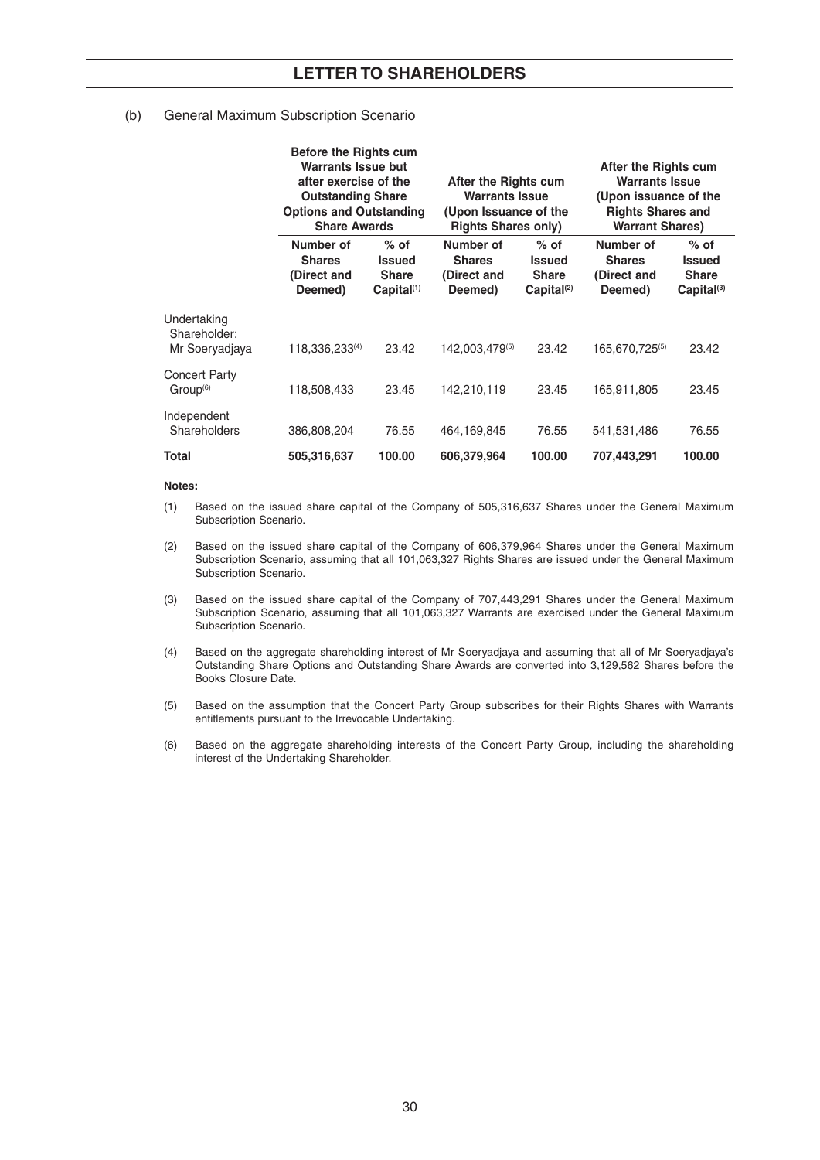#### (b) General Maximum Subscription Scenario

|                                               | <b>Before the Rights cum</b><br>Warrants Issue but<br>after exercise of the<br><b>Outstanding Share</b><br><b>Options and Outstanding</b><br><b>Share Awards</b> |                                                                   | After the Rights cum<br><b>Warrants Issue</b><br>(Upon Issuance of the<br><b>Rights Shares only)</b> |                                                                   | After the Rights cum<br><b>Warrants Issue</b><br>(Upon issuance of the<br><b>Rights Shares and</b><br><b>Warrant Shares)</b> |                                                                   |
|-----------------------------------------------|------------------------------------------------------------------------------------------------------------------------------------------------------------------|-------------------------------------------------------------------|------------------------------------------------------------------------------------------------------|-------------------------------------------------------------------|------------------------------------------------------------------------------------------------------------------------------|-------------------------------------------------------------------|
|                                               | Number of<br><b>Shares</b><br>(Direct and<br>Deemed)                                                                                                             | $%$ of<br><b>Issued</b><br><b>Share</b><br>Capital <sup>(1)</sup> | Number of<br><b>Shares</b><br>(Direct and<br>Deemed)                                                 | $%$ of<br><b>Issued</b><br><b>Share</b><br>Capital <sup>(2)</sup> | Number of<br><b>Shares</b><br>(Direct and<br>Deemed)                                                                         | $%$ of<br><b>Issued</b><br><b>Share</b><br>Capital <sup>(3)</sup> |
| Undertaking<br>Shareholder:<br>Mr Soeryadjaya | 118,336,233(4)                                                                                                                                                   | 23.42                                                             | 142,003,479(5)                                                                                       | 23.42                                                             | 165,670,725(5)                                                                                                               | 23.42                                                             |
| <b>Concert Party</b><br>Group <sup>(6)</sup>  | 118,508,433                                                                                                                                                      | 23.45                                                             | 142,210,119                                                                                          | 23.45                                                             | 165,911,805                                                                                                                  | 23.45                                                             |
| Independent<br>Shareholders                   | 386,808,204                                                                                                                                                      | 76.55                                                             | 464, 169, 845                                                                                        | 76.55                                                             | 541,531,486                                                                                                                  | 76.55                                                             |
| <b>Total</b>                                  | 505,316,637                                                                                                                                                      | 100.00                                                            | 606,379,964                                                                                          | 100.00                                                            | 707,443,291                                                                                                                  | 100.00                                                            |

#### **Notes:**

- (1) Based on the issued share capital of the Company of 505,316,637 Shares under the General Maximum Subscription Scenario.
- (2) Based on the issued share capital of the Company of 606,379,964 Shares under the General Maximum Subscription Scenario, assuming that all 101,063,327 Rights Shares are issued under the General Maximum Subscription Scenario.
- (3) Based on the issued share capital of the Company of 707,443,291 Shares under the General Maximum Subscription Scenario, assuming that all 101,063,327 Warrants are exercised under the General Maximum Subscription Scenario.
- (4) Based on the aggregate shareholding interest of Mr Soeryadjaya and assuming that all of Mr Soeryadjaya's Outstanding Share Options and Outstanding Share Awards are converted into 3,129,562 Shares before the Books Closure Date.
- (5) Based on the assumption that the Concert Party Group subscribes for their Rights Shares with Warrants entitlements pursuant to the Irrevocable Undertaking.
- (6) Based on the aggregate shareholding interests of the Concert Party Group, including the shareholding interest of the Undertaking Shareholder.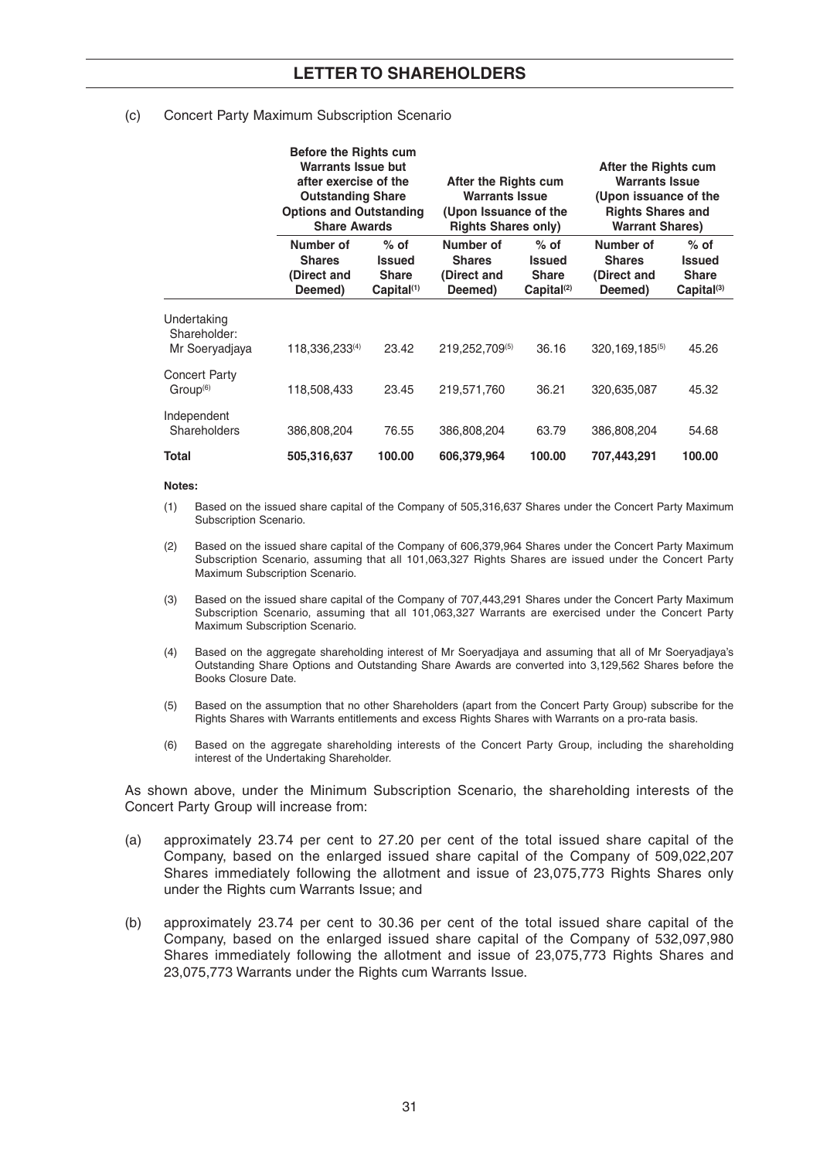#### (c) Concert Party Maximum Subscription Scenario

|                                               | <b>Before the Rights cum</b>                         | Warrants Issue but<br>after exercise of the<br>After the Rights cum<br><b>Warrants Issue</b><br><b>Outstanding Share</b><br><b>Options and Outstanding</b><br>(Upon Issuance of the<br><b>Share Awards</b><br><b>Rights Shares only)</b> |                                                      |                                                                   | After the Rights cum<br><b>Warrants Issue</b><br>(Upon issuance of the<br><b>Rights Shares and</b><br><b>Warrant Shares)</b> |                                                            |
|-----------------------------------------------|------------------------------------------------------|------------------------------------------------------------------------------------------------------------------------------------------------------------------------------------------------------------------------------------------|------------------------------------------------------|-------------------------------------------------------------------|------------------------------------------------------------------------------------------------------------------------------|------------------------------------------------------------|
|                                               | Number of<br><b>Shares</b><br>(Direct and<br>Deemed) | $%$ of<br><b>Issued</b><br><b>Share</b><br>$Capital^{(1)}$                                                                                                                                                                               | Number of<br><b>Shares</b><br>(Direct and<br>Deemed) | $%$ of<br><b>Issued</b><br><b>Share</b><br>Capital <sup>(2)</sup> | Number of<br><b>Shares</b><br>(Direct and<br>Deemed)                                                                         | $%$ of<br><b>Issued</b><br><b>Share</b><br>$Capital^{(3)}$ |
| Undertaking<br>Shareholder:<br>Mr Soeryadjaya | 118,336,233(4)                                       | 23.42                                                                                                                                                                                                                                    | 219,252,709(5)                                       | 36.16                                                             | $320, 169, 185^{(5)}$                                                                                                        | 45.26                                                      |
| <b>Concert Party</b><br>Group <sup>(6)</sup>  | 118,508,433                                          | 23.45                                                                                                                                                                                                                                    | 219,571,760                                          | 36.21                                                             | 320,635,087                                                                                                                  | 45.32                                                      |
| Independent<br><b>Shareholders</b>            | 386,808,204                                          | 76.55                                                                                                                                                                                                                                    | 386,808,204                                          | 63.79                                                             | 386,808,204                                                                                                                  | 54.68                                                      |
| <b>Total</b>                                  | 505,316,637                                          | 100.00                                                                                                                                                                                                                                   | 606,379,964                                          | 100.00                                                            | 707,443,291                                                                                                                  | 100.00                                                     |

#### **Notes:**

- (1) Based on the issued share capital of the Company of 505,316,637 Shares under the Concert Party Maximum Subscription Scenario.
- (2) Based on the issued share capital of the Company of 606,379,964 Shares under the Concert Party Maximum Subscription Scenario, assuming that all 101,063,327 Rights Shares are issued under the Concert Party Maximum Subscription Scenario.
- (3) Based on the issued share capital of the Company of 707,443,291 Shares under the Concert Party Maximum Subscription Scenario, assuming that all 101,063,327 Warrants are exercised under the Concert Party Maximum Subscription Scenario.
- (4) Based on the aggregate shareholding interest of Mr Soeryadjaya and assuming that all of Mr Soeryadjaya's Outstanding Share Options and Outstanding Share Awards are converted into 3,129,562 Shares before the Books Closure Date.
- (5) Based on the assumption that no other Shareholders (apart from the Concert Party Group) subscribe for the Rights Shares with Warrants entitlements and excess Rights Shares with Warrants on a pro-rata basis.
- (6) Based on the aggregate shareholding interests of the Concert Party Group, including the shareholding interest of the Undertaking Shareholder.

 As shown above, under the Minimum Subscription Scenario, the shareholding interests of the Concert Party Group will increase from:

- (a) approximately 23.74 per cent to 27.20 per cent of the total issued share capital of the Company, based on the enlarged issued share capital of the Company of 509,022,207 Shares immediately following the allotment and issue of 23,075,773 Rights Shares only under the Rights cum Warrants Issue; and
- (b) approximately 23.74 per cent to 30.36 per cent of the total issued share capital of the Company, based on the enlarged issued share capital of the Company of 532,097,980 Shares immediately following the allotment and issue of 23,075,773 Rights Shares and 23,075,773 Warrants under the Rights cum Warrants Issue.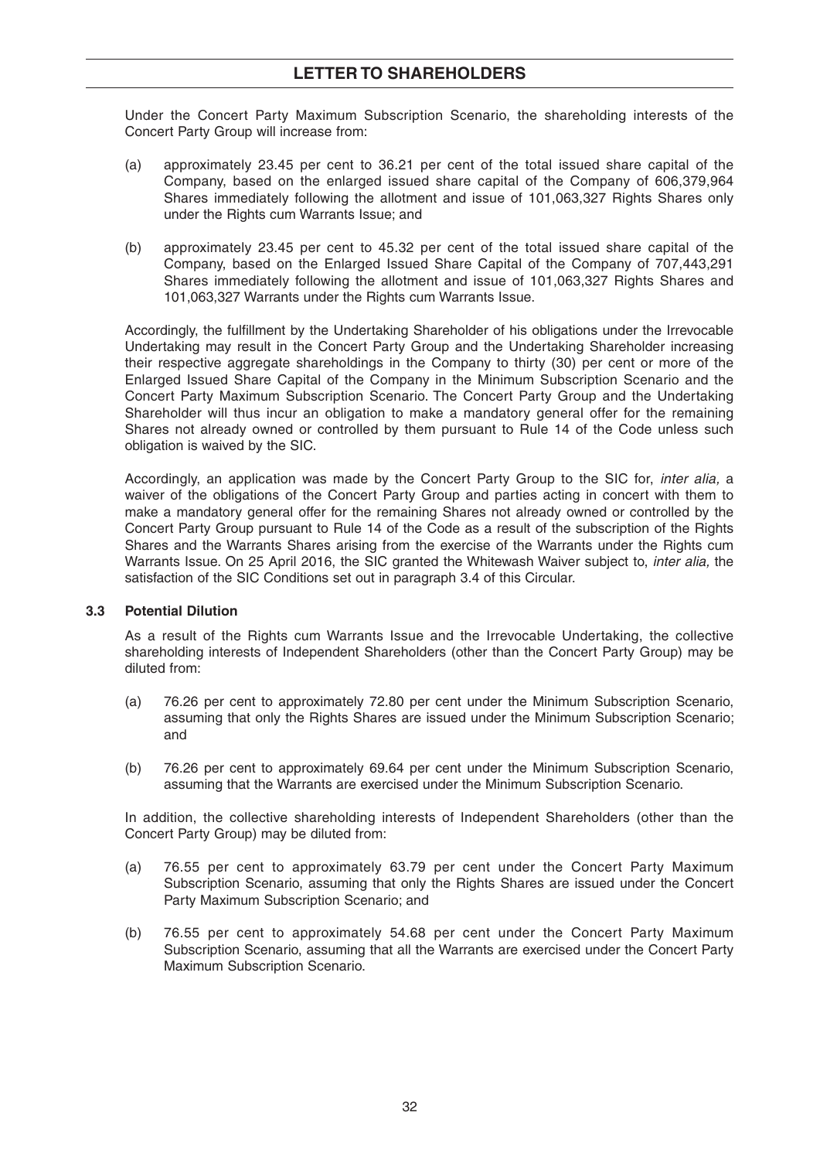Under the Concert Party Maximum Subscription Scenario, the shareholding interests of the Concert Party Group will increase from:

- (a) approximately 23.45 per cent to 36.21 per cent of the total issued share capital of the Company, based on the enlarged issued share capital of the Company of 606,379,964 Shares immediately following the allotment and issue of 101,063,327 Rights Shares only under the Rights cum Warrants Issue; and
- (b) approximately 23.45 per cent to 45.32 per cent of the total issued share capital of the Company, based on the Enlarged Issued Share Capital of the Company of 707,443,291 Shares immediately following the allotment and issue of 101,063,327 Rights Shares and 101,063,327 Warrants under the Rights cum Warrants Issue.

Accordingly, the fulfillment by the Undertaking Shareholder of his obligations under the Irrevocable Undertaking may result in the Concert Party Group and the Undertaking Shareholder increasing their respective aggregate shareholdings in the Company to thirty (30) per cent or more of the Enlarged Issued Share Capital of the Company in the Minimum Subscription Scenario and the Concert Party Maximum Subscription Scenario. The Concert Party Group and the Undertaking Shareholder will thus incur an obligation to make a mandatory general offer for the remaining Shares not already owned or controlled by them pursuant to Rule 14 of the Code unless such obligation is waived by the SIC.

 Accordingly, an application was made by the Concert Party Group to the SIC for, *inter alia,* a waiver of the obligations of the Concert Party Group and parties acting in concert with them to make a mandatory general offer for the remaining Shares not already owned or controlled by the Concert Party Group pursuant to Rule 14 of the Code as a result of the subscription of the Rights Shares and the Warrants Shares arising from the exercise of the Warrants under the Rights cum Warrants Issue. On 25 April 2016, the SIC granted the Whitewash Waiver subject to, *inter alia,* the satisfaction of the SIC Conditions set out in paragraph 3.4 of this Circular.

#### **3.3 Potential Dilution**

 As a result of the Rights cum Warrants Issue and the Irrevocable Undertaking, the collective shareholding interests of Independent Shareholders (other than the Concert Party Group) may be diluted from:

- (a) 76.26 per cent to approximately 72.80 per cent under the Minimum Subscription Scenario, assuming that only the Rights Shares are issued under the Minimum Subscription Scenario; and
- (b) 76.26 per cent to approximately 69.64 per cent under the Minimum Subscription Scenario, assuming that the Warrants are exercised under the Minimum Subscription Scenario.

 In addition, the collective shareholding interests of Independent Shareholders (other than the Concert Party Group) may be diluted from:

- (a) 76.55 per cent to approximately 63.79 per cent under the Concert Party Maximum Subscription Scenario, assuming that only the Rights Shares are issued under the Concert Party Maximum Subscription Scenario; and
- (b) 76.55 per cent to approximately 54.68 per cent under the Concert Party Maximum Subscription Scenario, assuming that all the Warrants are exercised under the Concert Party Maximum Subscription Scenario.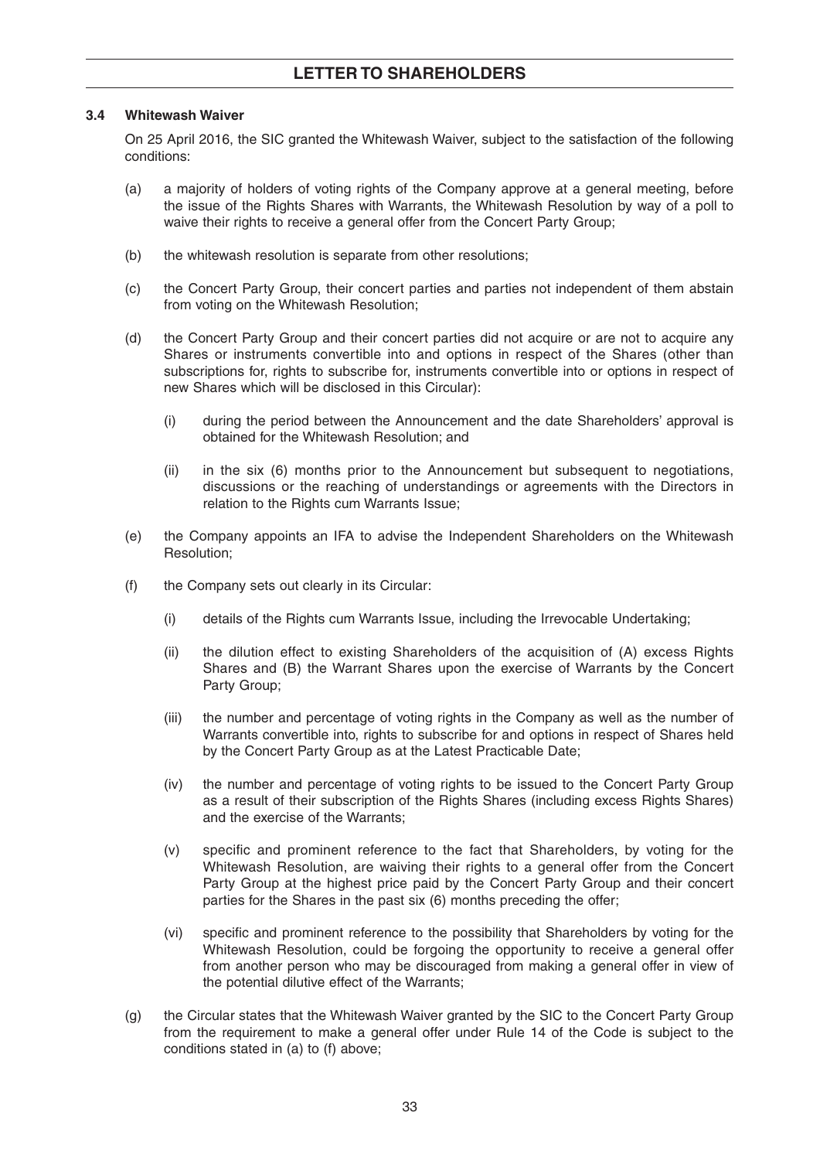#### **3.4 Whitewash Waiver**

 On 25 April 2016, the SIC granted the Whitewash Waiver, subject to the satisfaction of the following conditions:

- (a) a majority of holders of voting rights of the Company approve at a general meeting, before the issue of the Rights Shares with Warrants, the Whitewash Resolution by way of a poll to waive their rights to receive a general offer from the Concert Party Group;
- (b) the whitewash resolution is separate from other resolutions;
- (c) the Concert Party Group, their concert parties and parties not independent of them abstain from voting on the Whitewash Resolution;
- (d) the Concert Party Group and their concert parties did not acquire or are not to acquire any Shares or instruments convertible into and options in respect of the Shares (other than subscriptions for, rights to subscribe for, instruments convertible into or options in respect of new Shares which will be disclosed in this Circular):
	- (i) during the period between the Announcement and the date Shareholders' approval is obtained for the Whitewash Resolution; and
	- (ii) in the six (6) months prior to the Announcement but subsequent to negotiations, discussions or the reaching of understandings or agreements with the Directors in relation to the Rights cum Warrants Issue;
- (e) the Company appoints an IFA to advise the Independent Shareholders on the Whitewash Resolution;
- (f) the Company sets out clearly in its Circular:
	- (i) details of the Rights cum Warrants Issue, including the Irrevocable Undertaking;
	- (ii) the dilution effect to existing Shareholders of the acquisition of (A) excess Rights Shares and (B) the Warrant Shares upon the exercise of Warrants by the Concert Party Group;
	- (iii) the number and percentage of voting rights in the Company as well as the number of Warrants convertible into, rights to subscribe for and options in respect of Shares held by the Concert Party Group as at the Latest Practicable Date;
	- (iv) the number and percentage of voting rights to be issued to the Concert Party Group as a result of their subscription of the Rights Shares (including excess Rights Shares) and the exercise of the Warrants;
	- (v) specific and prominent reference to the fact that Shareholders, by voting for the Whitewash Resolution, are waiving their rights to a general offer from the Concert Party Group at the highest price paid by the Concert Party Group and their concert parties for the Shares in the past six (6) months preceding the offer;
	- (vi) specific and prominent reference to the possibility that Shareholders by voting for the Whitewash Resolution, could be forgoing the opportunity to receive a general offer from another person who may be discouraged from making a general offer in view of the potential dilutive effect of the Warrants;
- (g) the Circular states that the Whitewash Waiver granted by the SIC to the Concert Party Group from the requirement to make a general offer under Rule 14 of the Code is subject to the conditions stated in (a) to (f) above;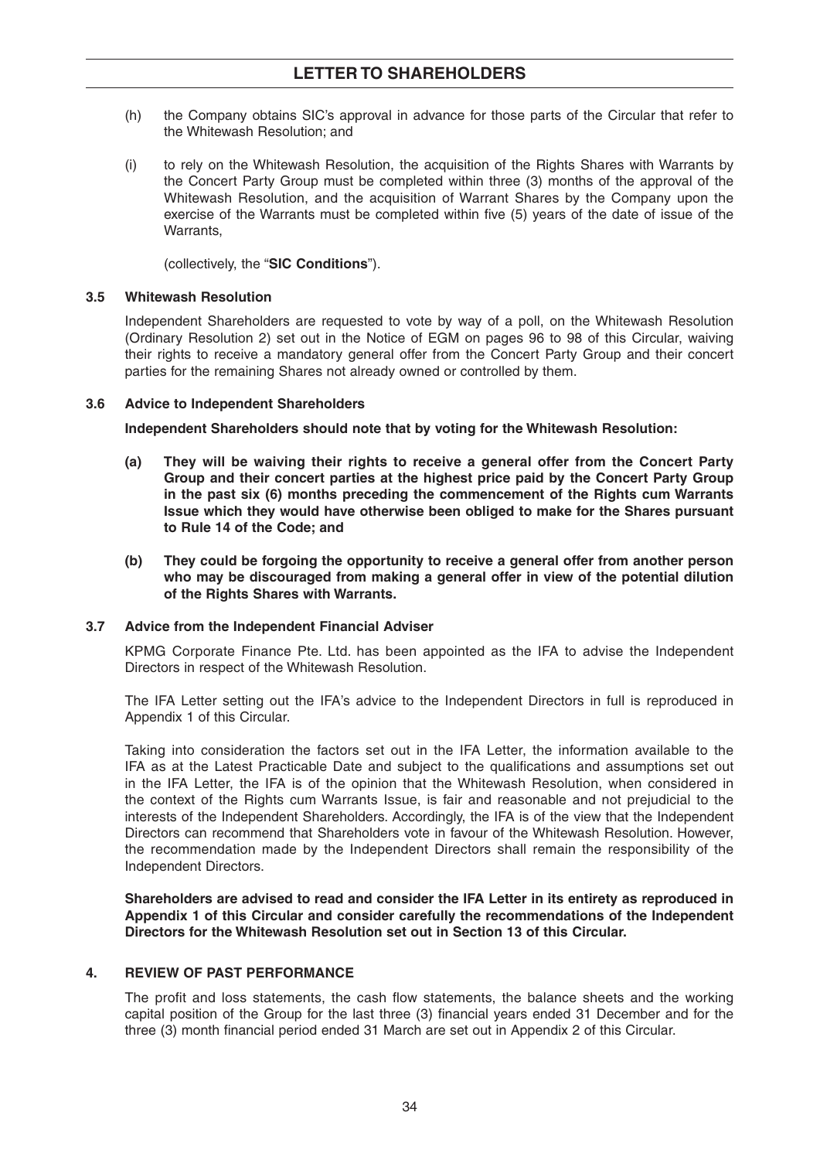- (h) the Company obtains SIC's approval in advance for those parts of the Circular that refer to the Whitewash Resolution; and
- (i) to rely on the Whitewash Resolution, the acquisition of the Rights Shares with Warrants by the Concert Party Group must be completed within three (3) months of the approval of the Whitewash Resolution, and the acquisition of Warrant Shares by the Company upon the exercise of the Warrants must be completed within five (5) years of the date of issue of the Warrants,

(collectively, the "**SIC Conditions**").

#### **3.5 Whitewash Resolution**

 Independent Shareholders are requested to vote by way of a poll, on the Whitewash Resolution (Ordinary Resolution 2) set out in the Notice of EGM on pages 96 to 98 of this Circular, waiving their rights to receive a mandatory general offer from the Concert Party Group and their concert parties for the remaining Shares not already owned or controlled by them.

#### **3.6 Advice to Independent Shareholders**

 **Independent Shareholders should note that by voting for the Whitewash Resolution:** 

- **(a) They will be waiving their rights to receive a general offer from the Concert Party Group and their concert parties at the highest price paid by the Concert Party Group in the past six (6) months preceding the commencement of the Rights cum Warrants Issue which they would have otherwise been obliged to make for the Shares pursuant to Rule 14 of the Code; and**
- **(b) They could be forgoing the opportunity to receive a general offer from another person who may be discouraged from making a general offer in view of the potential dilution of the Rights Shares with Warrants.**

#### **3.7 Advice from the Independent Financial Adviser**

 KPMG Corporate Finance Pte. Ltd. has been appointed as the IFA to advise the Independent Directors in respect of the Whitewash Resolution.

 The IFA Letter setting out the IFA's advice to the Independent Directors in full is reproduced in Appendix 1 of this Circular.

 Taking into consideration the factors set out in the IFA Letter, the information available to the IFA as at the Latest Practicable Date and subject to the qualifications and assumptions set out in the IFA Letter, the IFA is of the opinion that the Whitewash Resolution, when considered in the context of the Rights cum Warrants Issue, is fair and reasonable and not prejudicial to the interests of the Independent Shareholders. Accordingly, the IFA is of the view that the Independent Directors can recommend that Shareholders vote in favour of the Whitewash Resolution. However, the recommendation made by the Independent Directors shall remain the responsibility of the Independent Directors.

 **Shareholders are advised to read and consider the IFA Letter in its entirety as reproduced in Appendix 1 of this Circular and consider carefully the recommendations of the Independent Directors for the Whitewash Resolution set out in Section 13 of this Circular.** 

### **4. REVIEW OF PAST PERFORMANCE**

The profit and loss statements, the cash flow statements, the balance sheets and the working capital position of the Group for the last three (3) financial years ended 31 December and for the three (3) month financial period ended 31 March are set out in Appendix 2 of this Circular.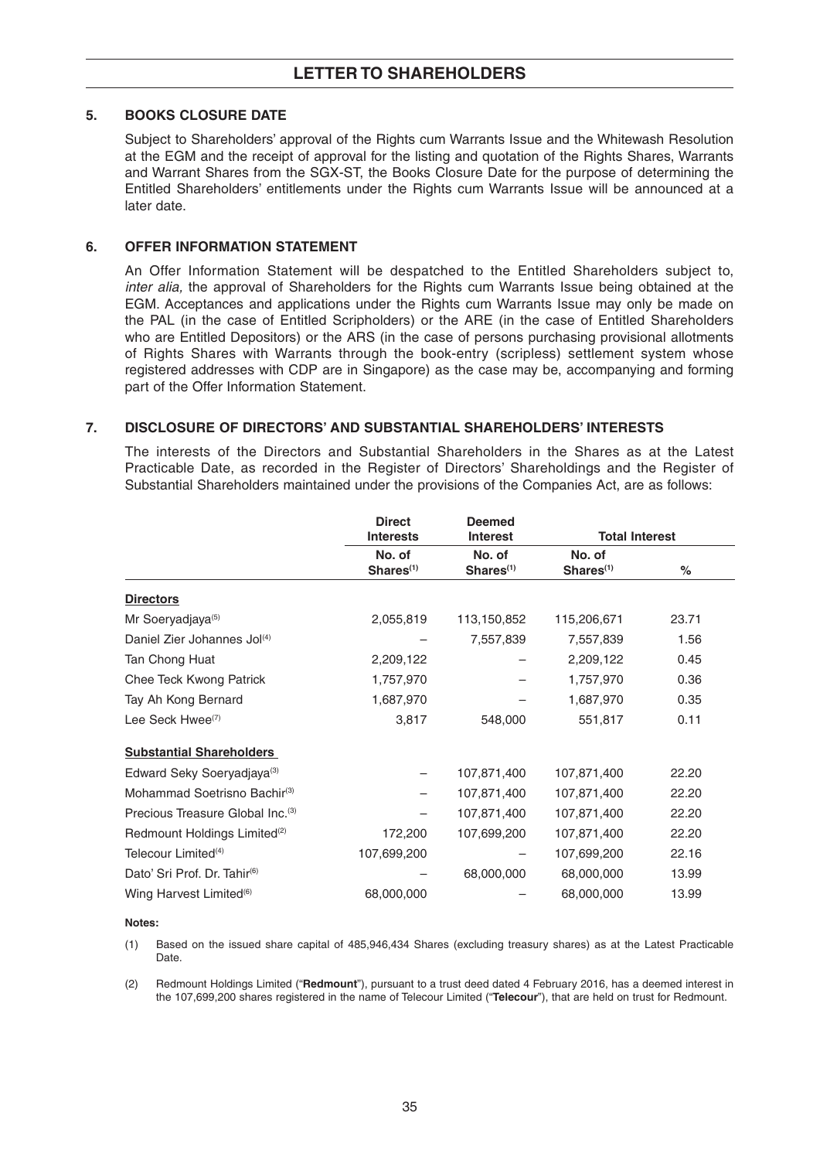#### **5. BOOKS CLOSURE DATE**

 Subject to Shareholders' approval of the Rights cum Warrants Issue and the Whitewash Resolution at the EGM and the receipt of approval for the listing and quotation of the Rights Shares, Warrants and Warrant Shares from the SGX-ST, the Books Closure Date for the purpose of determining the Entitled Shareholders' entitlements under the Rights cum Warrants Issue will be announced at a later date.

#### **6. OFFER INFORMATION STATEMENT**

 An Offer Information Statement will be despatched to the Entitled Shareholders subject to, *inter alia,* the approval of Shareholders for the Rights cum Warrants Issue being obtained at the EGM. Acceptances and applications under the Rights cum Warrants Issue may only be made on the PAL (in the case of Entitled Scripholders) or the ARE (in the case of Entitled Shareholders who are Entitled Depositors) or the ARS (in the case of persons purchasing provisional allotments of Rights Shares with Warrants through the book-entry (scripless) settlement system whose registered addresses with CDP are in Singapore) as the case may be, accompanying and forming part of the Offer Information Statement.

#### **7. DISCLOSURE OF DIRECTORS' AND SUBSTANTIAL SHAREHOLDERS' INTERESTS**

 The interests of the Directors and Substantial Shareholders in the Shares as at the Latest Practicable Date, as recorded in the Register of Directors' Shareholdings and the Register of Substantial Shareholders maintained under the provisions of the Companies Act, are as follows:

|                                              | <b>Direct</b><br><b>Interests</b> | <b>Deemed</b><br><b>Interest</b> | <b>Total Interest</b>           |       |
|----------------------------------------------|-----------------------------------|----------------------------------|---------------------------------|-------|
|                                              | No. of<br>Shares <sup>(1)</sup>   | No. of<br>Shares <sup>(1)</sup>  | No. of<br>Shares <sup>(1)</sup> | %     |
| <b>Directors</b>                             |                                   |                                  |                                 |       |
| Mr Soeryadjaya <sup>(5)</sup>                | 2,055,819                         | 113,150,852                      | 115,206,671                     | 23.71 |
| Daniel Zier Johannes Jol(4)                  |                                   | 7,557,839                        | 7,557,839                       | 1.56  |
| Tan Chong Huat                               | 2,209,122                         |                                  | 2,209,122                       | 0.45  |
| Chee Teck Kwong Patrick                      | 1,757,970                         |                                  | 1,757,970                       | 0.36  |
| Tay Ah Kong Bernard                          | 1,687,970                         |                                  | 1,687,970                       | 0.35  |
| Lee Seck Hwee <sup>(7)</sup>                 | 3,817                             | 548,000                          | 551,817                         | 0.11  |
| <b>Substantial Shareholders</b>              |                                   |                                  |                                 |       |
| Edward Seky Soeryadjaya <sup>(3)</sup>       |                                   | 107,871,400                      | 107,871,400                     | 22.20 |
| Mohammad Soetrisno Bachir <sup>(3)</sup>     |                                   | 107,871,400                      | 107,871,400                     | 22.20 |
| Precious Treasure Global Inc. <sup>(3)</sup> |                                   | 107,871,400                      | 107,871,400                     | 22.20 |
| Redmount Holdings Limited <sup>(2)</sup>     | 172,200                           | 107,699,200                      | 107,871,400                     | 22.20 |
| Telecour Limited <sup>(4)</sup>              | 107,699,200                       |                                  | 107,699,200                     | 22.16 |
| Dato' Sri Prof. Dr. Tahir <sup>(6)</sup>     |                                   | 68,000,000                       | 68,000,000                      | 13.99 |
| Wing Harvest Limited <sup>(6)</sup>          | 68,000,000                        |                                  | 68,000,000                      | 13.99 |

#### **Notes:**

 (1) Based on the issued share capital of 485,946,434 Shares (excluding treasury shares) as at the Latest Practicable Date.

 (2) Redmount Holdings Limited ("**Redmount**"), pursuant to a trust deed dated 4 February 2016, has a deemed interest in the 107,699,200 shares registered in the name of Telecour Limited ("**Telecour**"), that are held on trust for Redmount.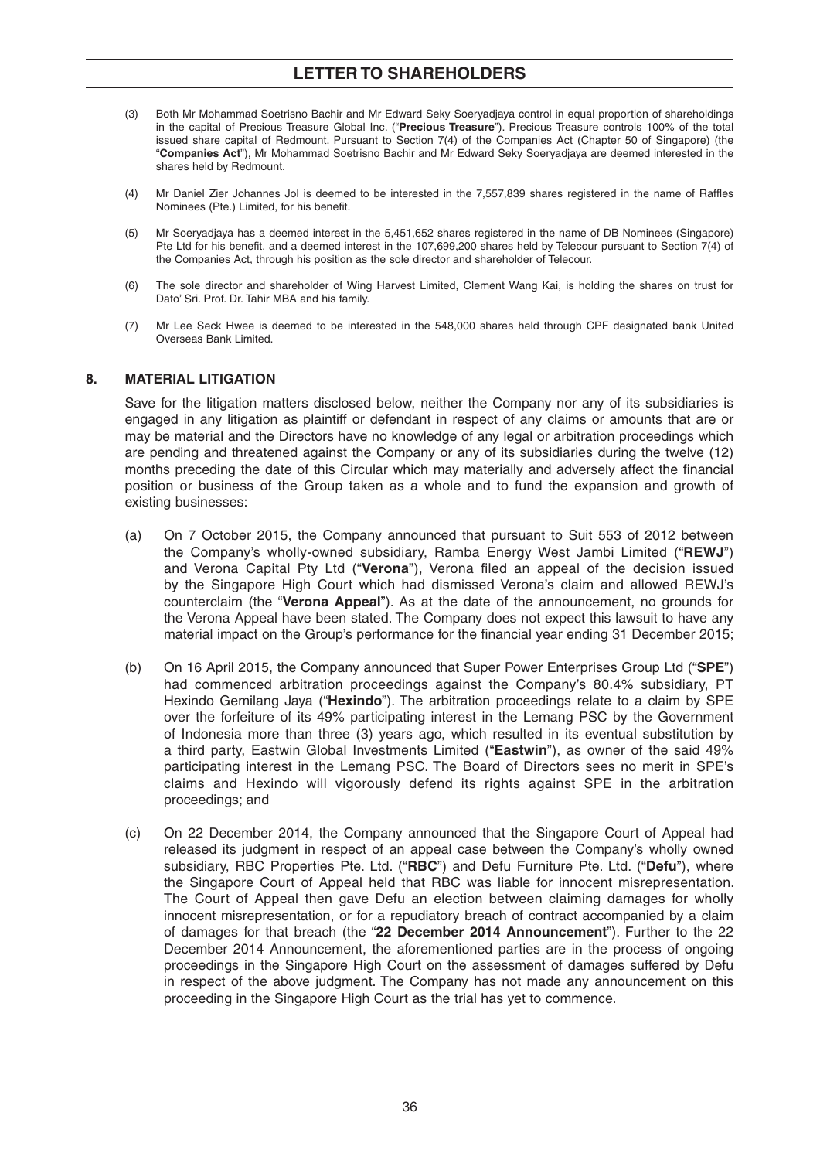- (3) Both Mr Mohammad Soetrisno Bachir and Mr Edward Seky Soeryadjaya control in equal proportion of shareholdings in the capital of Precious Treasure Global Inc. ("**Precious Treasure**"). Precious Treasure controls 100% of the total issued share capital of Redmount. Pursuant to Section 7(4) of the Companies Act (Chapter 50 of Singapore) (the "**Companies Act**"), Mr Mohammad Soetrisno Bachir and Mr Edward Seky Soeryadjaya are deemed interested in the shares held by Redmount.
- (4) Mr Daniel Zier Johannes Jol is deemed to be interested in the 7,557,839 shares registered in the name of Raffles Nominees (Pte.) Limited, for his benefit.
- (5) Mr Soeryadjaya has a deemed interest in the 5,451,652 shares registered in the name of DB Nominees (Singapore) Pte Ltd for his benefit, and a deemed interest in the 107,699,200 shares held by Telecour pursuant to Section 7(4) of the Companies Act, through his position as the sole director and shareholder of Telecour.
- (6) The sole director and shareholder of Wing Harvest Limited, Clement Wang Kai, is holding the shares on trust for Dato' Sri. Prof. Dr. Tahir MBA and his family.
- (7) Mr Lee Seck Hwee is deemed to be interested in the 548,000 shares held through CPF designated bank United Overseas Bank Limited.

#### **8. MATERIAL LITIGATION**

 Save for the litigation matters disclosed below, neither the Company nor any of its subsidiaries is engaged in any litigation as plaintiff or defendant in respect of any claims or amounts that are or may be material and the Directors have no knowledge of any legal or arbitration proceedings which are pending and threatened against the Company or any of its subsidiaries during the twelve (12) months preceding the date of this Circular which may materially and adversely affect the financial position or business of the Group taken as a whole and to fund the expansion and growth of existing businesses:

- (a) On 7 October 2015, the Company announced that pursuant to Suit 553 of 2012 between the Company's wholly-owned subsidiary, Ramba Energy West Jambi Limited ("**REWJ**") and Verona Capital Pty Ltd ("**Verona**"), Verona filed an appeal of the decision issued by the Singapore High Court which had dismissed Verona's claim and allowed REWJ's counterclaim (the "**Verona Appeal**"). As at the date of the announcement, no grounds for the Verona Appeal have been stated. The Company does not expect this lawsuit to have any material impact on the Group's performance for the financial year ending 31 December 2015;
- (b) On 16 April 2015, the Company announced that Super Power Enterprises Group Ltd ("**SPE**") had commenced arbitration proceedings against the Company's 80.4% subsidiary, PT Hexindo Gemilang Jaya ("**Hexindo**"). The arbitration proceedings relate to a claim by SPE over the forfeiture of its 49% participating interest in the Lemang PSC by the Government of Indonesia more than three (3) years ago, which resulted in its eventual substitution by a third party, Eastwin Global Investments Limited ("**Eastwin**"), as owner of the said 49% participating interest in the Lemang PSC. The Board of Directors sees no merit in SPE's claims and Hexindo will vigorously defend its rights against SPE in the arbitration proceedings; and
- (c) On 22 December 2014, the Company announced that the Singapore Court of Appeal had released its judgment in respect of an appeal case between the Company's wholly owned subsidiary, RBC Properties Pte. Ltd. ("**RBC**") and Defu Furniture Pte. Ltd. ("**Defu**"), where the Singapore Court of Appeal held that RBC was liable for innocent misrepresentation. The Court of Appeal then gave Defu an election between claiming damages for wholly innocent misrepresentation, or for a repudiatory breach of contract accompanied by a claim of damages for that breach (the "**22 December 2014 Announcement**"). Further to the 22 December 2014 Announcement, the aforementioned parties are in the process of ongoing proceedings in the Singapore High Court on the assessment of damages suffered by Defu in respect of the above judgment. The Company has not made any announcement on this proceeding in the Singapore High Court as the trial has yet to commence.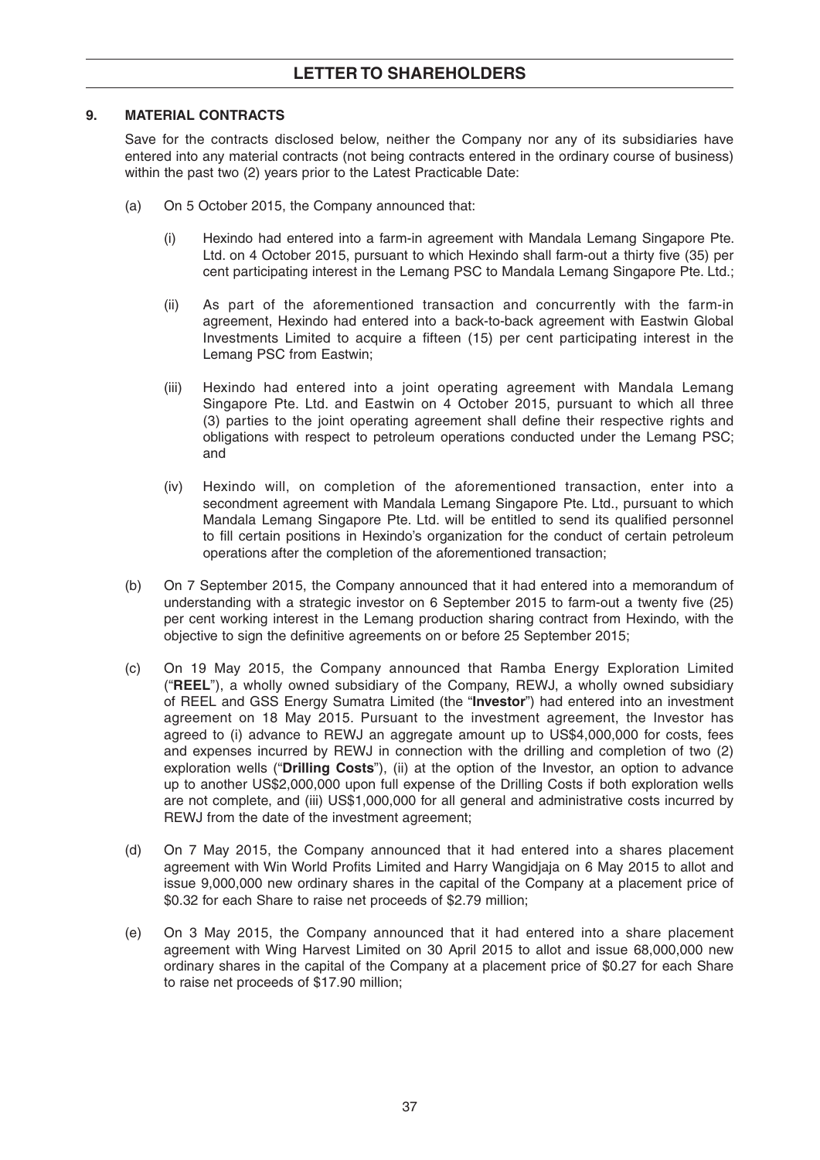## **9. MATERIAL CONTRACTS**

 Save for the contracts disclosed below, neither the Company nor any of its subsidiaries have entered into any material contracts (not being contracts entered in the ordinary course of business) within the past two (2) years prior to the Latest Practicable Date:

- (a) On 5 October 2015, the Company announced that:
	- (i) Hexindo had entered into a farm-in agreement with Mandala Lemang Singapore Pte. Ltd. on 4 October 2015, pursuant to which Hexindo shall farm-out a thirty five (35) per cent participating interest in the Lemang PSC to Mandala Lemang Singapore Pte. Ltd.;
	- (ii) As part of the aforementioned transaction and concurrently with the farm-in agreement, Hexindo had entered into a back-to-back agreement with Eastwin Global Investments Limited to acquire a fifteen (15) per cent participating interest in the Lemang PSC from Eastwin;
	- (iii) Hexindo had entered into a joint operating agreement with Mandala Lemang Singapore Pte. Ltd. and Eastwin on 4 October 2015, pursuant to which all three (3) parties to the joint operating agreement shall define their respective rights and obligations with respect to petroleum operations conducted under the Lemang PSC; and
	- (iv) Hexindo will, on completion of the aforementioned transaction, enter into a secondment agreement with Mandala Lemang Singapore Pte. Ltd., pursuant to which Mandala Lemang Singapore Pte. Ltd. will be entitled to send its qualified personnel to fill certain positions in Hexindo's organization for the conduct of certain petroleum operations after the completion of the aforementioned transaction;
- (b) On 7 September 2015, the Company announced that it had entered into a memorandum of understanding with a strategic investor on  $6$  September 2015 to farm-out a twenty five  $(25)$ per cent working interest in the Lemang production sharing contract from Hexindo, with the objective to sign the definitive agreements on or before 25 September 2015;
- (c) On 19 May 2015, the Company announced that Ramba Energy Exploration Limited ("**REEL**"), a wholly owned subsidiary of the Company, REWJ, a wholly owned subsidiary of REEL and GSS Energy Sumatra Limited (the "**Investor**") had entered into an investment agreement on 18 May 2015. Pursuant to the investment agreement, the Investor has agreed to (i) advance to REWJ an aggregate amount up to US\$4,000,000 for costs, fees and expenses incurred by REWJ in connection with the drilling and completion of two (2) exploration wells ("**Drilling Costs**"), (ii) at the option of the Investor, an option to advance up to another US\$2,000,000 upon full expense of the Drilling Costs if both exploration wells are not complete, and (iii) US\$1,000,000 for all general and administrative costs incurred by REWJ from the date of the investment agreement;
- (d) On 7 May 2015, the Company announced that it had entered into a shares placement agreement with Win World Profits Limited and Harry Wangidiaia on 6 May 2015 to allot and issue 9,000,000 new ordinary shares in the capital of the Company at a placement price of \$0.32 for each Share to raise net proceeds of \$2.79 million;
- (e) On 3 May 2015, the Company announced that it had entered into a share placement agreement with Wing Harvest Limited on 30 April 2015 to allot and issue 68,000,000 new ordinary shares in the capital of the Company at a placement price of \$0.27 for each Share to raise net proceeds of \$17.90 million;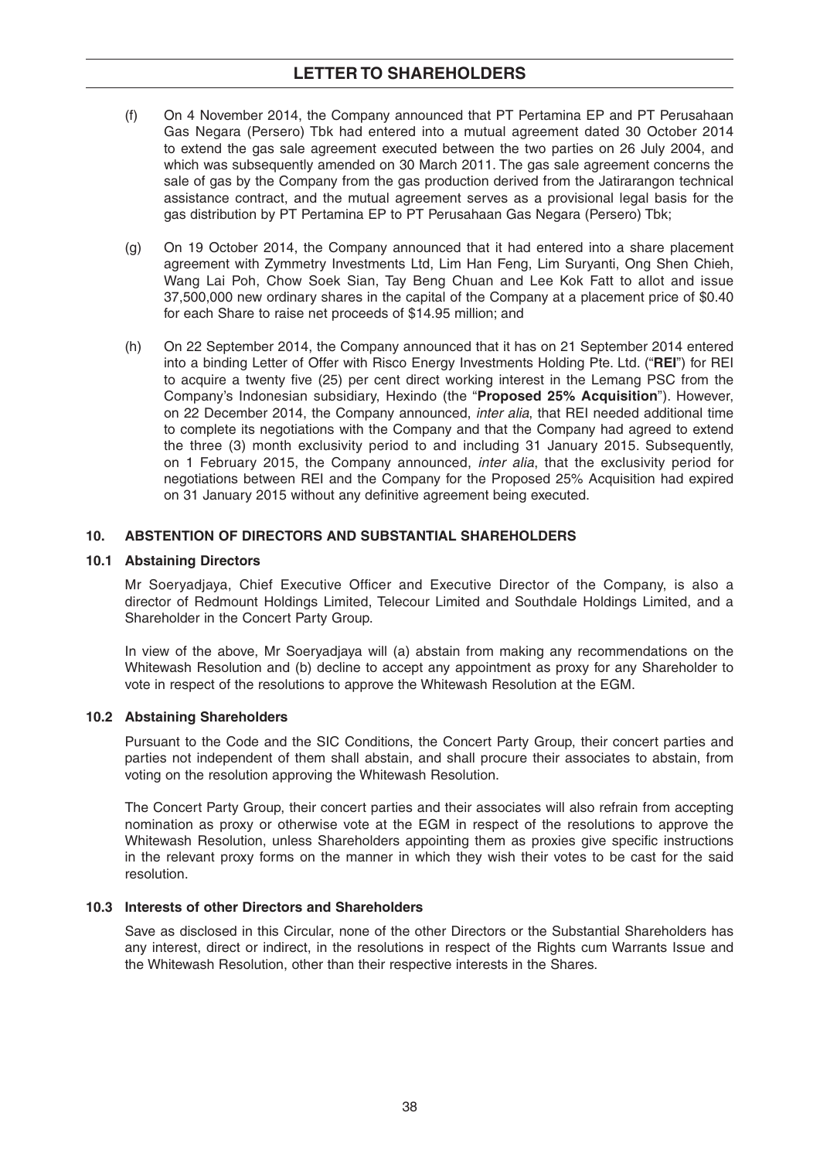# **LETTER TO SHAREHOLDERS**

- (f) On 4 November 2014, the Company announced that PT Pertamina EP and PT Perusahaan Gas Negara (Persero) Tbk had entered into a mutual agreement dated 30 October 2014 to extend the gas sale agreement executed between the two parties on 26 July 2004, and which was subsequently amended on 30 March 2011. The gas sale agreement concerns the sale of gas by the Company from the gas production derived from the Jatirarangon technical assistance contract, and the mutual agreement serves as a provisional legal basis for the gas distribution by PT Pertamina EP to PT Perusahaan Gas Negara (Persero) Tbk;
- (g) On 19 October 2014, the Company announced that it had entered into a share placement agreement with Zymmetry Investments Ltd, Lim Han Feng, Lim Suryanti, Ong Shen Chieh, Wang Lai Poh, Chow Soek Sian, Tay Beng Chuan and Lee Kok Fatt to allot and issue 37,500,000 new ordinary shares in the capital of the Company at a placement price of \$0.40 for each Share to raise net proceeds of \$14.95 million; and
- (h) On 22 September 2014, the Company announced that it has on 21 September 2014 entered into a binding Letter of Offer with Risco Energy Investments Holding Pte. Ltd. ("**REI**") for REI to acquire a twenty five (25) per cent direct working interest in the Lemang PSC from the Company's Indonesian subsidiary, Hexindo (the "**Proposed 25% Acquisition**"). However, on 22 December 2014, the Company announced, *inter alia*, that REI needed additional time to complete its negotiations with the Company and that the Company had agreed to extend the three (3) month exclusivity period to and including 31 January 2015. Subsequently, on 1 February 2015, the Company announced, *inter alia*, that the exclusivity period for negotiations between REI and the Company for the Proposed 25% Acquisition had expired on 31 January 2015 without any definitive agreement being executed.

## **10. ABSTENTION OF DIRECTORS AND SUBSTANTIAL SHAREHOLDERS**

### **10.1 Abstaining Directors**

Mr Soeryadjaya, Chief Executive Officer and Executive Director of the Company, is also a director of Redmount Holdings Limited, Telecour Limited and Southdale Holdings Limited, and a Shareholder in the Concert Party Group.

 In view of the above, Mr Soeryadjaya will (a) abstain from making any recommendations on the Whitewash Resolution and (b) decline to accept any appointment as proxy for any Shareholder to vote in respect of the resolutions to approve the Whitewash Resolution at the EGM.

### **10.2 Abstaining Shareholders**

 Pursuant to the Code and the SIC Conditions, the Concert Party Group, their concert parties and parties not independent of them shall abstain, and shall procure their associates to abstain, from voting on the resolution approving the Whitewash Resolution.

 The Concert Party Group, their concert parties and their associates will also refrain from accepting nomination as proxy or otherwise vote at the EGM in respect of the resolutions to approve the Whitewash Resolution, unless Shareholders appointing them as proxies give specific instructions in the relevant proxy forms on the manner in which they wish their votes to be cast for the said resolution.

## **10.3 Interests of other Directors and Shareholders**

 Save as disclosed in this Circular, none of the other Directors or the Substantial Shareholders has any interest, direct or indirect, in the resolutions in respect of the Rights cum Warrants Issue and the Whitewash Resolution, other than their respective interests in the Shares.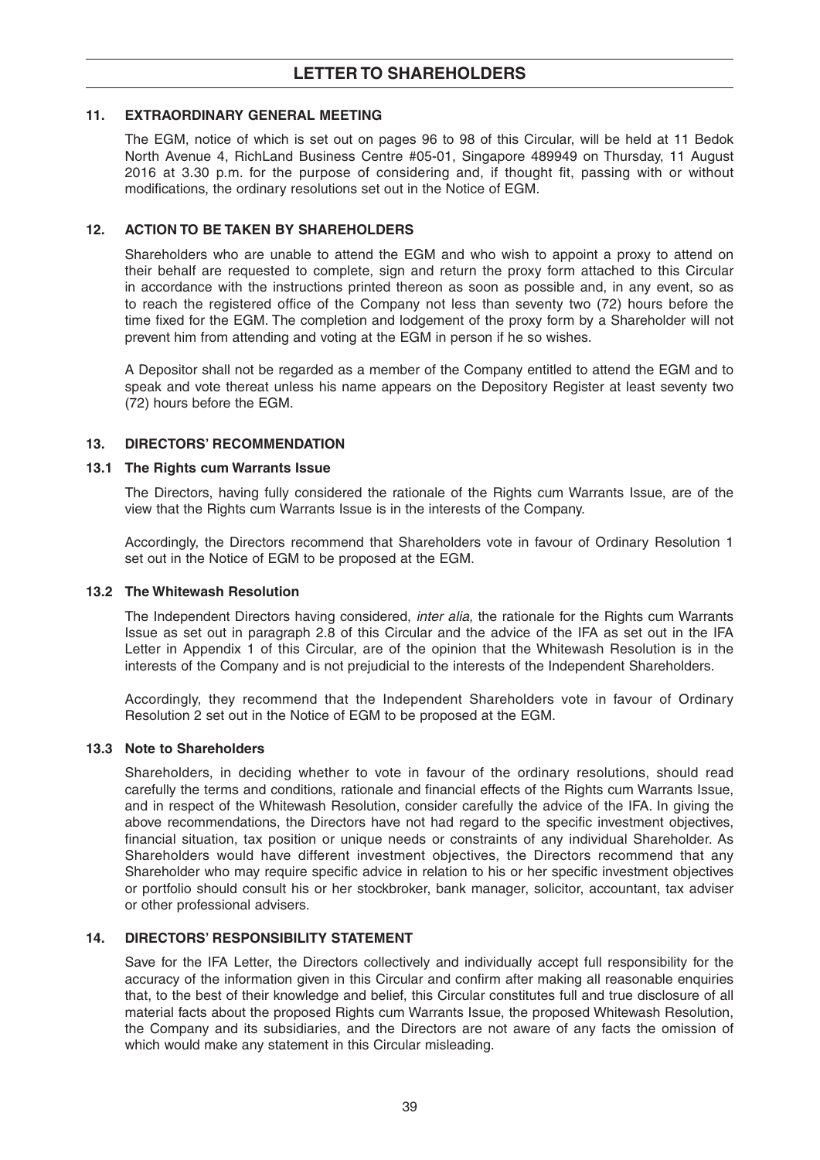## **11. EXTRAORDINARY GENERAL MEETING**

 The EGM, notice of which is set out on pages 96 to 98 of this Circular, will be held at 11 Bedok North Avenue 4, RichLand Business Centre #05-01, Singapore 489949 on Thursday, 11 August 2016 at 3.30 p.m. for the purpose of considering and, if thought fit, passing with or without modifications, the ordinary resolutions set out in the Notice of EGM.

## 12. ACTION TO BE TAKEN BY SHAREHOLDERS

 Shareholders who are unable to attend the EGM and who wish to appoint a proxy to attend on their behalf are requested to complete, sign and return the proxy form attached to this Circular in accordance with the instructions printed thereon as soon as possible and, in any event, so as to reach the registered office of the Company not less than seventy two (72) hours before the time fixed for the EGM. The completion and lodgement of the proxy form by a Shareholder will not prevent him from attending and voting at the EGM in person if he so wishes.

 A Depositor shall not be regarded as a member of the Company entitled to attend the EGM and to speak and vote thereat unless his name appears on the Depository Register at least seventy two (72) hours before the EGM.

## **13. DIRECTORS' RECOMMENDATION**

### **13.1 The Rights cum Warrants Issue**

 The Directors, having fully considered the rationale of the Rights cum Warrants Issue, are of the view that the Rights cum Warrants Issue is in the interests of the Company.

 Accordingly, the Directors recommend that Shareholders vote in favour of Ordinary Resolution 1 set out in the Notice of EGM to be proposed at the EGM.

### **13.2 The Whitewash Resolution**

 The Independent Directors having considered, *inter alia,* the rationale for the Rights cum Warrants Issue as set out in paragraph 2.8 of this Circular and the advice of the IFA as set out in the IFA Letter in Appendix 1 of this Circular, are of the opinion that the Whitewash Resolution is in the interests of the Company and is not prejudicial to the interests of the Independent Shareholders.

 Accordingly, they recommend that the Independent Shareholders vote in favour of Ordinary Resolution 2 set out in the Notice of EGM to be proposed at the EGM.

### **13.3 Note to Shareholders**

 Shareholders, in deciding whether to vote in favour of the ordinary resolutions, should read carefully the terms and conditions, rationale and financial effects of the Rights cum Warrants Issue, and in respect of the Whitewash Resolution, consider carefully the advice of the IFA. In giving the above recommendations, the Directors have not had regard to the specific investment objectives, financial situation, tax position or unique needs or constraints of any individual Shareholder. As Shareholders would have different investment objectives, the Directors recommend that any Shareholder who may require specific advice in relation to his or her specific investment objectives or portfolio should consult his or her stockbroker, bank manager, solicitor, accountant, tax adviser or other professional advisers.

## **14. DIRECTORS' RESPONSIBILITY STATEMENT**

 Save for the IFA Letter, the Directors collectively and individually accept full responsibility for the accuracy of the information given in this Circular and confirm after making all reasonable enquiries that, to the best of their knowledge and belief, this Circular constitutes full and true disclosure of all material facts about the proposed Rights cum Warrants Issue, the proposed Whitewash Resolution, the Company and its subsidiaries, and the Directors are not aware of any facts the omission of which would make any statement in this Circular misleading.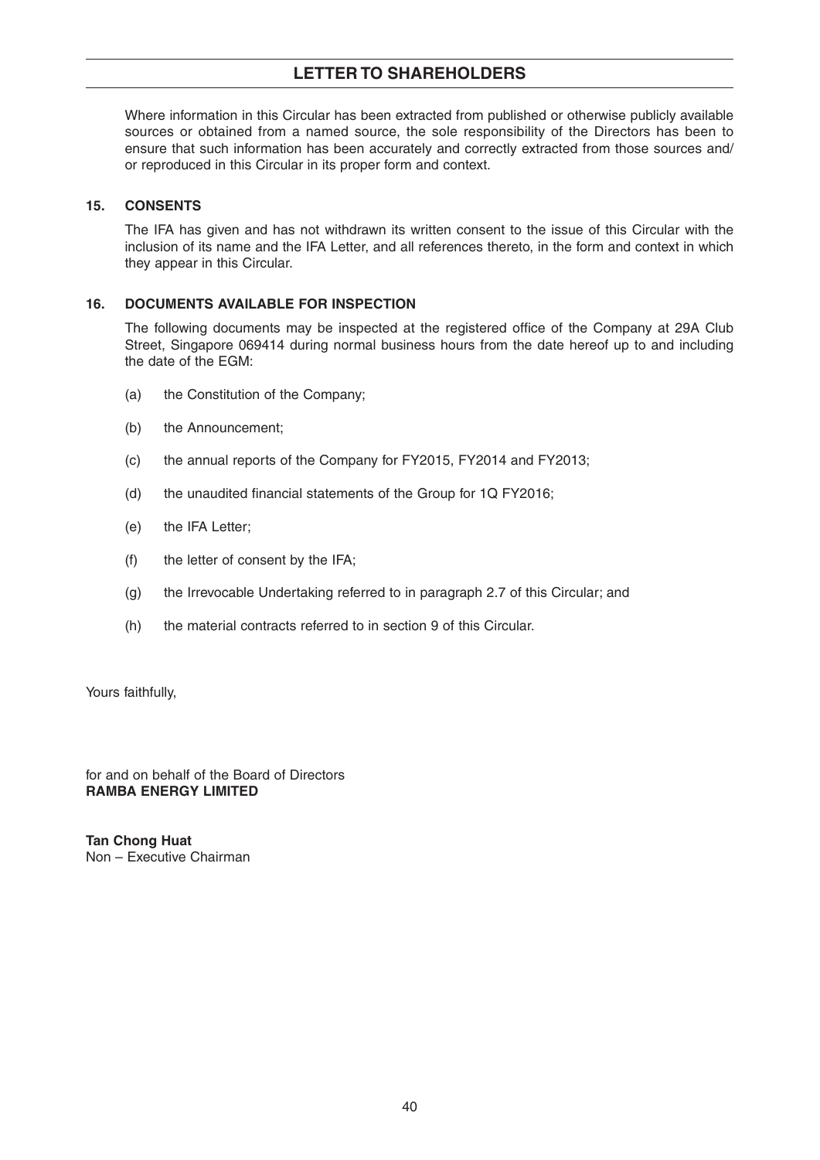# **LETTER TO SHAREHOLDERS**

 Where information in this Circular has been extracted from published or otherwise publicly available sources or obtained from a named source, the sole responsibility of the Directors has been to ensure that such information has been accurately and correctly extracted from those sources and/ or reproduced in this Circular in its proper form and context.

## **15. CONSENTS**

 The IFA has given and has not withdrawn its written consent to the issue of this Circular with the inclusion of its name and the IFA Letter, and all references thereto, in the form and context in which they appear in this Circular.

## **16. DOCUMENTS AVAILABLE FOR INSPECTION**

The following documents may be inspected at the registered office of the Company at 29A Club Street, Singapore 069414 during normal business hours from the date hereof up to and including the date of the EGM:

- (a) the Constitution of the Company;
- (b) the Announcement;
- (c) the annual reports of the Company for FY2015, FY2014 and FY2013;
- (d) the unaudited financial statements of the Group for  $1Q$  FY2016;
- (e) the IFA Letter;
- (f) the letter of consent by the IFA;
- (g) the Irrevocable Undertaking referred to in paragraph 2.7 of this Circular; and
- (h) the material contracts referred to in section 9 of this Circular.

Yours faithfully,

for and on behalf of the Board of Directors **RAMBA ENERGY LIMITED**

**Tan Chong Huat** Non – Executive Chairman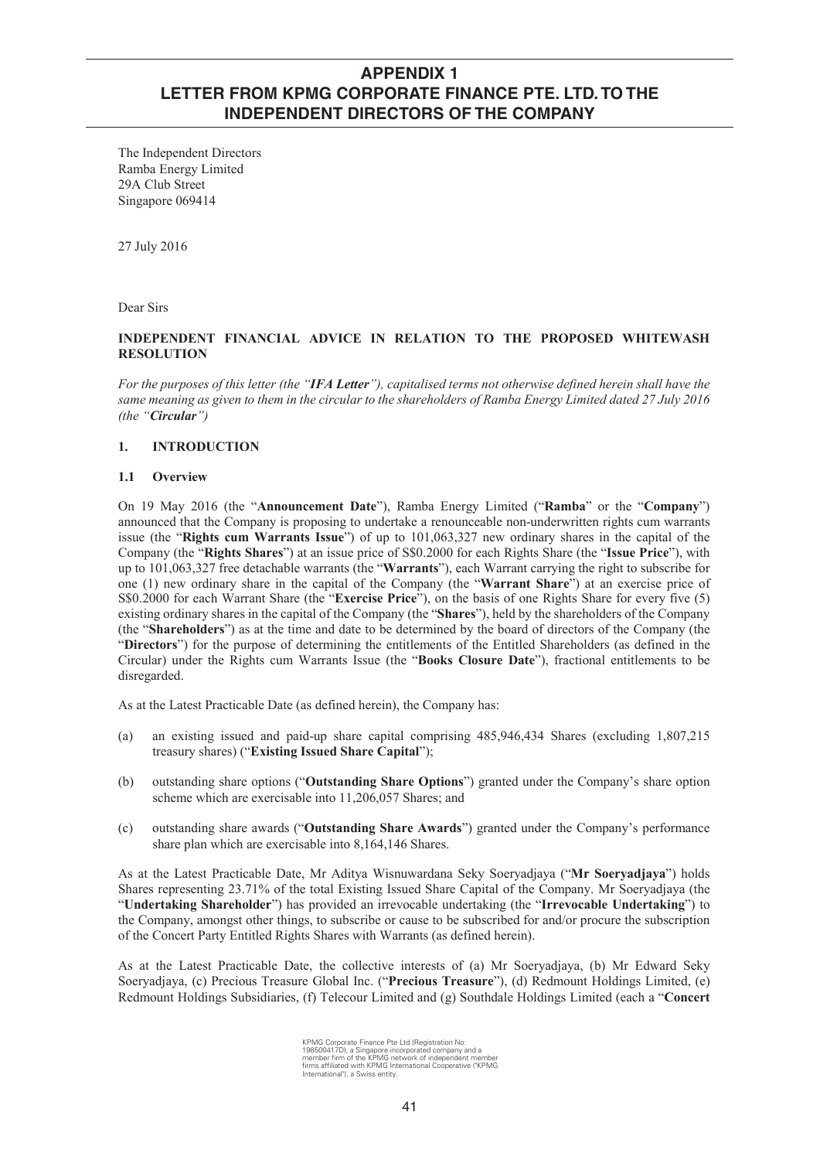The Independent Directors Ramba Energy Limited 29A Club Street Singapore 069414

27 July 2016

Dear Sirs

### **INDEPENDENT FINANCIAL ADVICE IN RELATION TO THE PROPOSED WHITEWASH RESOLUTION**

*For the purposes of this letter (the "IFA Letter"), capitalised terms not otherwise defined herein shall have the same meaning as given to them in the circular to the shareholders of Ramba Energy Limited dated 27 July 2016 (the "Circular")*

## **1. INTRODUCTION**

### **1.1 Overview**

On 19 May 2016 (the "**Announcement Date**"), Ramba Energy Limited ("**Ramba**" or the "**Company**") announced that the Company is proposing to undertake a renounceable non-underwritten rights cum warrants issue (the "**Rights cum Warrants Issue**") of up to 101,063,327 new ordinary shares in the capital of the Company (the "**Rights Shares**") at an issue price of S\$0.2000 for each Rights Share (the "**Issue Price**"), with up to 101,063,327 free detachable warrants (the "**Warrants**"), each Warrant carrying the right to subscribe for one (1) new ordinary share in the capital of the Company (the "**Warrant Share**") at an exercise price of S\$0.2000 for each Warrant Share (the "**Exercise Price**"), on the basis of one Rights Share for every five (5) existing ordinary shares in the capital of the Company (the "**Shares**"), held by the shareholders of the Company (the "**Shareholders**") as at the time and date to be determined by the board of directors of the Company (the "**Directors**") for the purpose of determining the entitlements of the Entitled Shareholders (as defined in the Circular) under the Rights cum Warrants Issue (the "**Books Closure Date**"), fractional entitlements to be disregarded.

As at the Latest Practicable Date (as defined herein), the Company has:

- (a) an existing issued and paid-up share capital comprising 485,946,434 Shares (excluding 1,807,215 treasury shares) ("**Existing Issued Share Capital**");
- (b) outstanding share options ("**Outstanding Share Options**") granted under the Company's share option scheme which are exercisable into 11,206,057 Shares; and
- (c) outstanding share awards ("**Outstanding Share Awards**") granted under the Company's performance share plan which are exercisable into 8,164,146 Shares.

As at the Latest Practicable Date, Mr Aditya Wisnuwardana Seky Soeryadjaya ("**Mr Soeryadjaya**") holds Shares representing 23.71% of the total Existing Issued Share Capital of the Company. Mr Soeryadjaya (the "**Undertaking Shareholder**") has provided an irrevocable undertaking (the "**Irrevocable Undertaking**") to the Company, amongst other things, to subscribe or cause to be subscribed for and/or procure the subscription of the Concert Party Entitled Rights Shares with Warrants (as defined herein).

As at the Latest Practicable Date, the collective interests of (a) Mr Soeryadjaya, (b) Mr Edward Seky Soeryadjaya, (c) Precious Treasure Global Inc. ("**Precious Treasure**"), (d) Redmount Holdings Limited, (e) Redmount Holdings Subsidiaries, (f) Telecour Limited and (g) Southdale Holdings Limited (each a "**Concert** 

KPMG Corporate Finance Pte Ltd (Registration No:<br>198500417D), a Singapore incorporated company and a<br>member firm of the KPMG network of independent member<br>firms affiliated with KPMG International Cooperative ("KPMG<br>Interna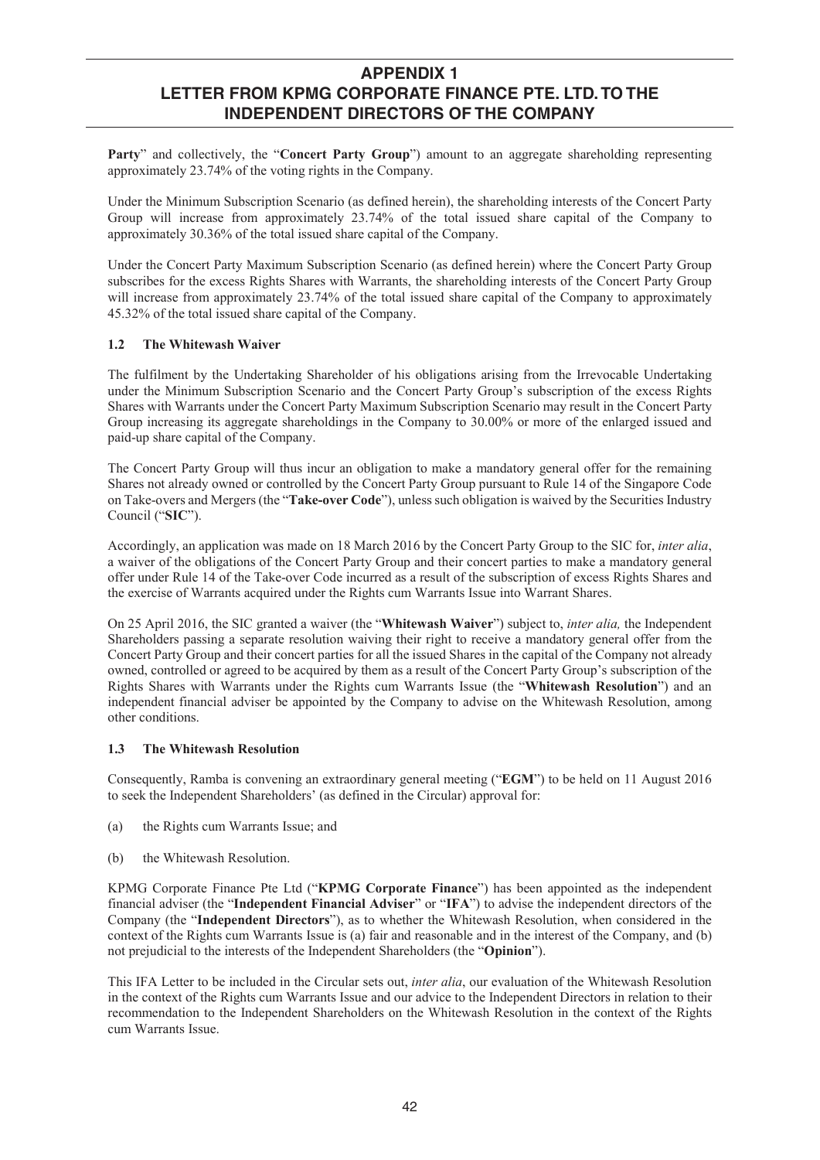**Party**" and collectively, the "**Concert Party Group**") amount to an aggregate shareholding representing approximately 23.74% of the voting rights in the Company.

Under the Minimum Subscription Scenario (as defined herein), the shareholding interests of the Concert Party Group will increase from approximately 23.74% of the total issued share capital of the Company to approximately 30.36% of the total issued share capital of the Company.

Under the Concert Party Maximum Subscription Scenario (as defined herein) where the Concert Party Group subscribes for the excess Rights Shares with Warrants, the shareholding interests of the Concert Party Group will increase from approximately 23.74% of the total issued share capital of the Company to approximately 45.32% of the total issued share capital of the Company.

### **1.2 The Whitewash Waiver**

The fulfilment by the Undertaking Shareholder of his obligations arising from the Irrevocable Undertaking under the Minimum Subscription Scenario and the Concert Party Group's subscription of the excess Rights Shares with Warrants under the Concert Party Maximum Subscription Scenario may result in the Concert Party Group increasing its aggregate shareholdings in the Company to 30.00% or more of the enlarged issued and paid-up share capital of the Company.

The Concert Party Group will thus incur an obligation to make a mandatory general offer for the remaining Shares not already owned or controlled by the Concert Party Group pursuant to Rule 14 of the Singapore Code on Take-overs and Mergers (the "**Take-over Code**"), unless such obligation is waived by the Securities Industry Council ("**SIC**").

Accordingly, an application was made on 18 March 2016 by the Concert Party Group to the SIC for, *inter alia*, a waiver of the obligations of the Concert Party Group and their concert parties to make a mandatory general offer under Rule 14 of the Take-over Code incurred as a result of the subscription of excess Rights Shares and the exercise of Warrants acquired under the Rights cum Warrants Issue into Warrant Shares.

On 25 April 2016, the SIC granted a waiver (the "**Whitewash Waiver**") subject to, *inter alia,* the Independent Shareholders passing a separate resolution waiving their right to receive a mandatory general offer from the Concert Party Group and their concert parties for all the issued Shares in the capital of the Company not already owned, controlled or agreed to be acquired by them as a result of the Concert Party Group's subscription of the Rights Shares with Warrants under the Rights cum Warrants Issue (the "**Whitewash Resolution**") and an independent financial adviser be appointed by the Company to advise on the Whitewash Resolution, among other conditions.

### **1.3 The Whitewash Resolution**

Consequently, Ramba is convening an extraordinary general meeting ("**EGM**") to be held on 11 August 2016 to seek the Independent Shareholders' (as defined in the Circular) approval for:

- (a) the Rights cum Warrants Issue; and
- (b) the Whitewash Resolution.

KPMG Corporate Finance Pte Ltd ("**KPMG Corporate Finance**") has been appointed as the independent financial adviser (the "**Independent Financial Adviser**" or "**IFA**") to advise the independent directors of the Company (the "**Independent Directors**"), as to whether the Whitewash Resolution, when considered in the context of the Rights cum Warrants Issue is (a) fair and reasonable and in the interest of the Company, and (b) not prejudicial to the interests of the Independent Shareholders (the "**Opinion**").

This IFA Letter to be included in the Circular sets out, *inter alia*, our evaluation of the Whitewash Resolution in the context of the Rights cum Warrants Issue and our advice to the Independent Directors in relation to their recommendation to the Independent Shareholders on the Whitewash Resolution in the context of the Rights cum Warrants Issue.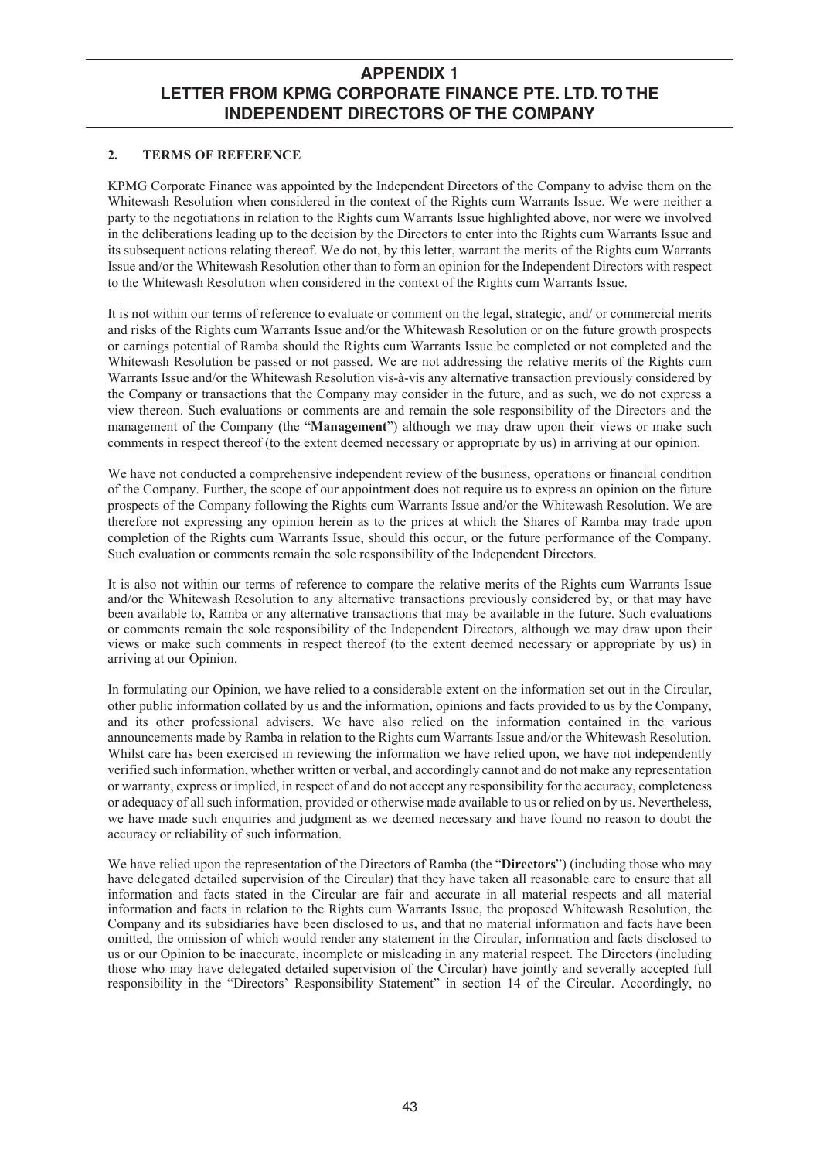### **2. TERMS OF REFERENCE**

KPMG Corporate Finance was appointed by the Independent Directors of the Company to advise them on the Whitewash Resolution when considered in the context of the Rights cum Warrants Issue. We were neither a party to the negotiations in relation to the Rights cum Warrants Issue highlighted above, nor were we involved in the deliberations leading up to the decision by the Directors to enter into the Rights cum Warrants Issue and its subsequent actions relating thereof. We do not, by this letter, warrant the merits of the Rights cum Warrants Issue and/or the Whitewash Resolution other than to form an opinion for the Independent Directors with respect to the Whitewash Resolution when considered in the context of the Rights cum Warrants Issue.

It is not within our terms of reference to evaluate or comment on the legal, strategic, and/ or commercial merits and risks of the Rights cum Warrants Issue and/or the Whitewash Resolution or on the future growth prospects or earnings potential of Ramba should the Rights cum Warrants Issue be completed or not completed and the Whitewash Resolution be passed or not passed. We are not addressing the relative merits of the Rights cum Warrants Issue and/or the Whitewash Resolution vis-à-vis any alternative transaction previously considered by the Company or transactions that the Company may consider in the future, and as such, we do not express a view thereon. Such evaluations or comments are and remain the sole responsibility of the Directors and the management of the Company (the "**Management**") although we may draw upon their views or make such comments in respect thereof (to the extent deemed necessary or appropriate by us) in arriving at our opinion.

We have not conducted a comprehensive independent review of the business, operations or financial condition of the Company. Further, the scope of our appointment does not require us to express an opinion on the future prospects of the Company following the Rights cum Warrants Issue and/or the Whitewash Resolution. We are therefore not expressing any opinion herein as to the prices at which the Shares of Ramba may trade upon completion of the Rights cum Warrants Issue, should this occur, or the future performance of the Company. Such evaluation or comments remain the sole responsibility of the Independent Directors.

It is also not within our terms of reference to compare the relative merits of the Rights cum Warrants Issue and/or the Whitewash Resolution to any alternative transactions previously considered by, or that may have been available to, Ramba or any alternative transactions that may be available in the future. Such evaluations or comments remain the sole responsibility of the Independent Directors, although we may draw upon their views or make such comments in respect thereof (to the extent deemed necessary or appropriate by us) in arriving at our Opinion.

In formulating our Opinion, we have relied to a considerable extent on the information set out in the Circular, other public information collated by us and the information, opinions and facts provided to us by the Company, and its other professional advisers. We have also relied on the information contained in the various announcements made by Ramba in relation to the Rights cum Warrants Issue and/or the Whitewash Resolution. Whilst care has been exercised in reviewing the information we have relied upon, we have not independently verified such information, whether written or verbal, and accordingly cannot and do not make any representation or warranty, express or implied, in respect of and do not accept any responsibility for the accuracy, completeness or adequacy of all such information, provided or otherwise made available to us or relied on by us. Nevertheless, we have made such enquiries and judgment as we deemed necessary and have found no reason to doubt the accuracy or reliability of such information.

We have relied upon the representation of the Directors of Ramba (the "**Directors**") (including those who may have delegated detailed supervision of the Circular) that they have taken all reasonable care to ensure that all information and facts stated in the Circular are fair and accurate in all material respects and all material information and facts in relation to the Rights cum Warrants Issue, the proposed Whitewash Resolution, the Company and its subsidiaries have been disclosed to us, and that no material information and facts have been omitted, the omission of which would render any statement in the Circular, information and facts disclosed to us or our Opinion to be inaccurate, incomplete or misleading in any material respect. The Directors (including those who may have delegated detailed supervision of the Circular) have jointly and severally accepted full responsibility in the "Directors' Responsibility Statement" in section 14 of the Circular. Accordingly, no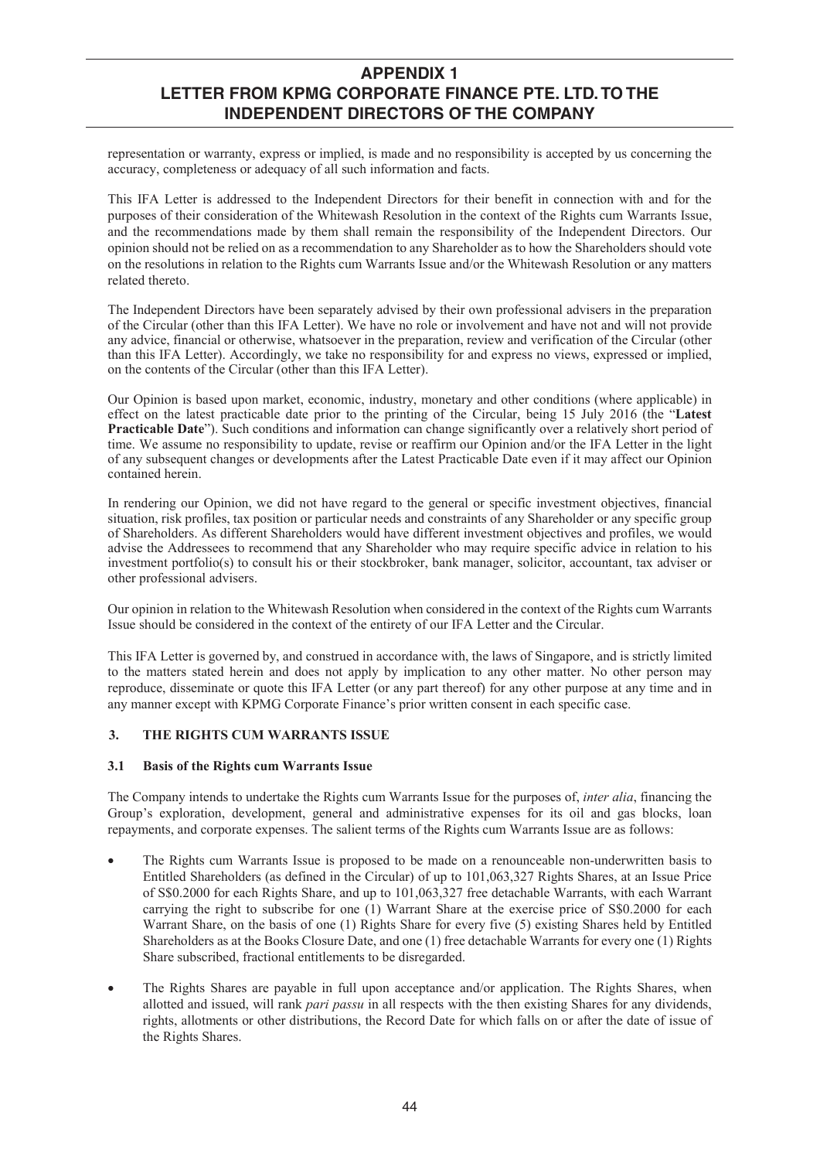representation or warranty, express or implied, is made and no responsibility is accepted by us concerning the accuracy, completeness or adequacy of all such information and facts.

This IFA Letter is addressed to the Independent Directors for their benefit in connection with and for the purposes of their consideration of the Whitewash Resolution in the context of the Rights cum Warrants Issue, and the recommendations made by them shall remain the responsibility of the Independent Directors. Our opinion should not be relied on as a recommendation to any Shareholder as to how the Shareholders should vote on the resolutions in relation to the Rights cum Warrants Issue and/or the Whitewash Resolution or any matters related thereto.

The Independent Directors have been separately advised by their own professional advisers in the preparation of the Circular (other than this IFA Letter). We have no role or involvement and have not and will not provide any advice, financial or otherwise, whatsoever in the preparation, review and verification of the Circular (other than this IFA Letter). Accordingly, we take no responsibility for and express no views, expressed or implied, on the contents of the Circular (other than this IFA Letter).

Our Opinion is based upon market, economic, industry, monetary and other conditions (where applicable) in effect on the latest practicable date prior to the printing of the Circular, being 15 July 2016 (the "**Latest Practicable Date**"). Such conditions and information can change significantly over a relatively short period of time. We assume no responsibility to update, revise or reaffirm our Opinion and/or the IFA Letter in the light of any subsequent changes or developments after the Latest Practicable Date even if it may affect our Opinion contained herein.

In rendering our Opinion, we did not have regard to the general or specific investment objectives, financial situation, risk profiles, tax position or particular needs and constraints of any Shareholder or any specific group of Shareholders. As different Shareholders would have different investment objectives and profiles, we would advise the Addressees to recommend that any Shareholder who may require specific advice in relation to his investment portfolio(s) to consult his or their stockbroker, bank manager, solicitor, accountant, tax adviser or other professional advisers.

Our opinion in relation to the Whitewash Resolution when considered in the context of the Rights cum Warrants Issue should be considered in the context of the entirety of our IFA Letter and the Circular.

This IFA Letter is governed by, and construed in accordance with, the laws of Singapore, and is strictly limited to the matters stated herein and does not apply by implication to any other matter. No other person may reproduce, disseminate or quote this IFA Letter (or any part thereof) for any other purpose at any time and in any manner except with KPMG Corporate Finance's prior written consent in each specific case.

### **3. THE RIGHTS CUM WARRANTS ISSUE**

### **3.1 Basis of the Rights cum Warrants Issue**

The Company intends to undertake the Rights cum Warrants Issue for the purposes of, *inter alia*, financing the Group's exploration, development, general and administrative expenses for its oil and gas blocks, loan repayments, and corporate expenses. The salient terms of the Rights cum Warrants Issue are as follows:

- The Rights cum Warrants Issue is proposed to be made on a renounceable non-underwritten basis to Entitled Shareholders (as defined in the Circular) of up to 101,063,327 Rights Shares, at an Issue Price of S\$0.2000 for each Rights Share, and up to 101,063,327 free detachable Warrants, with each Warrant carrying the right to subscribe for one  $(1)$  Warrant Share at the exercise price of  $$80.2000$  for each Warrant Share, on the basis of one (1) Rights Share for every five (5) existing Shares held by Entitled Shareholders as at the Books Closure Date, and one (1) free detachable Warrants for every one (1) Rights Share subscribed, fractional entitlements to be disregarded.
- The Rights Shares are payable in full upon acceptance and/or application. The Rights Shares, when allotted and issued, will rank *pari passu* in all respects with the then existing Shares for any dividends, rights, allotments or other distributions, the Record Date for which falls on or after the date of issue of the Rights Shares.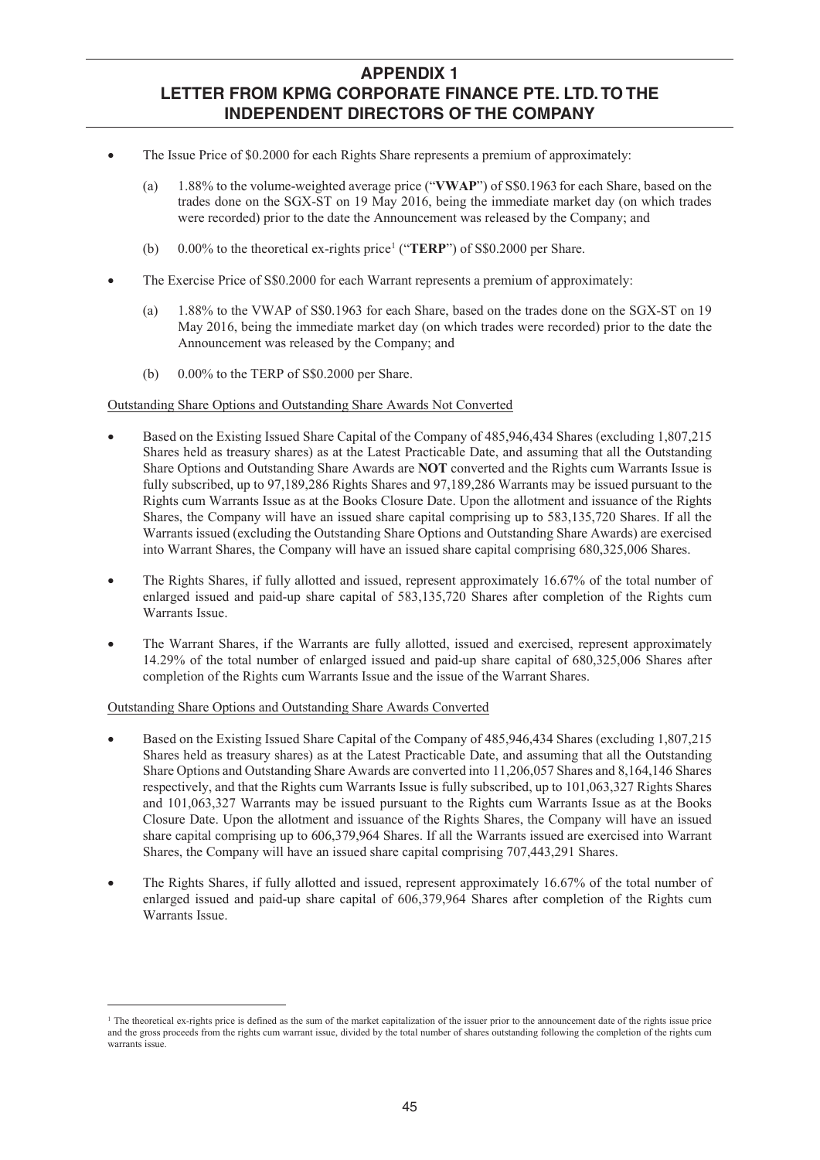- The Issue Price of \$0.2000 for each Rights Share represents a premium of approximately:
	- (a) 1.88% to the volume-weighted average price ("**VWAP**") of S\$0.1963 for each Share, based on the trades done on the SGX-ST on 19 May 2016, being the immediate market day (on which trades were recorded) prior to the date the Announcement was released by the Company; and
	- (b) 0.00% to the theoretical ex-rights price1 ("**TERP**") of S\$0.2000 per Share.
- The Exercise Price of S\$0.2000 for each Warrant represents a premium of approximately:
	- (a) 1.88% to the VWAP of S\$0.1963 for each Share, based on the trades done on the SGX-ST on 19 May 2016, being the immediate market day (on which trades were recorded) prior to the date the Announcement was released by the Company; and
	- (b) 0.00% to the TERP of S\$0.2000 per Share.

### Outstanding Share Options and Outstanding Share Awards Not Converted

- x Based on the Existing Issued Share Capital of the Company of 485,946,434 Shares (excluding 1,807,215 Shares held as treasury shares) as at the Latest Practicable Date, and assuming that all the Outstanding Share Options and Outstanding Share Awards are **NOT** converted and the Rights cum Warrants Issue is fully subscribed, up to 97,189,286 Rights Shares and 97,189,286 Warrants may be issued pursuant to the Rights cum Warrants Issue as at the Books Closure Date. Upon the allotment and issuance of the Rights Shares, the Company will have an issued share capital comprising up to 583,135,720 Shares. If all the Warrants issued (excluding the Outstanding Share Options and Outstanding Share Awards) are exercised into Warrant Shares, the Company will have an issued share capital comprising 680,325,006 Shares.
- The Rights Shares, if fully allotted and issued, represent approximately 16.67% of the total number of enlarged issued and paid-up share capital of 583,135,720 Shares after completion of the Rights cum Warrants Issue.
- The Warrant Shares, if the Warrants are fully allotted, issued and exercised, represent approximately 14.29% of the total number of enlarged issued and paid-up share capital of 680,325,006 Shares after completion of the Rights cum Warrants Issue and the issue of the Warrant Shares.

### Outstanding Share Options and Outstanding Share Awards Converted

-

- x Based on the Existing Issued Share Capital of the Company of 485,946,434 Shares (excluding 1,807,215 Shares held as treasury shares) as at the Latest Practicable Date, and assuming that all the Outstanding Share Options and Outstanding Share Awards are converted into 11,206,057 Shares and 8,164,146 Shares respectively, and that the Rights cum Warrants Issue is fully subscribed, up to 101,063,327 Rights Shares and 101,063,327 Warrants may be issued pursuant to the Rights cum Warrants Issue as at the Books Closure Date. Upon the allotment and issuance of the Rights Shares, the Company will have an issued share capital comprising up to 606,379,964 Shares. If all the Warrants issued are exercised into Warrant Shares, the Company will have an issued share capital comprising 707,443,291 Shares.
- x The Rights Shares, if fully allotted and issued, represent approximately 16.67% of the total number of enlarged issued and paid-up share capital of 606,379,964 Shares after completion of the Rights cum Warrants Issue.

 $1$  The theoretical ex-rights price is defined as the sum of the market capitalization of the issuer prior to the announcement date of the rights issue price and the gross proceeds from the rights cum warrant issue, divided by the total number of shares outstanding following the completion of the rights cum warrants issue.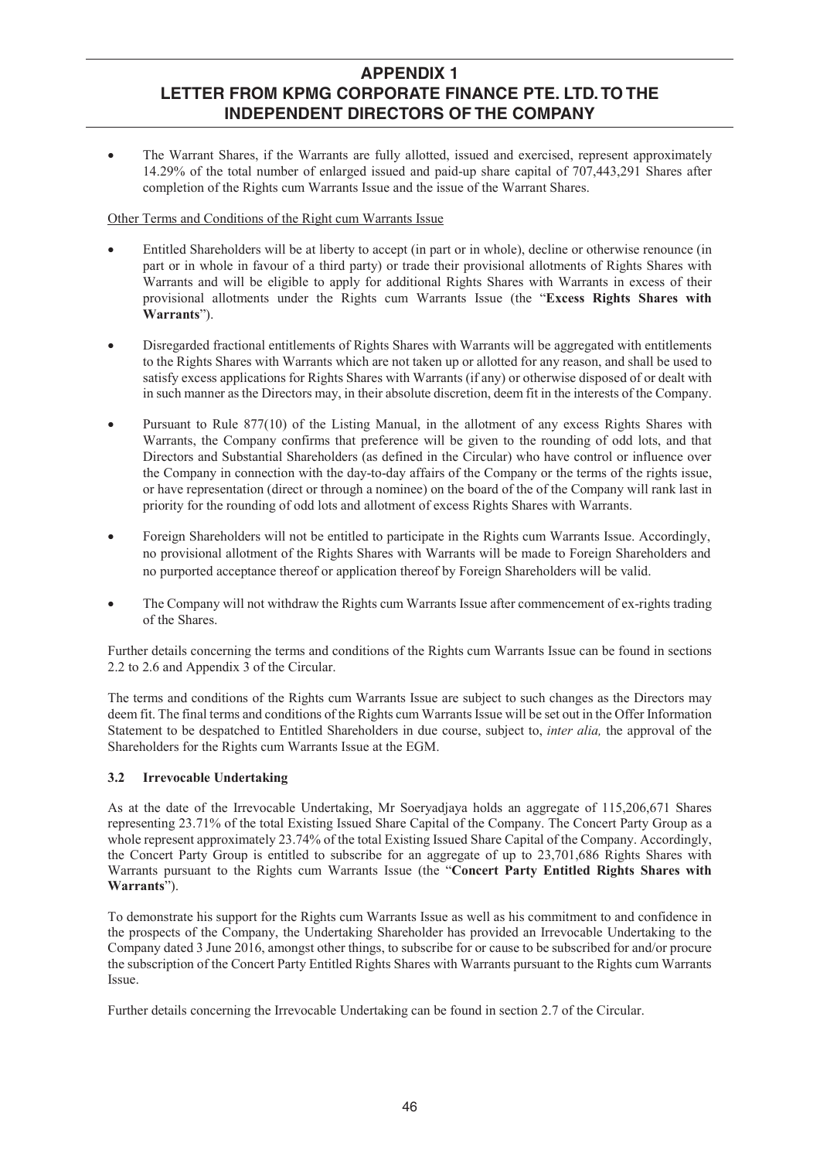x The Warrant Shares, if the Warrants are fully allotted, issued and exercised, represent approximately 14.29% of the total number of enlarged issued and paid-up share capital of 707,443,291 Shares after completion of the Rights cum Warrants Issue and the issue of the Warrant Shares.

### Other Terms and Conditions of the Right cum Warrants Issue

- Entitled Shareholders will be at liberty to accept (in part or in whole), decline or otherwise renounce (in part or in whole in favour of a third party) or trade their provisional allotments of Rights Shares with Warrants and will be eligible to apply for additional Rights Shares with Warrants in excess of their provisional allotments under the Rights cum Warrants Issue (the "**Excess Rights Shares with Warrants**").
- Disregarded fractional entitlements of Rights Shares with Warrants will be aggregated with entitlements to the Rights Shares with Warrants which are not taken up or allotted for any reason, and shall be used to satisfy excess applications for Rights Shares with Warrants (if any) or otherwise disposed of or dealt with in such manner as the Directors may, in their absolute discretion, deem fit in the interests of the Company.
- Pursuant to Rule 877(10) of the Listing Manual, in the allotment of any excess Rights Shares with Warrants, the Company confirms that preference will be given to the rounding of odd lots, and that Directors and Substantial Shareholders (as defined in the Circular) who have control or influence over the Company in connection with the day-to-day affairs of the Company or the terms of the rights issue, or have representation (direct or through a nominee) on the board of the of the Company will rank last in priority for the rounding of odd lots and allotment of excess Rights Shares with Warrants.
- Foreign Shareholders will not be entitled to participate in the Rights cum Warrants Issue. Accordingly, no provisional allotment of the Rights Shares with Warrants will be made to Foreign Shareholders and no purported acceptance thereof or application thereof by Foreign Shareholders will be valid.
- The Company will not withdraw the Rights cum Warrants Issue after commencement of ex-rights trading of the Shares.

Further details concerning the terms and conditions of the Rights cum Warrants Issue can be found in sections 2.2 to 2.6 and Appendix 3 of the Circular.

The terms and conditions of the Rights cum Warrants Issue are subject to such changes as the Directors may deem fit. The final terms and conditions of the Rights cum Warrants Issue will be set out in the Offer Information Statement to be despatched to Entitled Shareholders in due course, subject to, *inter alia,* the approval of the Shareholders for the Rights cum Warrants Issue at the EGM.

## **3.2 Irrevocable Undertaking**

As at the date of the Irrevocable Undertaking, Mr Soeryadjaya holds an aggregate of 115,206,671 Shares representing 23.71% of the total Existing Issued Share Capital of the Company. The Concert Party Group as a whole represent approximately 23.74% of the total Existing Issued Share Capital of the Company. Accordingly, the Concert Party Group is entitled to subscribe for an aggregate of up to 23,701,686 Rights Shares with Warrants pursuant to the Rights cum Warrants Issue (the "**Concert Party Entitled Rights Shares with Warrants**").

To demonstrate his support for the Rights cum Warrants Issue as well as his commitment to and confidence in the prospects of the Company, the Undertaking Shareholder has provided an Irrevocable Undertaking to the Company dated 3 June 2016, amongst other things, to subscribe for or cause to be subscribed for and/or procure the subscription of the Concert Party Entitled Rights Shares with Warrants pursuant to the Rights cum Warrants Issue.

Further details concerning the Irrevocable Undertaking can be found in section 2.7 of the Circular.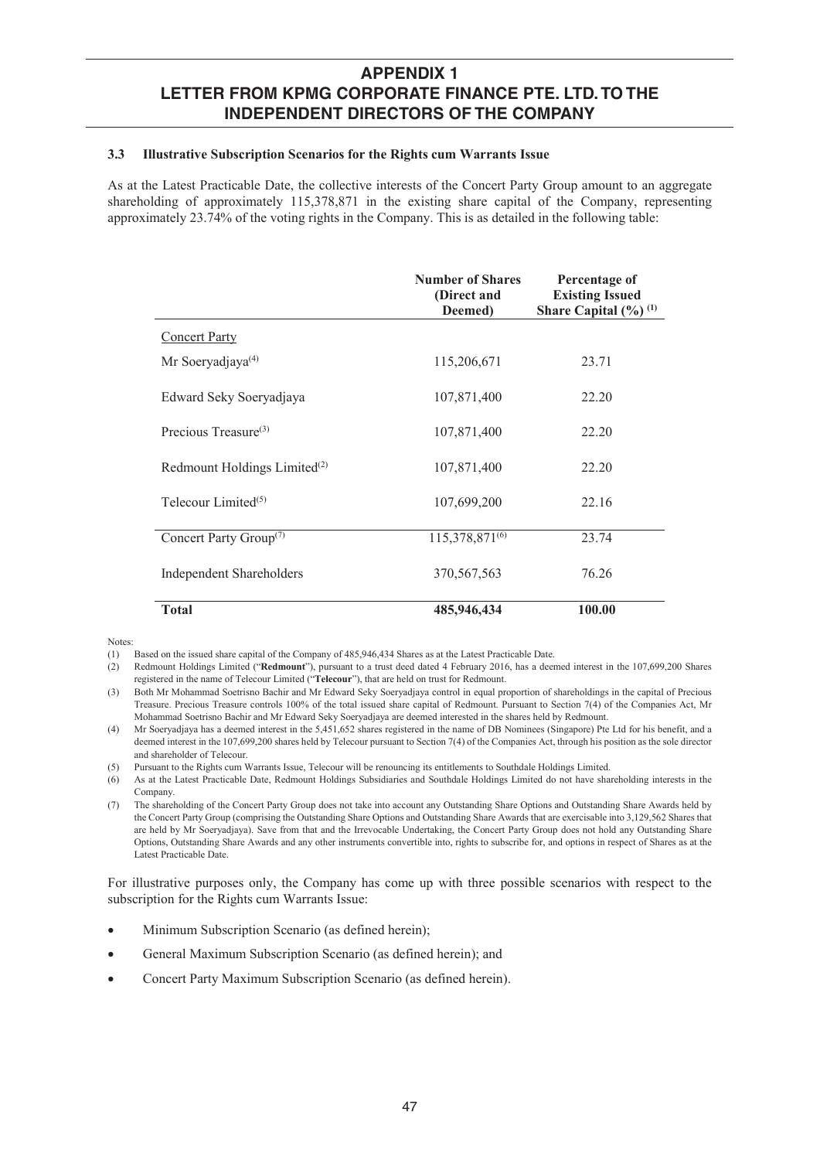### **3.3 Illustrative Subscription Scenarios for the Rights cum Warrants Issue**

As at the Latest Practicable Date, the collective interests of the Concert Party Group amount to an aggregate shareholding of approximately 115,378,871 in the existing share capital of the Company, representing approximately 23.74% of the voting rights in the Company. This is as detailed in the following table:

|                                          | <b>Number of Shares</b><br>(Direct and<br>Deemed) | Percentage of<br><b>Existing Issued</b><br>Share Capital $(\frac{9}{6})^{(1)}$ |
|------------------------------------------|---------------------------------------------------|--------------------------------------------------------------------------------|
| <b>Concert Party</b>                     |                                                   |                                                                                |
| Mr Soeryadjaya $(4)$                     | 115,206,671                                       | 23.71                                                                          |
| Edward Seky Soeryadjaya                  | 107,871,400                                       | 22.20                                                                          |
| Precious Treasure $(3)$                  | 107,871,400                                       | 22.20                                                                          |
| Redmount Holdings Limited <sup>(2)</sup> | 107,871,400                                       | 22.20                                                                          |
| Telecour Limited <sup>(5)</sup>          | 107,699,200                                       | 22.16                                                                          |
| Concert Party Group <sup>(7)</sup>       | 115,378,871 <sup>(6)</sup>                        | 23.74                                                                          |
| Independent Shareholders                 | 370, 567, 563                                     | 76.26                                                                          |
| <b>Total</b>                             | 485,946,434                                       | 100.00                                                                         |

Notes:

For illustrative purposes only, the Company has come up with three possible scenarios with respect to the subscription for the Rights cum Warrants Issue:

- Minimum Subscription Scenario (as defined herein);
- General Maximum Subscription Scenario (as defined herein); and
- Concert Party Maximum Subscription Scenario (as defined herein).

<sup>(1)</sup> Based on the issued share capital of the Company of 485,946,434 Shares as at the Latest Practicable Date.

<sup>(2)</sup> Redmount Holdings Limited ("**Redmount**"), pursuant to a trust deed dated 4 February 2016, has a deemed interest in the 107,699,200 Shares registered in the name of Telecour Limited ("**Telecour**"), that are held on trust for Redmount.

<sup>(3)</sup> Both Mr Mohammad Soetrisno Bachir and Mr Edward Seky Soeryadjaya control in equal proportion of shareholdings in the capital of Precious Treasure. Precious Treasure controls 100% of the total issued share capital of Redmount. Pursuant to Section 7(4) of the Companies Act, Mr Mohammad Soetrisno Bachir and Mr Edward Seky Soeryadjaya are deemed interested in the shares held by Redmount.

<sup>(4)</sup> Mr Soeryadjaya has a deemed interest in the 5,451,652 shares registered in the name of DB Nominees (Singapore) Pte Ltd for his benefit, and a deemed interest in the 107,699,200 shares held by Telecour pursuant to Section 7(4) of the Companies Act, through his position as the sole director and shareholder of Telecour.

<sup>(5)</sup> Pursuant to the Rights cum Warrants Issue, Telecour will be renouncing its entitlements to Southdale Holdings Limited.

<sup>(6)</sup> As at the Latest Practicable Date, Redmount Holdings Subsidiaries and Southdale Holdings Limited do not have shareholding interests in the Company.

<sup>(7)</sup> The shareholding of the Concert Party Group does not take into account any Outstanding Share Options and Outstanding Share Awards held by the Concert Party Group (comprising the Outstanding Share Options and Outstanding Share Awards that are exercisable into 3,129,562 Shares that are held by Mr Soeryadjaya). Save from that and the Irrevocable Undertaking, the Concert Party Group does not hold any Outstanding Share Options, Outstanding Share Awards and any other instruments convertible into, rights to subscribe for, and options in respect of Shares as at the Latest Practicable Date.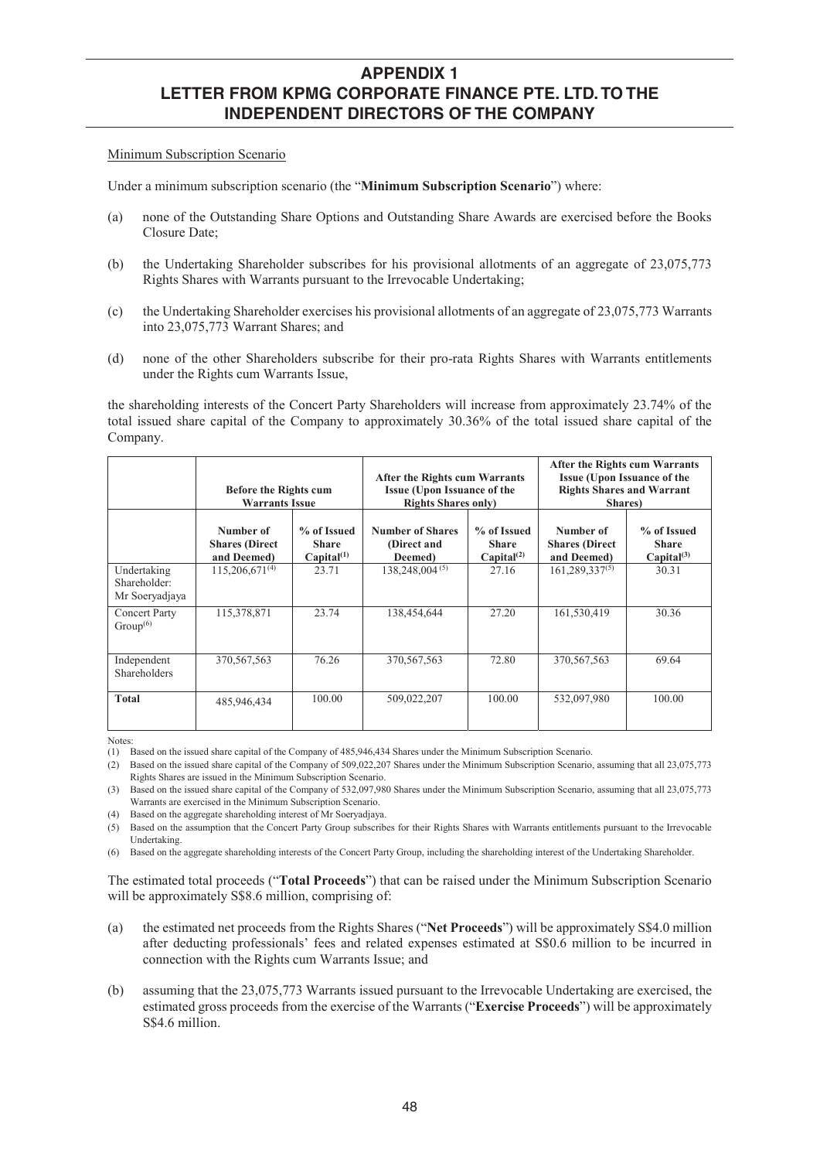#### Minimum Subscription Scenario

Under a minimum subscription scenario (the "**Minimum Subscription Scenario**") where:

- (a) none of the Outstanding Share Options and Outstanding Share Awards are exercised before the Books Closure Date;
- (b) the Undertaking Shareholder subscribes for his provisional allotments of an aggregate of 23,075,773 Rights Shares with Warrants pursuant to the Irrevocable Undertaking;
- (c) the Undertaking Shareholder exercises his provisional allotments of an aggregate of 23,075,773 Warrants into 23,075,773 Warrant Shares; and
- (d) none of the other Shareholders subscribe for their pro-rata Rights Shares with Warrants entitlements under the Rights cum Warrants Issue,

the shareholding interests of the Concert Party Shareholders will increase from approximately 23.74% of the total issued share capital of the Company to approximately 30.36% of the total issued share capital of the Company.

|                                               | <b>Before the Rights cum</b><br><b>Warrants Issue</b> |                                                       | <b>After the Rights cum Warrants</b><br><b>Issue (Upon Issuance of the</b><br><b>Rights Shares only)</b> |                                                       | After the Rights cum Warrants<br><b>Issue (Upon Issuance of the</b><br><b>Rights Shares and Warrant</b><br>Shares) |                                                |  |
|-----------------------------------------------|-------------------------------------------------------|-------------------------------------------------------|----------------------------------------------------------------------------------------------------------|-------------------------------------------------------|--------------------------------------------------------------------------------------------------------------------|------------------------------------------------|--|
|                                               | Number of<br><b>Shares</b> (Direct<br>and Deemed)     | % of Issued<br><b>Share</b><br>Canital <sup>(1)</sup> | <b>Number of Shares</b><br>(Direct and<br>Deemed)                                                        | % of Issued<br><b>Share</b><br>Canital <sup>(2)</sup> | Number of<br><b>Shares (Direct)</b><br>and Deemed)                                                                 | % of Issued<br><b>Share</b><br>$Capital^{(3)}$ |  |
| Undertaking<br>Shareholder:<br>Mr Soeryadjaya | $115,206,671^{(4)}$                                   | 23.71                                                 | $138,248,004^{(5)}$                                                                                      | 27.16                                                 | $161,289,337^{(5)}$                                                                                                | 30.31                                          |  |
| Concert Party<br>Group <sup>(6)</sup>         | 115,378,871                                           | 23.74                                                 | 138,454,644                                                                                              | 27.20                                                 | 161,530,419                                                                                                        | 30.36                                          |  |
| Independent<br>Shareholders                   | 370, 567, 563                                         | 76.26                                                 | 370, 567, 563                                                                                            | 72.80                                                 | 370, 567, 563                                                                                                      | 69.64                                          |  |
| <b>Total</b>                                  | 485,946,434                                           | 100.00                                                | 509,022,207                                                                                              | 100.00                                                | 532,097,980                                                                                                        | 100.00                                         |  |

Notes:

(4) Based on the aggregate shareholding interest of Mr Soeryadjaya.

(5) Based on the assumption that the Concert Party Group subscribes for their Rights Shares with Warrants entitlements pursuant to the Irrevocable Undertaking.

(6) Based on the aggregate shareholding interests of the Concert Party Group, including the shareholding interest of the Undertaking Shareholder.

The estimated total proceeds ("**Total Proceeds**") that can be raised under the Minimum Subscription Scenario will be approximately S\$8.6 million, comprising of:

- (a) the estimated net proceeds from the Rights Shares ("**Net Proceeds**") will be approximately S\$4.0 million after deducting professionals' fees and related expenses estimated at S\$0.6 million to be incurred in connection with the Rights cum Warrants Issue; and
- (b) assuming that the 23,075,773 Warrants issued pursuant to the Irrevocable Undertaking are exercised, the estimated gross proceeds from the exercise of the Warrants ("**Exercise Proceeds**") will be approximately S\$4.6 million.

<sup>(1)</sup> Based on the issued share capital of the Company of 485,946,434 Shares under the Minimum Subscription Scenario.

<sup>(2)</sup> Based on the issued share capital of the Company of 509,022,207 Shares under the Minimum Subscription Scenario, assuming that all 23,075,773 Rights Shares are issued in the Minimum Subscription Scenario.

<sup>(3)</sup> Based on the issued share capital of the Company of 532,097,980 Shares under the Minimum Subscription Scenario, assuming that all 23,075,773 Warrants are exercised in the Minimum Subscription Scenario.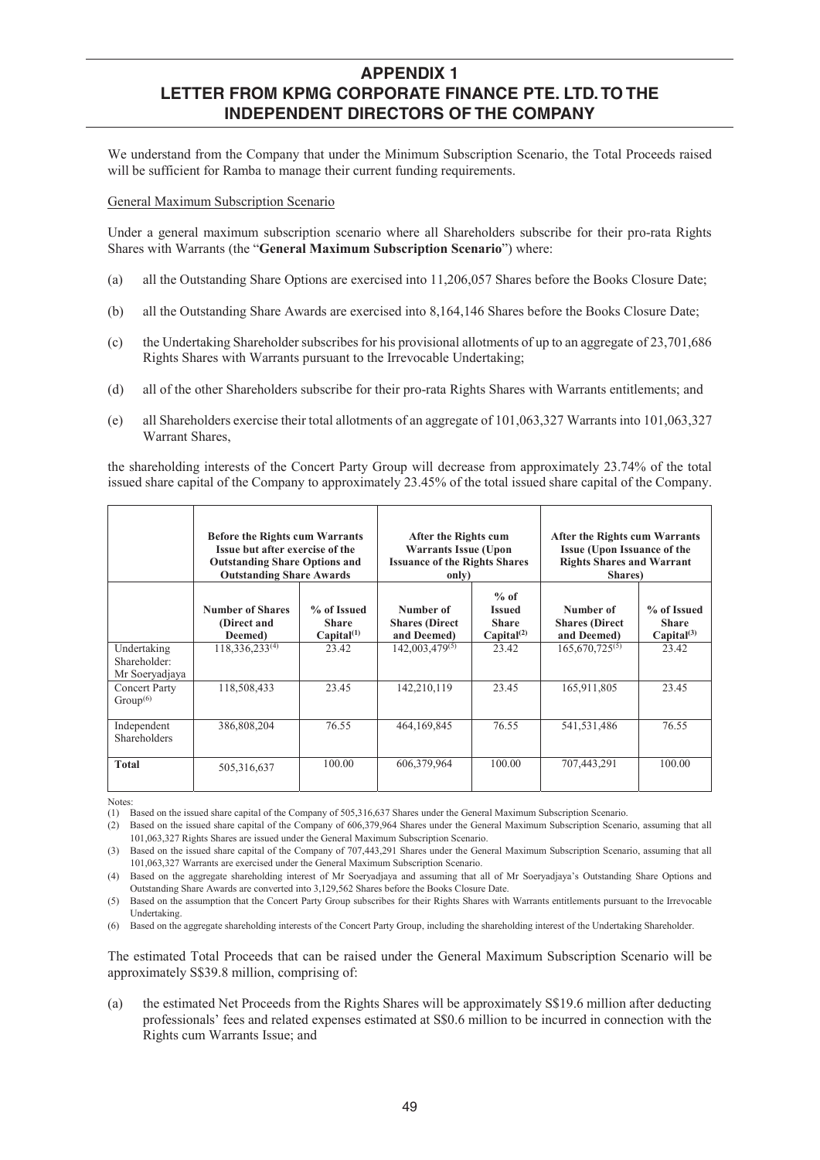We understand from the Company that under the Minimum Subscription Scenario, the Total Proceeds raised will be sufficient for Ramba to manage their current funding requirements.

General Maximum Subscription Scenario

Under a general maximum subscription scenario where all Shareholders subscribe for their pro-rata Rights Shares with Warrants (the "**General Maximum Subscription Scenario**") where:

- (a) all the Outstanding Share Options are exercised into 11,206,057 Shares before the Books Closure Date;
- (b) all the Outstanding Share Awards are exercised into 8,164,146 Shares before the Books Closure Date;
- (c) the Undertaking Shareholder subscribes for his provisional allotments of up to an aggregate of 23,701,686 Rights Shares with Warrants pursuant to the Irrevocable Undertaking;
- (d) all of the other Shareholders subscribe for their pro-rata Rights Shares with Warrants entitlements; and
- (e) all Shareholders exercise their total allotments of an aggregate of 101,063,327 Warrants into 101,063,327 Warrant Shares,

the shareholding interests of the Concert Party Group will decrease from approximately 23.74% of the total issued share capital of the Company to approximately 23.45% of the total issued share capital of the Company.

|                                               | <b>Before the Rights cum Warrants</b><br>Issue but after exercise of the<br><b>Outstanding Share Options and</b><br><b>Outstanding Share Awards</b> |                                                       | After the Rights cum<br><b>Warrants Issue (Upon</b><br><b>Issuance of the Rights Shares</b><br>only) |                                                                   | After the Rights cum Warrants<br><b>Issue (Upon Issuance of the</b><br><b>Rights Shares and Warrant</b><br><b>Shares</b> ) |                                                |  |
|-----------------------------------------------|-----------------------------------------------------------------------------------------------------------------------------------------------------|-------------------------------------------------------|------------------------------------------------------------------------------------------------------|-------------------------------------------------------------------|----------------------------------------------------------------------------------------------------------------------------|------------------------------------------------|--|
|                                               | <b>Number of Shares</b><br>(Direct and<br>Deemed)                                                                                                   | % of Issued<br><b>Share</b><br>Canital <sup>(1)</sup> | Number of<br><b>Shares (Direct)</b><br>and Deemed)                                                   | $%$ of<br><b>Issued</b><br><b>Share</b><br>Canital <sup>(2)</sup> | Number of<br><b>Shares</b> (Direct<br>and Deemed)                                                                          | % of Issued<br><b>Share</b><br>$Capital^{(3)}$ |  |
| Undertaking<br>Shareholder:<br>Mr Soeryadjaya | $118,336,233^{(4)}$                                                                                                                                 | 23.42                                                 | $142,003,479^{(5)}$                                                                                  | 23.42                                                             | $165,670,725^{(5)}$                                                                                                        | 23.42                                          |  |
| <b>Concert Party</b><br>Group <sup>(6)</sup>  | 118,508,433                                                                                                                                         | 23.45                                                 | 142,210,119                                                                                          | 23.45                                                             | 165,911,805                                                                                                                | 23.45                                          |  |
| Independent<br><b>Shareholders</b>            | 386,808,204                                                                                                                                         | 76.55                                                 | 464, 169, 845                                                                                        | 76.55                                                             | 541,531,486                                                                                                                | 76.55                                          |  |
| <b>Total</b>                                  | 505,316,637                                                                                                                                         | 100.00                                                | 606,379,964                                                                                          | 100.00                                                            | 707,443,291                                                                                                                | 100.00                                         |  |

Notes:

(1) Based on the issued share capital of the Company of 505,316,637 Shares under the General Maximum Subscription Scenario.

(2) Based on the issued share capital of the Company of 606,379,964 Shares under the General Maximum Subscription Scenario, assuming that all 101,063,327 Rights Shares are issued under the General Maximum Subscription Scenario.

(4) Based on the aggregate shareholding interest of Mr Soeryadjaya and assuming that all of Mr Soeryadjaya's Outstanding Share Options and Outstanding Share Awards are converted into 3,129,562 Shares before the Books Closure Date.

Based on the assumption that the Concert Party Group subscribes for their Rights Shares with Warrants entitlements pursuant to the Irrevocable Undertaking.

(6) Based on the aggregate shareholding interests of the Concert Party Group, including the shareholding interest of the Undertaking Shareholder.

The estimated Total Proceeds that can be raised under the General Maximum Subscription Scenario will be approximately S\$39.8 million, comprising of:

(a) the estimated Net Proceeds from the Rights Shares will be approximately S\$19.6 million after deducting professionals' fees and related expenses estimated at S\$0.6 million to be incurred in connection with the Rights cum Warrants Issue; and

<sup>(3)</sup> Based on the issued share capital of the Company of 707,443,291 Shares under the General Maximum Subscription Scenario, assuming that all 101,063,327 Warrants are exercised under the General Maximum Subscription Scenario.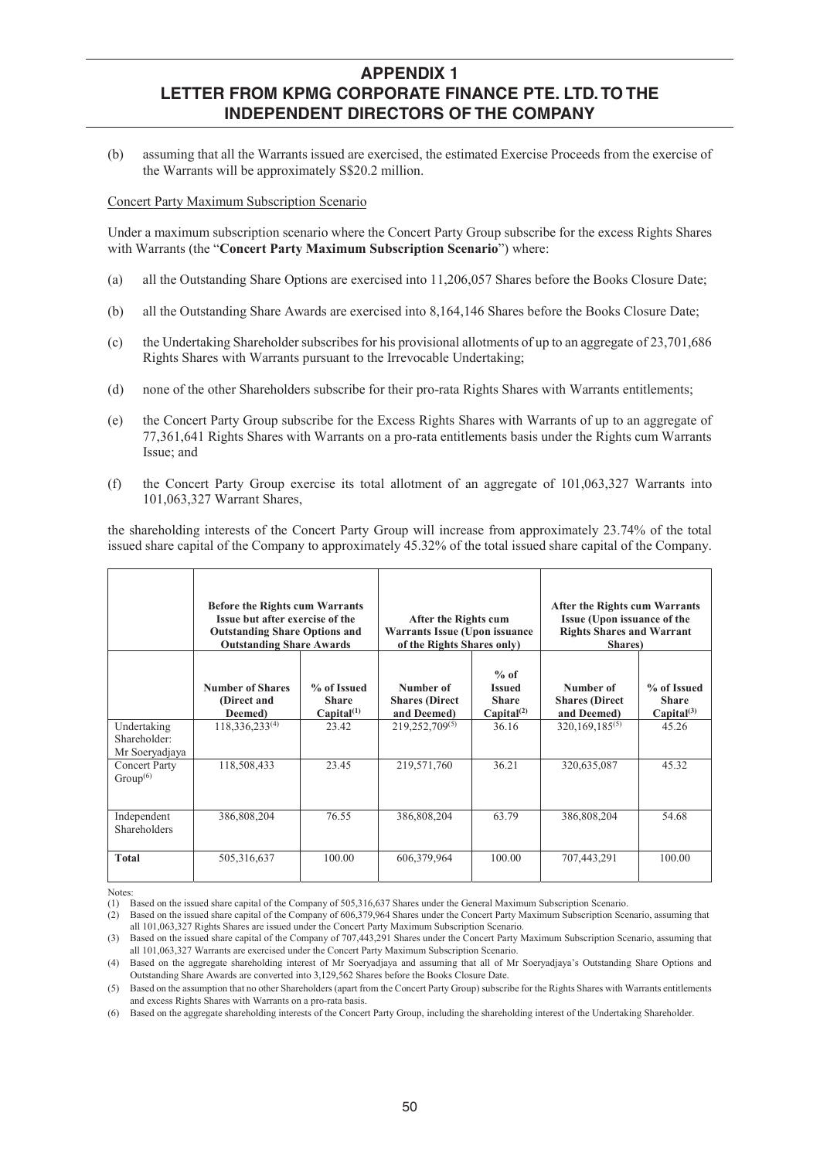(b) assuming that all the Warrants issued are exercised, the estimated Exercise Proceeds from the exercise of the Warrants will be approximately S\$20.2 million.

Concert Party Maximum Subscription Scenario

Under a maximum subscription scenario where the Concert Party Group subscribe for the excess Rights Shares with Warrants (the "**Concert Party Maximum Subscription Scenario**") where:

- (a) all the Outstanding Share Options are exercised into 11,206,057 Shares before the Books Closure Date;
- (b) all the Outstanding Share Awards are exercised into 8,164,146 Shares before the Books Closure Date;
- (c) the Undertaking Shareholder subscribes for his provisional allotments of up to an aggregate of 23,701,686 Rights Shares with Warrants pursuant to the Irrevocable Undertaking;
- (d) none of the other Shareholders subscribe for their pro-rata Rights Shares with Warrants entitlements;
- (e) the Concert Party Group subscribe for the Excess Rights Shares with Warrants of up to an aggregate of 77,361,641 Rights Shares with Warrants on a pro-rata entitlements basis under the Rights cum Warrants Issue; and
- (f) the Concert Party Group exercise its total allotment of an aggregate of 101,063,327 Warrants into 101,063,327 Warrant Shares,

the shareholding interests of the Concert Party Group will increase from approximately 23.74% of the total issued share capital of the Company to approximately 45.32% of the total issued share capital of the Company.

|                                               | <b>Before the Rights cum Warrants</b><br>Issue but after exercise of the<br><b>Outstanding Share Options and</b><br><b>Outstanding Share Awards</b> |                                                       | After the Rights cum<br><b>Warrants Issue (Upon issuance)</b><br>of the Rights Shares only) |                                                                   | After the Rights cum Warrants<br>Issue (Upon issuance of the<br><b>Rights Shares and Warrant</b><br>Shares) |                                                |  |
|-----------------------------------------------|-----------------------------------------------------------------------------------------------------------------------------------------------------|-------------------------------------------------------|---------------------------------------------------------------------------------------------|-------------------------------------------------------------------|-------------------------------------------------------------------------------------------------------------|------------------------------------------------|--|
|                                               | <b>Number of Shares</b><br>(Direct and<br>Deemed)                                                                                                   | % of Issued<br><b>Share</b><br>Capital <sup>(1)</sup> | Number of<br><b>Shares</b> (Direct<br>and Deemed)                                           | $%$ of<br><b>Issued</b><br><b>Share</b><br>Capital <sup>(2)</sup> | Number of<br><b>Shares</b> (Direct<br>and Deemed)                                                           | % of Issued<br><b>Share</b><br>$Capital^{(3)}$ |  |
| Undertaking<br>Shareholder:<br>Mr Soeryadjaya | 118,336,233 <sup>(4)</sup>                                                                                                                          | 23.42                                                 | 219,252,709(5)                                                                              | 36.16                                                             | $320,169,185^{(5)}$                                                                                         | 45.26                                          |  |
| <b>Concert Party</b><br>Group <sup>(6)</sup>  | 118,508,433                                                                                                                                         | 23.45                                                 | 219,571,760                                                                                 | 36.21                                                             | 320,635,087                                                                                                 | 45.32                                          |  |
| Independent<br>Shareholders                   | 386,808,204                                                                                                                                         | 76.55                                                 | 386,808,204                                                                                 | 63.79                                                             | 386,808,204                                                                                                 | 54.68                                          |  |
| <b>Total</b>                                  | 505,316,637                                                                                                                                         | 100.00                                                | 606,379,964                                                                                 | 100.00                                                            | 707,443,291                                                                                                 | 100.00                                         |  |

**Notes** 

(1) Based on the issued share capital of the Company of 505,316,637 Shares under the General Maximum Subscription Scenario.

<sup>(2)</sup> Based on the issued share capital of the Company of 606,379,964 Shares under the Concert Party Maximum Subscription Scenario, assuming that all 101,063,327 Rights Shares are issued under the Concert Party Maximum Subscription Scenario.

<sup>(3)</sup> Based on the issued share capital of the Company of 707,443,291 Shares under the Concert Party Maximum Subscription Scenario, assuming that all 101,063,327 Warrants are exercised under the Concert Party Maximum Subscription Scenario.

<sup>(4)</sup> Based on the aggregate shareholding interest of Mr Soeryadjaya and assuming that all of Mr Soeryadjaya's Outstanding Share Options and Outstanding Share Awards are converted into 3,129,562 Shares before the Books Closure Date.

<sup>(5)</sup> Based on the assumption that no other Shareholders (apart from the Concert Party Group) subscribe for the Rights Shares with Warrants entitlements and excess Rights Shares with Warrants on a pro-rata basis.

<sup>(6)</sup> Based on the aggregate shareholding interests of the Concert Party Group, including the shareholding interest of the Undertaking Shareholder.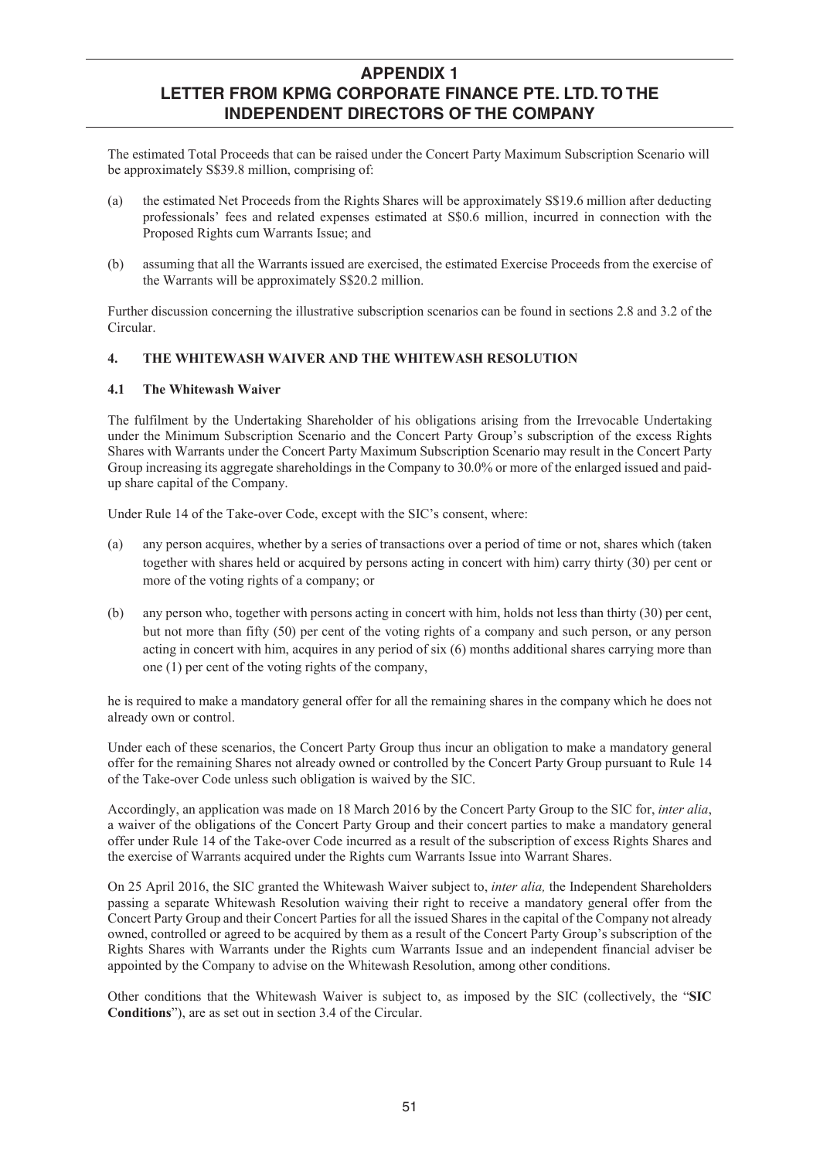The estimated Total Proceeds that can be raised under the Concert Party Maximum Subscription Scenario will be approximately S\$39.8 million, comprising of:

- (a) the estimated Net Proceeds from the Rights Shares will be approximately S\$19.6 million after deducting professionals' fees and related expenses estimated at S\$0.6 million, incurred in connection with the Proposed Rights cum Warrants Issue; and
- (b) assuming that all the Warrants issued are exercised, the estimated Exercise Proceeds from the exercise of the Warrants will be approximately S\$20.2 million.

Further discussion concerning the illustrative subscription scenarios can be found in sections 2.8 and 3.2 of the Circular.

## **4. THE WHITEWASH WAIVER AND THE WHITEWASH RESOLUTION**

#### **4.1 The Whitewash Waiver**

The fulfilment by the Undertaking Shareholder of his obligations arising from the Irrevocable Undertaking under the Minimum Subscription Scenario and the Concert Party Group's subscription of the excess Rights Shares with Warrants under the Concert Party Maximum Subscription Scenario may result in the Concert Party Group increasing its aggregate shareholdings in the Company to 30.0% or more of the enlarged issued and paidup share capital of the Company.

Under Rule 14 of the Take-over Code, except with the SIC's consent, where:

- (a) any person acquires, whether by a series of transactions over a period of time or not, shares which (taken together with shares held or acquired by persons acting in concert with him) carry thirty (30) per cent or more of the voting rights of a company; or
- (b) any person who, together with persons acting in concert with him, holds not less than thirty (30) per cent, but not more than fifty (50) per cent of the voting rights of a company and such person, or any person acting in concert with him, acquires in any period of six (6) months additional shares carrying more than one (1) per cent of the voting rights of the company,

he is required to make a mandatory general offer for all the remaining shares in the company which he does not already own or control.

Under each of these scenarios, the Concert Party Group thus incur an obligation to make a mandatory general offer for the remaining Shares not already owned or controlled by the Concert Party Group pursuant to Rule 14 of the Take-over Code unless such obligation is waived by the SIC.

Accordingly, an application was made on 18 March 2016 by the Concert Party Group to the SIC for, *inter alia*, a waiver of the obligations of the Concert Party Group and their concert parties to make a mandatory general offer under Rule 14 of the Take-over Code incurred as a result of the subscription of excess Rights Shares and the exercise of Warrants acquired under the Rights cum Warrants Issue into Warrant Shares.

On 25 April 2016, the SIC granted the Whitewash Waiver subject to, *inter alia,* the Independent Shareholders passing a separate Whitewash Resolution waiving their right to receive a mandatory general offer from the Concert Party Group and their Concert Parties for all the issued Shares in the capital of the Company not already owned, controlled or agreed to be acquired by them as a result of the Concert Party Group's subscription of the Rights Shares with Warrants under the Rights cum Warrants Issue and an independent financial adviser be appointed by the Company to advise on the Whitewash Resolution, among other conditions.

Other conditions that the Whitewash Waiver is subject to, as imposed by the SIC (collectively, the "**SIC Conditions**"), are as set out in section 3.4 of the Circular.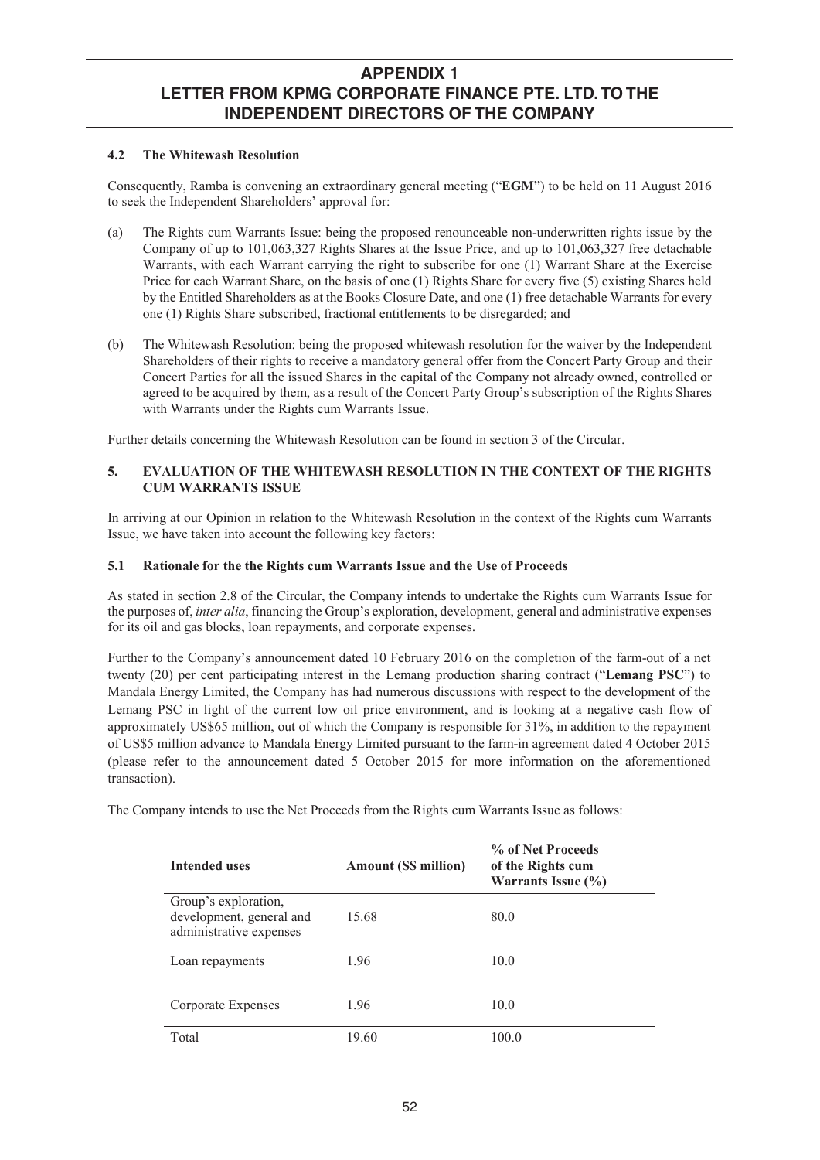### **4.2 The Whitewash Resolution**

Consequently, Ramba is convening an extraordinary general meeting ("**EGM**") to be held on 11 August 2016 to seek the Independent Shareholders' approval for:

- (a) The Rights cum Warrants Issue: being the proposed renounceable non-underwritten rights issue by the Company of up to 101,063,327 Rights Shares at the Issue Price, and up to 101,063,327 free detachable Warrants, with each Warrant carrying the right to subscribe for one (1) Warrant Share at the Exercise Price for each Warrant Share, on the basis of one (1) Rights Share for every five (5) existing Shares held by the Entitled Shareholders as at the Books Closure Date, and one (1) free detachable Warrants for every one (1) Rights Share subscribed, fractional entitlements to be disregarded; and
- (b) The Whitewash Resolution: being the proposed whitewash resolution for the waiver by the Independent Shareholders of their rights to receive a mandatory general offer from the Concert Party Group and their Concert Parties for all the issued Shares in the capital of the Company not already owned, controlled or agreed to be acquired by them, as a result of the Concert Party Group's subscription of the Rights Shares with Warrants under the Rights cum Warrants Issue.

Further details concerning the Whitewash Resolution can be found in section 3 of the Circular.

### **5. EVALUATION OF THE WHITEWASH RESOLUTION IN THE CONTEXT OF THE RIGHTS CUM WARRANTS ISSUE**

In arriving at our Opinion in relation to the Whitewash Resolution in the context of the Rights cum Warrants Issue, we have taken into account the following key factors:

### **5.1 Rationale for the the Rights cum Warrants Issue and the Use of Proceeds**

As stated in section 2.8 of the Circular, the Company intends to undertake the Rights cum Warrants Issue for the purposes of, *inter alia*, financing the Group's exploration, development, general and administrative expenses for its oil and gas blocks, loan repayments, and corporate expenses.

Further to the Company's announcement dated 10 February 2016 on the completion of the farm-out of a net twenty (20) per cent participating interest in the Lemang production sharing contract ("**Lemang PSC**") to Mandala Energy Limited, the Company has had numerous discussions with respect to the development of the Lemang PSC in light of the current low oil price environment, and is looking at a negative cash flow of approximately US\$65 million, out of which the Company is responsible for 31%, in addition to the repayment of US\$5 million advance to Mandala Energy Limited pursuant to the farm-in agreement dated 4 October 2015 (please refer to the announcement dated 5 October 2015 for more information on the aforementioned transaction).

The Company intends to use the Net Proceeds from the Rights cum Warrants Issue as follows:

| <b>Intended uses</b>                                                        | <b>Amount (S\$ million)</b> | % of Net Proceeds<br>of the Rights cum<br>Warrants Issue (%) |
|-----------------------------------------------------------------------------|-----------------------------|--------------------------------------------------------------|
| Group's exploration,<br>development, general and<br>administrative expenses | 15.68                       | 80.0                                                         |
| Loan repayments                                                             | 1.96                        | 10.0                                                         |
| Corporate Expenses                                                          | 1.96                        | 10.0                                                         |
| Total                                                                       | 19.60                       | 100.0                                                        |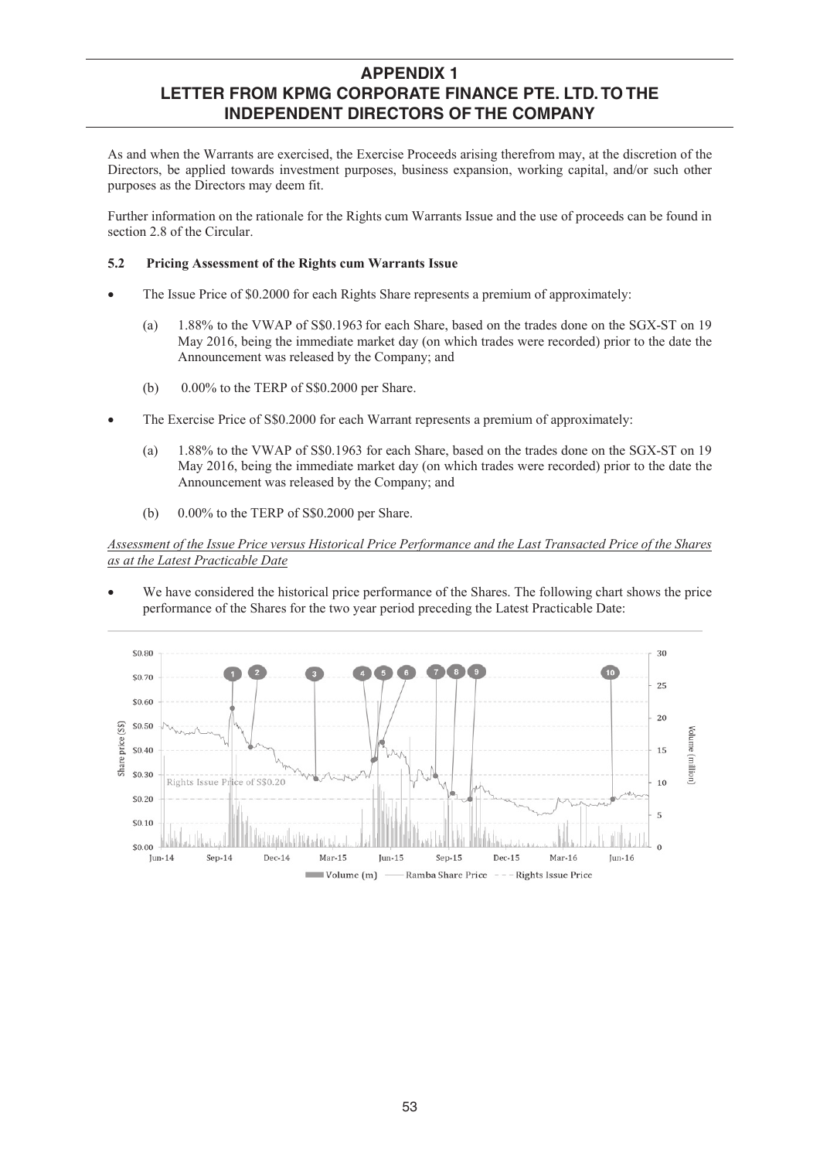As and when the Warrants are exercised, the Exercise Proceeds arising therefrom may, at the discretion of the Directors, be applied towards investment purposes, business expansion, working capital, and/or such other purposes as the Directors may deem fit.

Further information on the rationale for the Rights cum Warrants Issue and the use of proceeds can be found in section 2.8 of the Circular.

### **5.2 Pricing Assessment of the Rights cum Warrants Issue**

- The Issue Price of \$0.2000 for each Rights Share represents a premium of approximately:
	- (a) 1.88% to the VWAP of S\$0.1963 for each Share, based on the trades done on the SGX-ST on 19 May 2016, being the immediate market day (on which trades were recorded) prior to the date the Announcement was released by the Company; and
	- (b)  $0.00\%$  to the TERP of S\$0.2000 per Share.
- The Exercise Price of S\$0.2000 for each Warrant represents a premium of approximately:
	- (a) 1.88% to the VWAP of S\$0.1963 for each Share, based on the trades done on the SGX-ST on 19 May 2016, being the immediate market day (on which trades were recorded) prior to the date the Announcement was released by the Company; and
	- (b)  $0.00\%$  to the TERP of S\$0.2000 per Share.

*Assessment of the Issue Price versus Historical Price Performance and the Last Transacted Price of the Shares as at the Latest Practicable Date*

We have considered the historical price performance of the Shares. The following chart shows the price performance of the Shares for the two year period preceding the Latest Practicable Date:

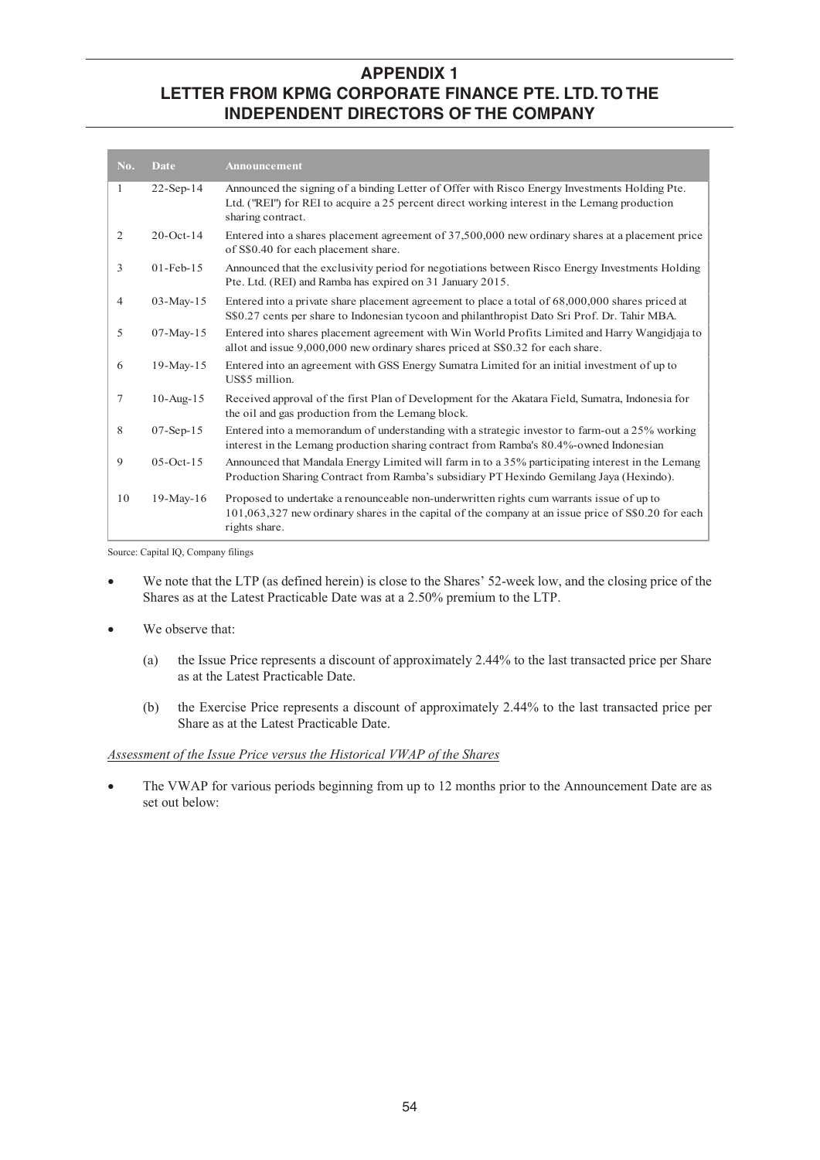| No.            | Date            | Announcement                                                                                                                                                                                                        |
|----------------|-----------------|---------------------------------------------------------------------------------------------------------------------------------------------------------------------------------------------------------------------|
| $\mathbf{1}$   | $22-Sep-14$     | Announced the signing of a binding Letter of Offer with Risco Energy Investments Holding Pte.<br>Ltd. ("REI") for REI to acquire a 25 percent direct working interest in the Lemang production<br>sharing contract. |
| 2              | $20$ -Oct-14    | Entered into a shares placement agreement of 37,500,000 new ordinary shares at a placement price<br>of S\$0.40 for each placement share.                                                                            |
| 3              | $01$ -Feb- $15$ | Announced that the exclusivity period for negotiations between Risco Energy Investments Holding<br>Pte. Ltd. (REI) and Ramba has expired on 31 January 2015.                                                        |
| $\overline{4}$ | $03-Mav-15$     | Entered into a private share placement agreement to place a total of $68,000,000$ shares priced at<br>S\$0.27 cents per share to Indonesian tycoon and philanthropist Dato Sri Prof. Dr. Tahir MBA.                 |
| 5              | $07 - May - 15$ | Entered into shares placement agreement with Win World Profits Limited and Harry Wangidjaja to<br>allot and issue 9,000,000 new ordinary shares priced at S\$0.32 for each share.                                   |
| 6              | $19-May-15$     | Entered into an agreement with GSS Energy Sumatra Limited for an initial investment of up to<br>US\$5 million.                                                                                                      |
| $\tau$         | $10$ -Aug- $15$ | Received approval of the first Plan of Development for the Akatara Field, Sumatra, Indonesia for<br>the oil and gas production from the Lemang block.                                                               |
| 8              | $07-Sep-15$     | Entered into a memorandum of understanding with a strategic investor to farm-out a 25% working<br>interest in the Lemang production sharing contract from Ramba's 80.4%-owned Indonesian                            |
| 9              | $05$ -Oct-15    | Announced that Mandala Energy Limited will farm in to a 35% participating interest in the Lemang<br>Production Sharing Contract from Ramba's subsidiary PT Hexindo Gemilang Jaya (Hexindo).                         |
| 10             | $19-Mav-16$     | Proposed to undertake a renounceable non-underwritten rights cum warrants issue of up to<br>101,063,327 new ordinary shares in the capital of the company at an issue price of S\$0.20 for each<br>rights share.    |

Source: Capital IQ, Company filings

- We note that the LTP (as defined herein) is close to the Shares' 52-week low, and the closing price of the Shares as at the Latest Practicable Date was at a 2.50% premium to the LTP.
- We observe that:
	- (a) the Issue Price represents a discount of approximately 2.44% to the last transacted price per Share as at the Latest Practicable Date.
	- (b) the Exercise Price represents a discount of approximately 2.44% to the last transacted price per Share as at the Latest Practicable Date.

### *Assessment of the Issue Price versus the Historical VWAP of the Shares*

The VWAP for various periods beginning from up to 12 months prior to the Announcement Date are as set out below: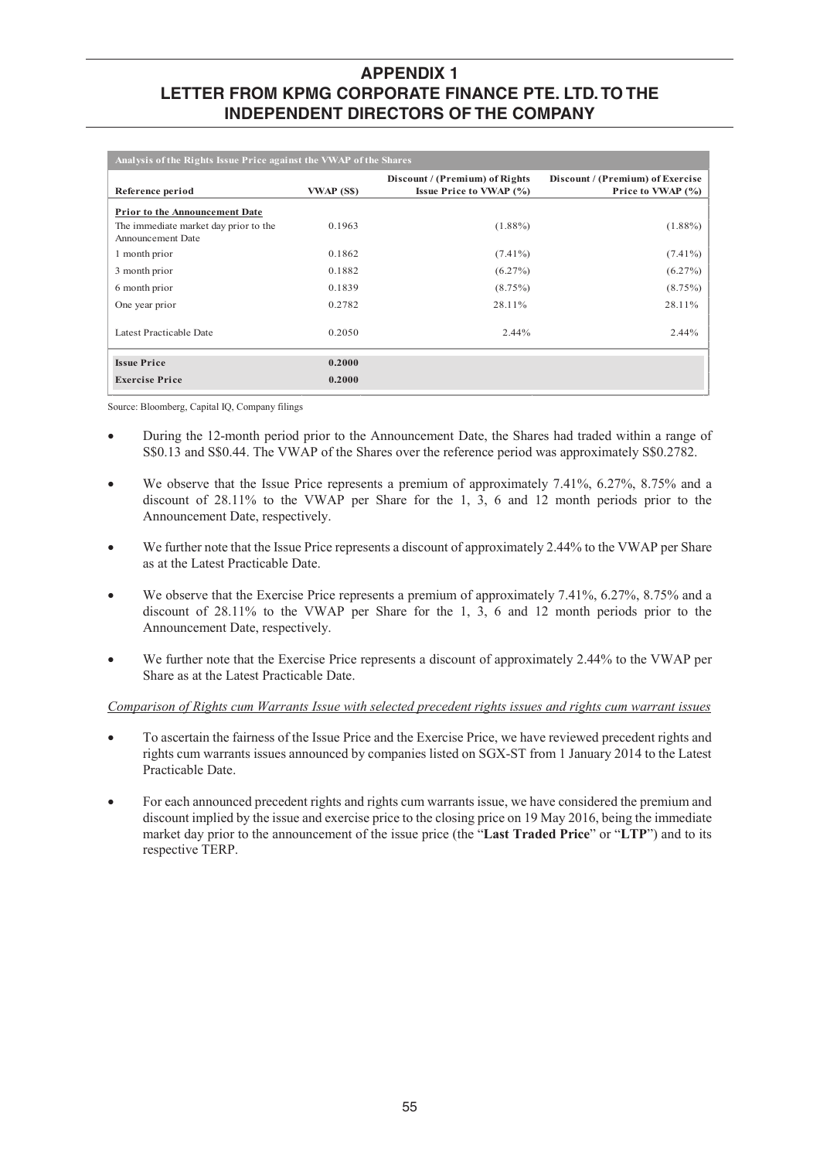| Analysis of the Rights Issue Price against the VWAP of the Shares |            |                                                                  |                                                       |  |  |  |  |  |  |  |
|-------------------------------------------------------------------|------------|------------------------------------------------------------------|-------------------------------------------------------|--|--|--|--|--|--|--|
| Reference period                                                  | VWAP (S\$) | Discount / (Premium) of Rights<br><b>Issue Price to VWAP (%)</b> | Discount / (Premium) of Exercise<br>Price to VWAP (%) |  |  |  |  |  |  |  |
| <b>Prior to the Announcement Date</b>                             |            |                                                                  |                                                       |  |  |  |  |  |  |  |
| The immediate market day prior to the<br>Announcement Date        | 0.1963     | $(1.88\%)$                                                       | $(1.88\%)$                                            |  |  |  |  |  |  |  |
| 1 month prior                                                     | 0.1862     | $(7.41\%)$                                                       | $(7.41\%)$                                            |  |  |  |  |  |  |  |
| 3 month prior                                                     | 0.1882     | $(6.27\%)$                                                       | $(6.27\%)$                                            |  |  |  |  |  |  |  |
| 6 month prior                                                     | 0.1839     | (8.75%)                                                          | $(8.75\%)$                                            |  |  |  |  |  |  |  |
| One year prior                                                    | 0.2782     | 28.11%                                                           | 28.11%                                                |  |  |  |  |  |  |  |
| Latest Practicable Date                                           | 0.2050     | 2.44%                                                            | 2.44%                                                 |  |  |  |  |  |  |  |
| <b>Issue Price</b>                                                | 0.2000     |                                                                  |                                                       |  |  |  |  |  |  |  |
| <b>Exercise Price</b>                                             | 0.2000     |                                                                  |                                                       |  |  |  |  |  |  |  |

Source: Bloomberg, Capital IQ, Company filings

- During the 12-month period prior to the Announcement Date, the Shares had traded within a range of S\$0.13 and S\$0.44. The VWAP of the Shares over the reference period was approximately S\$0.2782.
- We observe that the Issue Price represents a premium of approximately 7.41%, 6.27%, 8.75% and a discount of 28.11% to the VWAP per Share for the 1, 3, 6 and 12 month periods prior to the Announcement Date, respectively.
- We further note that the Issue Price represents a discount of approximately 2.44% to the VWAP per Share as at the Latest Practicable Date.
- We observe that the Exercise Price represents a premium of approximately 7.41%, 6.27%, 8.75% and a discount of 28.11% to the VWAP per Share for the 1, 3, 6 and 12 month periods prior to the Announcement Date, respectively.
- We further note that the Exercise Price represents a discount of approximately 2.44% to the VWAP per Share as at the Latest Practicable Date.

### *Comparison of Rights cum Warrants Issue with selected precedent rights issues and rights cum warrant issues*

- x To ascertain the fairness of the Issue Price and the Exercise Price, we have reviewed precedent rights and rights cum warrants issues announced by companies listed on SGX-ST from 1 January 2014 to the Latest Practicable Date.
- For each announced precedent rights and rights cum warrants issue, we have considered the premium and discount implied by the issue and exercise price to the closing price on 19 May 2016, being the immediate market day prior to the announcement of the issue price (the "**Last Traded Price**" or "**LTP**") and to its respective TERP.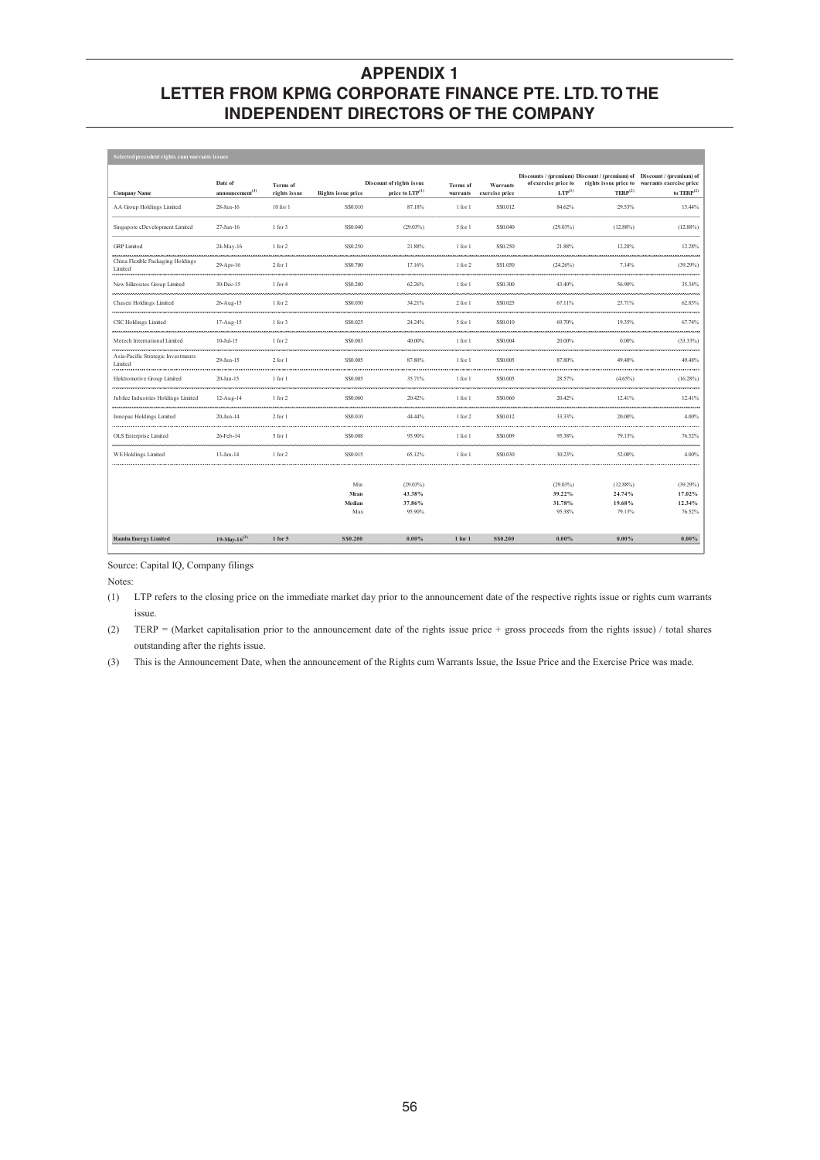| Selected precedent rights cum warrants issues |                                        |                          |                           |                                                         |                      |                            |                                     |                                              |                                                                                                                  |  |  |
|-----------------------------------------------|----------------------------------------|--------------------------|---------------------------|---------------------------------------------------------|----------------------|----------------------------|-------------------------------------|----------------------------------------------|------------------------------------------------------------------------------------------------------------------|--|--|
| <b>Company Name</b>                           | Date of<br>announcement <sup>(3)</sup> | Terms of<br>rights issue | <b>Rights issue price</b> | Discount of rights issue<br>price to LTP <sup>(1)</sup> | Terms of<br>warrants | Warrants<br>exercise price | of exercise price to<br>$LTP^{(1)}$ | rights issue price to<br>TERP <sup>(2)</sup> | Discounts / (premium) Discount / (premium) of Discount / (premium) of<br>warrants exercise price<br>to $TERP(2)$ |  |  |
| AA Group Holdings Limited                     | 28-Jun-16                              | $10$ for $1$             | SS0.010                   | 87.18%                                                  | 1 for 1              | S\$0.012                   | 84.62%                              | 29.53%                                       | 15.44%                                                                                                           |  |  |
| Singapore eDevelopment Limited                | 27-Jun-16                              | 1 for 3                  | S\$0.040                  | $(29.03\%)$                                             | 5 for 1              | S\$0.040                   | (29.03%)                            | $(12.88\%)$                                  | $(12.88\%)$                                                                                                      |  |  |
| <b>GRP</b> Limited                            | 24-May-16                              | 1 for 2                  | S\$0.250                  | 21.88%                                                  | 1 for 1              | S\$0.250                   | 21.88%                              | 12.28%                                       | 12.28%                                                                                                           |  |  |
| China Flexible Packaging Holdings<br>Limited  | 29-Apr-16                              | $2$ for $1$              | SS0.700                   | 17.16%                                                  | 1 for 2              | S\$1.050                   | (24.26%)                            | 7.14%                                        | (39.29%)                                                                                                         |  |  |
| New Silkroutes Group Limited                  | 30-Dec-15                              | 1 for 4                  | S\$0.200                  | 62.26%                                                  | 1 for 1              | S\$0.300                   | 43.40%                              | 56.90%                                       | 35.34%                                                                                                           |  |  |
| Chasen Holdings Limited                       | 26-Aug-15                              | 1 for 2                  | S\$0.050                  | 34.21%                                                  | 2 for 1              | S\$0.025                   | 67.11%                              | 25.71%                                       | 62.85%                                                                                                           |  |  |
| CSC Holdings Limited                          | 17-Aug-15                              | 1 for 3                  | SS0.025                   | 24.24%                                                  | 5 for 1              | S\$0.010                   | 69.70%                              | 19.35%                                       | 67.74%                                                                                                           |  |  |
| Metech International Limited                  | $10-Ju1-15$                            | 1 for 2                  | S\$0.003                  | 40.00%                                                  | 1 for 1              | S\$0.004                   | 20.00%                              | 0.00%                                        | $(33.33\%)$                                                                                                      |  |  |
| Asia-Pacific Strategic Investments<br>Limited | 29-Jun-15                              | 2 for 1                  | SS0.005                   | 87.80%                                                  | 1 for 1              | S\$0.005                   | 87.80%                              | 49.48%                                       | 49.48%                                                                                                           |  |  |
| Elektromotive Group Limited                   | 20-Jan-15                              | 1 for 1                  | S\$0.005                  | 35.71%                                                  | 1 for 1              | S\$0.005                   | 28.57%                              | $(4.65\%)$                                   | $(16.28\%)$                                                                                                      |  |  |
| Jubilee Industries Holdings Limited           | 12-Aug-14                              | 1 for 2                  | S\$0.060                  | 20.42%                                                  | 1 for 1              | S\$0.060                   | 20.42%                              | 12.41%                                       | 12.41%                                                                                                           |  |  |
| Innopac Holdings Limited                      | 20-Jun-14                              | $2$ for $1$              | S\$0.010                  | 44.44%                                                  | 1 for 2              | S\$0.012                   | 33.33%                              | 20.00%                                       | 4.00%                                                                                                            |  |  |
| OLS Enterprise Limited                        | 26-Feb-14                              | 5 for 1                  | S\$0.008                  | 95.90%                                                  | 1 for 1              | S\$0.009                   | 95.38%                              | 79.13%                                       | 76.52%                                                                                                           |  |  |
| <b>WE Holdings Limited</b>                    | 13-Jan-14                              | 1 for 2                  | SS0.015                   | 65.12%                                                  | 1 for 1              | S\$0.030                   | 30.23%                              | 52.00%                                       | 4.00%                                                                                                            |  |  |
|                                               |                                        |                          |                           |                                                         |                      |                            |                                     |                                              |                                                                                                                  |  |  |
|                                               |                                        |                          | Min                       | $(29.03\%)$                                             |                      |                            | (29.03%)                            | $(12.88\%)$                                  | (39.29%)                                                                                                         |  |  |
|                                               |                                        |                          | Mean                      | 43.38%                                                  |                      |                            | 39.22%                              | 24.74%                                       | 17.02%                                                                                                           |  |  |
|                                               |                                        |                          | Median                    | 37.86%                                                  |                      |                            | 31.78%                              | 19.68%                                       | 12.34%                                                                                                           |  |  |
|                                               |                                        |                          | Max                       | 95.90%                                                  |                      |                            | 95.38%                              | 79.13%                                       | 76.52%                                                                                                           |  |  |
| <b>Ramba Energy Limited</b>                   | 19-May-16 <sup>(3)</sup>               | $1$ for $5$              | S\$0,200                  | $0.00\%$                                                | $1$ for $1$          | <b>SS0.200</b>             | $0.00\%$                            | $0.00\%$                                     | $0.00\%$                                                                                                         |  |  |

Source: Capital IQ, Company filings

Notes:

(1) LTP refers to the closing price on the immediate market day prior to the announcement date of the respective rights issue or rights cum warrants issue.

(2) TERP = (Market capitalisation prior to the announcement date of the rights issue price + gross proceeds from the rights issue) / total shares outstanding after the rights issue.

(3) This is the Announcement Date, when the announcement of the Rights cum Warrants Issue, the Issue Price and the Exercise Price was made.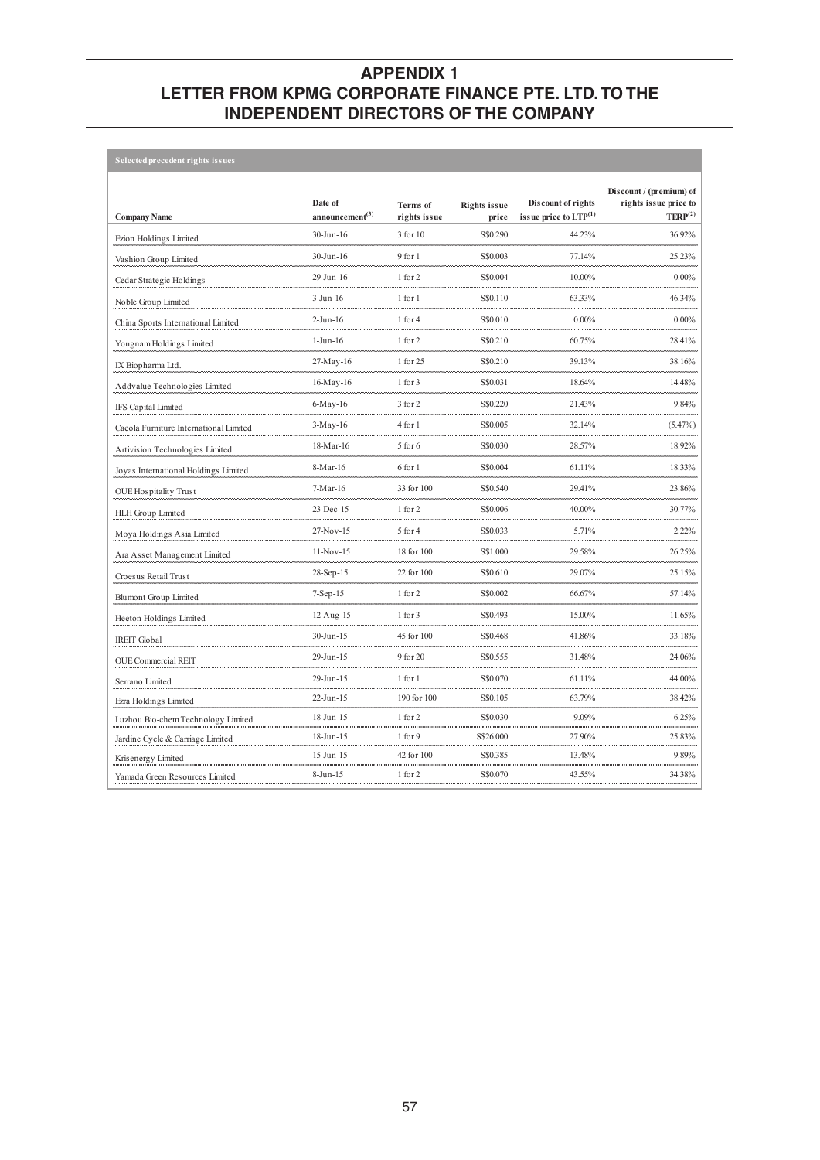| Selected precedent rights issues       |                               |                                 |                              |                                                        |                                                                         |
|----------------------------------------|-------------------------------|---------------------------------|------------------------------|--------------------------------------------------------|-------------------------------------------------------------------------|
| <b>Company Name</b>                    | Date of<br>announcement $(3)$ | <b>Terms</b> of<br>rights issue | <b>Rights issue</b><br>price | Discount of rights<br>issue price to ${\rm LTP}^{(1)}$ | Discount / (premium) of<br>rights issue price to<br>TERP <sup>(2)</sup> |
| Ezion Holdings Limited                 | 30-Jun-16                     | 3 for 10                        | S\$0.290                     | 44.23%                                                 | 36.92%                                                                  |
| Vashion Group Limited                  | 30-Jun-16                     | 9 for 1                         | S\$0.003                     | 77.14%                                                 | 25.23%                                                                  |
| Cedar Strategic Holdings               | 29-Jun-16                     | 1 for 2                         | S\$0.004                     | 10.00%                                                 | $0.00\%$                                                                |
| Noble Group Limited                    | $3-Jun-16$                    | 1 for 1                         | S\$0.110                     | 63.33%                                                 | 46.34%                                                                  |
| China Sports International Limited     | $2-Jun-16$                    | 1 for 4                         | S\$0.010                     | $0.00\%$                                               | $0.00\%$                                                                |
| Yongnam Holdings Limited               | $1-Jun-16$                    | 1 for 2                         | S\$0.210                     | 60.75%                                                 | 28.41%                                                                  |
| IX Biopharma Ltd.                      | 27-May-16                     | 1 for 25                        | S\$0.210                     | 39.13%                                                 | 38.16%                                                                  |
| Addvalue Technologies Limited          | 16-May-16                     | 1 for 3                         | S\$0.031                     | 18.64%                                                 | 14.48%                                                                  |
| IFS Capital Limited                    | $6-May-16$                    | $3$ for $2$                     | S\$0.220                     | 21.43%                                                 | 9.84%                                                                   |
| Cacola Furniture International Limited | $3-May-16$                    | 4 for 1                         | S\$0.005                     | 32.14%                                                 | $(5.47\%)$                                                              |
| Artivision Technologies Limited        | 18-Mar-16                     | 5 for 6                         | S\$0.030                     | 28.57%                                                 | 18.92%                                                                  |
| Joyas International Holdings Limited   | 8-Mar-16                      | 6 for 1                         | S\$0.004                     | 61.11%                                                 | 18.33%                                                                  |
| <b>OUE</b> Hospitality Trust           | $7-Mar-16$                    | 33 for 100                      | S\$0.540                     | 29.41%                                                 | 23.86%                                                                  |
| HLH Group Limited                      | 23-Dec-15                     | 1 for 2                         | S\$0.006                     | 40.00%                                                 | 30.77%                                                                  |
| Moya Holdings Asia Limited             | 27-Nov-15                     | 5 for 4                         | S\$0.033                     | 5.71%                                                  | 2.22%                                                                   |
| Ara Asset Management Limited           | 11-Nov-15                     | 18 for 100                      | S\$1.000                     | 29.58%                                                 | 26.25%                                                                  |
| Croesus Retail Trust                   | 28-Sep-15                     | 22 for 100                      | S\$0.610                     | 29.07%                                                 | 25.15%                                                                  |
| <b>Blumont Group Limited</b>           | $7-Sep-15$                    | 1 for 2                         | S\$0.002                     | 66.67%                                                 | 57.14%                                                                  |
| Heeton Holdings Limited                | 12-Aug-15                     | 1 for 3                         | S\$0.493                     | 15.00%                                                 | 11.65%                                                                  |
| <b>IREIT Global</b>                    | 30-Jun-15                     | 45 for 100                      | S\$0.468                     | 41.86%                                                 | 33.18%                                                                  |
| <b>OUE Commercial REIT</b>             | 29-Jun-15                     | 9 for 20                        | S\$0.555                     | 31.48%                                                 | 24.06%                                                                  |
| Serrano Limited                        | 29-Jun-15                     | 1 for 1                         | S\$0.070                     | 61.11%                                                 | 44.00%                                                                  |
| Ezra Holdings Limited                  | 22-Jun-15                     | 190 for 100                     | S\$0.105                     | 63.79%                                                 | 38.42%                                                                  |
| Luzhou Bio-chem Technology Limited     | 18-Jun-15                     | 1 for 2                         | S\$0.030                     | 9.09%                                                  | 6.25%                                                                   |
| Jardine Cycle & Carriage Limited       | 18-Jun-15                     | 1 for 9                         | S\$26.000                    | 27.90%                                                 | 25.83%                                                                  |
| Krisenergy Limited                     | 15-Jun-15                     | 42 for 100                      | S\$0.385                     | 13.48%                                                 | 9.89%                                                                   |
| Yamada Green Resources Limited         | $8-Jun-15$                    | 1 for 2                         | S\$0.070                     | 43.55%                                                 | 34.38%                                                                  |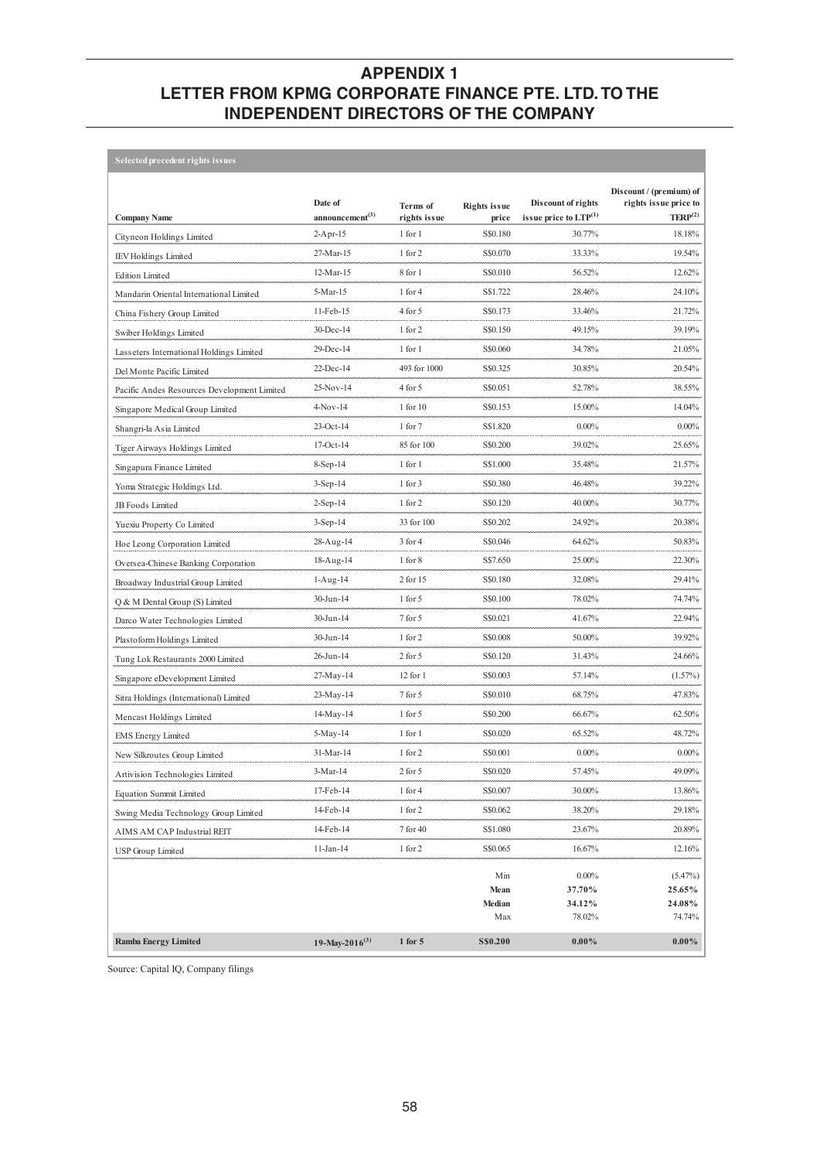| <b>Selected precedent rights issues</b>     |                                        |                          |                              |                                                                  |                                                                         |
|---------------------------------------------|----------------------------------------|--------------------------|------------------------------|------------------------------------------------------------------|-------------------------------------------------------------------------|
| <b>Company Name</b>                         | Date of<br>announcement <sup>(3)</sup> | Terms of<br>rights issue | <b>Rights issue</b><br>price | <b>Discount of rights</b><br>issue price to $\mathrm{LTP}^{(1)}$ | Discount / (premium) of<br>rights issue price to<br>TERP <sup>(2)</sup> |
| Cityneon Holdings Limited                   | 2-Apr-15                               | 1 for 1                  | S\$0.180                     | 30.77%                                                           | 18.18%                                                                  |
| <b>IEV Holdings Limited</b>                 | 27-Mar-15                              | 1 for 2                  | S\$0.070                     | 33.33%                                                           | 19.54%                                                                  |
| <b>Edition Limited</b>                      | 12-Mar-15                              | 8 for 1                  | S\$0.010                     | 56.52%                                                           | 12.62%                                                                  |
| Mandarin Oriental International Limited     | 5-Mar-15                               | 1 for 4                  | S\$1.722                     | 28.46%                                                           | 24.10%                                                                  |
| China Fishery Group Limited                 | 11-Feb-15                              | 4 for 5                  | S\$0.173                     | 33.46%                                                           | 21.72%                                                                  |
| Swiber Holdings Limited                     | 30-Dec-14                              | 1 for 2                  | S\$0.150                     | 49.15%                                                           | 39.19%                                                                  |
| Lasseters International Holdings Limited    | 29-Dec-14                              | 1 for 1                  | S\$0.060                     | 34.78%                                                           | 21.05%                                                                  |
| Del Monte Pacific Limited                   | 22-Dec-14                              | 493 for 1000             | S\$0.325                     | 30.85%                                                           | 20.54%                                                                  |
| Pacific Andes Resources Development Limited | 25-Nov-14                              | 4 for 5                  | S\$0.051                     | 52.78%                                                           | 38.55%                                                                  |
| Singapore Medical Group Limited             | $4-Nov-14$                             | 1 for 10                 | S\$0.153                     | 15.00%                                                           | 14.04%                                                                  |
| Shangri-la Asia Limited                     | 23-Oct-14                              | $1$ for $7$              | S\$1.820                     | $0.00\%$                                                         | $0.00\%$                                                                |
| Tiger Airways Holdings Limited              | $17-Oct-14$                            | 85 for 100               | S\$0.200                     | 39.02%                                                           | 25.65%                                                                  |
| Singapura Finance Limited                   | $8-Sep-14$                             | 1 for 1                  | S\$1.000                     | 35.48%                                                           | 21.57%                                                                  |
| Yoma Strategic Holdings Ltd.                | $3-Sep-14$                             | 1 for 3                  | S\$0.380                     | 46.48%                                                           | 39.22%                                                                  |
| JB Foods Limited                            | $2-Sep-14$                             | 1 for 2                  | S\$0.120                     | 40.00%                                                           | 30.77%                                                                  |
| Yuexiu Property Co Limited                  | $3-Sep-14$                             | 33 for 100               | S\$0.202                     | 24.92%                                                           | 20.38%                                                                  |
| Hoe Leong Corporation Limited               | 28-Aug-14                              | $3$ for $4$              | S\$0.046                     | 64.62%                                                           | 50.83%                                                                  |
| Oversea-Chinese Banking Corporation         | 18-Aug-14                              | 1 for 8                  | S\$7.650                     | 25.00%                                                           | 22.30%                                                                  |
| Broadway Industrial Group Limited           | $1-Aug-14$                             | 2 for 15                 | S\$0.180                     | 32.08%                                                           | 29.41%                                                                  |
| Q & M Dental Group (S) Limited              | 30-Jun-14                              | $1$ for $5$              | S\$0.100                     | 78.02%                                                           | 74.74%                                                                  |
| Darco Water Technologies Limited            | 30-Jun-14                              | 7 for 5                  | S\$0.021                     | 41.67%                                                           | 22.94%                                                                  |
| Plastoform Holdings Limited                 | 30-Jun-14                              | 1 for 2                  | S\$0.008                     | 50.00%                                                           | 39.92%                                                                  |
| Tung Lok Restaurants 2000 Limited           | 26-Jun-14                              | $2$ for $5$              | S\$0.120                     | 31.43%                                                           | 24.66%                                                                  |
| Singapore eDevelopment Limited              | 27-May-14                              | $12$ for $1$             | S\$0.003                     | 57.14%                                                           | (1.57%)                                                                 |
| Sitra Holdings (International) Limited      | $23-May-14$                            | 7 for 5                  | S\$0.010                     | 68.75%                                                           | 47.83%                                                                  |
| Mencast Holdings Limited                    | 14-May-14                              | $1$ for $5$              | S\$0.200                     | 66.67%                                                           | 62.50%                                                                  |
| <b>EMS</b> Energy Limited                   | 5-May-14                               | 1 for 1                  | S\$0.020                     | 65.52%                                                           | 48.72%                                                                  |
| New Silkroutes Group Limited                | 31-Mar-14                              | 1 for 2                  | S\$0.001                     | $0.00\%$                                                         | $0.00\%$                                                                |
| Artivision Technologies Limited             | 3-Mar-14                               | $2$ for $5$              | S\$0.020                     | 57.45%                                                           | 49.09%                                                                  |
| <b>Equation Summit Limited</b>              | 17-Feb-14                              | $1$ for $4$              | S\$0.007                     | 30.00%                                                           | 13.86%                                                                  |
| Swing Media Technology Group Limited        | 14-Feb-14                              | 1 for 2                  | S\$0.062                     | 38.20%                                                           | 29.18%                                                                  |
| AIMS AM CAP Industrial REIT                 | 14-Feb-14                              | 7 for 40                 | S\$1.080                     | 23.67%                                                           | 20.89%                                                                  |
| USP Group Limited                           | 11-Jan-14                              | 1 for 2                  | S\$0.065                     | 16.67%                                                           | 12.16%                                                                  |
|                                             |                                        |                          | Min<br>Mean                  | $0.00\%$<br>37.70%                                               | $(5.47\%)$<br>25.65%                                                    |
|                                             |                                        |                          | Median                       | 34.12%                                                           | 24.08%                                                                  |
|                                             |                                        |                          | Max                          | 78.02%                                                           | 74.74%                                                                  |
| <b>Ramba Energy Limited</b>                 | 19-May-2016 <sup>(3)</sup>             | 1 for 5                  | S\$0.200                     | $0.00\%$                                                         | $0.00\%$                                                                |

Source: Capital IQ, Company filings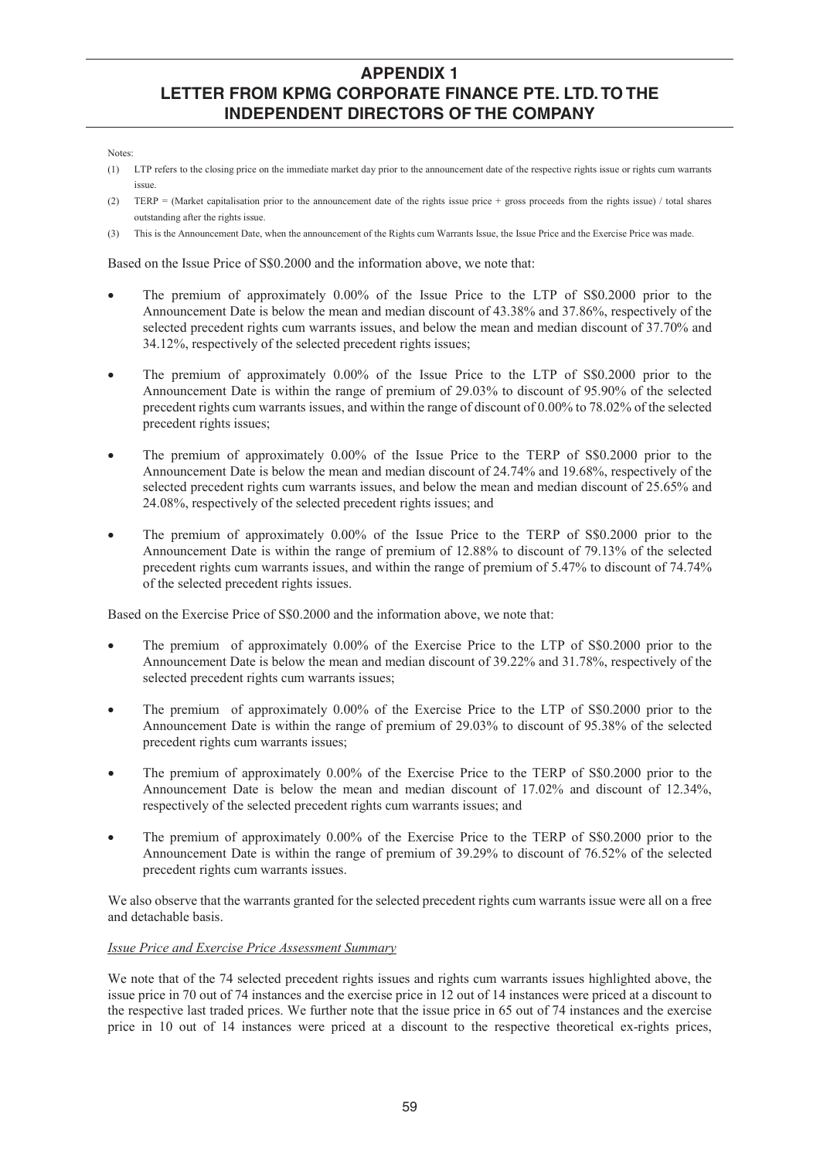#### Notes:

- (1) LTP refers to the closing price on the immediate market day prior to the announcement date of the respective rights issue or rights cum warrants issue.
- (2) TERP = (Market capitalisation prior to the announcement date of the rights issue price + gross proceeds from the rights issue) / total shares outstanding after the rights issue.
- (3) This is the Announcement Date, when the announcement of the Rights cum Warrants Issue, the Issue Price and the Exercise Price was made.

Based on the Issue Price of S\$0.2000 and the information above, we note that:

- x The premium of approximately 0.00% of the Issue Price to the LTP of S\$0.2000 prior to the Announcement Date is below the mean and median discount of 43.38% and 37.86%, respectively of the selected precedent rights cum warrants issues, and below the mean and median discount of 37.70% and 34.12%, respectively of the selected precedent rights issues;
- The premium of approximately 0.00% of the Issue Price to the LTP of S\$0.2000 prior to the Announcement Date is within the range of premium of 29.03% to discount of 95.90% of the selected precedent rights cum warrants issues, and within the range of discount of 0.00% to 78.02% of the selected precedent rights issues;
- The premium of approximately 0.00% of the Issue Price to the TERP of S\$0.2000 prior to the Announcement Date is below the mean and median discount of 24.74% and 19.68%, respectively of the selected precedent rights cum warrants issues, and below the mean and median discount of 25.65% and 24.08%, respectively of the selected precedent rights issues; and
- The premium of approximately 0.00% of the Issue Price to the TERP of S\$0.2000 prior to the Announcement Date is within the range of premium of 12.88% to discount of 79.13% of the selected precedent rights cum warrants issues, and within the range of premium of 5.47% to discount of 74.74% of the selected precedent rights issues.

Based on the Exercise Price of S\$0.2000 and the information above, we note that:

- The premium of approximately  $0.00\%$  of the Exercise Price to the LTP of S\$0.2000 prior to the Announcement Date is below the mean and median discount of 39.22% and 31.78%, respectively of the selected precedent rights cum warrants issues;
- The premium of approximately 0.00% of the Exercise Price to the LTP of S\$0.2000 prior to the Announcement Date is within the range of premium of 29.03% to discount of 95.38% of the selected precedent rights cum warrants issues;
- The premium of approximately 0.00% of the Exercise Price to the TERP of S\$0.2000 prior to the Announcement Date is below the mean and median discount of 17.02% and discount of 12.34%, respectively of the selected precedent rights cum warrants issues; and
- The premium of approximately 0.00% of the Exercise Price to the TERP of S\$0.2000 prior to the Announcement Date is within the range of premium of 39.29% to discount of 76.52% of the selected precedent rights cum warrants issues.

We also observe that the warrants granted for the selected precedent rights cum warrants issue were all on a free and detachable basis.

### *Issue Price and Exercise Price Assessment Summary*

We note that of the 74 selected precedent rights issues and rights cum warrants issues highlighted above, the issue price in 70 out of 74 instances and the exercise price in 12 out of 14 instances were priced at a discount to the respective last traded prices. We further note that the issue price in 65 out of 74 instances and the exercise price in 10 out of 14 instances were priced at a discount to the respective theoretical ex-rights prices,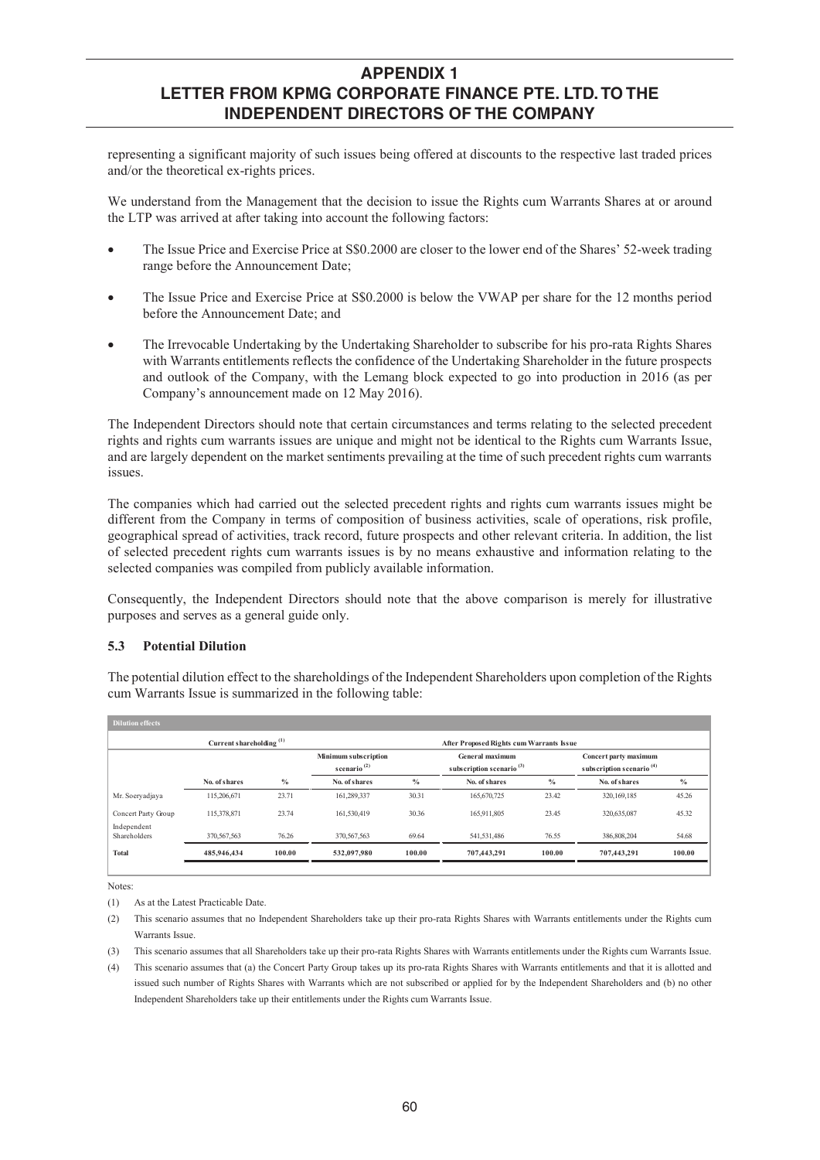representing a significant majority of such issues being offered at discounts to the respective last traded prices and/or the theoretical ex-rights prices.

We understand from the Management that the decision to issue the Rights cum Warrants Shares at or around the LTP was arrived at after taking into account the following factors:

- The Issue Price and Exercise Price at S\$0.2000 are closer to the lower end of the Shares' 52-week trading range before the Announcement Date;
- The Issue Price and Exercise Price at S\$0.2000 is below the VWAP per share for the 12 months period before the Announcement Date; and
- The Irrevocable Undertaking by the Undertaking Shareholder to subscribe for his pro-rata Rights Shares with Warrants entitlements reflects the confidence of the Undertaking Shareholder in the future prospects and outlook of the Company, with the Lemang block expected to go into production in 2016 (as per Company's announcement made on 12 May 2016).

The Independent Directors should note that certain circumstances and terms relating to the selected precedent rights and rights cum warrants issues are unique and might not be identical to the Rights cum Warrants Issue, and are largely dependent on the market sentiments prevailing at the time of such precedent rights cum warrants issues.

The companies which had carried out the selected precedent rights and rights cum warrants issues might be different from the Company in terms of composition of business activities, scale of operations, risk profile, geographical spread of activities, track record, future prospects and other relevant criteria. In addition, the list of selected precedent rights cum warrants issues is by no means exhaustive and information relating to the selected companies was compiled from publicly available information.

Consequently, the Independent Directors should note that the above comparison is merely for illustrative purposes and serves as a general guide only.

### **5.3 Potential Dilution**

The potential dilution effect to the shareholdings of the Independent Shareholders upon completion of the Rights cum Warrants Issue is summarized in the following table:

| <b>Dilution effects</b>     |                                     |               |                                           |               |                                                         |             |                                                               |               |
|-----------------------------|-------------------------------------|---------------|-------------------------------------------|---------------|---------------------------------------------------------|-------------|---------------------------------------------------------------|---------------|
|                             | Current shareholding <sup>(1)</sup> |               |                                           |               | After Proposed Rights cum Warrants Issue                |             |                                                               |               |
|                             |                                     |               | Minimum subscription<br>scenario $^{(2)}$ |               | General maximum<br>subscription scenario <sup>(3)</sup> |             | Concert party maximum<br>subscription scenario <sup>(4)</sup> |               |
|                             | No. of shares                       | $\frac{0}{0}$ | No. of shares                             | $\frac{0}{2}$ | No. of shares                                           | $^{0}/_{0}$ | No. of shares                                                 | $\frac{0}{2}$ |
| Mr. Soervadjava             | 115.206.671                         | 23.71         | 161,289,337                               | 30.31         | 165.670.725                                             | 23.42       | 320.169.185                                                   | 45.26         |
| Concert Party Group         | 115,378,871                         | 23.74         | 161,530,419                               | 30.36         | 165.911.805                                             | 23.45       | 320,635,087                                                   | 45.32         |
| Independent<br>Shareholders | 370,567,563                         | 76.26         | 370.567.563                               | 69.64         | 541,531,486                                             | 76.55       | 386,808,204                                                   | 54.68         |
| <b>Total</b>                | 485,946,434                         | 100.00        | 532,097,980                               | 100.00        | 707,443.291                                             | 100.00      | 707,443,291                                                   | 100.00        |
|                             |                                     |               |                                           |               |                                                         |             |                                                               |               |

Notes:

(1) As at the Latest Practicable Date.

(3) This scenario assumes that all Shareholders take up their pro-rata Rights Shares with Warrants entitlements under the Rights cum Warrants Issue.

(4) This scenario assumes that (a) the Concert Party Group takes up its pro-rata Rights Shares with Warrants entitlements and that it is allotted and issued such number of Rights Shares with Warrants which are not subscribed or applied for by the Independent Shareholders and (b) no other Independent Shareholders take up their entitlements under the Rights cum Warrants Issue.

<sup>(2)</sup> This scenario assumes that no Independent Shareholders take up their pro-rata Rights Shares with Warrants entitlements under the Rights cum Warrants Issue.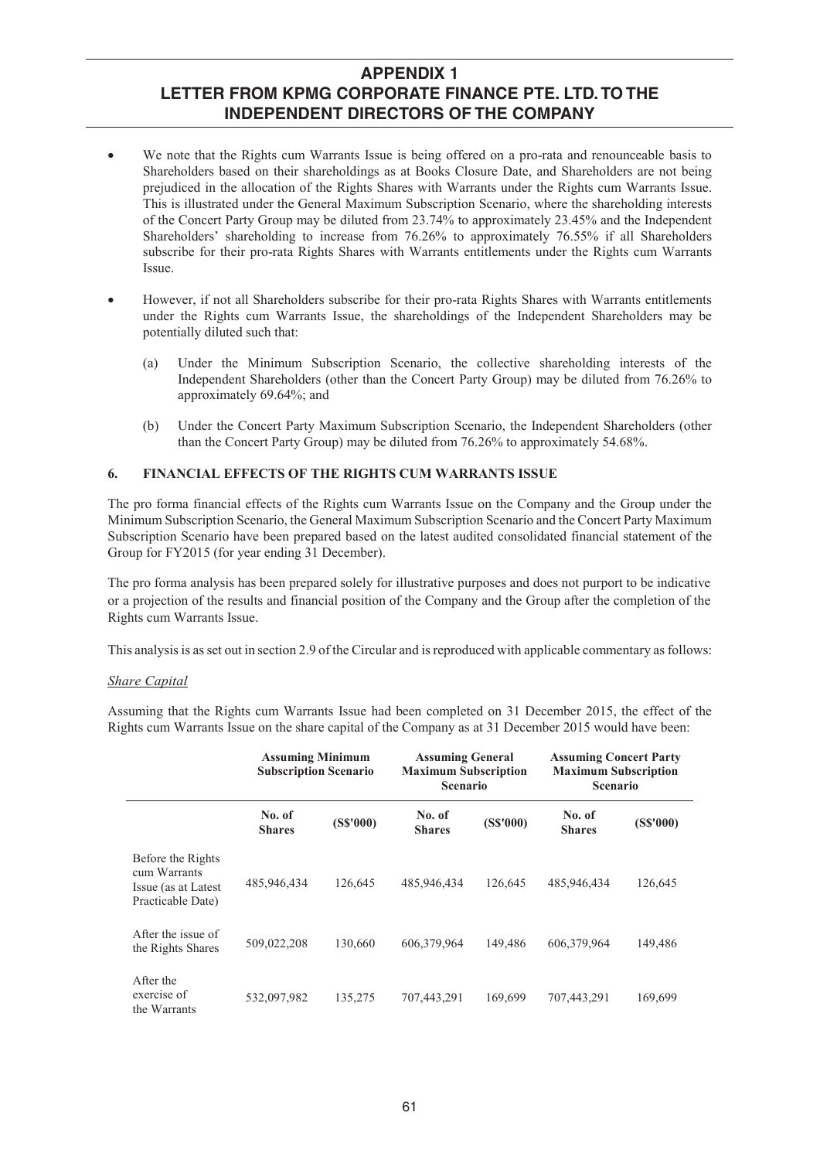- We note that the Rights cum Warrants Issue is being offered on a pro-rata and renounceable basis to Shareholders based on their shareholdings as at Books Closure Date, and Shareholders are not being prejudiced in the allocation of the Rights Shares with Warrants under the Rights cum Warrants Issue. This is illustrated under the General Maximum Subscription Scenario, where the shareholding interests of the Concert Party Group may be diluted from 23.74% to approximately 23.45% and the Independent Shareholders' shareholding to increase from 76.26% to approximately 76.55% if all Shareholders subscribe for their pro-rata Rights Shares with Warrants entitlements under the Rights cum Warrants Issue.
- However, if not all Shareholders subscribe for their pro-rata Rights Shares with Warrants entitlements under the Rights cum Warrants Issue, the shareholdings of the Independent Shareholders may be potentially diluted such that:
	- (a) Under the Minimum Subscription Scenario, the collective shareholding interests of the Independent Shareholders (other than the Concert Party Group) may be diluted from 76.26% to approximately 69.64%; and
	- (b) Under the Concert Party Maximum Subscription Scenario, the Independent Shareholders (other than the Concert Party Group) may be diluted from 76.26% to approximately 54.68%.

### **6. FINANCIAL EFFECTS OF THE RIGHTS CUM WARRANTS ISSUE**

The pro forma financial effects of the Rights cum Warrants Issue on the Company and the Group under the Minimum Subscription Scenario, the General Maximum Subscription Scenario and the Concert Party Maximum Subscription Scenario have been prepared based on the latest audited consolidated financial statement of the Group for FY2015 (for year ending 31 December).

The pro forma analysis has been prepared solely for illustrative purposes and does not purport to be indicative or a projection of the results and financial position of the Company and the Group after the completion of the Rights cum Warrants Issue.

This analysis is as set out in section 2.9 of the Circular and is reproduced with applicable commentary as follows:

### *Share Capital*

Assuming that the Rights cum Warrants Issue had been completed on 31 December 2015, the effect of the Rights cum Warrants Issue on the share capital of the Company as at 31 December 2015 would have been:

|                                                                                | <b>Assuming Minimum</b><br><b>Subscription Scenario</b> |          | <b>Assuming General</b><br><b>Maximum Subscription</b><br><b>Scenario</b> |          | <b>Assuming Concert Party</b><br><b>Maximum Subscription</b><br><b>Scenario</b> |          |  |
|--------------------------------------------------------------------------------|---------------------------------------------------------|----------|---------------------------------------------------------------------------|----------|---------------------------------------------------------------------------------|----------|--|
|                                                                                | No. of<br><b>Shares</b>                                 | (SS'000) | No. of<br><b>Shares</b>                                                   | (SS'000) | No. of<br><b>Shares</b>                                                         | (SS'000) |  |
| Before the Rights<br>cum Warrants<br>Issue (as at Latest)<br>Practicable Date) | 485,946,434                                             | 126.645  | 485,946,434                                                               | 126.645  | 485,946,434                                                                     | 126,645  |  |
| After the issue of<br>the Rights Shares                                        | 509,022,208                                             | 130,660  | 606,379,964                                                               | 149,486  | 606,379,964                                                                     | 149,486  |  |
| After the<br>exercise of<br>the Warrants                                       | 532,097,982                                             | 135,275  | 707,443,291                                                               | 169,699  | 707,443,291                                                                     | 169,699  |  |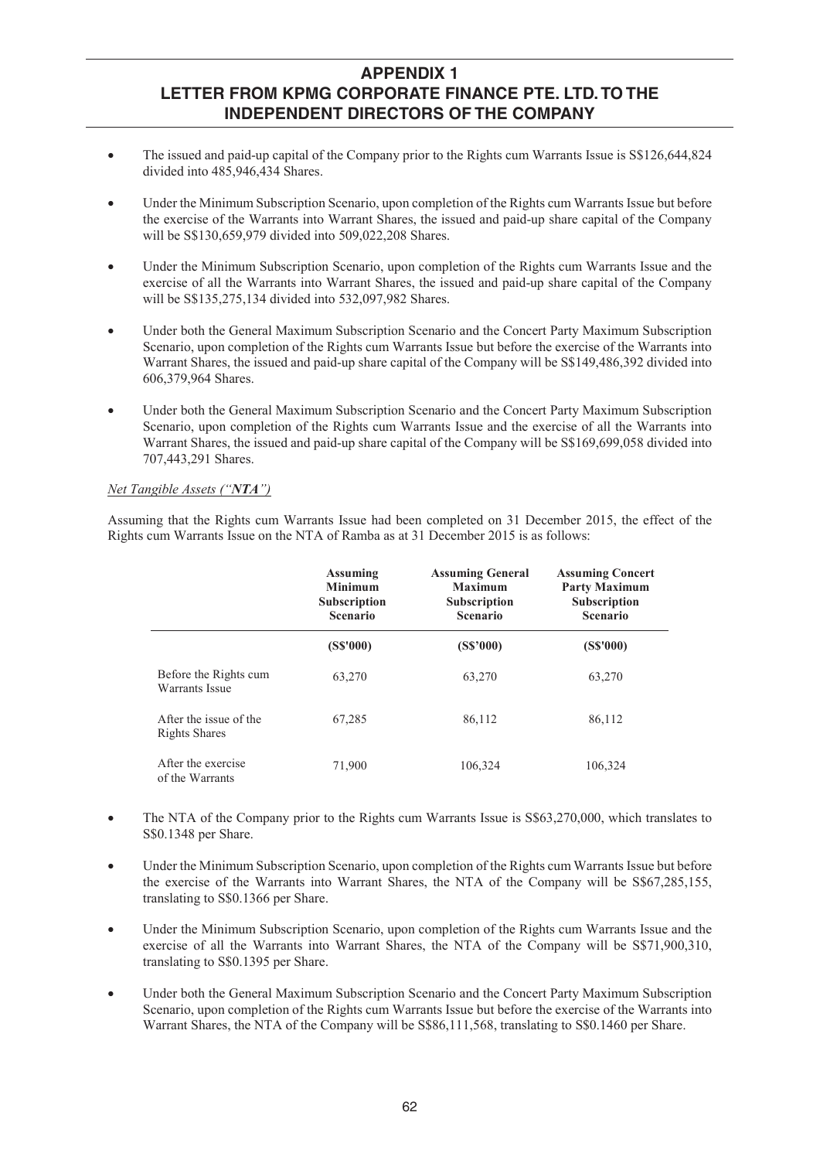- The issued and paid-up capital of the Company prior to the Rights cum Warrants Issue is S\$126,644,824 divided into 485,946,434 Shares.
- Under the Minimum Subscription Scenario, upon completion of the Rights cum Warrants Issue but before the exercise of the Warrants into Warrant Shares, the issued and paid-up share capital of the Company will be S\$130,659,979 divided into 509,022,208 Shares.
- Under the Minimum Subscription Scenario, upon completion of the Rights cum Warrants Issue and the exercise of all the Warrants into Warrant Shares, the issued and paid-up share capital of the Company will be S\$135,275,134 divided into 532,097,982 Shares.
- x Under both the General Maximum Subscription Scenario and the Concert Party Maximum Subscription Scenario, upon completion of the Rights cum Warrants Issue but before the exercise of the Warrants into Warrant Shares, the issued and paid-up share capital of the Company will be S\$149,486,392 divided into 606,379,964 Shares.
- x Under both the General Maximum Subscription Scenario and the Concert Party Maximum Subscription Scenario, upon completion of the Rights cum Warrants Issue and the exercise of all the Warrants into Warrant Shares, the issued and paid-up share capital of the Company will be S\$169,699,058 divided into 707,443,291 Shares.

### *Net Tangible Assets ("NTA")*

Assuming that the Rights cum Warrants Issue had been completed on 31 December 2015, the effect of the Rights cum Warrants Issue on the NTA of Ramba as at 31 December 2015 is as follows:

|                                                | <b>Assuming</b><br><b>Minimum</b><br><b>Subscription</b><br><b>Scenario</b> | <b>Assuming General</b><br><b>Maximum</b><br><b>Subscription</b><br><b>Scenario</b> | <b>Assuming Concert</b><br><b>Party Maximum</b><br><b>Subscription</b><br><b>Scenario</b> |  |
|------------------------------------------------|-----------------------------------------------------------------------------|-------------------------------------------------------------------------------------|-------------------------------------------------------------------------------------------|--|
|                                                | (SS'000)                                                                    | (S\$'000)                                                                           | (S\$'000)                                                                                 |  |
| Before the Rights cum<br><b>Warrants Issue</b> | 63,270                                                                      | 63,270                                                                              | 63,270                                                                                    |  |
| After the issue of the<br>Rights Shares        | 67,285                                                                      | 86,112                                                                              | 86,112                                                                                    |  |
| After the exercise<br>of the Warrants          | 71,900                                                                      | 106,324                                                                             | 106,324                                                                                   |  |

- The NTA of the Company prior to the Rights cum Warrants Issue is  $\frac{\$63,270,000}{5,000}$ , which translates to S\$0.1348 per Share.
- Under the Minimum Subscription Scenario, upon completion of the Rights cum Warrants Issue but before the exercise of the Warrants into Warrant Shares, the NTA of the Company will be S\$67,285,155, translating to S\$0.1366 per Share.
- Under the Minimum Subscription Scenario, upon completion of the Rights cum Warrants Issue and the exercise of all the Warrants into Warrant Shares, the NTA of the Company will be S\$71,900,310, translating to S\$0.1395 per Share.
- x Under both the General Maximum Subscription Scenario and the Concert Party Maximum Subscription Scenario, upon completion of the Rights cum Warrants Issue but before the exercise of the Warrants into Warrant Shares, the NTA of the Company will be S\$86,111,568, translating to S\$0.1460 per Share.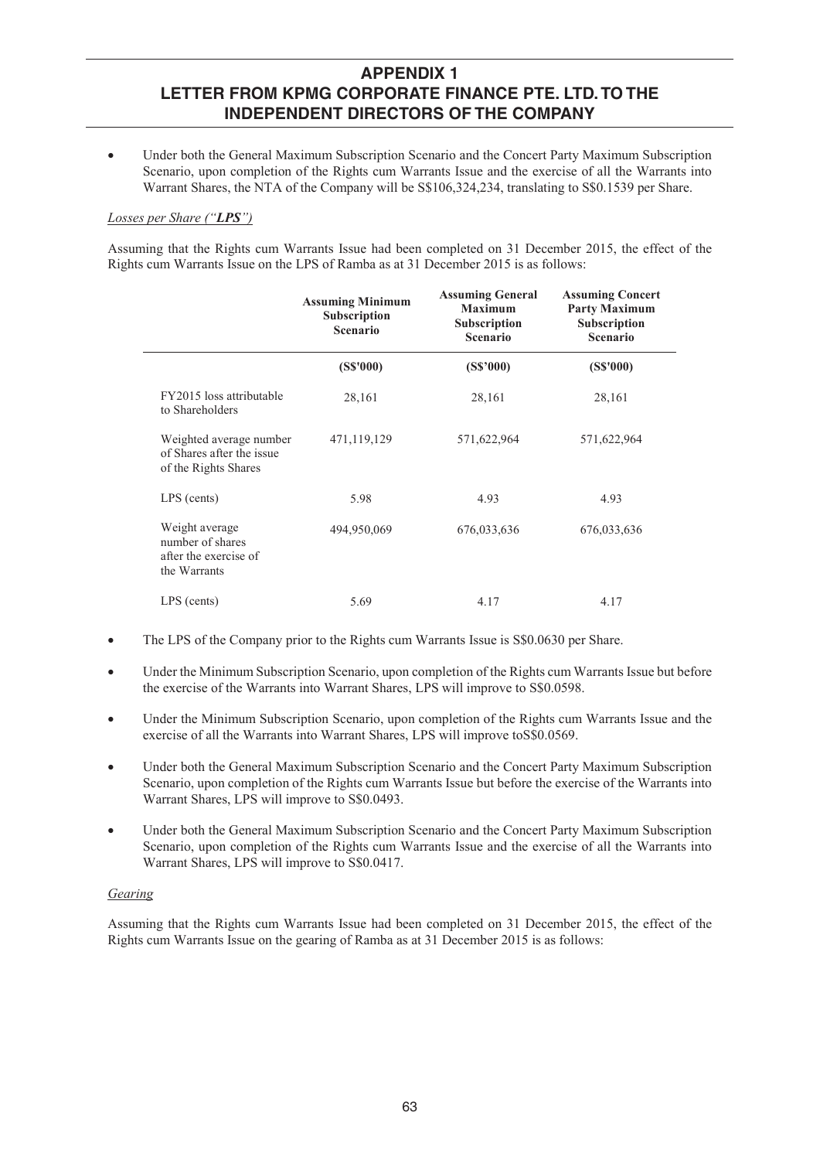x Under both the General Maximum Subscription Scenario and the Concert Party Maximum Subscription Scenario, upon completion of the Rights cum Warrants Issue and the exercise of all the Warrants into Warrant Shares, the NTA of the Company will be S\$106,324,234, translating to S\$0.1539 per Share.

### *Losses per Share ("LPS")*

Assuming that the Rights cum Warrants Issue had been completed on 31 December 2015, the effect of the Rights cum Warrants Issue on the LPS of Ramba as at 31 December 2015 is as follows:

|                                                                              | <b>Assuming Minimum</b><br><b>Subscription</b><br><b>Scenario</b> | <b>Assuming General</b><br><b>Maximum</b><br>Subscription<br><b>Scenario</b> | <b>Assuming Concert</b><br><b>Party Maximum</b><br>Subscription<br><b>Scenario</b> |  |
|------------------------------------------------------------------------------|-------------------------------------------------------------------|------------------------------------------------------------------------------|------------------------------------------------------------------------------------|--|
|                                                                              | (S\$'000)                                                         | (S\$'000)                                                                    | (SS'000)                                                                           |  |
| FY2015 loss attributable<br>to Shareholders                                  | 28,161                                                            | 28,161                                                                       | 28,161                                                                             |  |
| Weighted average number<br>of Shares after the issue<br>of the Rights Shares | 471,119,129                                                       | 571,622,964                                                                  | 571,622,964                                                                        |  |
| LPS (cents)                                                                  | 5.98                                                              | 4.93                                                                         | 4.93                                                                               |  |
| Weight average<br>number of shares<br>after the exercise of<br>the Warrants  | 494,950,069                                                       | 676,033,636                                                                  | 676,033,636                                                                        |  |
| LPS (cents)                                                                  | 5.69                                                              | 4.17                                                                         | 4.17                                                                               |  |

- The LPS of the Company prior to the Rights cum Warrants Issue is S\$0.0630 per Share.
- Under the Minimum Subscription Scenario, upon completion of the Rights cum Warrants Issue but before the exercise of the Warrants into Warrant Shares, LPS will improve to S\$0.0598.
- Under the Minimum Subscription Scenario, upon completion of the Rights cum Warrants Issue and the exercise of all the Warrants into Warrant Shares, LPS will improve toS\$0.0569.
- Under both the General Maximum Subscription Scenario and the Concert Party Maximum Subscription Scenario, upon completion of the Rights cum Warrants Issue but before the exercise of the Warrants into Warrant Shares, LPS will improve to S\$0.0493.
- x Under both the General Maximum Subscription Scenario and the Concert Party Maximum Subscription Scenario, upon completion of the Rights cum Warrants Issue and the exercise of all the Warrants into Warrant Shares, LPS will improve to S\$0.0417.

### *Gearing*

Assuming that the Rights cum Warrants Issue had been completed on 31 December 2015, the effect of the Rights cum Warrants Issue on the gearing of Ramba as at 31 December 2015 is as follows: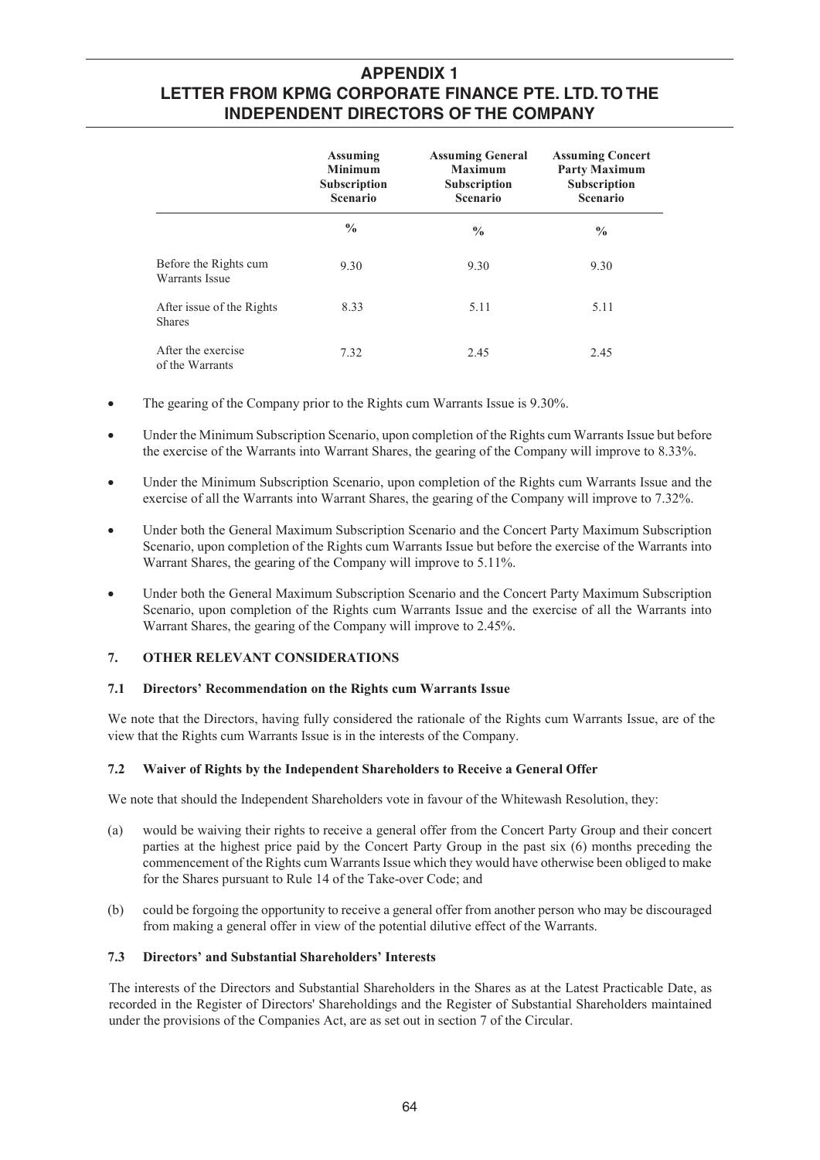|                                            | <b>Assuming</b><br><b>Minimum</b><br>Subscription<br><b>Scenario</b> | <b>Assuming General</b><br><b>Maximum</b><br><b>Subscription</b><br><b>Scenario</b> | <b>Assuming Concert</b><br><b>Party Maximum</b><br><b>Subscription</b><br><b>Scenario</b> |  |
|--------------------------------------------|----------------------------------------------------------------------|-------------------------------------------------------------------------------------|-------------------------------------------------------------------------------------------|--|
|                                            | $\frac{0}{0}$                                                        | $\frac{0}{0}$                                                                       | $\frac{0}{0}$                                                                             |  |
| Before the Rights cum<br>Warrants Issue    | 9.30                                                                 | 9.30                                                                                | 9.30                                                                                      |  |
| After issue of the Rights<br><b>Shares</b> | 8.33                                                                 | 5.11                                                                                | 5.11                                                                                      |  |
| After the exercise<br>of the Warrants      | 7.32                                                                 | 2.45                                                                                | 2.45                                                                                      |  |

- The gearing of the Company prior to the Rights cum Warrants Issue is 9.30%.
- Under the Minimum Subscription Scenario, upon completion of the Rights cum Warrants Issue but before the exercise of the Warrants into Warrant Shares, the gearing of the Company will improve to 8.33%.
- Under the Minimum Subscription Scenario, upon completion of the Rights cum Warrants Issue and the exercise of all the Warrants into Warrant Shares, the gearing of the Company will improve to 7.32%.
- Under both the General Maximum Subscription Scenario and the Concert Party Maximum Subscription Scenario, upon completion of the Rights cum Warrants Issue but before the exercise of the Warrants into Warrant Shares, the gearing of the Company will improve to 5.11%.
- Under both the General Maximum Subscription Scenario and the Concert Party Maximum Subscription Scenario, upon completion of the Rights cum Warrants Issue and the exercise of all the Warrants into Warrant Shares, the gearing of the Company will improve to 2.45%.

## **7. OTHER RELEVANT CONSIDERATIONS**

#### **7.1 Directors' Recommendation on the Rights cum Warrants Issue**

We note that the Directors, having fully considered the rationale of the Rights cum Warrants Issue, are of the view that the Rights cum Warrants Issue is in the interests of the Company.

#### **7.2 Waiver of Rights by the Independent Shareholders to Receive a General Offer**

We note that should the Independent Shareholders vote in favour of the Whitewash Resolution, they:

- (a) would be waiving their rights to receive a general offer from the Concert Party Group and their concert parties at the highest price paid by the Concert Party Group in the past six (6) months preceding the commencement of the Rights cum Warrants Issue which they would have otherwise been obliged to make for the Shares pursuant to Rule 14 of the Take-over Code; and
- (b) could be forgoing the opportunity to receive a general offer from another person who may be discouraged from making a general offer in view of the potential dilutive effect of the Warrants.

### **7.3 Directors' and Substantial Shareholders' Interests**

The interests of the Directors and Substantial Shareholders in the Shares as at the Latest Practicable Date, as recorded in the Register of Directors' Shareholdings and the Register of Substantial Shareholders maintained under the provisions of the Companies Act, are as set out in section 7 of the Circular.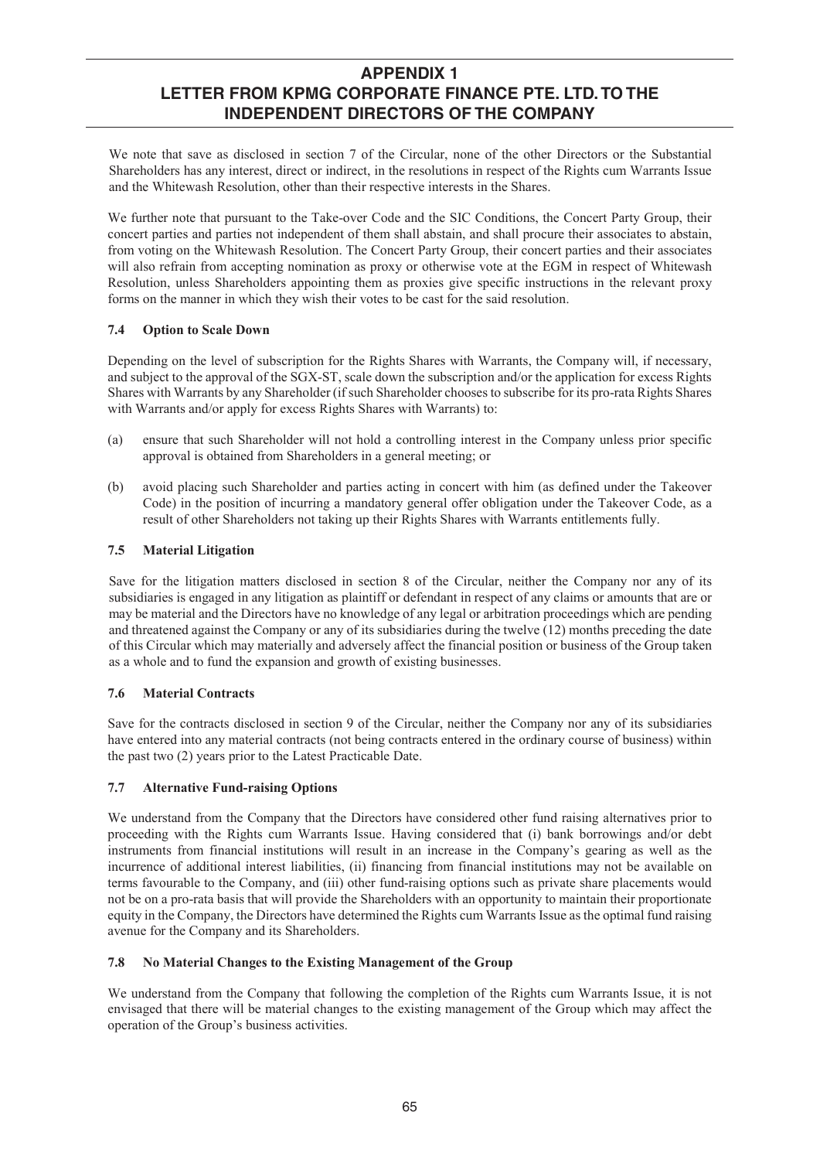We note that save as disclosed in section 7 of the Circular, none of the other Directors or the Substantial Shareholders has any interest, direct or indirect, in the resolutions in respect of the Rights cum Warrants Issue and the Whitewash Resolution, other than their respective interests in the Shares.

We further note that pursuant to the Take-over Code and the SIC Conditions, the Concert Party Group, their concert parties and parties not independent of them shall abstain, and shall procure their associates to abstain, from voting on the Whitewash Resolution. The Concert Party Group, their concert parties and their associates will also refrain from accepting nomination as proxy or otherwise vote at the EGM in respect of Whitewash Resolution, unless Shareholders appointing them as proxies give specific instructions in the relevant proxy forms on the manner in which they wish their votes to be cast for the said resolution.

## **7.4 Option to Scale Down**

Depending on the level of subscription for the Rights Shares with Warrants, the Company will, if necessary, and subject to the approval of the SGX-ST, scale down the subscription and/or the application for excess Rights Shares with Warrants by any Shareholder (if such Shareholder chooses to subscribe for its pro-rata Rights Shares with Warrants and/or apply for excess Rights Shares with Warrants) to:

- (a) ensure that such Shareholder will not hold a controlling interest in the Company unless prior specific approval is obtained from Shareholders in a general meeting; or
- (b) avoid placing such Shareholder and parties acting in concert with him (as defined under the Takeover Code) in the position of incurring a mandatory general offer obligation under the Takeover Code, as a result of other Shareholders not taking up their Rights Shares with Warrants entitlements fully.

### **7.5 Material Litigation**

Save for the litigation matters disclosed in section 8 of the Circular, neither the Company nor any of its subsidiaries is engaged in any litigation as plaintiff or defendant in respect of any claims or amounts that are or may be material and the Directors have no knowledge of any legal or arbitration proceedings which are pending and threatened against the Company or any of its subsidiaries during the twelve (12) months preceding the date of this Circular which may materially and adversely affect the financial position or business of the Group taken as a whole and to fund the expansion and growth of existing businesses.

### **7.6 Material Contracts**

Save for the contracts disclosed in section 9 of the Circular, neither the Company nor any of its subsidiaries have entered into any material contracts (not being contracts entered in the ordinary course of business) within the past two (2) years prior to the Latest Practicable Date.

## **7.7 Alternative Fund-raising Options**

We understand from the Company that the Directors have considered other fund raising alternatives prior to proceeding with the Rights cum Warrants Issue. Having considered that (i) bank borrowings and/or debt instruments from financial institutions will result in an increase in the Company's gearing as well as the incurrence of additional interest liabilities, (ii) financing from financial institutions may not be available on terms favourable to the Company, and (iii) other fund-raising options such as private share placements would not be on a pro-rata basis that will provide the Shareholders with an opportunity to maintain their proportionate equity in the Company, the Directors have determined the Rights cum Warrants Issue as the optimal fund raising avenue for the Company and its Shareholders.

## **7.8 No Material Changes to the Existing Management of the Group**

We understand from the Company that following the completion of the Rights cum Warrants Issue, it is not envisaged that there will be material changes to the existing management of the Group which may affect the operation of the Group's business activities.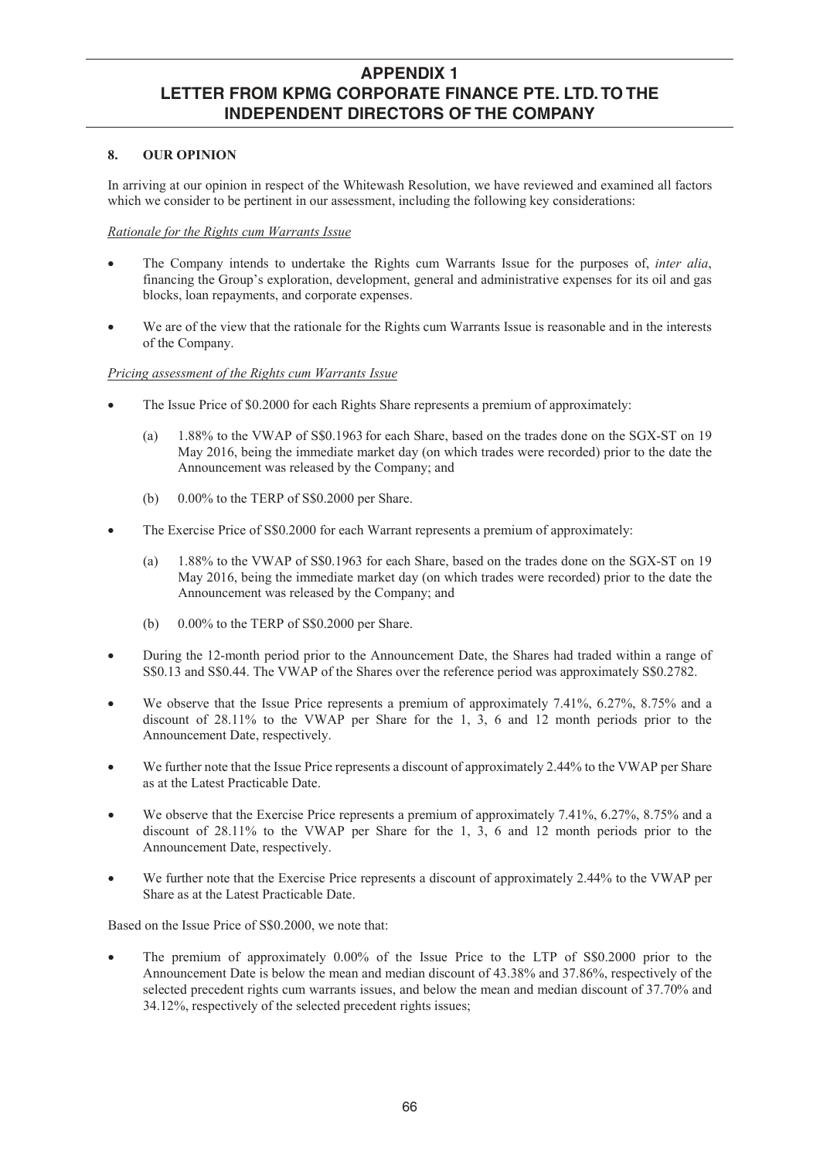### **8. OUR OPINION**

In arriving at our opinion in respect of the Whitewash Resolution, we have reviewed and examined all factors which we consider to be pertinent in our assessment, including the following key considerations:

### *Rationale for the Rights cum Warrants Issue*

- x The Company intends to undertake the Rights cum Warrants Issue for the purposes of, *inter alia*, financing the Group's exploration, development, general and administrative expenses for its oil and gas blocks, loan repayments, and corporate expenses.
- We are of the view that the rationale for the Rights cum Warrants Issue is reasonable and in the interests of the Company.

### *Pricing assessment of the Rights cum Warrants Issue*

- The Issue Price of \$0.2000 for each Rights Share represents a premium of approximately:
	- (a) 1.88% to the VWAP of S\$0.1963 for each Share, based on the trades done on the SGX-ST on 19 May 2016, being the immediate market day (on which trades were recorded) prior to the date the Announcement was released by the Company; and
	- (b)  $0.00\%$  to the TERP of S\$0.2000 per Share.
- The Exercise Price of S\$0.2000 for each Warrant represents a premium of approximately:
	- (a) 1.88% to the VWAP of S\$0.1963 for each Share, based on the trades done on the SGX-ST on 19 May 2016, being the immediate market day (on which trades were recorded) prior to the date the Announcement was released by the Company; and
	- (b)  $0.00\%$  to the TERP of S\$0.2000 per Share.
- During the 12-month period prior to the Announcement Date, the Shares had traded within a range of S\$0.13 and S\$0.44. The VWAP of the Shares over the reference period was approximately S\$0.2782.
- We observe that the Issue Price represents a premium of approximately 7.41%, 6.27%, 8.75% and a discount of 28.11% to the VWAP per Share for the 1, 3, 6 and 12 month periods prior to the Announcement Date, respectively.
- We further note that the Issue Price represents a discount of approximately 2.44% to the VWAP per Share as at the Latest Practicable Date.
- We observe that the Exercise Price represents a premium of approximately 7.41%, 6.27%, 8.75% and a discount of 28.11% to the VWAP per Share for the 1, 3, 6 and 12 month periods prior to the Announcement Date, respectively.
- We further note that the Exercise Price represents a discount of approximately 2.44% to the VWAP per Share as at the Latest Practicable Date.

Based on the Issue Price of S\$0.2000, we note that:

x The premium of approximately 0.00% of the Issue Price to the LTP of S\$0.2000 prior to the Announcement Date is below the mean and median discount of 43.38% and 37.86%, respectively of the selected precedent rights cum warrants issues, and below the mean and median discount of 37.70% and 34.12%, respectively of the selected precedent rights issues;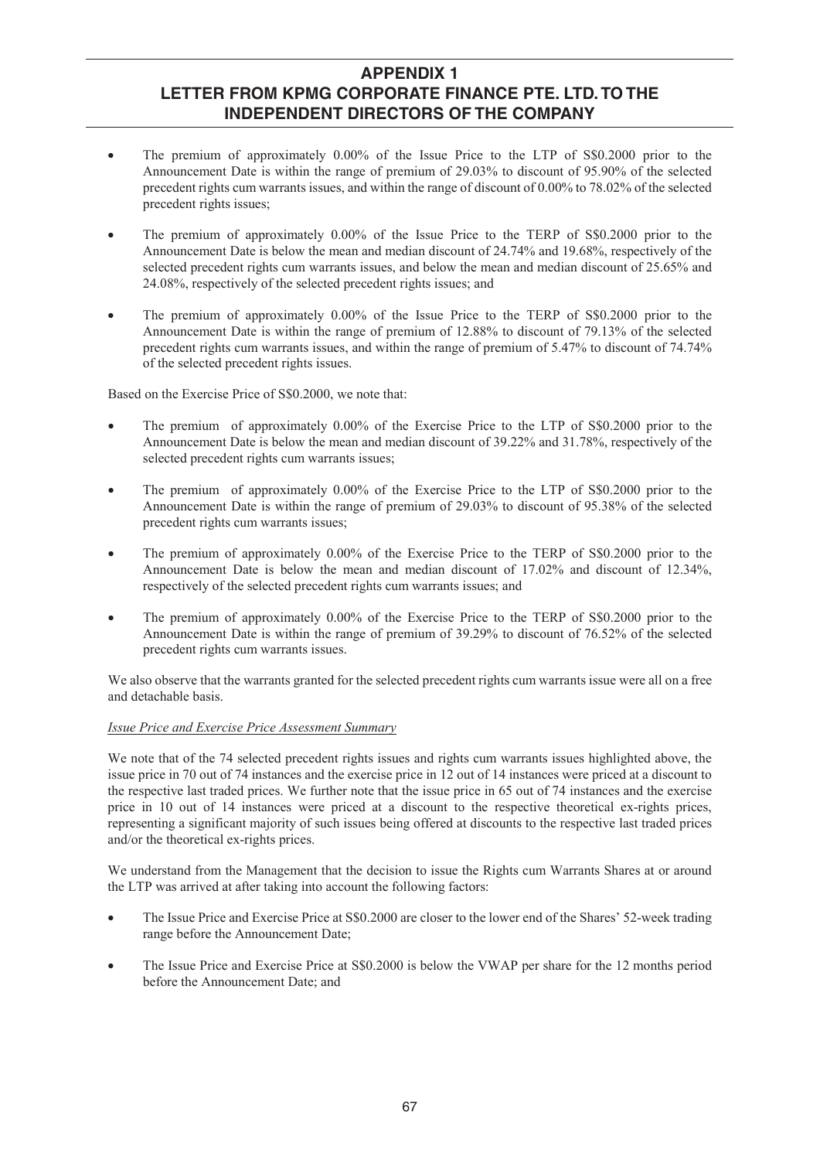- The premium of approximately 0.00% of the Issue Price to the LTP of S\$0.2000 prior to the Announcement Date is within the range of premium of 29.03% to discount of 95.90% of the selected precedent rights cum warrants issues, and within the range of discount of 0.00% to 78.02% of the selected precedent rights issues;
- The premium of approximately 0.00% of the Issue Price to the TERP of S\$0.2000 prior to the Announcement Date is below the mean and median discount of 24.74% and 19.68%, respectively of the selected precedent rights cum warrants issues, and below the mean and median discount of 25.65% and 24.08%, respectively of the selected precedent rights issues; and
- The premium of approximately 0.00% of the Issue Price to the TERP of S\$0.2000 prior to the Announcement Date is within the range of premium of 12.88% to discount of 79.13% of the selected precedent rights cum warrants issues, and within the range of premium of 5.47% to discount of 74.74% of the selected precedent rights issues.

Based on the Exercise Price of S\$0.2000, we note that:

- The premium of approximately 0.00% of the Exercise Price to the LTP of S\$0.2000 prior to the Announcement Date is below the mean and median discount of 39.22% and 31.78%, respectively of the selected precedent rights cum warrants issues;
- The premium of approximately 0.00% of the Exercise Price to the LTP of S\$0.2000 prior to the Announcement Date is within the range of premium of 29.03% to discount of 95.38% of the selected precedent rights cum warrants issues;
- The premium of approximately 0.00% of the Exercise Price to the TERP of S\$0.2000 prior to the Announcement Date is below the mean and median discount of 17.02% and discount of 12.34%, respectively of the selected precedent rights cum warrants issues; and
- The premium of approximately 0.00% of the Exercise Price to the TERP of S\$0.2000 prior to the Announcement Date is within the range of premium of 39.29% to discount of 76.52% of the selected precedent rights cum warrants issues.

We also observe that the warrants granted for the selected precedent rights cum warrants issue were all on a free and detachable basis.

## *Issue Price and Exercise Price Assessment Summary*

We note that of the 74 selected precedent rights issues and rights cum warrants issues highlighted above, the issue price in 70 out of 74 instances and the exercise price in 12 out of 14 instances were priced at a discount to the respective last traded prices. We further note that the issue price in 65 out of 74 instances and the exercise price in 10 out of 14 instances were priced at a discount to the respective theoretical ex-rights prices, representing a significant majority of such issues being offered at discounts to the respective last traded prices and/or the theoretical ex-rights prices.

We understand from the Management that the decision to issue the Rights cum Warrants Shares at or around the LTP was arrived at after taking into account the following factors:

- The Issue Price and Exercise Price at S\$0.2000 are closer to the lower end of the Shares' 52-week trading range before the Announcement Date;
- The Issue Price and Exercise Price at S\$0.2000 is below the VWAP per share for the 12 months period before the Announcement Date; and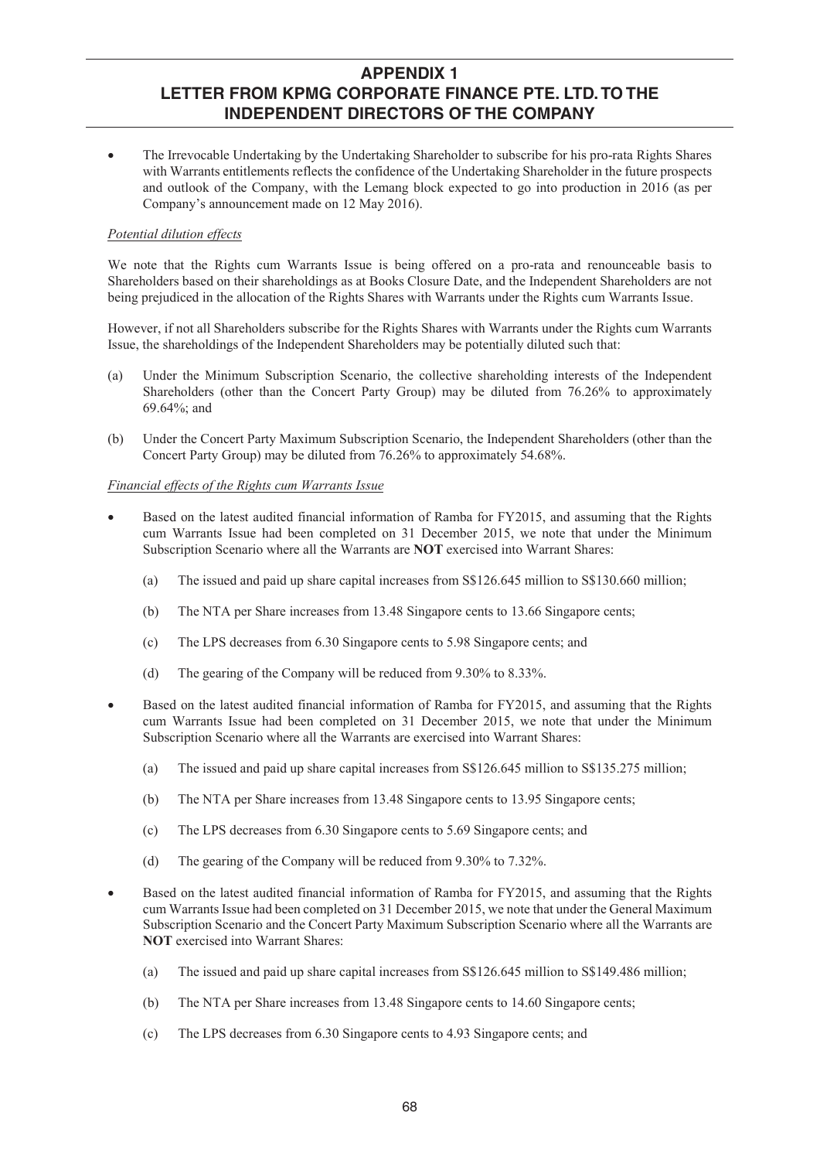The Irrevocable Undertaking by the Undertaking Shareholder to subscribe for his pro-rata Rights Shares with Warrants entitlements reflects the confidence of the Undertaking Shareholder in the future prospects and outlook of the Company, with the Lemang block expected to go into production in 2016 (as per Company's announcement made on 12 May 2016).

### *Potential dilution effects*

We note that the Rights cum Warrants Issue is being offered on a pro-rata and renounceable basis to Shareholders based on their shareholdings as at Books Closure Date, and the Independent Shareholders are not being prejudiced in the allocation of the Rights Shares with Warrants under the Rights cum Warrants Issue.

However, if not all Shareholders subscribe for the Rights Shares with Warrants under the Rights cum Warrants Issue, the shareholdings of the Independent Shareholders may be potentially diluted such that:

- (a) Under the Minimum Subscription Scenario, the collective shareholding interests of the Independent Shareholders (other than the Concert Party Group) may be diluted from 76.26% to approximately 69.64%; and
- (b) Under the Concert Party Maximum Subscription Scenario, the Independent Shareholders (other than the Concert Party Group) may be diluted from 76.26% to approximately 54.68%.

### *Financial effects of the Rights cum Warrants Issue*

- Based on the latest audited financial information of Ramba for FY2015, and assuming that the Rights cum Warrants Issue had been completed on 31 December 2015, we note that under the Minimum Subscription Scenario where all the Warrants are **NOT** exercised into Warrant Shares:
	- (a) The issued and paid up share capital increases from S\$126.645 million to S\$130.660 million;
	- (b) The NTA per Share increases from 13.48 Singapore cents to 13.66 Singapore cents;
	- (c) The LPS decreases from 6.30 Singapore cents to 5.98 Singapore cents; and
	- (d) The gearing of the Company will be reduced from 9.30% to 8.33%.
- Based on the latest audited financial information of Ramba for FY2015, and assuming that the Rights cum Warrants Issue had been completed on 31 December 2015, we note that under the Minimum Subscription Scenario where all the Warrants are exercised into Warrant Shares:
	- (a) The issued and paid up share capital increases from S\$126.645 million to S\$135.275 million;
	- (b) The NTA per Share increases from 13.48 Singapore cents to 13.95 Singapore cents;
	- (c) The LPS decreases from 6.30 Singapore cents to 5.69 Singapore cents; and
	- (d) The gearing of the Company will be reduced from 9.30% to 7.32%.
- Based on the latest audited financial information of Ramba for FY2015, and assuming that the Rights cum Warrants Issue had been completed on 31 December 2015, we note that under the General Maximum Subscription Scenario and the Concert Party Maximum Subscription Scenario where all the Warrants are **NOT** exercised into Warrant Shares:
	- (a) The issued and paid up share capital increases from S\$126.645 million to S\$149.486 million;
	- (b) The NTA per Share increases from 13.48 Singapore cents to 14.60 Singapore cents;
	- (c) The LPS decreases from 6.30 Singapore cents to 4.93 Singapore cents; and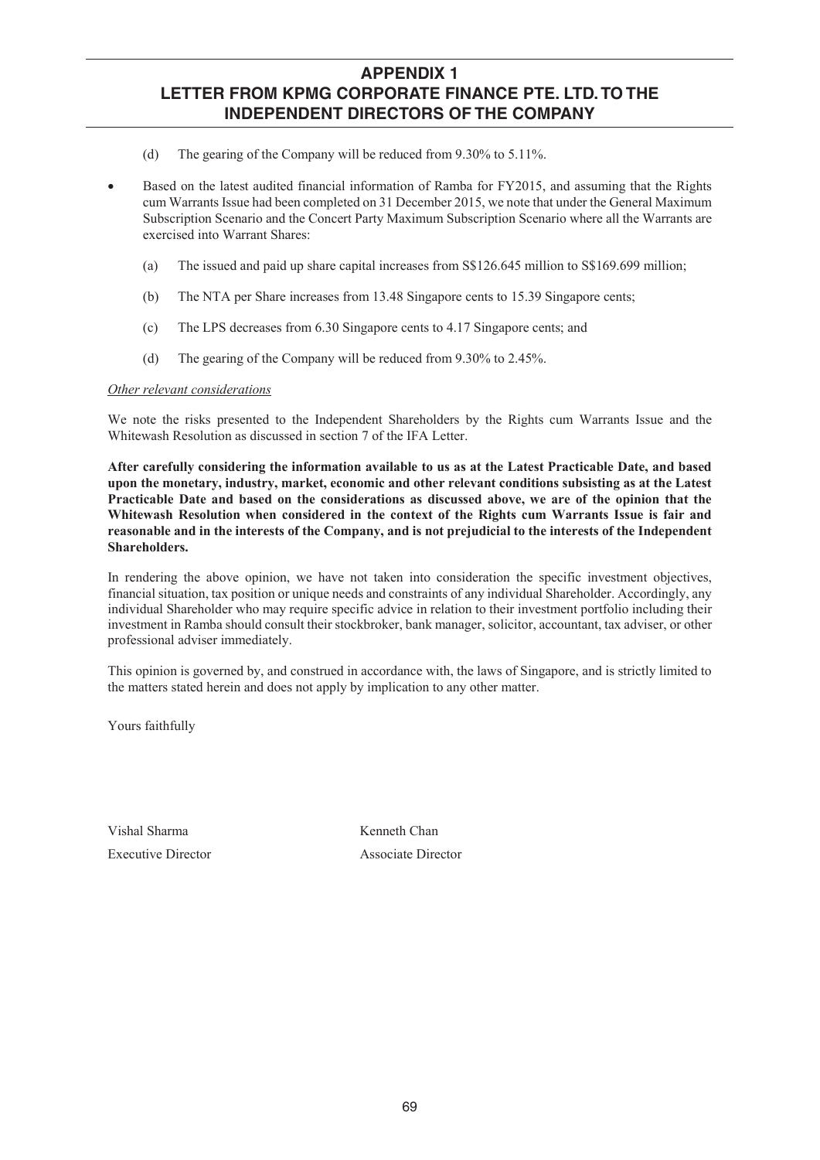- (d) The gearing of the Company will be reduced from 9.30% to 5.11%.
- Based on the latest audited financial information of Ramba for FY2015, and assuming that the Rights cum Warrants Issue had been completed on 31 December 2015, we note that under the General Maximum Subscription Scenario and the Concert Party Maximum Subscription Scenario where all the Warrants are exercised into Warrant Shares:
	- (a) The issued and paid up share capital increases from S\$126.645 million to S\$169.699 million;
	- (b) The NTA per Share increases from 13.48 Singapore cents to 15.39 Singapore cents;
	- (c) The LPS decreases from 6.30 Singapore cents to 4.17 Singapore cents; and
	- (d) The gearing of the Company will be reduced from 9.30% to 2.45%.

### *Other relevant considerations*

We note the risks presented to the Independent Shareholders by the Rights cum Warrants Issue and the Whitewash Resolution as discussed in section 7 of the IFA Letter.

**After carefully considering the information available to us as at the Latest Practicable Date, and based upon the monetary, industry, market, economic and other relevant conditions subsisting as at the Latest Practicable Date and based on the considerations as discussed above, we are of the opinion that the Whitewash Resolution when considered in the context of the Rights cum Warrants Issue is fair and reasonable and in the interests of the Company, and is not prejudicial to the interests of the Independent Shareholders.** 

In rendering the above opinion, we have not taken into consideration the specific investment objectives, financial situation, tax position or unique needs and constraints of any individual Shareholder. Accordingly, any individual Shareholder who may require specific advice in relation to their investment portfolio including their investment in Ramba should consult their stockbroker, bank manager, solicitor, accountant, tax adviser, or other professional adviser immediately.

This opinion is governed by, and construed in accordance with, the laws of Singapore, and is strictly limited to the matters stated herein and does not apply by implication to any other matter.

Yours faithfully

Vishal Sharma Executive Director Kenneth Chan Associate Director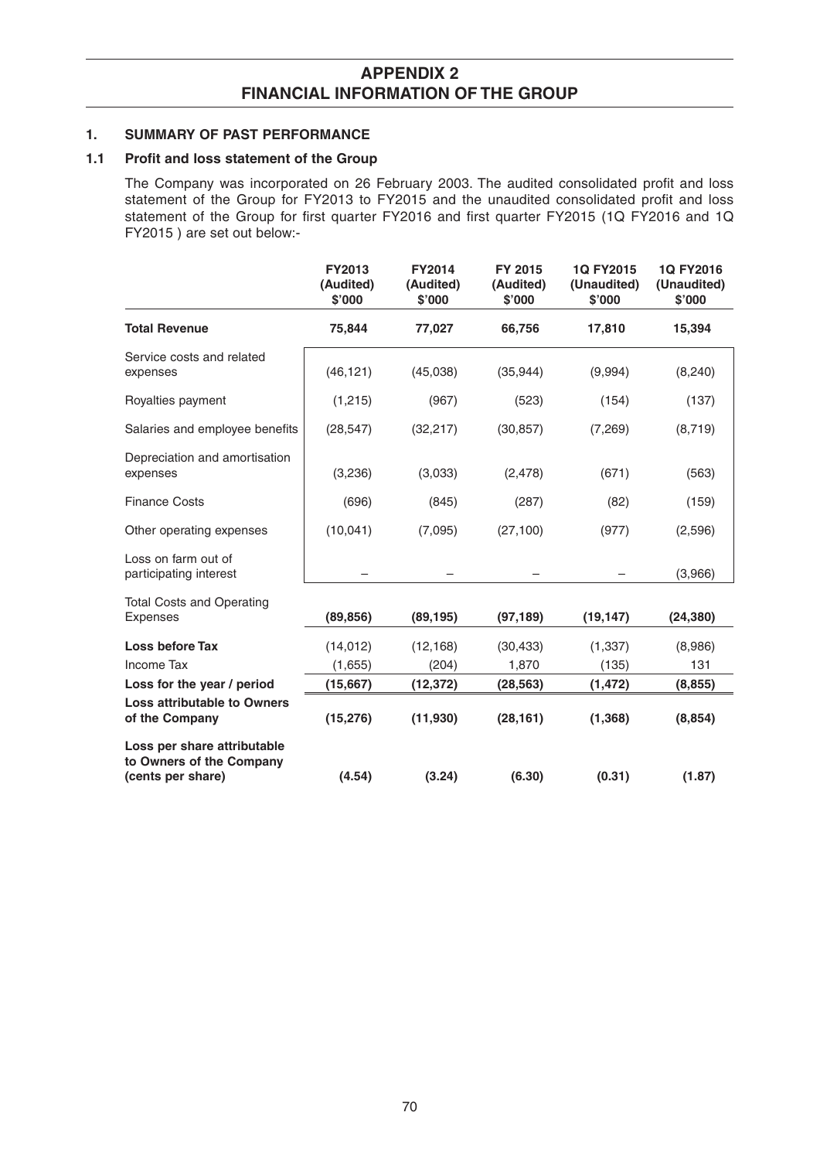# **APPENDIX 2 FINANCIAL INFORMATION OF THE GROUP**

## **1. SUMMARY OF PAST PERFORMANCE**

## **1.1 Profit and loss statement of the Group**

The Company was incorporated on 26 February 2003. The audited consolidated profit and loss statement of the Group for FY2013 to FY2015 and the unaudited consolidated profit and loss statement of the Group for first quarter FY2016 and first quarter FY2015 (1Q FY2016 and 1Q FY2015 ) are set out below:-

|                                                                              | FY2013<br>(Audited)<br>\$'000 | <b>FY2014</b><br>(Audited)<br>\$'000 | FY 2015<br>(Audited)<br>\$'000 | 1Q FY2015<br>(Unaudited)<br>\$'000 | 1Q FY2016<br>(Unaudited)<br>\$'000 |
|------------------------------------------------------------------------------|-------------------------------|--------------------------------------|--------------------------------|------------------------------------|------------------------------------|
| <b>Total Revenue</b>                                                         | 75,844                        | 77,027                               | 66,756                         | 17,810                             | 15,394                             |
| Service costs and related<br>expenses                                        | (46, 121)                     | (45,038)                             | (35,944)                       | (9,994)                            | (8, 240)                           |
| Royalties payment                                                            | (1,215)                       | (967)                                | (523)                          | (154)                              | (137)                              |
| Salaries and employee benefits                                               | (28, 547)                     | (32, 217)                            | (30, 857)                      | (7, 269)                           | (8,719)                            |
| Depreciation and amortisation<br>expenses                                    | (3,236)                       | (3,033)                              | (2, 478)                       | (671)                              | (563)                              |
| <b>Finance Costs</b>                                                         | (696)                         | (845)                                | (287)                          | (82)                               | (159)                              |
| Other operating expenses                                                     | (10,041)                      | (7,095)                              | (27, 100)                      | (977)                              | (2,596)                            |
| Loss on farm out of<br>participating interest                                |                               |                                      |                                |                                    | (3,966)                            |
| <b>Total Costs and Operating</b><br><b>Expenses</b>                          | (89, 856)                     | (89, 195)                            | (97, 189)                      | (19, 147)                          | (24, 380)                          |
| Loss before Tax                                                              | (14, 012)                     | (12, 168)                            | (30, 433)                      | (1, 337)                           | (8,986)                            |
| Income Tax                                                                   | (1,655)                       | (204)                                | 1,870                          | (135)                              | 131                                |
| Loss for the year / period                                                   | (15, 667)                     | (12, 372)                            | (28, 563)                      | (1, 472)                           | (8, 855)                           |
| <b>Loss attributable to Owners</b><br>of the Company                         | (15, 276)                     | (11, 930)                            | (28, 161)                      | (1, 368)                           | (8, 854)                           |
| Loss per share attributable<br>to Owners of the Company<br>(cents per share) | (4.54)                        | (3.24)                               | (6.30)                         | (0.31)                             | (1.87)                             |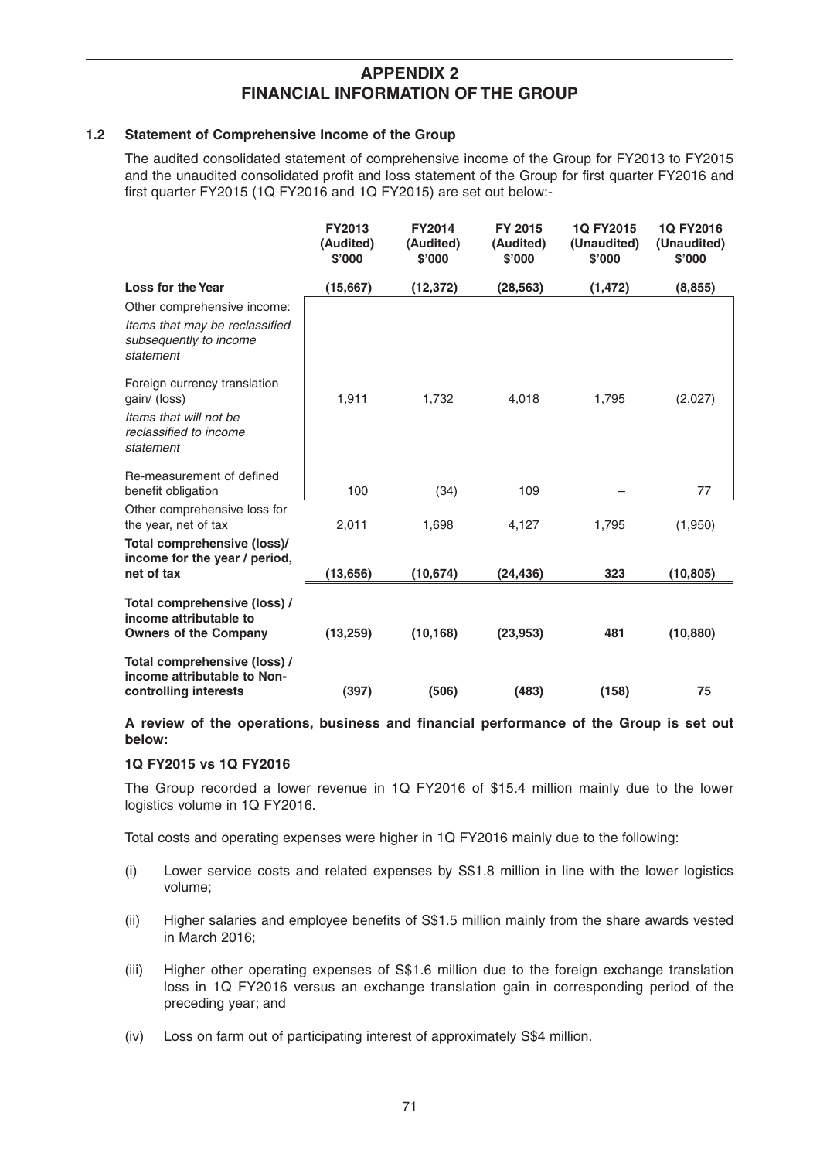## **APPENDIX 2 FINANCIAL INFORMATION OF THE GROUP**

### **1.2 Statement of Comprehensive Income of the Group**

 The audited consolidated statement of comprehensive income of the Group for FY2013 to FY2015 and the unaudited consolidated profit and loss statement of the Group for first quarter FY2016 and first quarter FY2015 (1Q FY2016 and 1Q FY2015) are set out below:-

|                                                                                        | FY2013<br>(Audited)<br>\$'000 | <b>FY2014</b><br>(Audited)<br>\$'000 | FY 2015<br>(Audited)<br>\$'000 | 1Q FY2015<br>(Unaudited)<br>\$'000 | 1Q FY2016<br>(Unaudited)<br>\$'000 |
|----------------------------------------------------------------------------------------|-------------------------------|--------------------------------------|--------------------------------|------------------------------------|------------------------------------|
| <b>Loss for the Year</b>                                                               | (15,667)                      | (12, 372)                            | (28, 563)                      | (1, 472)                           | (8, 855)                           |
| Other comprehensive income:                                                            |                               |                                      |                                |                                    |                                    |
| Items that may be reclassified<br>subsequently to income<br>statement                  |                               |                                      |                                |                                    |                                    |
| Foreign currency translation<br>gain/ (loss)                                           | 1,911                         | 1,732                                | 4,018                          | 1,795                              | (2,027)                            |
| Items that will not be<br>reclassified to income<br>statement                          |                               |                                      |                                |                                    |                                    |
| Re-measurement of defined<br>benefit obligation                                        | 100                           | (34)                                 | 109                            |                                    | 77                                 |
| Other comprehensive loss for<br>the year, net of tax                                   | 2,011                         | 1,698                                | 4,127                          | 1,795                              | (1,950)                            |
| Total comprehensive (loss)/<br>income for the year / period,                           |                               |                                      |                                |                                    |                                    |
| net of tax                                                                             | (13,656)                      | (10, 674)                            | (24, 436)                      | 323                                | (10, 805)                          |
| Total comprehensive (loss) /<br>income attributable to<br><b>Owners of the Company</b> | (13, 259)                     | (10, 168)                            | (23, 953)                      | 481                                | (10, 880)                          |
| Total comprehensive (loss) /<br>income attributable to Non-<br>controlling interests   | (397)                         | (506)                                | (483)                          | (158)                              | 75                                 |

A review of the operations, business and financial performance of the Group is set out **below:** 

## **1Q FY2015 vs 1Q FY2016**

 The Group recorded a lower revenue in 1Q FY2016 of \$15.4 million mainly due to the lower logistics volume in 1Q FY2016.

Total costs and operating expenses were higher in 1Q FY2016 mainly due to the following:

- (i) Lower service costs and related expenses by S\$1.8 million in line with the lower logistics volume;
- (ii) Higher salaries and employee benefits of S\$1.5 million mainly from the share awards vested in March 2016;
- (iii) Higher other operating expenses of S\$1.6 million due to the foreign exchange translation loss in 1Q FY2016 versus an exchange translation gain in corresponding period of the preceding year; and
- (iv) Loss on farm out of participating interest of approximately S\$4 million.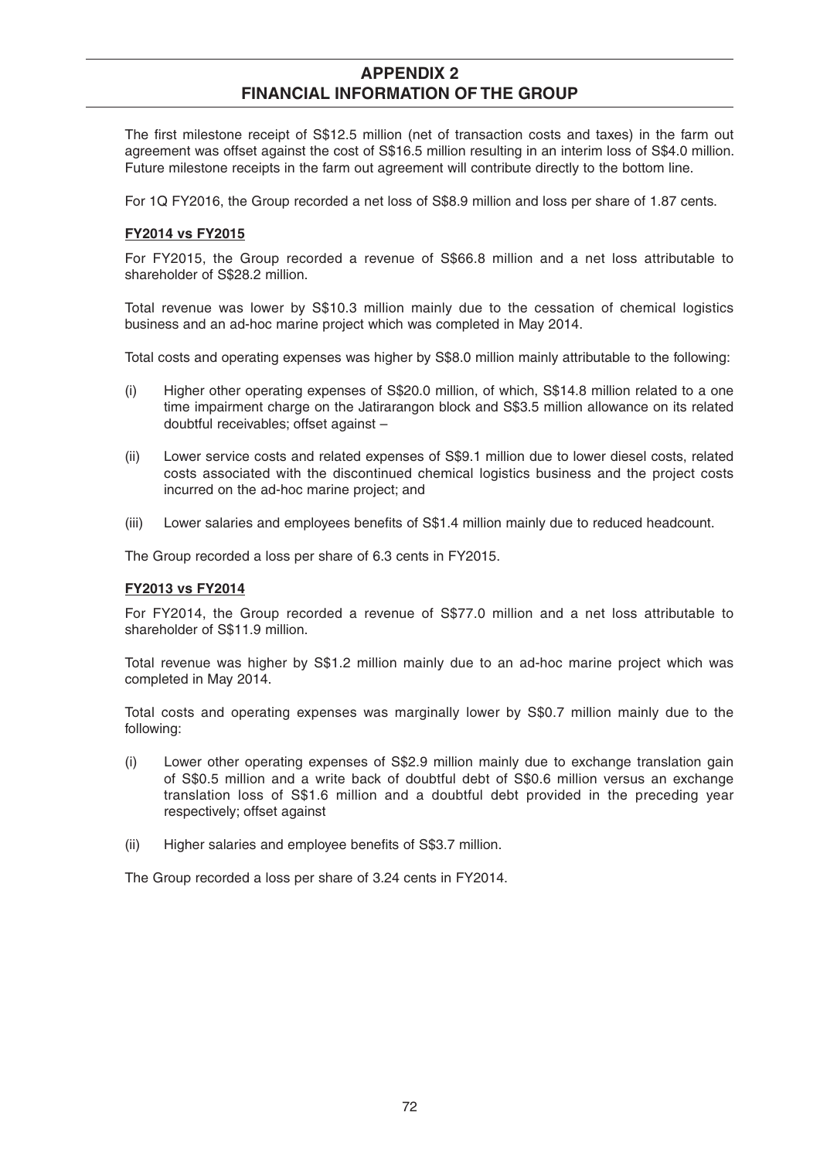# **APPENDIX 2 FINANCIAL INFORMATION OF THE GROUP**

The first milestone receipt of S\$12.5 million (net of transaction costs and taxes) in the farm out agreement was offset against the cost of S\$16.5 million resulting in an interim loss of S\$4.0 million. Future milestone receipts in the farm out agreement will contribute directly to the bottom line.

For 1Q FY2016, the Group recorded a net loss of S\$8.9 million and loss per share of 1.87 cents.

## **FY2014 vs FY2015**

For FY2015, the Group recorded a revenue of S\$66.8 million and a net loss attributable to shareholder of S\$28.2 million.

 Total revenue was lower by S\$10.3 million mainly due to the cessation of chemical logistics business and an ad-hoc marine project which was completed in May 2014.

Total costs and operating expenses was higher by S\$8.0 million mainly attributable to the following:

- (i) Higher other operating expenses of S\$20.0 million, of which, S\$14.8 million related to a one time impairment charge on the Jatirarangon block and S\$3.5 million allowance on its related doubtful receivables; offset against –
- (ii) Lower service costs and related expenses of S\$9.1 million due to lower diesel costs, related costs associated with the discontinued chemical logistics business and the project costs incurred on the ad-hoc marine project; and
- (iii) Lower salaries and employees benefits of S\$1.4 million mainly due to reduced headcount.

The Group recorded a loss per share of 6.3 cents in FY2015.

## **FY2013 vs FY2014**

For FY2014, the Group recorded a revenue of S\$77.0 million and a net loss attributable to shareholder of S\$11.9 million.

 Total revenue was higher by S\$1.2 million mainly due to an ad-hoc marine project which was completed in May 2014.

 Total costs and operating expenses was marginally lower by S\$0.7 million mainly due to the following:

- (i) Lower other operating expenses of S\$2.9 million mainly due to exchange translation gain of S\$0.5 million and a write back of doubtful debt of S\$0.6 million versus an exchange translation loss of S\$1.6 million and a doubtful debt provided in the preceding year respectively; offset against
- (ii) Higher salaries and employee benefits of S\$3.7 million.

The Group recorded a loss per share of 3.24 cents in FY2014.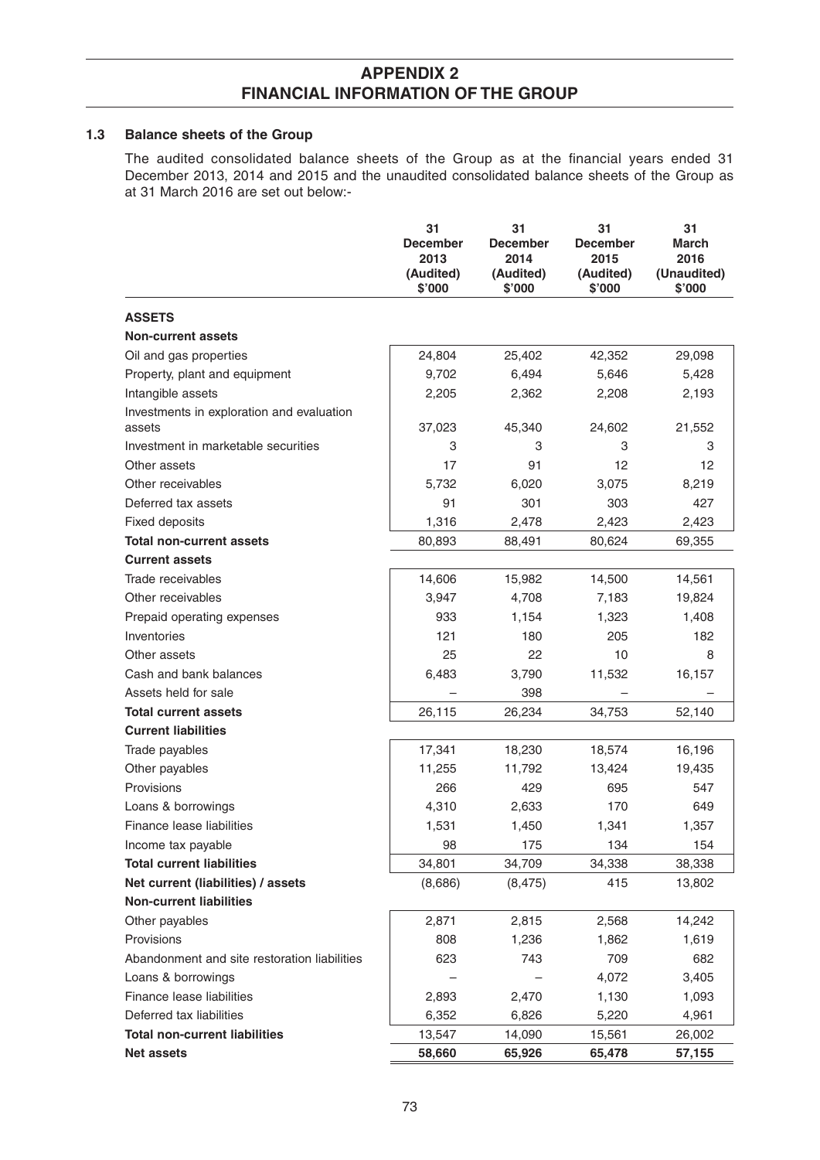## **1.3 Balance sheets of the Group**

The audited consolidated balance sheets of the Group as at the financial years ended 31 December 2013, 2014 and 2015 and the unaudited consolidated balance sheets of the Group as at 31 March 2016 are set out below:-

|                                                     | 31<br><b>December</b><br>2013<br>(Audited)<br>\$'000 | 31<br><b>December</b><br>2014<br>(Audited)<br>\$'000 | 31<br><b>December</b><br>2015<br>(Audited)<br>\$'000 | 31<br>March<br>2016<br>(Unaudited)<br>\$'000 |
|-----------------------------------------------------|------------------------------------------------------|------------------------------------------------------|------------------------------------------------------|----------------------------------------------|
| <b>ASSETS</b>                                       |                                                      |                                                      |                                                      |                                              |
| <b>Non-current assets</b>                           |                                                      |                                                      |                                                      |                                              |
| Oil and gas properties                              | 24,804                                               | 25,402                                               | 42,352                                               | 29,098                                       |
| Property, plant and equipment                       | 9,702                                                | 6,494                                                | 5,646                                                | 5,428                                        |
| Intangible assets                                   | 2,205                                                | 2,362                                                | 2,208                                                | 2,193                                        |
| Investments in exploration and evaluation<br>assets | 37,023                                               | 45,340                                               | 24,602                                               | 21,552                                       |
| Investment in marketable securities                 | 3                                                    | 3                                                    | 3                                                    | 3                                            |
| Other assets                                        | 17                                                   | 91                                                   | 12                                                   | 12                                           |
| Other receivables                                   | 5,732                                                | 6,020                                                | 3,075                                                | 8,219                                        |
| Deferred tax assets                                 | 91                                                   | 301                                                  | 303                                                  | 427                                          |
| <b>Fixed deposits</b>                               | 1,316                                                | 2,478                                                | 2,423                                                | 2,423                                        |
| <b>Total non-current assets</b>                     | 80,893                                               | 88,491                                               | 80,624                                               | 69,355                                       |
| <b>Current assets</b>                               |                                                      |                                                      |                                                      |                                              |
| Trade receivables                                   | 14,606                                               | 15,982                                               | 14,500                                               | 14,561                                       |
| Other receivables                                   | 3,947                                                | 4,708                                                | 7,183                                                | 19,824                                       |
| Prepaid operating expenses                          | 933                                                  | 1,154                                                | 1,323                                                | 1,408                                        |
| Inventories                                         | 121                                                  | 180                                                  | 205                                                  | 182                                          |
| Other assets                                        | 25                                                   | 22                                                   | 10                                                   | 8                                            |
| Cash and bank balances                              | 6,483                                                | 3,790                                                | 11,532                                               | 16,157                                       |
| Assets held for sale                                |                                                      | 398                                                  |                                                      |                                              |
| <b>Total current assets</b>                         | 26,115                                               | 26,234                                               | 34,753                                               | 52,140                                       |
| <b>Current liabilities</b>                          |                                                      |                                                      |                                                      |                                              |
| Trade payables                                      | 17,341                                               | 18,230                                               | 18,574                                               | 16,196                                       |
| Other payables                                      | 11,255                                               | 11,792                                               | 13,424                                               | 19,435                                       |
| Provisions                                          | 266                                                  | 429                                                  | 695                                                  | 547                                          |
| Loans & borrowings                                  | 4,310                                                | 2,633                                                | 170                                                  | 649                                          |
| Finance lease liabilities                           | 1,531                                                | 1,450                                                | 1,341                                                | 1,357                                        |
| Income tax payable                                  | 98                                                   | 175                                                  | 134                                                  | 154                                          |
| <b>Total current liabilities</b>                    | 34,801                                               | 34,709                                               | 34,338                                               | 38,338                                       |
| Net current (liabilities) / assets                  | (8,686)                                              | (8, 475)                                             | 415                                                  | 13,802                                       |
| <b>Non-current liabilities</b>                      |                                                      |                                                      |                                                      |                                              |
| Other payables                                      | 2,871                                                | 2,815                                                | 2,568                                                | 14,242                                       |
| Provisions                                          | 808                                                  | 1,236                                                | 1,862                                                | 1,619                                        |
| Abandonment and site restoration liabilities        | 623                                                  | 743                                                  | 709                                                  | 682                                          |
| Loans & borrowings                                  |                                                      |                                                      | 4,072                                                | 3,405                                        |
| Finance lease liabilities                           | 2,893                                                | 2,470                                                | 1,130                                                | 1,093                                        |
| Deferred tax liabilities                            | 6,352                                                | 6,826                                                | 5,220                                                | 4,961                                        |
| <b>Total non-current liabilities</b>                | 13,547                                               | 14,090                                               | 15,561                                               | 26,002                                       |
| <b>Net assets</b>                                   | 58,660                                               | 65,926                                               | 65,478                                               | 57,155                                       |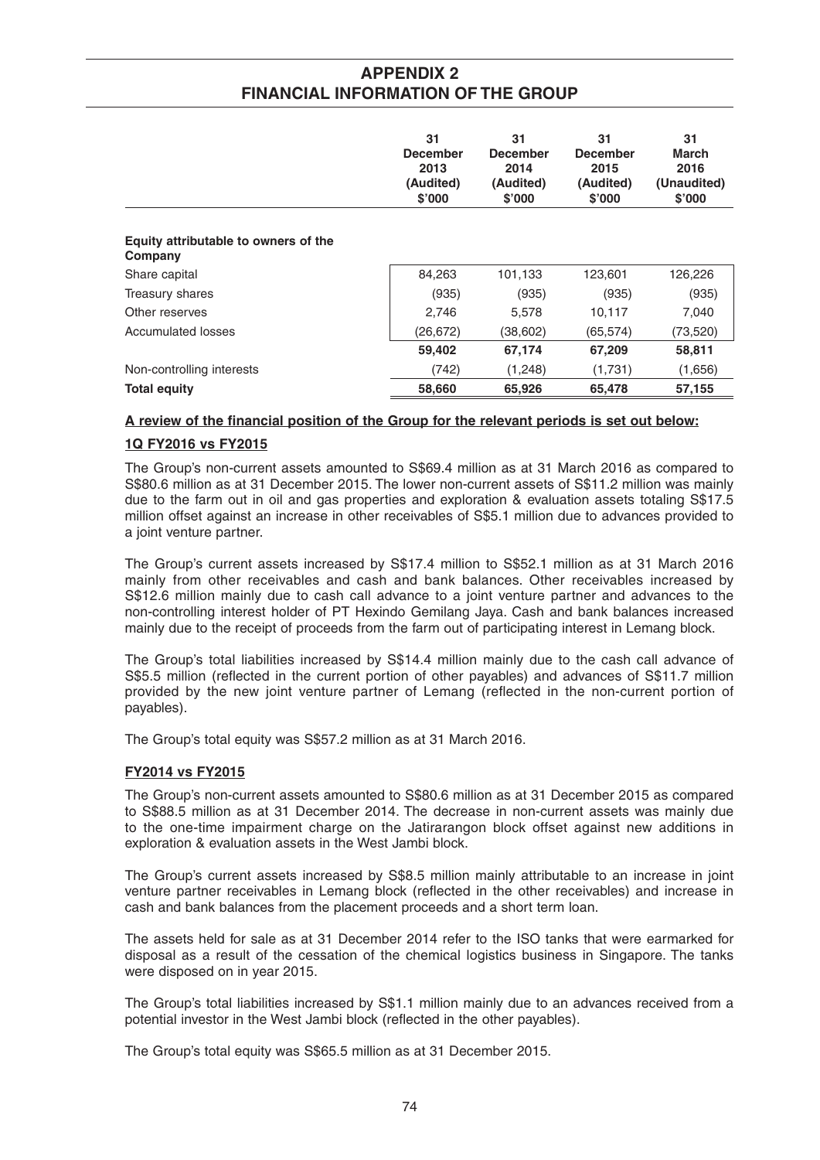|                                                 | 31<br><b>December</b><br>2013<br>(Audited)<br>\$'000 | 31<br><b>December</b><br>2014<br>(Audited)<br>\$'000 | 31<br><b>December</b><br>2015<br>(Audited)<br>\$'000 | 31<br><b>March</b><br>2016<br>(Unaudited)<br>\$'000 |
|-------------------------------------------------|------------------------------------------------------|------------------------------------------------------|------------------------------------------------------|-----------------------------------------------------|
| Equity attributable to owners of the<br>Company |                                                      |                                                      |                                                      |                                                     |
| Share capital                                   | 84,263                                               | 101,133                                              | 123,601                                              | 126,226                                             |
| Treasury shares                                 | (935)                                                | (935)                                                | (935)                                                | (935)                                               |
| Other reserves                                  | 2,746                                                | 5,578                                                | 10,117                                               | 7,040                                               |
| Accumulated losses                              | (26, 672)                                            | (38,602)                                             | (65, 574)                                            | (73, 520)                                           |
|                                                 | 59,402                                               | 67,174                                               | 67,209                                               | 58,811                                              |
| Non-controlling interests                       | (742)                                                | (1,248)                                              | (1,731)                                              | (1,656)                                             |
| <b>Total equity</b>                             | 58,660                                               | 65,926                                               | 65,478                                               | 57,155                                              |

## A review of the financial position of the Group for the relevant periods is set out below:

## **1Q FY2016 vs FY2015**

The Group's non-current assets amounted to S\$69.4 million as at 31 March 2016 as compared to S\$80.6 million as at 31 December 2015. The lower non-current assets of S\$11.2 million was mainly due to the farm out in oil and gas properties and exploration & evaluation assets totaling S\$17.5 million offset against an increase in other receivables of S\$5.1 million due to advances provided to a joint venture partner.

 The Group's current assets increased by S\$17.4 million to S\$52.1 million as at 31 March 2016 mainly from other receivables and cash and bank balances. Other receivables increased by S\$12.6 million mainly due to cash call advance to a joint venture partner and advances to the non-controlling interest holder of PT Hexindo Gemilang Jaya. Cash and bank balances increased mainly due to the receipt of proceeds from the farm out of participating interest in Lemang block.

 The Group's total liabilities increased by S\$14.4 million mainly due to the cash call advance of S\$5.5 million (reflected in the current portion of other payables) and advances of S\$11.7 million provided by the new joint venture partner of Lemang (reflected in the non-current portion of payables).

The Group's total equity was S\$57.2 million as at 31 March 2016.

## **FY2014 vs FY2015**

The Group's non-current assets amounted to S\$80.6 million as at 31 December 2015 as compared to S\$88.5 million as at 31 December 2014. The decrease in non-current assets was mainly due to the one-time impairment charge on the Jatirarangon block offset against new additions in exploration & evaluation assets in the West Jambi block.

 The Group's current assets increased by S\$8.5 million mainly attributable to an increase in joint venture partner receivables in Lemang block (reflected in the other receivables) and increase in cash and bank balances from the placement proceeds and a short term loan.

 The assets held for sale as at 31 December 2014 refer to the ISO tanks that were earmarked for disposal as a result of the cessation of the chemical logistics business in Singapore. The tanks were disposed on in year 2015.

 The Group's total liabilities increased by S\$1.1 million mainly due to an advances received from a potential investor in the West Jambi block (reflected in the other payables).

The Group's total equity was S\$65.5 million as at 31 December 2015.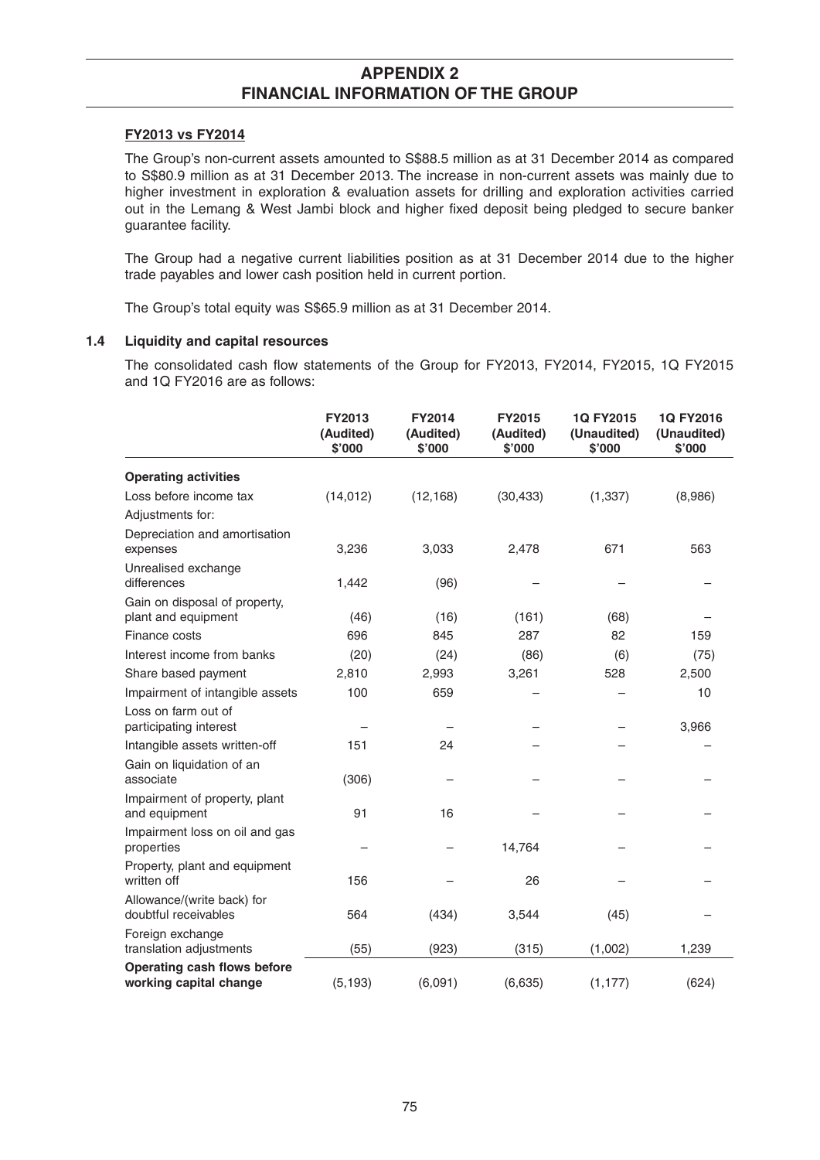#### **FY2013 vs FY2014**

 The Group's non-current assets amounted to S\$88.5 million as at 31 December 2014 as compared to S\$80.9 million as at 31 December 2013. The increase in non-current assets was mainly due to higher investment in exploration & evaluation assets for drilling and exploration activities carried out in the Lemang & West Jambi block and higher fixed deposit being pledged to secure banker guarantee facility.

 The Group had a negative current liabilities position as at 31 December 2014 due to the higher trade payables and lower cash position held in current portion.

The Group's total equity was S\$65.9 million as at 31 December 2014.

### **1.4 Liquidity and capital resources**

The consolidated cash flow statements of the Group for FY2013, FY2014, FY2015, 1Q FY2015 and 1Q FY2016 are as follows:

|                                                       | <b>FY2013</b><br>(Audited)<br>\$'000 | <b>FY2014</b><br>(Audited)<br>\$'000 | <b>FY2015</b><br>(Audited)<br>\$'000 | 1Q FY2015<br>(Unaudited)<br>\$'000 | 1Q FY2016<br>(Unaudited)<br>\$'000 |
|-------------------------------------------------------|--------------------------------------|--------------------------------------|--------------------------------------|------------------------------------|------------------------------------|
| <b>Operating activities</b>                           |                                      |                                      |                                      |                                    |                                    |
| Loss before income tax                                | (14, 012)                            | (12, 168)                            | (30, 433)                            | (1, 337)                           | (8,986)                            |
| Adjustments for:                                      |                                      |                                      |                                      |                                    |                                    |
| Depreciation and amortisation<br>expenses             | 3,236                                | 3,033                                | 2,478                                | 671                                | 563                                |
| Unrealised exchange<br>differences                    | 1,442                                | (96)                                 |                                      |                                    |                                    |
| Gain on disposal of property,<br>plant and equipment  | (46)                                 | (16)                                 | (161)                                | (68)                               |                                    |
| Finance costs                                         | 696                                  | 845                                  | 287                                  | 82                                 | 159                                |
| Interest income from banks                            | (20)                                 | (24)                                 | (86)                                 | (6)                                | (75)                               |
| Share based payment                                   | 2,810                                | 2,993                                | 3,261                                | 528                                | 2,500                              |
| Impairment of intangible assets                       | 100                                  | 659                                  |                                      |                                    | 10                                 |
| Loss on farm out of<br>participating interest         |                                      |                                      |                                      |                                    | 3,966                              |
| Intangible assets written-off                         | 151                                  | 24                                   |                                      |                                    |                                    |
| Gain on liquidation of an<br>associate                | (306)                                |                                      |                                      |                                    |                                    |
| Impairment of property, plant<br>and equipment        | 91                                   | 16                                   |                                      |                                    |                                    |
| Impairment loss on oil and gas<br>properties          |                                      |                                      | 14,764                               |                                    |                                    |
| Property, plant and equipment<br>written off          | 156                                  |                                      | 26                                   |                                    |                                    |
| Allowance/(write back) for<br>doubtful receivables    | 564                                  | (434)                                | 3,544                                | (45)                               |                                    |
| Foreign exchange<br>translation adjustments           | (55)                                 | (923)                                | (315)                                | (1,002)                            | 1,239                              |
| Operating cash flows before<br>working capital change | (5, 193)                             | (6,091)                              | (6, 635)                             | (1, 177)                           | (624)                              |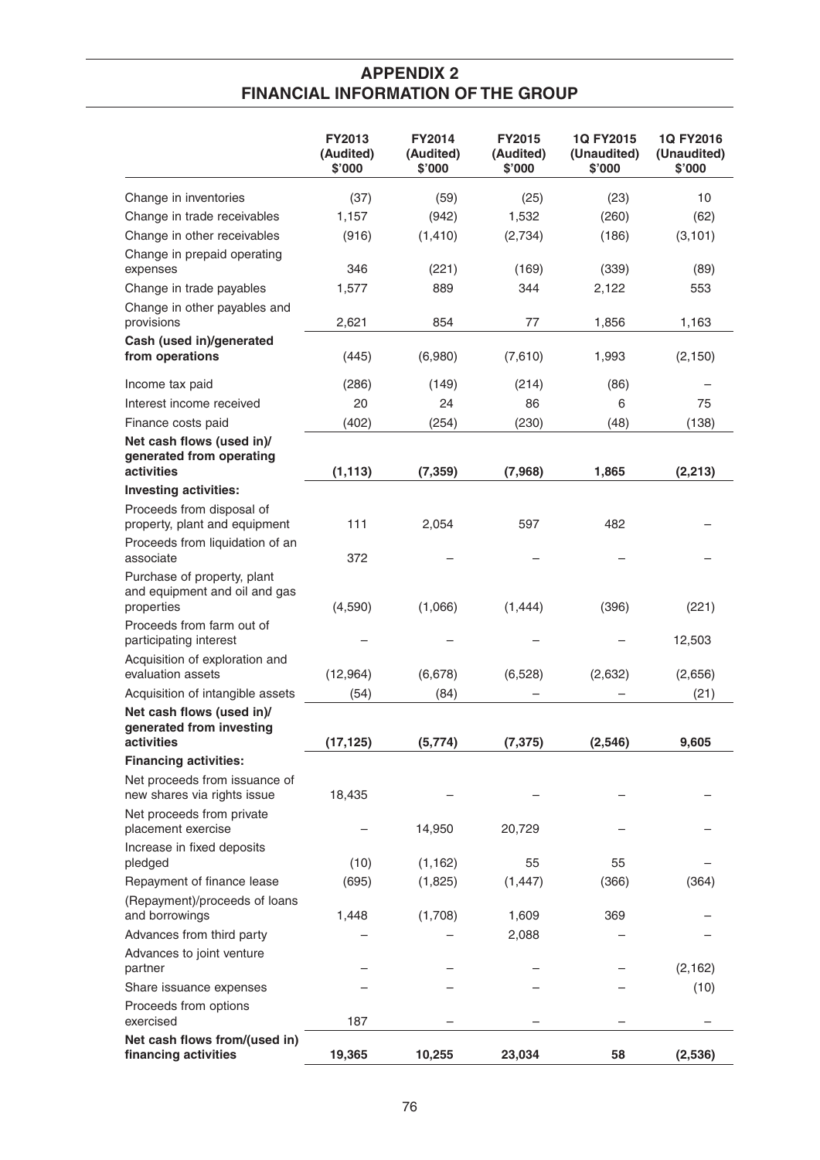|                                                                            | <b>FY2013</b><br>(Audited)<br>\$'000 | <b>FY2014</b><br>(Audited)<br>\$'000 | <b>FY2015</b><br>(Audited)<br>\$'000 | 1Q FY2015<br>(Unaudited)<br>\$'000 | 1Q FY2016<br>(Unaudited)<br>\$'000 |
|----------------------------------------------------------------------------|--------------------------------------|--------------------------------------|--------------------------------------|------------------------------------|------------------------------------|
| Change in inventories                                                      | (37)                                 | (59)                                 | (25)                                 | (23)                               | 10                                 |
| Change in trade receivables                                                | 1,157                                | (942)                                | 1,532                                | (260)                              | (62)                               |
| Change in other receivables                                                | (916)                                | (1, 410)                             | (2,734)                              | (186)                              | (3, 101)                           |
| Change in prepaid operating<br>expenses                                    | 346                                  | (221)                                | (169)                                | (339)                              | (89)                               |
| Change in trade payables                                                   | 1,577                                | 889                                  | 344                                  | 2,122                              | 553                                |
| Change in other payables and<br>provisions                                 | 2,621                                | 854                                  | 77                                   | 1,856                              | 1,163                              |
| Cash (used in)/generated<br>from operations                                | (445)                                | (6,980)                              | (7,610)                              | 1,993                              | (2, 150)                           |
| Income tax paid                                                            | (286)                                | (149)                                | (214)                                | (86)                               |                                    |
| Interest income received                                                   | 20                                   | 24                                   | 86                                   | 6                                  | 75                                 |
| Finance costs paid                                                         | (402)                                | (254)                                | (230)                                | (48)                               | (138)                              |
| Net cash flows (used in)/<br>generated from operating<br>activities        | (1, 113)                             | (7, 359)                             | (7,968)                              | 1,865                              | (2, 213)                           |
| <b>Investing activities:</b>                                               |                                      |                                      |                                      |                                    |                                    |
| Proceeds from disposal of                                                  |                                      |                                      |                                      |                                    |                                    |
| property, plant and equipment<br>Proceeds from liquidation of an           | 111                                  | 2,054                                | 597                                  | 482                                |                                    |
| associate                                                                  | 372                                  |                                      |                                      |                                    |                                    |
| Purchase of property, plant<br>and equipment and oil and gas<br>properties | (4,590)                              | (1,066)                              | (1, 444)                             | (396)                              | (221)                              |
| Proceeds from farm out of<br>participating interest                        |                                      |                                      |                                      |                                    | 12,503                             |
| Acquisition of exploration and<br>evaluation assets                        | (12,964)                             | (6,678)                              | (6, 528)                             | (2,632)                            | (2,656)                            |
| Acquisition of intangible assets                                           | (54)                                 | (84)                                 |                                      |                                    | (21)                               |
| Net cash flows (used in)/<br>generated from investing<br>activities        | (17, 125)                            | (5,774)                              | (7, 375)                             | (2, 546)                           | 9,605                              |
| <b>Financing activities:</b>                                               |                                      |                                      |                                      |                                    |                                    |
| Net proceeds from issuance of<br>new shares via rights issue               | 18,435                               |                                      |                                      |                                    |                                    |
| Net proceeds from private<br>placement exercise                            |                                      | 14,950                               | 20,729                               |                                    |                                    |
| Increase in fixed deposits<br>pledged                                      | (10)                                 | (1, 162)                             | 55                                   | 55                                 |                                    |
| Repayment of finance lease                                                 | (695)                                | (1,825)                              | (1, 447)                             | (366)                              | (364)                              |
| (Repayment)/proceeds of loans<br>and borrowings                            | 1,448                                | (1,708)                              | 1,609                                | 369                                |                                    |
| Advances from third party                                                  |                                      |                                      | 2,088                                |                                    |                                    |
| Advances to joint venture<br>partner                                       |                                      |                                      |                                      |                                    | (2, 162)                           |
| Share issuance expenses                                                    |                                      |                                      |                                      |                                    | (10)                               |
| Proceeds from options<br>exercised                                         | 187                                  |                                      |                                      |                                    |                                    |
| Net cash flows from/(used in)<br>financing activities                      | 19,365                               | 10,255                               | 23,034                               | 58                                 | (2,536)                            |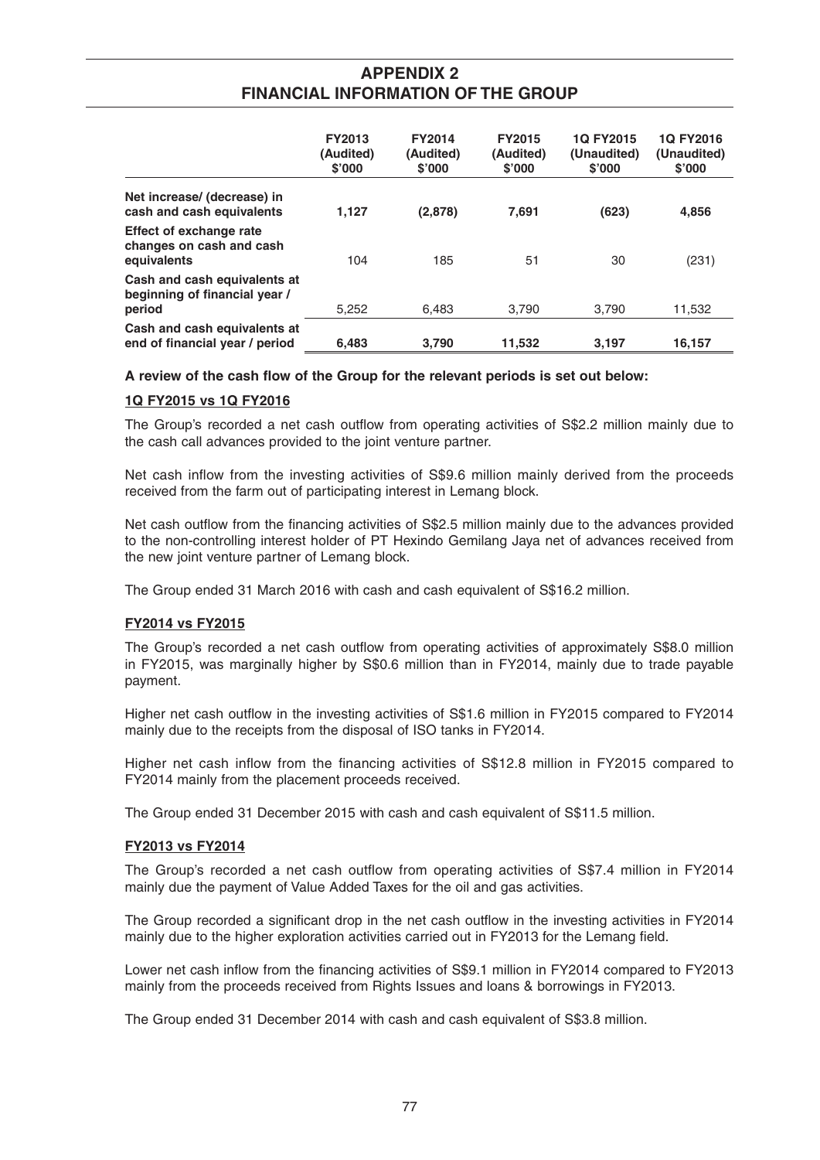|                                                                           | <b>FY2013</b><br>(Audited)<br>\$'000 | <b>FY2014</b><br>(Audited)<br>\$'000 | <b>FY2015</b><br>(Audited)<br>\$'000 | 10 FY2015<br>(Unaudited)<br>\$'000 | 1Q FY2016<br>(Unaudited)<br>\$'000 |
|---------------------------------------------------------------------------|--------------------------------------|--------------------------------------|--------------------------------------|------------------------------------|------------------------------------|
| Net increase/ (decrease) in<br>cash and cash equivalents                  | 1,127                                | (2,878)                              | 7.691                                | (623)                              | 4,856                              |
| <b>Effect of exchange rate</b><br>changes on cash and cash<br>equivalents | 104                                  | 185                                  | 51                                   | 30                                 | (231)                              |
| Cash and cash equivalents at<br>beginning of financial year /<br>period   | 5,252                                | 6.483                                | 3.790                                | 3.790                              | 11,532                             |
| Cash and cash equivalents at<br>end of financial year / period            | 6,483                                | 3,790                                | 11,532                               | 3,197                              | 16,157                             |

#### A review of the cash flow of the Group for the relevant periods is set out below:

## **1Q FY2015 vs 1Q FY2016**

The Group's recorded a net cash outflow from operating activities of S\$2.2 million mainly due to the cash call advances provided to the joint venture partner.

Net cash inflow from the investing activities of S\$9.6 million mainly derived from the proceeds received from the farm out of participating interest in Lemang block.

Net cash outflow from the financing activities of S\$2.5 million mainly due to the advances provided to the non-controlling interest holder of PT Hexindo Gemilang Jaya net of advances received from the new joint venture partner of Lemang block.

The Group ended 31 March 2016 with cash and cash equivalent of S\$16.2 million.

## **FY2014 vs FY2015**

The Group's recorded a net cash outflow from operating activities of approximately S\$8.0 million in FY2015, was marginally higher by S\$0.6 million than in FY2014, mainly due to trade payable payment.

Higher net cash outflow in the investing activities of S\$1.6 million in FY2015 compared to FY2014 mainly due to the receipts from the disposal of ISO tanks in FY2014.

Higher net cash inflow from the financing activities of S\$12.8 million in FY2015 compared to FY2014 mainly from the placement proceeds received.

The Group ended 31 December 2015 with cash and cash equivalent of S\$11.5 million.

#### **FY2013 vs FY2014**

The Group's recorded a net cash outflow from operating activities of S\$7.4 million in FY2014 mainly due the payment of Value Added Taxes for the oil and gas activities.

The Group recorded a significant drop in the net cash outflow in the investing activities in FY2014 mainly due to the higher exploration activities carried out in FY2013 for the Lemang field.

Lower net cash inflow from the financing activities of S\$9.1 million in FY2014 compared to FY2013 mainly from the proceeds received from Rights Issues and loans & borrowings in FY2013.

The Group ended 31 December 2014 with cash and cash equivalent of S\$3.8 million.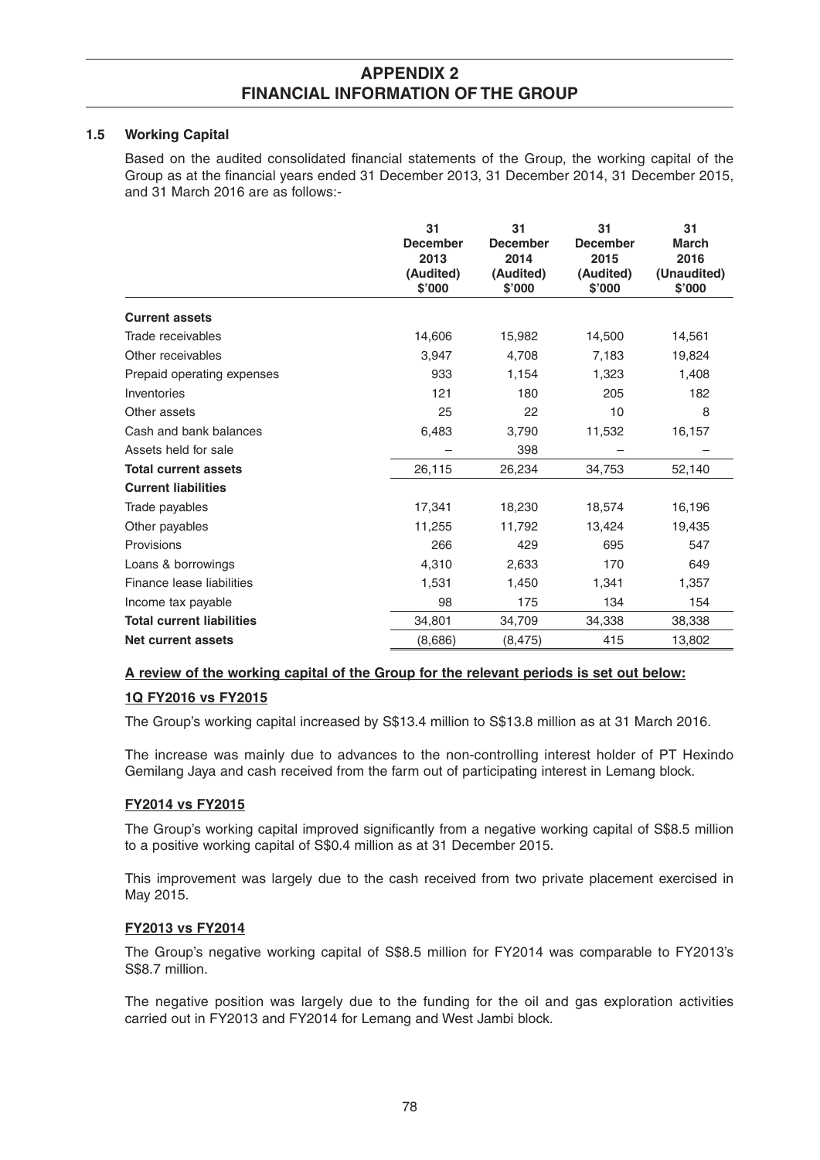#### **1.5 Working Capital**

Based on the audited consolidated financial statements of the Group, the working capital of the Group as at the financial years ended 31 December 2013, 31 December 2014, 31 December 2015, and 31 March 2016 are as follows:-

|                                  | 31<br><b>December</b><br>2013<br>(Audited)<br>\$'000 | 31<br><b>December</b><br>2014<br>(Audited)<br>\$'000 | 31<br><b>December</b><br>2015<br>(Audited)<br>\$'000 | 31<br><b>March</b><br>2016<br>(Unaudited)<br>\$'000 |
|----------------------------------|------------------------------------------------------|------------------------------------------------------|------------------------------------------------------|-----------------------------------------------------|
| <b>Current assets</b>            |                                                      |                                                      |                                                      |                                                     |
| Trade receivables                | 14,606                                               | 15,982                                               | 14,500                                               | 14,561                                              |
| Other receivables                | 3,947                                                | 4,708                                                | 7,183                                                | 19,824                                              |
| Prepaid operating expenses       | 933                                                  | 1,154                                                | 1,323                                                | 1,408                                               |
| Inventories                      | 121                                                  | 180                                                  | 205                                                  | 182                                                 |
| Other assets                     | 25                                                   | 22                                                   | 10                                                   | 8                                                   |
| Cash and bank balances           | 6,483                                                | 3,790                                                | 11,532                                               | 16,157                                              |
| Assets held for sale             |                                                      | 398                                                  |                                                      |                                                     |
| <b>Total current assets</b>      | 26,115                                               | 26,234                                               | 34,753                                               | 52,140                                              |
| <b>Current liabilities</b>       |                                                      |                                                      |                                                      |                                                     |
| Trade payables                   | 17,341                                               | 18,230                                               | 18,574                                               | 16,196                                              |
| Other payables                   | 11,255                                               | 11,792                                               | 13,424                                               | 19,435                                              |
| Provisions                       | 266                                                  | 429                                                  | 695                                                  | 547                                                 |
| Loans & borrowings               | 4,310                                                | 2,633                                                | 170                                                  | 649                                                 |
| Finance lease liabilities        | 1,531                                                | 1,450                                                | 1,341                                                | 1,357                                               |
| Income tax payable               | 98                                                   | 175                                                  | 134                                                  | 154                                                 |
| <b>Total current liabilities</b> | 34,801                                               | 34,709                                               | 34,338                                               | 38,338                                              |
| Net current assets               | (8,686)                                              | (8, 475)                                             | 415                                                  | 13,802                                              |

## **A review of the working capital of the Group for the relevant periods is set out below:**

## **1Q FY2016 vs FY2015**

The Group's working capital increased by S\$13.4 million to S\$13.8 million as at 31 March 2016.

 The increase was mainly due to advances to the non-controlling interest holder of PT Hexindo Gemilang Jaya and cash received from the farm out of participating interest in Lemang block.

## **FY2014 vs FY2015**

The Group's working capital improved significantly from a negative working capital of S\$8.5 million to a positive working capital of S\$0.4 million as at 31 December 2015.

 This improvement was largely due to the cash received from two private placement exercised in May 2015.

#### **FY2013 vs FY2014**

 The Group's negative working capital of S\$8.5 million for FY2014 was comparable to FY2013's S\$8.7 million.

 The negative position was largely due to the funding for the oil and gas exploration activities carried out in FY2013 and FY2014 for Lemang and West Jambi block.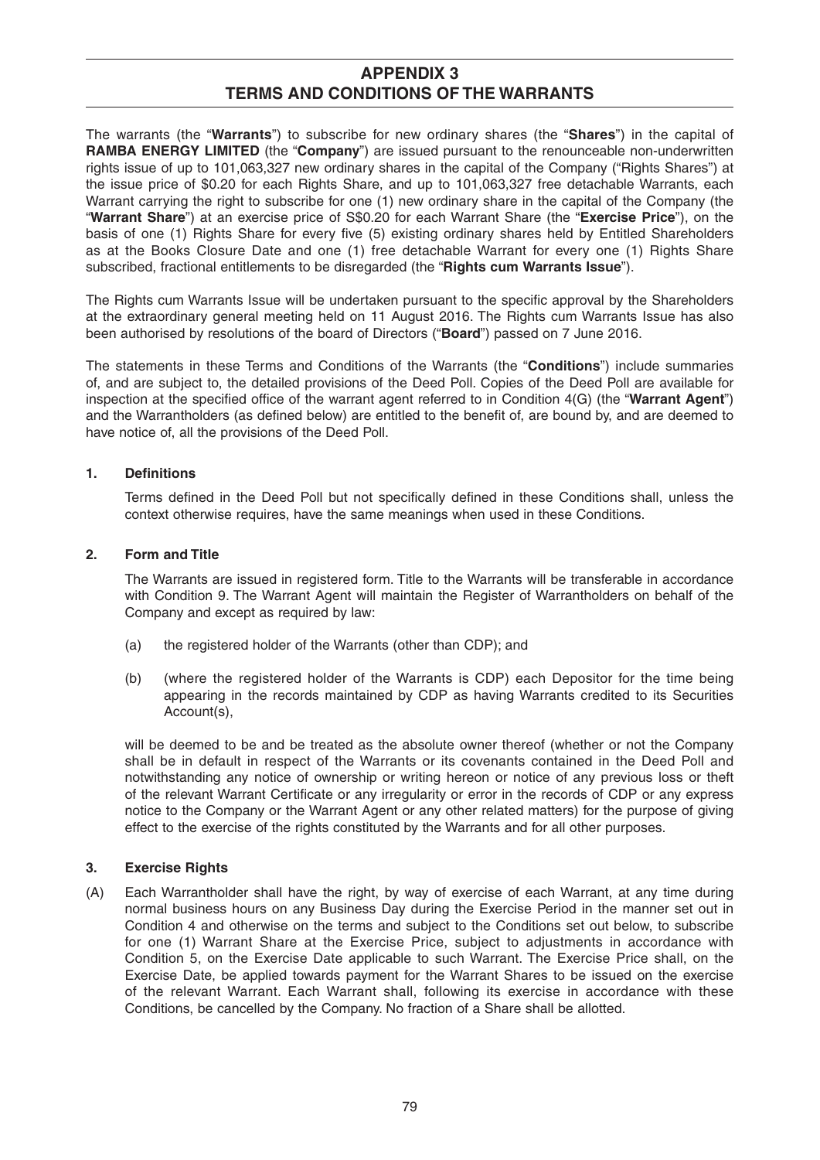The warrants (the "**Warrants**") to subscribe for new ordinary shares (the "**Shares**") in the capital of **RAMBA ENERGY LIMITED** (the "**Company**") are issued pursuant to the renounceable non-underwritten rights issue of up to 101,063,327 new ordinary shares in the capital of the Company ("Rights Shares") at the issue price of \$0.20 for each Rights Share, and up to 101,063,327 free detachable Warrants, each Warrant carrying the right to subscribe for one (1) new ordinary share in the capital of the Company (the "**Warrant Share**") at an exercise price of S\$0.20 for each Warrant Share (the "**Exercise Price**"), on the basis of one (1) Rights Share for every five (5) existing ordinary shares held by Entitled Shareholders as at the Books Closure Date and one (1) free detachable Warrant for every one (1) Rights Share subscribed, fractional entitlements to be disregarded (the "**Rights cum Warrants Issue**").

The Rights cum Warrants Issue will be undertaken pursuant to the specific approval by the Shareholders at the extraordinary general meeting held on 11 August 2016. The Rights cum Warrants Issue has also been authorised by resolutions of the board of Directors ("**Board**") passed on 7 June 2016.

The statements in these Terms and Conditions of the Warrants (the "**Conditions**") include summaries of, and are subject to, the detailed provisions of the Deed Poll. Copies of the Deed Poll are available for inspection at the specified office of the warrant agent referred to in Condition 4(G) (the "**Warrant Agent**") and the Warrantholders (as defined below) are entitled to the benefit of, are bound by, and are deemed to have notice of, all the provisions of the Deed Poll.

## 1. Definitions

Terms defined in the Deed Poll but not specifically defined in these Conditions shall, unless the context otherwise requires, have the same meanings when used in these Conditions.

## **2. Form and Title**

 The Warrants are issued in registered form. Title to the Warrants will be transferable in accordance with Condition 9. The Warrant Agent will maintain the Register of Warrantholders on behalf of the Company and except as required by law:

- (a) the registered holder of the Warrants (other than CDP); and
- (b) (where the registered holder of the Warrants is CDP) each Depositor for the time being appearing in the records maintained by CDP as having Warrants credited to its Securities Account(s),

 will be deemed to be and be treated as the absolute owner thereof (whether or not the Company shall be in default in respect of the Warrants or its covenants contained in the Deed Poll and notwithstanding any notice of ownership or writing hereon or notice of any previous loss or theft of the relevant Warrant Certificate or any irregularity or error in the records of CDP or any express notice to the Company or the Warrant Agent or any other related matters) for the purpose of giving effect to the exercise of the rights constituted by the Warrants and for all other purposes.

## **3. Exercise Rights**

(A) Each Warrantholder shall have the right, by way of exercise of each Warrant, at any time during normal business hours on any Business Day during the Exercise Period in the manner set out in Condition 4 and otherwise on the terms and subject to the Conditions set out below, to subscribe for one (1) Warrant Share at the Exercise Price, subject to adjustments in accordance with Condition 5, on the Exercise Date applicable to such Warrant. The Exercise Price shall, on the Exercise Date, be applied towards payment for the Warrant Shares to be issued on the exercise of the relevant Warrant. Each Warrant shall, following its exercise in accordance with these Conditions, be cancelled by the Company. No fraction of a Share shall be allotted.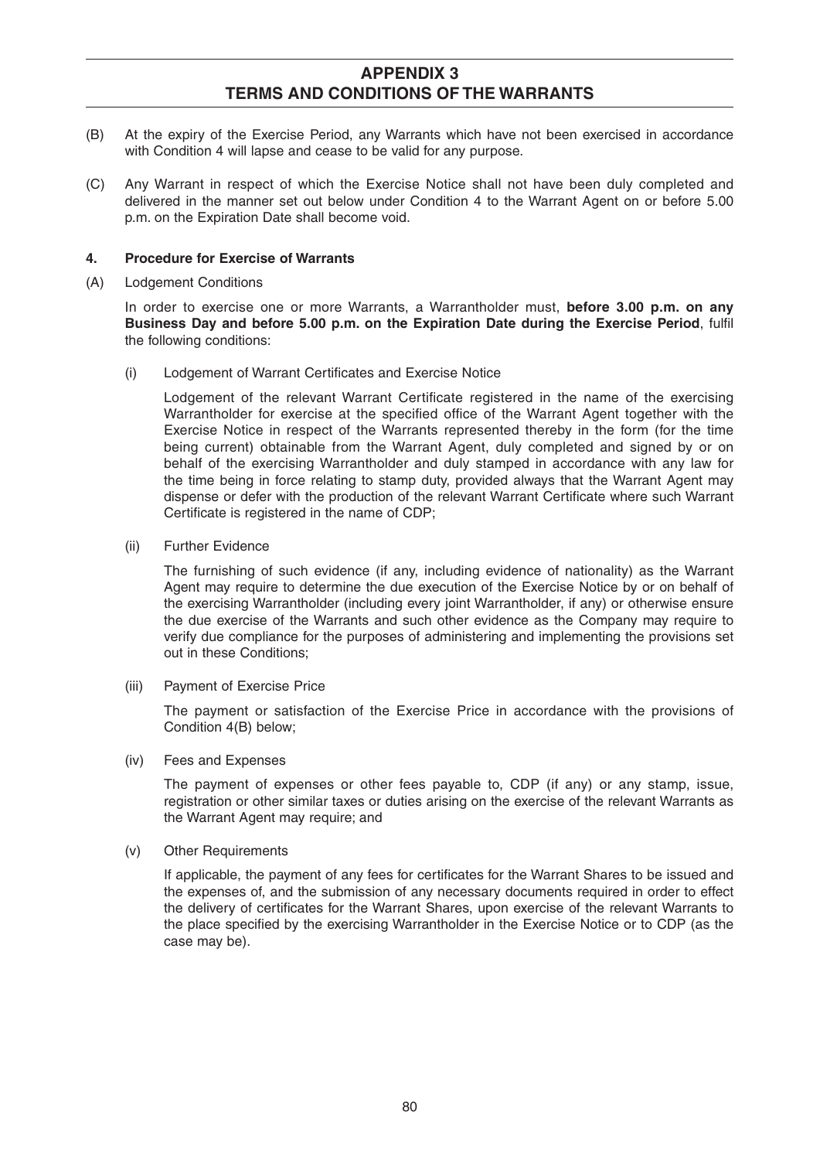- (B) At the expiry of the Exercise Period, any Warrants which have not been exercised in accordance with Condition 4 will lapse and cease to be valid for any purpose.
- (C) Any Warrant in respect of which the Exercise Notice shall not have been duly completed and delivered in the manner set out below under Condition 4 to the Warrant Agent on or before 5.00 p.m. on the Expiration Date shall become void.

### **4. Procedure for Exercise of Warrants**

(A) Lodgement Conditions

 In order to exercise one or more Warrants, a Warrantholder must, **before 3.00 p.m. on any Business Day and before 5.00 p.m. on the Expiration Date during the Exercise Period, fulfill** the following conditions:

(i) Lodgement of Warrant Certificates and Exercise Notice

Lodgement of the relevant Warrant Certificate registered in the name of the exercising Warrantholder for exercise at the specified office of the Warrant Agent together with the Exercise Notice in respect of the Warrants represented thereby in the form (for the time being current) obtainable from the Warrant Agent, duly completed and signed by or on behalf of the exercising Warrantholder and duly stamped in accordance with any law for the time being in force relating to stamp duty, provided always that the Warrant Agent may dispense or defer with the production of the relevant Warrant Certificate where such Warrant Certificate is registered in the name of CDP;

(ii) Further Evidence

 The furnishing of such evidence (if any, including evidence of nationality) as the Warrant Agent may require to determine the due execution of the Exercise Notice by or on behalf of the exercising Warrantholder (including every joint Warrantholder, if any) or otherwise ensure the due exercise of the Warrants and such other evidence as the Company may require to verify due compliance for the purposes of administering and implementing the provisions set out in these Conditions;

(iii) Payment of Exercise Price

 The payment or satisfaction of the Exercise Price in accordance with the provisions of Condition 4(B) below;

(iv) Fees and Expenses

 The payment of expenses or other fees payable to, CDP (if any) or any stamp, issue, registration or other similar taxes or duties arising on the exercise of the relevant Warrants as the Warrant Agent may require; and

(v) Other Requirements

If applicable, the payment of any fees for certificates for the Warrant Shares to be issued and the expenses of, and the submission of any necessary documents required in order to effect the delivery of certificates for the Warrant Shares, upon exercise of the relevant Warrants to the place specified by the exercising Warrantholder in the Exercise Notice or to CDP (as the case may be).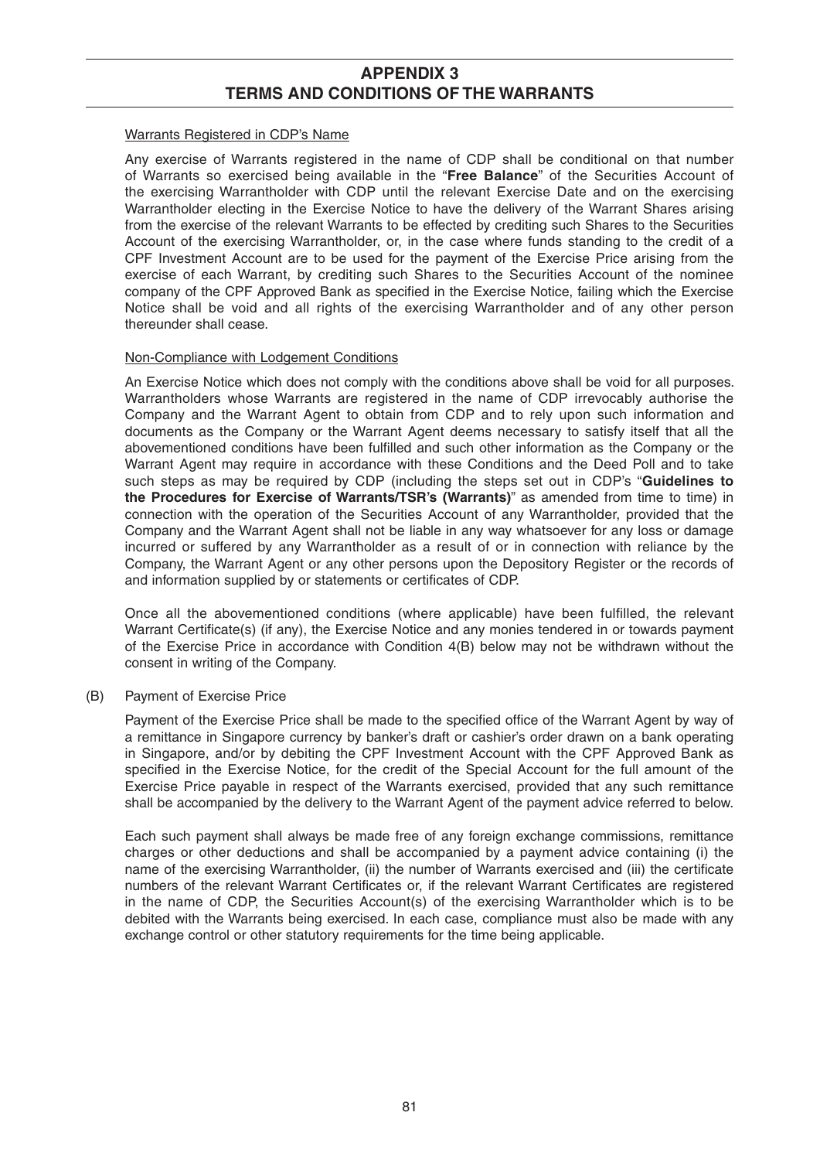#### Warrants Registered in CDP's Name

 Any exercise of Warrants registered in the name of CDP shall be conditional on that number of Warrants so exercised being available in the "**Free Balance**" of the Securities Account of the exercising Warrantholder with CDP until the relevant Exercise Date and on the exercising Warrantholder electing in the Exercise Notice to have the delivery of the Warrant Shares arising from the exercise of the relevant Warrants to be effected by crediting such Shares to the Securities Account of the exercising Warrantholder, or, in the case where funds standing to the credit of a CPF Investment Account are to be used for the payment of the Exercise Price arising from the exercise of each Warrant, by crediting such Shares to the Securities Account of the nominee company of the CPF Approved Bank as specified in the Exercise Notice, failing which the Exercise Notice shall be void and all rights of the exercising Warrantholder and of any other person thereunder shall cease.

#### Non-Compliance with Lodgement Conditions

 An Exercise Notice which does not comply with the conditions above shall be void for all purposes. Warrantholders whose Warrants are registered in the name of CDP irrevocably authorise the Company and the Warrant Agent to obtain from CDP and to rely upon such information and documents as the Company or the Warrant Agent deems necessary to satisfy itself that all the abovementioned conditions have been fulfilled and such other information as the Company or the Warrant Agent may require in accordance with these Conditions and the Deed Poll and to take such steps as may be required by CDP (including the steps set out in CDP's "**Guidelines to the Procedures for Exercise of Warrants/TSR's (Warrants)**" as amended from time to time) in connection with the operation of the Securities Account of any Warrantholder, provided that the Company and the Warrant Agent shall not be liable in any way whatsoever for any loss or damage incurred or suffered by any Warrantholder as a result of or in connection with reliance by the Company, the Warrant Agent or any other persons upon the Depository Register or the records of and information supplied by or statements or certificates of CDP.

Once all the abovementioned conditions (where applicable) have been fulfilled, the relevant Warrant Certificate(s) (if any), the Exercise Notice and any monies tendered in or towards payment of the Exercise Price in accordance with Condition 4(B) below may not be withdrawn without the consent in writing of the Company.

## (B) Payment of Exercise Price

Payment of the Exercise Price shall be made to the specified office of the Warrant Agent by way of a remittance in Singapore currency by banker's draft or cashier's order drawn on a bank operating in Singapore, and/or by debiting the CPF Investment Account with the CPF Approved Bank as specified in the Exercise Notice, for the credit of the Special Account for the full amount of the Exercise Price payable in respect of the Warrants exercised, provided that any such remittance shall be accompanied by the delivery to the Warrant Agent of the payment advice referred to below.

 Each such payment shall always be made free of any foreign exchange commissions, remittance charges or other deductions and shall be accompanied by a payment advice containing (i) the name of the exercising Warrantholder, (ii) the number of Warrants exercised and (iii) the certificate numbers of the relevant Warrant Certificates or, if the relevant Warrant Certificates are registered in the name of CDP, the Securities Account(s) of the exercising Warrantholder which is to be debited with the Warrants being exercised. In each case, compliance must also be made with any exchange control or other statutory requirements for the time being applicable.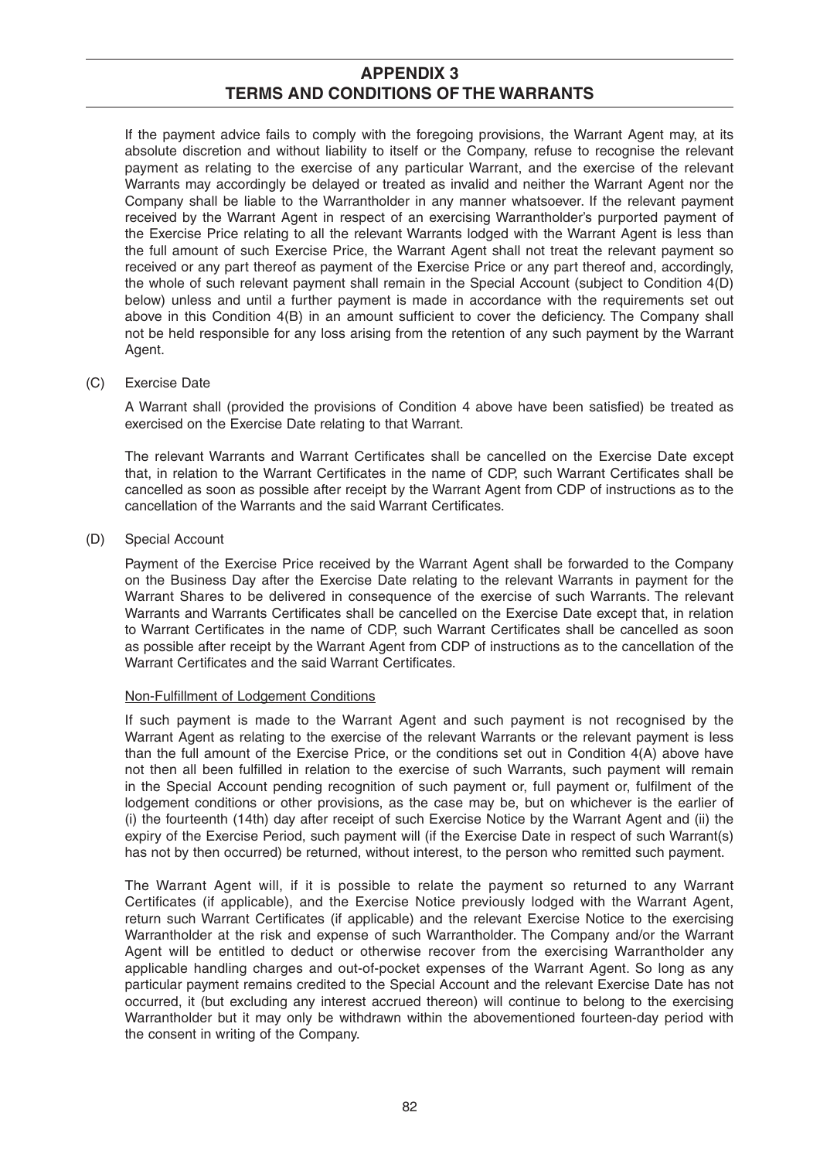If the payment advice fails to comply with the foregoing provisions, the Warrant Agent may, at its absolute discretion and without liability to itself or the Company, refuse to recognise the relevant payment as relating to the exercise of any particular Warrant, and the exercise of the relevant Warrants may accordingly be delayed or treated as invalid and neither the Warrant Agent nor the Company shall be liable to the Warrantholder in any manner whatsoever. If the relevant payment received by the Warrant Agent in respect of an exercising Warrantholder's purported payment of the Exercise Price relating to all the relevant Warrants lodged with the Warrant Agent is less than the full amount of such Exercise Price, the Warrant Agent shall not treat the relevant payment so received or any part thereof as payment of the Exercise Price or any part thereof and, accordingly, the whole of such relevant payment shall remain in the Special Account (subject to Condition 4(D) below) unless and until a further payment is made in accordance with the requirements set out above in this Condition  $4(B)$  in an amount sufficient to cover the deficiency. The Company shall not be held responsible for any loss arising from the retention of any such payment by the Warrant Agent.

(C) Exercise Date

A Warrant shall (provided the provisions of Condition 4 above have been satisfied) be treated as exercised on the Exercise Date relating to that Warrant.

The relevant Warrants and Warrant Certificates shall be cancelled on the Exercise Date except that, in relation to the Warrant Certificates in the name of CDP, such Warrant Certificates shall be cancelled as soon as possible after receipt by the Warrant Agent from CDP of instructions as to the cancellation of the Warrants and the said Warrant Certificates.

(D) Special Account

 Payment of the Exercise Price received by the Warrant Agent shall be forwarded to the Company on the Business Day after the Exercise Date relating to the relevant Warrants in payment for the Warrant Shares to be delivered in consequence of the exercise of such Warrants. The relevant Warrants and Warrants Certificates shall be cancelled on the Exercise Date except that, in relation to Warrant Certificates in the name of CDP, such Warrant Certificates shall be cancelled as soon as possible after receipt by the Warrant Agent from CDP of instructions as to the cancellation of the Warrant Certificates and the said Warrant Certificates.

#### Non-Fulfillment of Lodgement Conditions

 If such payment is made to the Warrant Agent and such payment is not recognised by the Warrant Agent as relating to the exercise of the relevant Warrants or the relevant payment is less than the full amount of the Exercise Price, or the conditions set out in Condition 4(A) above have not then all been fulfilled in relation to the exercise of such Warrants, such payment will remain in the Special Account pending recognition of such payment or, full payment or, fulfilment of the lodgement conditions or other provisions, as the case may be, but on whichever is the earlier of (i) the fourteenth (14th) day after receipt of such Exercise Notice by the Warrant Agent and (ii) the expiry of the Exercise Period, such payment will (if the Exercise Date in respect of such Warrant(s) has not by then occurred) be returned, without interest, to the person who remitted such payment.

 The Warrant Agent will, if it is possible to relate the payment so returned to any Warrant Certificates (if applicable), and the Exercise Notice previously lodged with the Warrant Agent, return such Warrant Certificates (if applicable) and the relevant Exercise Notice to the exercising Warrantholder at the risk and expense of such Warrantholder. The Company and/or the Warrant Agent will be entitled to deduct or otherwise recover from the exercising Warrantholder any applicable handling charges and out-of-pocket expenses of the Warrant Agent. So long as any particular payment remains credited to the Special Account and the relevant Exercise Date has not occurred, it (but excluding any interest accrued thereon) will continue to belong to the exercising Warrantholder but it may only be withdrawn within the abovementioned fourteen-day period with the consent in writing of the Company.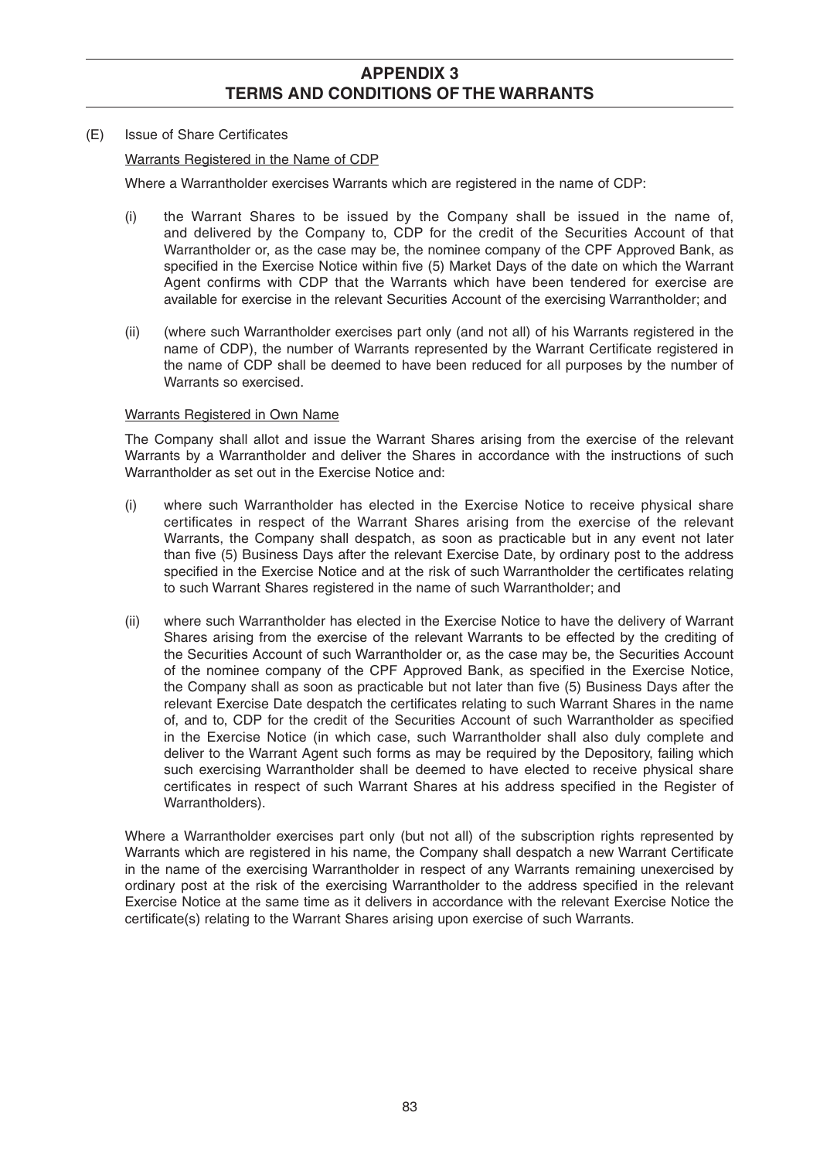#### (E) Issue of Share Certificates

### Warrants Registered in the Name of CDP

Where a Warrantholder exercises Warrants which are registered in the name of CDP:

- (i) the Warrant Shares to be issued by the Company shall be issued in the name of, and delivered by the Company to, CDP for the credit of the Securities Account of that Warrantholder or, as the case may be, the nominee company of the CPF Approved Bank, as specified in the Exercise Notice within five (5) Market Days of the date on which the Warrant Agent confirms with CDP that the Warrants which have been tendered for exercise are available for exercise in the relevant Securities Account of the exercising Warrantholder; and
- (ii) (where such Warrantholder exercises part only (and not all) of his Warrants registered in the name of CDP), the number of Warrants represented by the Warrant Certificate registered in the name of CDP shall be deemed to have been reduced for all purposes by the number of Warrants so exercised.

## Warrants Registered in Own Name

 The Company shall allot and issue the Warrant Shares arising from the exercise of the relevant Warrants by a Warrantholder and deliver the Shares in accordance with the instructions of such Warrantholder as set out in the Exercise Notice and:

- (i) where such Warrantholder has elected in the Exercise Notice to receive physical share certificates in respect of the Warrant Shares arising from the exercise of the relevant Warrants, the Company shall despatch, as soon as practicable but in any event not later than five (5) Business Days after the relevant Exercise Date, by ordinary post to the address specified in the Exercise Notice and at the risk of such Warrantholder the certificates relating to such Warrant Shares registered in the name of such Warrantholder; and
- (ii) where such Warrantholder has elected in the Exercise Notice to have the delivery of Warrant Shares arising from the exercise of the relevant Warrants to be effected by the crediting of the Securities Account of such Warrantholder or, as the case may be, the Securities Account of the nominee company of the CPF Approved Bank, as specified in the Exercise Notice, the Company shall as soon as practicable but not later than five (5) Business Days after the relevant Exercise Date despatch the certificates relating to such Warrant Shares in the name of, and to, CDP for the credit of the Securities Account of such Warrantholder as specified in the Exercise Notice (in which case, such Warrantholder shall also duly complete and deliver to the Warrant Agent such forms as may be required by the Depository, failing which such exercising Warrantholder shall be deemed to have elected to receive physical share certificates in respect of such Warrant Shares at his address specified in the Register of Warrantholders).

 Where a Warrantholder exercises part only (but not all) of the subscription rights represented by Warrants which are registered in his name, the Company shall despatch a new Warrant Certificate in the name of the exercising Warrantholder in respect of any Warrants remaining unexercised by ordinary post at the risk of the exercising Warrantholder to the address specified in the relevant Exercise Notice at the same time as it delivers in accordance with the relevant Exercise Notice the certificate(s) relating to the Warrant Shares arising upon exercise of such Warrants.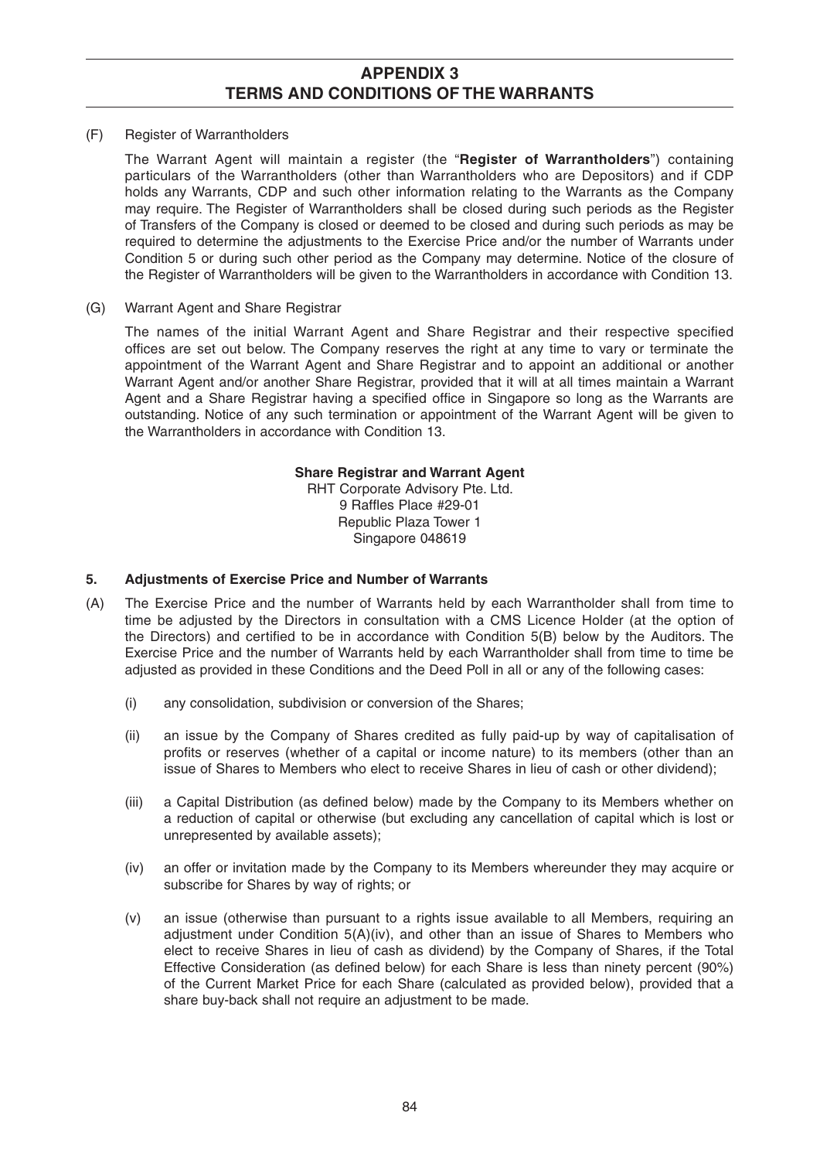(F) Register of Warrantholders

 The Warrant Agent will maintain a register (the "**Register of Warrantholders**") containing particulars of the Warrantholders (other than Warrantholders who are Depositors) and if CDP holds any Warrants, CDP and such other information relating to the Warrants as the Company may require. The Register of Warrantholders shall be closed during such periods as the Register of Transfers of the Company is closed or deemed to be closed and during such periods as may be required to determine the adjustments to the Exercise Price and/or the number of Warrants under Condition 5 or during such other period as the Company may determine. Notice of the closure of the Register of Warrantholders will be given to the Warrantholders in accordance with Condition 13.

(G) Warrant Agent and Share Registrar

The names of the initial Warrant Agent and Share Registrar and their respective specified offices are set out below. The Company reserves the right at any time to vary or terminate the appointment of the Warrant Agent and Share Registrar and to appoint an additional or another Warrant Agent and/or another Share Registrar, provided that it will at all times maintain a Warrant Agent and a Share Registrar having a specified office in Singapore so long as the Warrants are outstanding. Notice of any such termination or appointment of the Warrant Agent will be given to the Warrantholders in accordance with Condition 13.

#### **Share Registrar and Warrant Agent**

RHT Corporate Advisory Pte. Ltd. 9 Raffles Place #29-01 Republic Plaza Tower 1 Singapore 048619

### **5. Adjustments of Exercise Price and Number of Warrants**

- (A) The Exercise Price and the number of Warrants held by each Warrantholder shall from time to time be adjusted by the Directors in consultation with a CMS Licence Holder (at the option of the Directors) and certified to be in accordance with Condition 5(B) below by the Auditors. The Exercise Price and the number of Warrants held by each Warrantholder shall from time to time be adjusted as provided in these Conditions and the Deed Poll in all or any of the following cases:
	- (i) any consolidation, subdivision or conversion of the Shares;
	- (ii) an issue by the Company of Shares credited as fully paid-up by way of capitalisation of profits or reserves (whether of a capital or income nature) to its members (other than an issue of Shares to Members who elect to receive Shares in lieu of cash or other dividend);
	- (iii) a Capital Distribution (as defined below) made by the Company to its Members whether on a reduction of capital or otherwise (but excluding any cancellation of capital which is lost or unrepresented by available assets);
	- (iv) an offer or invitation made by the Company to its Members whereunder they may acquire or subscribe for Shares by way of rights; or
	- (v) an issue (otherwise than pursuant to a rights issue available to all Members, requiring an adjustment under Condition 5(A)(iv), and other than an issue of Shares to Members who elect to receive Shares in lieu of cash as dividend) by the Company of Shares, if the Total Effective Consideration (as defined below) for each Share is less than ninety percent (90%) of the Current Market Price for each Share (calculated as provided below), provided that a share buy-back shall not require an adjustment to be made.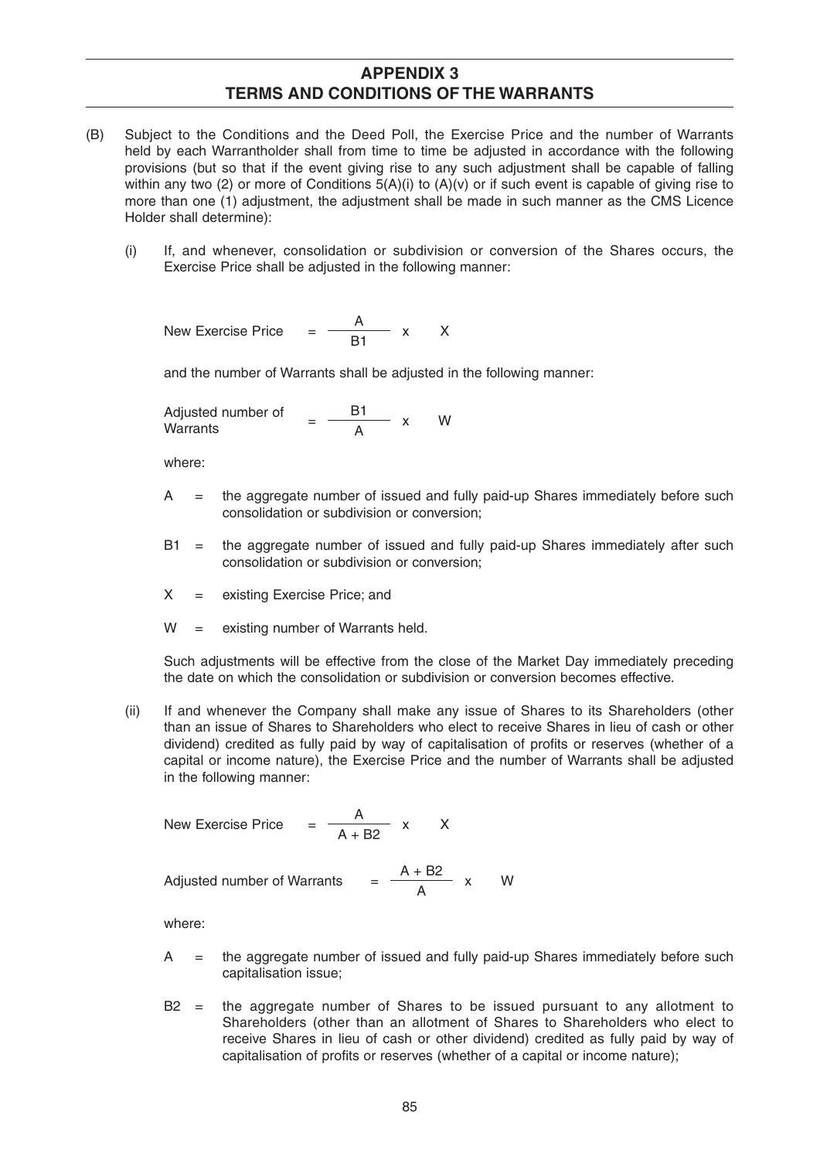- (B) Subject to the Conditions and the Deed Poll, the Exercise Price and the number of Warrants held by each Warrantholder shall from time to time be adjusted in accordance with the following provisions (but so that if the event giving rise to any such adjustment shall be capable of falling within any two (2) or more of Conditions  $5(A)(i)$  to  $(A)(v)$  or if such event is capable of giving rise to more than one (1) adjustment, the adjustment shall be made in such manner as the CMS Licence Holder shall determine):
	- (i) If, and whenever, consolidation or subdivision or conversion of the Shares occurs, the Exercise Price shall be adjusted in the following manner:

New Exercise Price  $=$   $\frac{A}{B1}$  x X

and the number of Warrants shall be adjusted in the following manner:

Adjusted number of  $=$   $\frac{B1}{A}$  x W

where:

- A = the aggregate number of issued and fully paid-up Shares immediately before such consolidation or subdivision or conversion;
- B1 = the aggregate number of issued and fully paid-up Shares immediately after such consolidation or subdivision or conversion;
- X = existing Exercise Price; and
- $W =$  existing number of Warrants held.

 Such adjustments will be effective from the close of the Market Day immediately preceding the date on which the consolidation or subdivision or conversion becomes effective.

 (ii) If and whenever the Company shall make any issue of Shares to its Shareholders (other than an issue of Shares to Shareholders who elect to receive Shares in lieu of cash or other dividend) credited as fully paid by way of capitalisation of profits or reserves (whether of a capital or income nature), the Exercise Price and the number of Warrants shall be adjusted in the following manner:

New Exercise Price = 
$$
\frac{A}{A + B2}
$$
 x X

Adjusted number of Warrants  $= \frac{A + B2}{A}$ 

$$
\frac{+ B2}{A} \times W
$$

where:

- A = the aggregate number of issued and fully paid-up Shares immediately before such capitalisation issue;
- B2 = the aggregate number of Shares to be issued pursuant to any allotment to Shareholders (other than an allotment of Shares to Shareholders who elect to receive Shares in lieu of cash or other dividend) credited as fully paid by way of capitalisation of profits or reserves (whether of a capital or income nature);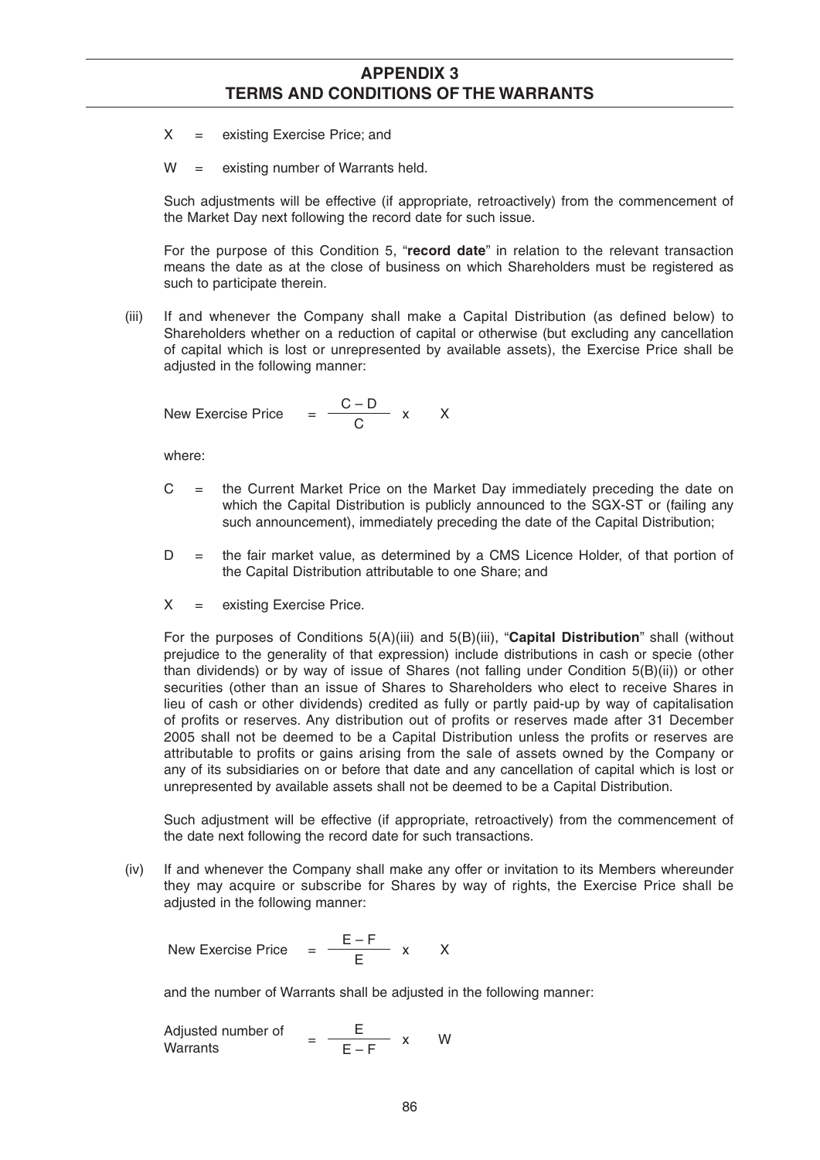- $X =$  existing Exercise Price; and
- W = existing number of Warrants held.

 Such adjustments will be effective (if appropriate, retroactively) from the commencement of the Market Day next following the record date for such issue.

 For the purpose of this Condition 5, "**record date**" in relation to the relevant transaction means the date as at the close of business on which Shareholders must be registered as such to participate therein.

(iii) If and whenever the Company shall make a Capital Distribution (as defined below) to Shareholders whether on a reduction of capital or otherwise (but excluding any cancellation of capital which is lost or unrepresented by available assets), the Exercise Price shall be adjusted in the following manner:

New Exercise Price = 
$$
\frac{C - D}{C}
$$
 x X

where:

- $C =$  the Current Market Price on the Market Day immediately preceding the date on which the Capital Distribution is publicly announced to the SGX-ST or (failing any such announcement), immediately preceding the date of the Capital Distribution;
- D = the fair market value, as determined by a CMS Licence Holder, of that portion of the Capital Distribution attributable to one Share; and
- $X =$  existing Exercise Price.

 For the purposes of Conditions 5(A)(iii) and 5(B)(iii), "**Capital Distribution**" shall (without prejudice to the generality of that expression) include distributions in cash or specie (other than dividends) or by way of issue of Shares (not falling under Condition 5(B)(ii)) or other securities (other than an issue of Shares to Shareholders who elect to receive Shares in lieu of cash or other dividends) credited as fully or partly paid-up by way of capitalisation of profits or reserves. Any distribution out of profits or reserves made after 31 December 2005 shall not be deemed to be a Capital Distribution unless the profits or reserves are attributable to profits or gains arising from the sale of assets owned by the Company or any of its subsidiaries on or before that date and any cancellation of capital which is lost or unrepresented by available assets shall not be deemed to be a Capital Distribution.

 Such adjustment will be effective (if appropriate, retroactively) from the commencement of the date next following the record date for such transactions.

 (iv) If and whenever the Company shall make any offer or invitation to its Members whereunder they may acquire or subscribe for Shares by way of rights, the Exercise Price shall be adjusted in the following manner:

New Exercise Price  $= \frac{E - F}{E} x$  X

and the number of Warrants shall be adjusted in the following manner:

Adjusted number of  $=$   $\frac{\text{E}}{\text{E}-\text{F}}$ x W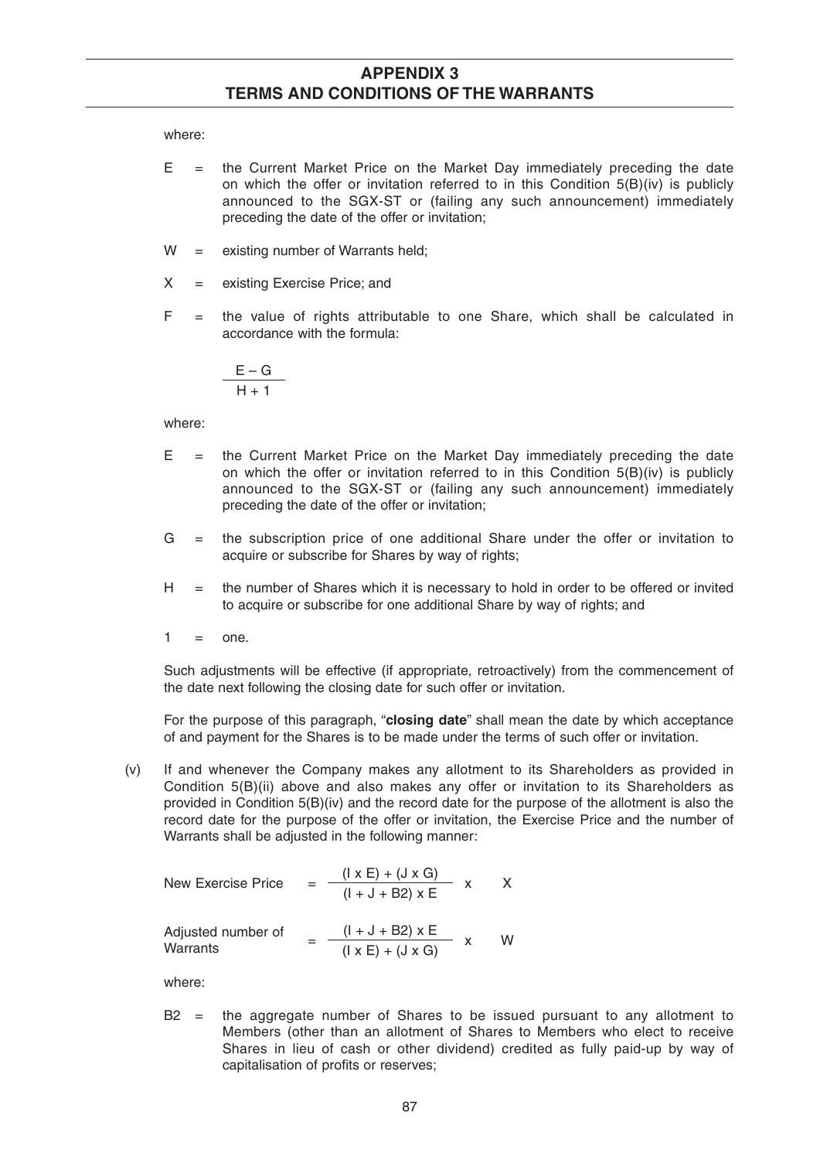where:

- $E =$  the Current Market Price on the Market Day immediately preceding the date on which the offer or invitation referred to in this Condition  $5(B)(iv)$  is publicly announced to the SGX-ST or (failing any such announcement) immediately preceding the date of the offer or invitation;
- $W =$  existing number of Warrants held;
- $X =$  existing Exercise Price; and
- $F =$  the value of rights attributable to one Share, which shall be calculated in accordance with the formula:

$$
\frac{E-G}{H+1}
$$

where:

- $E =$  the Current Market Price on the Market Day immediately preceding the date on which the offer or invitation referred to in this Condition  $5(B)(iv)$  is publicly announced to the SGX-ST or (failing any such announcement) immediately preceding the date of the offer or invitation;
- G = the subscription price of one additional Share under the offer or invitation to acquire or subscribe for Shares by way of rights;
- $H =$  the number of Shares which it is necessary to hold in order to be offered or invited to acquire or subscribe for one additional Share by way of rights; and
- $1 = \text{one}$

 Such adjustments will be effective (if appropriate, retroactively) from the commencement of the date next following the closing date for such offer or invitation.

 For the purpose of this paragraph, "**closing date**" shall mean the date by which acceptance of and payment for the Shares is to be made under the terms of such offer or invitation.

 (v) If and whenever the Company makes any allotment to its Shareholders as provided in Condition 5(B)(ii) above and also makes any offer or invitation to its Shareholders as provided in Condition 5(B)(iv) and the record date for the purpose of the allotment is also the record date for the purpose of the offer or invitation, the Exercise Price and the number of Warrants shall be adjusted in the following manner:

New Exercise Price 
$$
= \frac{(\vert x \vert + (\vert x \vert G))}{(\vert + \vert + \vert B \vert 2) \vert x \vert E} \times \times
$$
  
Adjusted number of  
Warrants 
$$
= \frac{(\vert x \vert + \vert + \vert B \vert 2) \vert x \vert E}{(\vert x \vert E) + (\vert A \vert \vert S \vert 2)} \times \times \times
$$

where:

 $B2 =$  the aggregate number of Shares to be issued pursuant to any allotment to Members (other than an allotment of Shares to Members who elect to receive Shares in lieu of cash or other dividend) credited as fully paid-up by way of capitalisation of profits or reserves;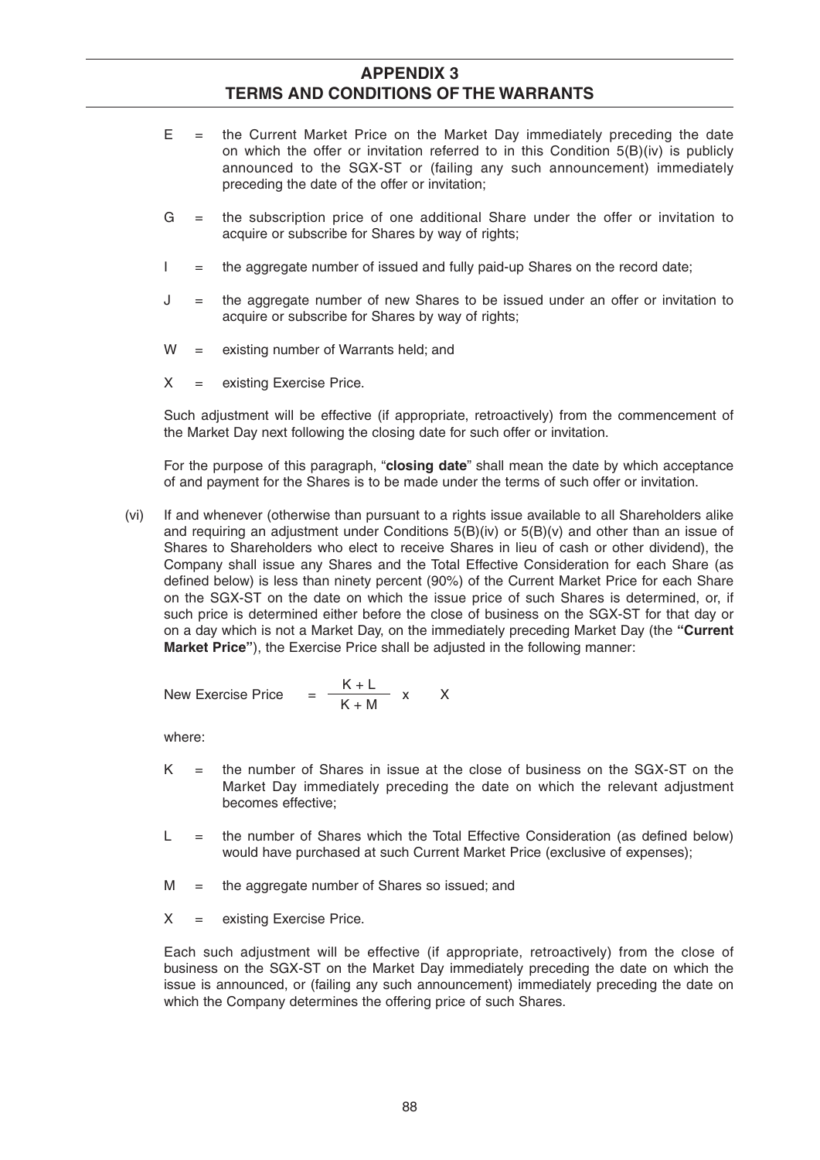- $E =$  the Current Market Price on the Market Day immediately preceding the date on which the offer or invitation referred to in this Condition  $5(B)(iv)$  is publicly announced to the SGX-ST or (failing any such announcement) immediately preceding the date of the offer or invitation;
- G = the subscription price of one additional Share under the offer or invitation to acquire or subscribe for Shares by way of rights;
- $I =$  the aggregate number of issued and fully paid-up Shares on the record date;
- J = the aggregate number of new Shares to be issued under an offer or invitation to acquire or subscribe for Shares by way of rights;
- W = existing number of Warrants held; and
- X = existing Exercise Price.

 Such adjustment will be effective (if appropriate, retroactively) from the commencement of the Market Day next following the closing date for such offer or invitation.

 For the purpose of this paragraph, "**closing date**" shall mean the date by which acceptance of and payment for the Shares is to be made under the terms of such offer or invitation.

 (vi) If and whenever (otherwise than pursuant to a rights issue available to all Shareholders alike and requiring an adjustment under Conditions  $5(B)(iv)$  or  $5(B)(v)$  and other than an issue of Shares to Shareholders who elect to receive Shares in lieu of cash or other dividend), the Company shall issue any Shares and the Total Effective Consideration for each Share (as defined below) is less than ninety percent (90%) of the Current Market Price for each Share on the SGX-ST on the date on which the issue price of such Shares is determined, or, if such price is determined either before the close of business on the SGX-ST for that day or on a day which is not a Market Day, on the immediately preceding Market Day (the **"Current Market Price"**), the Exercise Price shall be adjusted in the following manner:

New Exercise Price 
$$
=
$$
  $\frac{K+L}{K+M}$  x X

where:

- $K =$  the number of Shares in issue at the close of business on the SGX-ST on the Market Day immediately preceding the date on which the relevant adjustment becomes effective;
- $L =$  the number of Shares which the Total Effective Consideration (as defined below) would have purchased at such Current Market Price (exclusive of expenses);
- $M =$  the aggregate number of Shares so issued; and
- $X =$  existing Exercise Price.

 Each such adjustment will be effective (if appropriate, retroactively) from the close of business on the SGX-ST on the Market Day immediately preceding the date on which the issue is announced, or (failing any such announcement) immediately preceding the date on which the Company determines the offering price of such Shares.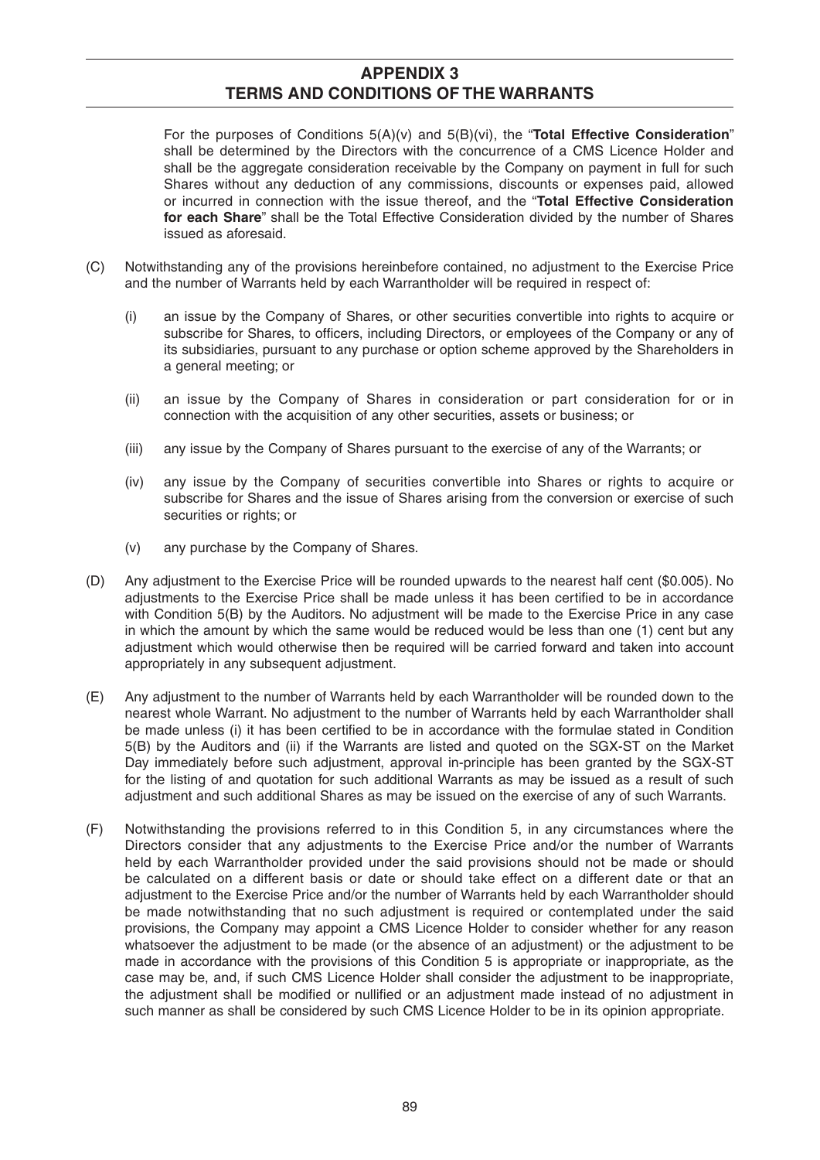For the purposes of Conditions 5(A)(v) and 5(B)(vi), the "**Total Effective Consideration**" shall be determined by the Directors with the concurrence of a CMS Licence Holder and shall be the aggregate consideration receivable by the Company on payment in full for such Shares without any deduction of any commissions, discounts or expenses paid, allowed or incurred in connection with the issue thereof, and the "**Total Effective Consideration for each Share**" shall be the Total Effective Consideration divided by the number of Shares issued as aforesaid.

- (C) Notwithstanding any of the provisions hereinbefore contained, no adjustment to the Exercise Price and the number of Warrants held by each Warrantholder will be required in respect of:
	- (i) an issue by the Company of Shares, or other securities convertible into rights to acquire or subscribe for Shares, to officers, including Directors, or employees of the Company or any of its subsidiaries, pursuant to any purchase or option scheme approved by the Shareholders in a general meeting; or
	- (ii) an issue by the Company of Shares in consideration or part consideration for or in connection with the acquisition of any other securities, assets or business; or
	- (iii) any issue by the Company of Shares pursuant to the exercise of any of the Warrants; or
	- (iv) any issue by the Company of securities convertible into Shares or rights to acquire or subscribe for Shares and the issue of Shares arising from the conversion or exercise of such securities or rights; or
	- (v) any purchase by the Company of Shares.
- (D) Any adjustment to the Exercise Price will be rounded upwards to the nearest half cent (\$0.005). No adjustments to the Exercise Price shall be made unless it has been certified to be in accordance with Condition 5(B) by the Auditors. No adjustment will be made to the Exercise Price in any case in which the amount by which the same would be reduced would be less than one (1) cent but any adjustment which would otherwise then be required will be carried forward and taken into account appropriately in any subsequent adjustment.
- (E) Any adjustment to the number of Warrants held by each Warrantholder will be rounded down to the nearest whole Warrant. No adjustment to the number of Warrants held by each Warrantholder shall be made unless (i) it has been certified to be in accordance with the formulae stated in Condition 5(B) by the Auditors and (ii) if the Warrants are listed and quoted on the SGX-ST on the Market Day immediately before such adjustment, approval in-principle has been granted by the SGX-ST for the listing of and quotation for such additional Warrants as may be issued as a result of such adjustment and such additional Shares as may be issued on the exercise of any of such Warrants.
- (F) Notwithstanding the provisions referred to in this Condition 5, in any circumstances where the Directors consider that any adjustments to the Exercise Price and/or the number of Warrants held by each Warrantholder provided under the said provisions should not be made or should be calculated on a different basis or date or should take effect on a different date or that an adjustment to the Exercise Price and/or the number of Warrants held by each Warrantholder should be made notwithstanding that no such adjustment is required or contemplated under the said provisions, the Company may appoint a CMS Licence Holder to consider whether for any reason whatsoever the adjustment to be made (or the absence of an adjustment) or the adjustment to be made in accordance with the provisions of this Condition 5 is appropriate or inappropriate, as the case may be, and, if such CMS Licence Holder shall consider the adjustment to be inappropriate, the adjustment shall be modified or nullified or an adjustment made instead of no adjustment in such manner as shall be considered by such CMS Licence Holder to be in its opinion appropriate.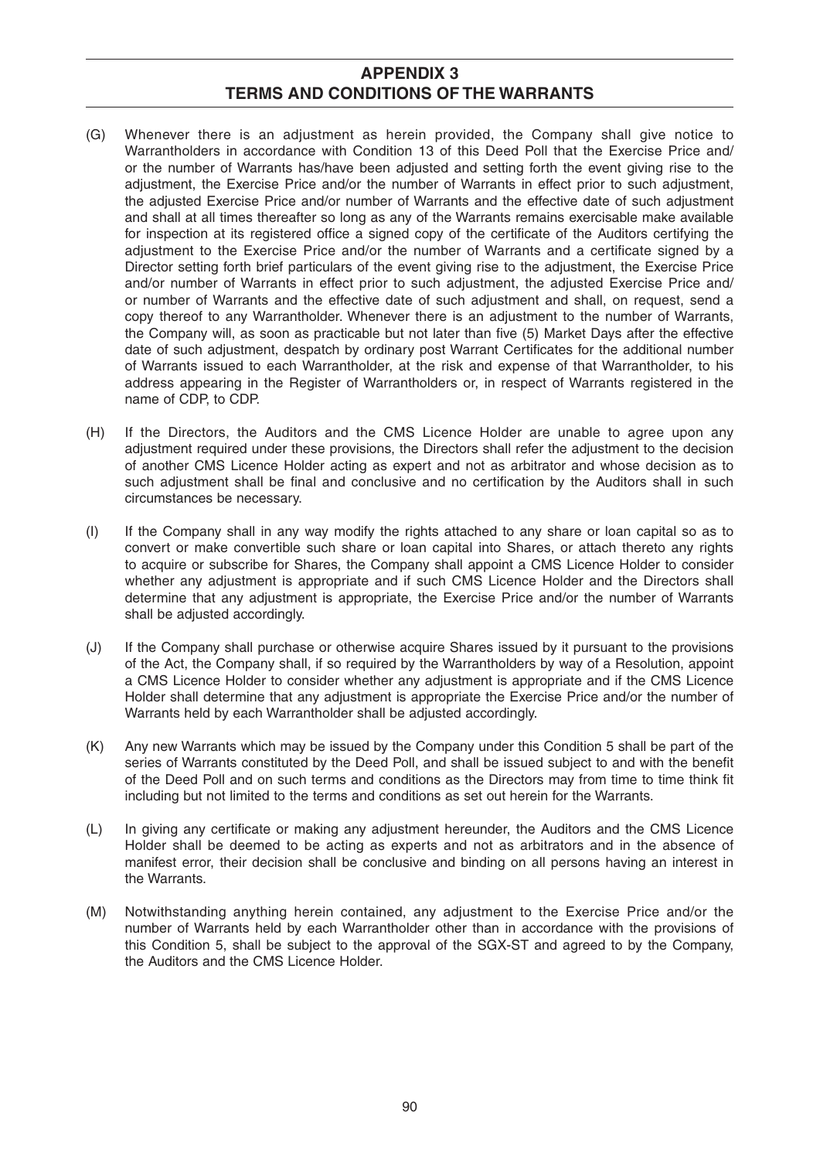- (G) Whenever there is an adjustment as herein provided, the Company shall give notice to Warrantholders in accordance with Condition 13 of this Deed Poll that the Exercise Price and/ or the number of Warrants has/have been adjusted and setting forth the event giving rise to the adjustment, the Exercise Price and/or the number of Warrants in effect prior to such adjustment, the adjusted Exercise Price and/or number of Warrants and the effective date of such adjustment and shall at all times thereafter so long as any of the Warrants remains exercisable make available for inspection at its registered office a signed copy of the certificate of the Auditors certifying the adjustment to the Exercise Price and/or the number of Warrants and a certificate signed by a Director setting forth brief particulars of the event giving rise to the adjustment, the Exercise Price and/or number of Warrants in effect prior to such adjustment, the adjusted Exercise Price and/ or number of Warrants and the effective date of such adjustment and shall, on request, send a copy thereof to any Warrantholder. Whenever there is an adjustment to the number of Warrants, the Company will, as soon as practicable but not later than five (5) Market Days after the effective date of such adjustment, despatch by ordinary post Warrant Certificates for the additional number of Warrants issued to each Warrantholder, at the risk and expense of that Warrantholder, to his address appearing in the Register of Warrantholders or, in respect of Warrants registered in the name of CDP, to CDP.
- (H) If the Directors, the Auditors and the CMS Licence Holder are unable to agree upon any adjustment required under these provisions, the Directors shall refer the adjustment to the decision of another CMS Licence Holder acting as expert and not as arbitrator and whose decision as to such adjustment shall be final and conclusive and no certification by the Auditors shall in such circumstances be necessary.
- (I) If the Company shall in any way modify the rights attached to any share or loan capital so as to convert or make convertible such share or loan capital into Shares, or attach thereto any rights to acquire or subscribe for Shares, the Company shall appoint a CMS Licence Holder to consider whether any adjustment is appropriate and if such CMS Licence Holder and the Directors shall determine that any adjustment is appropriate, the Exercise Price and/or the number of Warrants shall be adjusted accordingly.
- (J) If the Company shall purchase or otherwise acquire Shares issued by it pursuant to the provisions of the Act, the Company shall, if so required by the Warrantholders by way of a Resolution, appoint a CMS Licence Holder to consider whether any adjustment is appropriate and if the CMS Licence Holder shall determine that any adjustment is appropriate the Exercise Price and/or the number of Warrants held by each Warrantholder shall be adjusted accordingly.
- (K) Any new Warrants which may be issued by the Company under this Condition 5 shall be part of the series of Warrants constituted by the Deed Poll, and shall be issued subject to and with the benefit of the Deed Poll and on such terms and conditions as the Directors may from time to time think fit including but not limited to the terms and conditions as set out herein for the Warrants.
- (L) In giving any certificate or making any adjustment hereunder, the Auditors and the CMS Licence Holder shall be deemed to be acting as experts and not as arbitrators and in the absence of manifest error, their decision shall be conclusive and binding on all persons having an interest in the Warrants.
- (M) Notwithstanding anything herein contained, any adjustment to the Exercise Price and/or the number of Warrants held by each Warrantholder other than in accordance with the provisions of this Condition 5, shall be subject to the approval of the SGX-ST and agreed to by the Company, the Auditors and the CMS Licence Holder.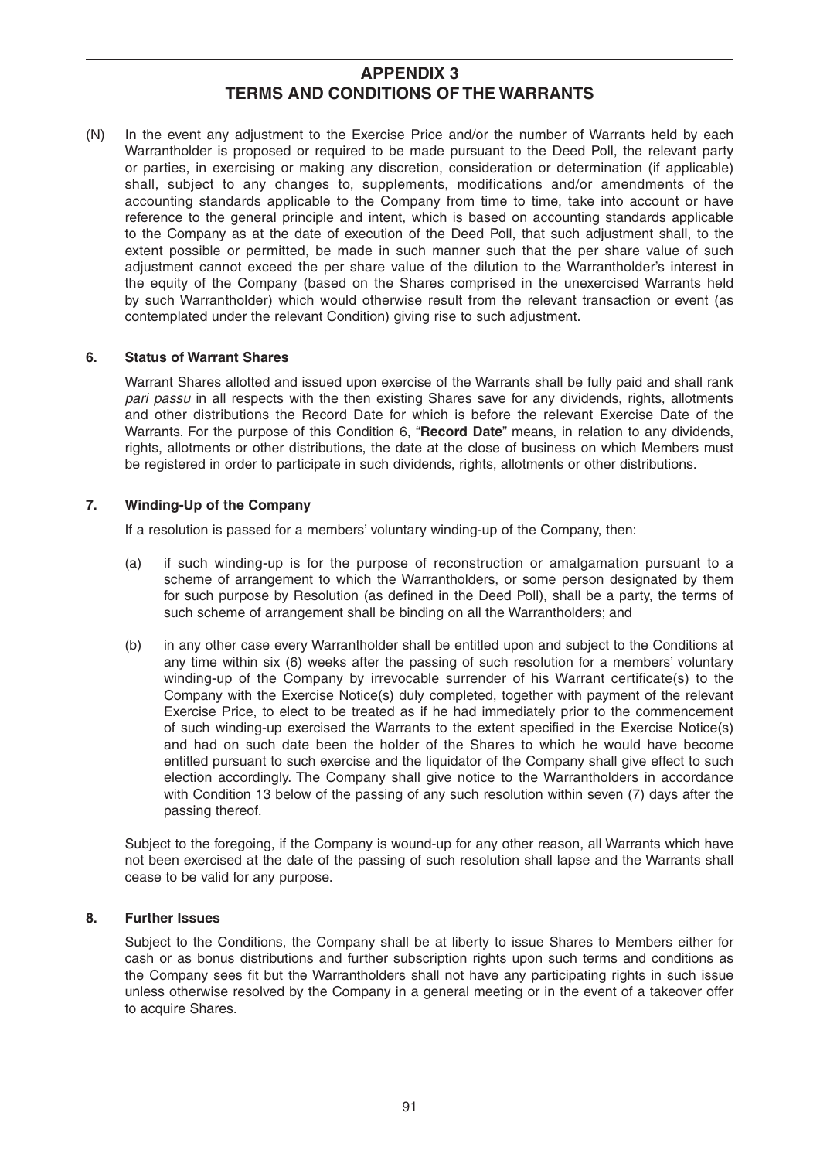(N) In the event any adjustment to the Exercise Price and/or the number of Warrants held by each Warrantholder is proposed or required to be made pursuant to the Deed Poll, the relevant party or parties, in exercising or making any discretion, consideration or determination (if applicable) shall, subject to any changes to, supplements, modifications and/or amendments of the accounting standards applicable to the Company from time to time, take into account or have reference to the general principle and intent, which is based on accounting standards applicable to the Company as at the date of execution of the Deed Poll, that such adjustment shall, to the extent possible or permitted, be made in such manner such that the per share value of such adjustment cannot exceed the per share value of the dilution to the Warrantholder's interest in the equity of the Company (based on the Shares comprised in the unexercised Warrants held by such Warrantholder) which would otherwise result from the relevant transaction or event (as contemplated under the relevant Condition) giving rise to such adjustment.

## **6. Status of Warrant Shares**

 Warrant Shares allotted and issued upon exercise of the Warrants shall be fully paid and shall rank *pari passu* in all respects with the then existing Shares save for any dividends, rights, allotments and other distributions the Record Date for which is before the relevant Exercise Date of the Warrants. For the purpose of this Condition 6, "**Record Date**" means, in relation to any dividends, rights, allotments or other distributions, the date at the close of business on which Members must be registered in order to participate in such dividends, rights, allotments or other distributions.

### **7. Winding-Up of the Company**

If a resolution is passed for a members' voluntary winding-up of the Company, then:

- (a) if such winding-up is for the purpose of reconstruction or amalgamation pursuant to a scheme of arrangement to which the Warrantholders, or some person designated by them for such purpose by Resolution (as defined in the Deed Poll), shall be a party, the terms of such scheme of arrangement shall be binding on all the Warrantholders; and
- (b) in any other case every Warrantholder shall be entitled upon and subject to the Conditions at any time within six (6) weeks after the passing of such resolution for a members' voluntary winding-up of the Company by irrevocable surrender of his Warrant certificate(s) to the Company with the Exercise Notice(s) duly completed, together with payment of the relevant Exercise Price, to elect to be treated as if he had immediately prior to the commencement of such winding-up exercised the Warrants to the extent specified in the Exercise Notice(s) and had on such date been the holder of the Shares to which he would have become entitled pursuant to such exercise and the liquidator of the Company shall give effect to such election accordingly. The Company shall give notice to the Warrantholders in accordance with Condition 13 below of the passing of any such resolution within seven (7) days after the passing thereof.

 Subject to the foregoing, if the Company is wound-up for any other reason, all Warrants which have not been exercised at the date of the passing of such resolution shall lapse and the Warrants shall cease to be valid for any purpose.

#### **8. Further Issues**

 Subject to the Conditions, the Company shall be at liberty to issue Shares to Members either for cash or as bonus distributions and further subscription rights upon such terms and conditions as the Company sees fit but the Warrantholders shall not have any participating rights in such issue unless otherwise resolved by the Company in a general meeting or in the event of a takeover offer to acquire Shares.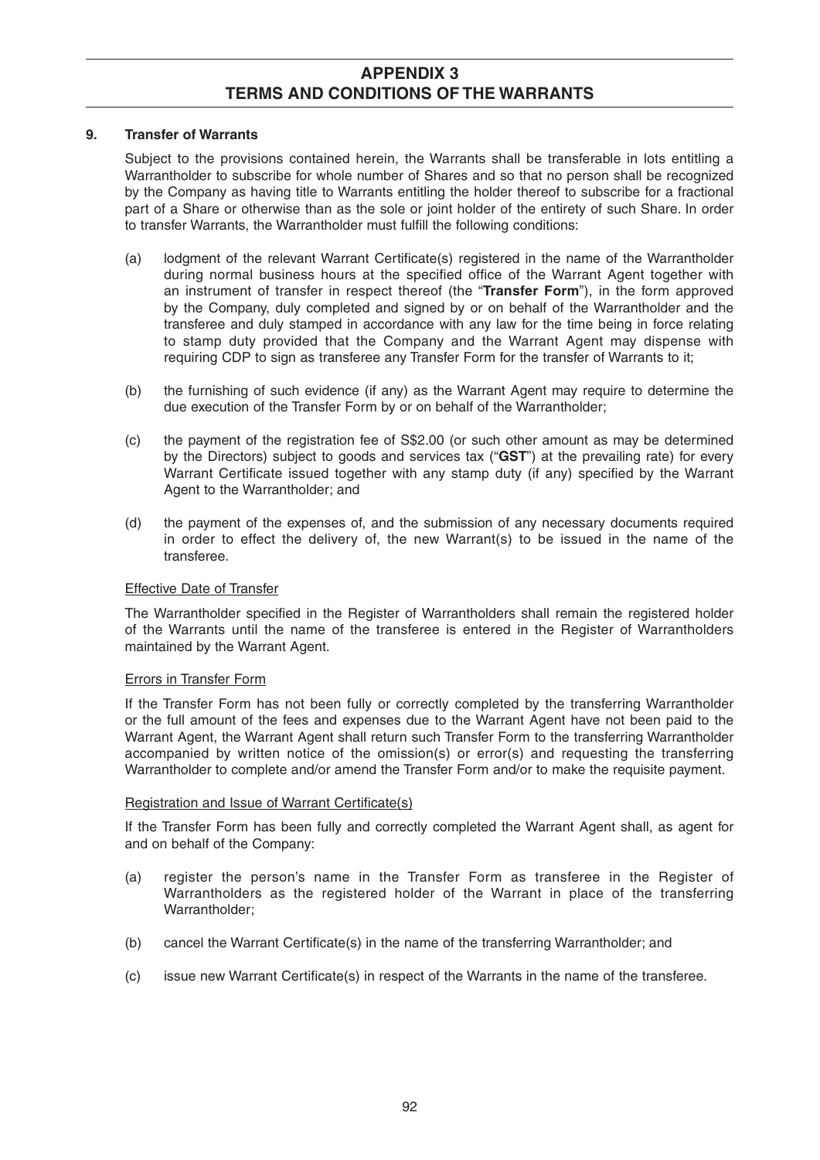#### **9. Transfer of Warrants**

 Subject to the provisions contained herein, the Warrants shall be transferable in lots entitling a Warrantholder to subscribe for whole number of Shares and so that no person shall be recognized by the Company as having title to Warrants entitling the holder thereof to subscribe for a fractional part of a Share or otherwise than as the sole or joint holder of the entirety of such Share. In order to transfer Warrants, the Warrantholder must fulfill the following conditions:

- (a) lodgment of the relevant Warrant Certificate(s) registered in the name of the Warrantholder during normal business hours at the specified office of the Warrant Agent together with an instrument of transfer in respect thereof (the "**Transfer Form**"), in the form approved by the Company, duly completed and signed by or on behalf of the Warrantholder and the transferee and duly stamped in accordance with any law for the time being in force relating to stamp duty provided that the Company and the Warrant Agent may dispense with requiring CDP to sign as transferee any Transfer Form for the transfer of Warrants to it;
- (b) the furnishing of such evidence (if any) as the Warrant Agent may require to determine the due execution of the Transfer Form by or on behalf of the Warrantholder;
- (c) the payment of the registration fee of S\$2.00 (or such other amount as may be determined by the Directors) subject to goods and services tax ("**GST**") at the prevailing rate) for every Warrant Certificate issued together with any stamp duty (if any) specified by the Warrant Agent to the Warrantholder; and
- (d) the payment of the expenses of, and the submission of any necessary documents required in order to effect the delivery of, the new Warrant(s) to be issued in the name of the transferee.

## Effective Date of Transfer

The Warrantholder specified in the Register of Warrantholders shall remain the registered holder of the Warrants until the name of the transferee is entered in the Register of Warrantholders maintained by the Warrant Agent.

#### Errors in Transfer Form

 If the Transfer Form has not been fully or correctly completed by the transferring Warrantholder or the full amount of the fees and expenses due to the Warrant Agent have not been paid to the Warrant Agent, the Warrant Agent shall return such Transfer Form to the transferring Warrantholder accompanied by written notice of the omission(s) or error(s) and requesting the transferring Warrantholder to complete and/or amend the Transfer Form and/or to make the requisite payment.

#### Registration and Issue of Warrant Certificate(s)

 If the Transfer Form has been fully and correctly completed the Warrant Agent shall, as agent for and on behalf of the Company:

- (a) register the person's name in the Transfer Form as transferee in the Register of Warrantholders as the registered holder of the Warrant in place of the transferring Warrantholder;
- (b) cancel the Warrant Certificate(s) in the name of the transferring Warrantholder; and
- (c) issue new Warrant Certificate(s) in respect of the Warrants in the name of the transferee.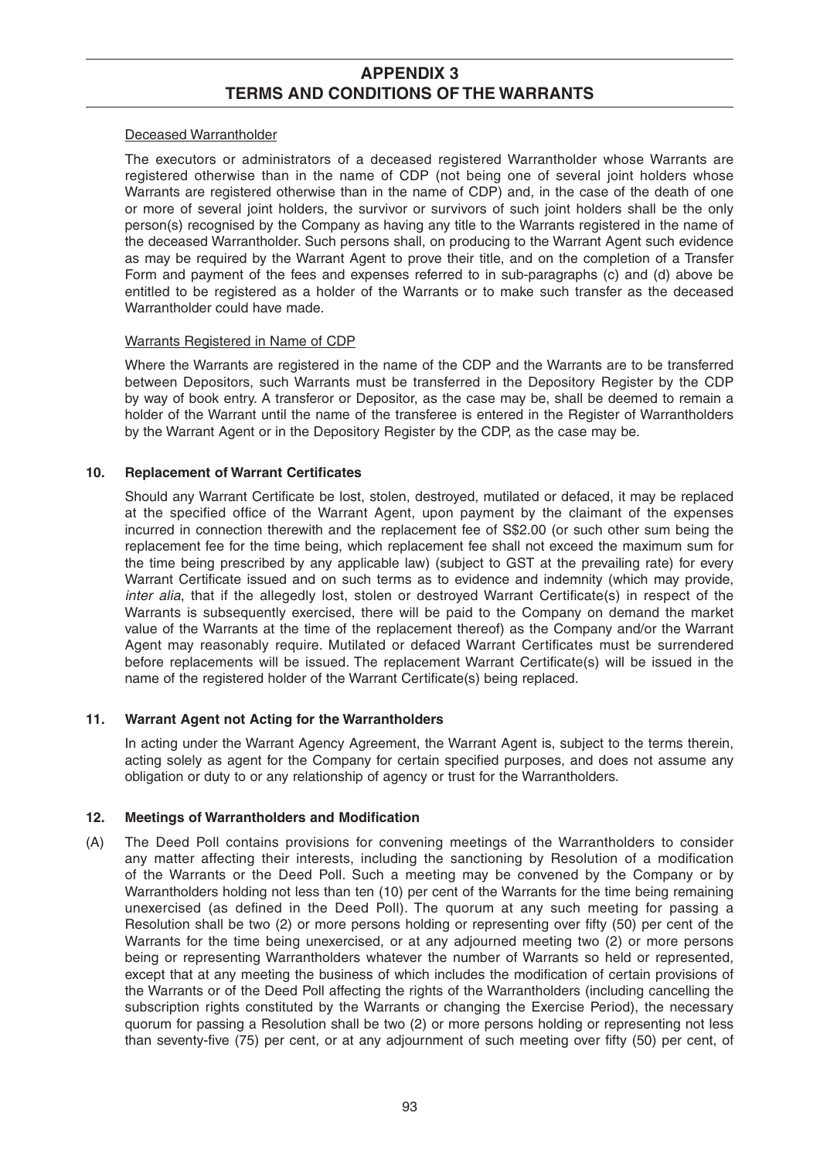#### Deceased Warrantholder

 The executors or administrators of a deceased registered Warrantholder whose Warrants are registered otherwise than in the name of CDP (not being one of several joint holders whose Warrants are registered otherwise than in the name of CDP) and, in the case of the death of one or more of several joint holders, the survivor or survivors of such joint holders shall be the only person(s) recognised by the Company as having any title to the Warrants registered in the name of the deceased Warrantholder. Such persons shall, on producing to the Warrant Agent such evidence as may be required by the Warrant Agent to prove their title, and on the completion of a Transfer Form and payment of the fees and expenses referred to in sub-paragraphs (c) and (d) above be entitled to be registered as a holder of the Warrants or to make such transfer as the deceased Warrantholder could have made.

#### Warrants Registered in Name of CDP

 Where the Warrants are registered in the name of the CDP and the Warrants are to be transferred between Depositors, such Warrants must be transferred in the Depository Register by the CDP by way of book entry. A transferor or Depositor, as the case may be, shall be deemed to remain a holder of the Warrant until the name of the transferee is entered in the Register of Warrantholders by the Warrant Agent or in the Depository Register by the CDP, as the case may be.

## **10.** Replacement of Warrant Certificates

Should any Warrant Certificate be lost, stolen, destroyed, mutilated or defaced, it may be replaced at the specified office of the Warrant Agent, upon payment by the claimant of the expenses incurred in connection therewith and the replacement fee of S\$2.00 (or such other sum being the replacement fee for the time being, which replacement fee shall not exceed the maximum sum for the time being prescribed by any applicable law) (subject to GST at the prevailing rate) for every Warrant Certificate issued and on such terms as to evidence and indemnity (which may provide, *inter alia*, that if the allegedly lost, stolen or destroyed Warrant Certificate(s) in respect of the Warrants is subsequently exercised, there will be paid to the Company on demand the market value of the Warrants at the time of the replacement thereof) as the Company and/or the Warrant Agent may reasonably require. Mutilated or defaced Warrant Certificates must be surrendered before replacements will be issued. The replacement Warrant Certificate(s) will be issued in the name of the registered holder of the Warrant Certificate(s) being replaced.

## **11. Warrant Agent not Acting for the Warrantholders**

 In acting under the Warrant Agency Agreement, the Warrant Agent is, subject to the terms therein, acting solely as agent for the Company for certain specified purposes, and does not assume any obligation or duty to or any relationship of agency or trust for the Warrantholders.

## **12. Meetings of Warrantholders and Modification**

(A) The Deed Poll contains provisions for convening meetings of the Warrantholders to consider any matter affecting their interests, including the sanctioning by Resolution of a modification of the Warrants or the Deed Poll. Such a meeting may be convened by the Company or by Warrantholders holding not less than ten (10) per cent of the Warrants for the time being remaining unexercised (as defined in the Deed Poll). The quorum at any such meeting for passing a Resolution shall be two (2) or more persons holding or representing over fifty (50) per cent of the Warrants for the time being unexercised, or at any adjourned meeting two (2) or more persons being or representing Warrantholders whatever the number of Warrants so held or represented, except that at any meeting the business of which includes the modification of certain provisions of the Warrants or of the Deed Poll affecting the rights of the Warrantholders (including cancelling the subscription rights constituted by the Warrants or changing the Exercise Period), the necessary quorum for passing a Resolution shall be two (2) or more persons holding or representing not less than seventy-five (75) per cent, or at any adjournment of such meeting over fifty (50) per cent, of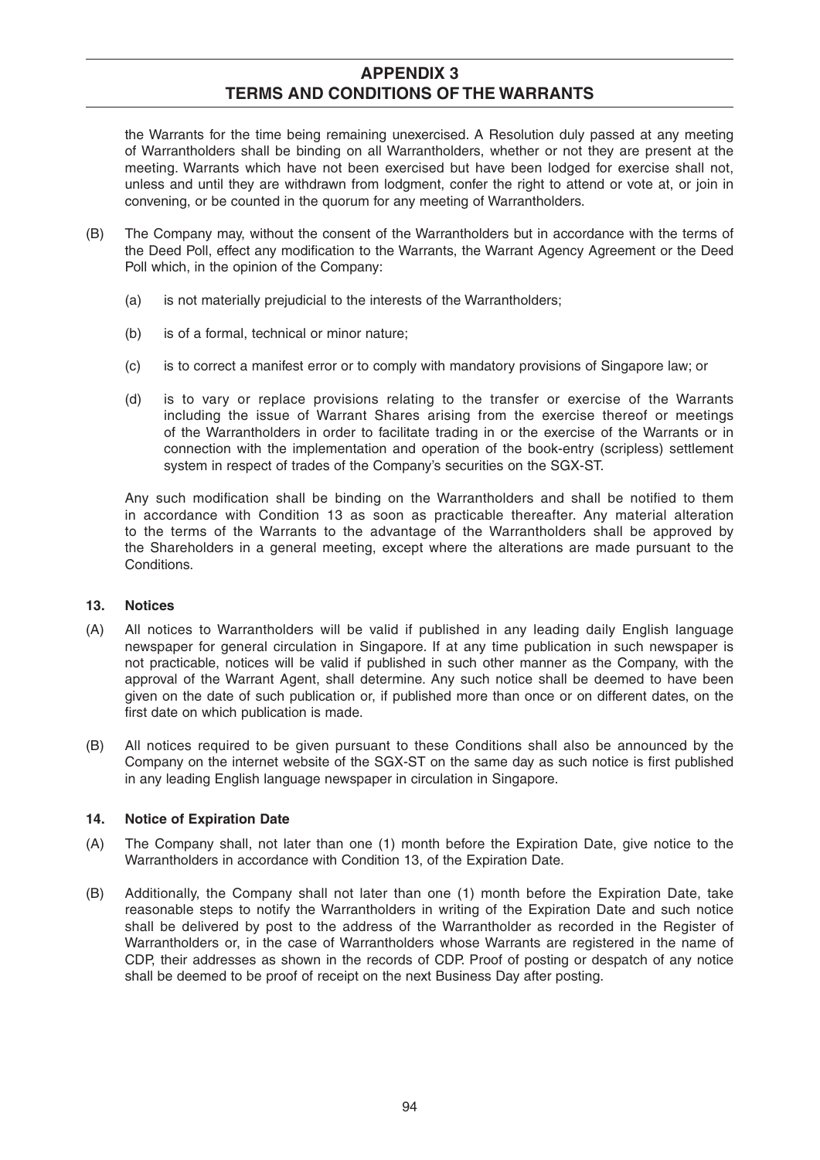the Warrants for the time being remaining unexercised. A Resolution duly passed at any meeting of Warrantholders shall be binding on all Warrantholders, whether or not they are present at the meeting. Warrants which have not been exercised but have been lodged for exercise shall not, unless and until they are withdrawn from lodgment, confer the right to attend or vote at, or join in convening, or be counted in the quorum for any meeting of Warrantholders.

- (B) The Company may, without the consent of the Warrantholders but in accordance with the terms of the Deed Poll, effect any modification to the Warrants, the Warrant Agency Agreement or the Deed Poll which, in the opinion of the Company:
	- (a) is not materially prejudicial to the interests of the Warrantholders;
	- (b) is of a formal, technical or minor nature;
	- (c) is to correct a manifest error or to comply with mandatory provisions of Singapore law; or
	- (d) is to vary or replace provisions relating to the transfer or exercise of the Warrants including the issue of Warrant Shares arising from the exercise thereof or meetings of the Warrantholders in order to facilitate trading in or the exercise of the Warrants or in connection with the implementation and operation of the book-entry (scripless) settlement system in respect of trades of the Company's securities on the SGX-ST.

Any such modification shall be binding on the Warrantholders and shall be notified to them in accordance with Condition 13 as soon as practicable thereafter. Any material alteration to the terms of the Warrants to the advantage of the Warrantholders shall be approved by the Shareholders in a general meeting, except where the alterations are made pursuant to the Conditions.

#### **13. Notices**

- (A) All notices to Warrantholders will be valid if published in any leading daily English language newspaper for general circulation in Singapore. If at any time publication in such newspaper is not practicable, notices will be valid if published in such other manner as the Company, with the approval of the Warrant Agent, shall determine. Any such notice shall be deemed to have been given on the date of such publication or, if published more than once or on different dates, on the first date on which publication is made.
- (B) All notices required to be given pursuant to these Conditions shall also be announced by the Company on the internet website of the SGX-ST on the same day as such notice is first published in any leading English language newspaper in circulation in Singapore.

## **14. Notice of Expiration Date**

- (A) The Company shall, not later than one (1) month before the Expiration Date, give notice to the Warrantholders in accordance with Condition 13, of the Expiration Date.
- (B) Additionally, the Company shall not later than one (1) month before the Expiration Date, take reasonable steps to notify the Warrantholders in writing of the Expiration Date and such notice shall be delivered by post to the address of the Warrantholder as recorded in the Register of Warrantholders or, in the case of Warrantholders whose Warrants are registered in the name of CDP, their addresses as shown in the records of CDP. Proof of posting or despatch of any notice shall be deemed to be proof of receipt on the next Business Day after posting.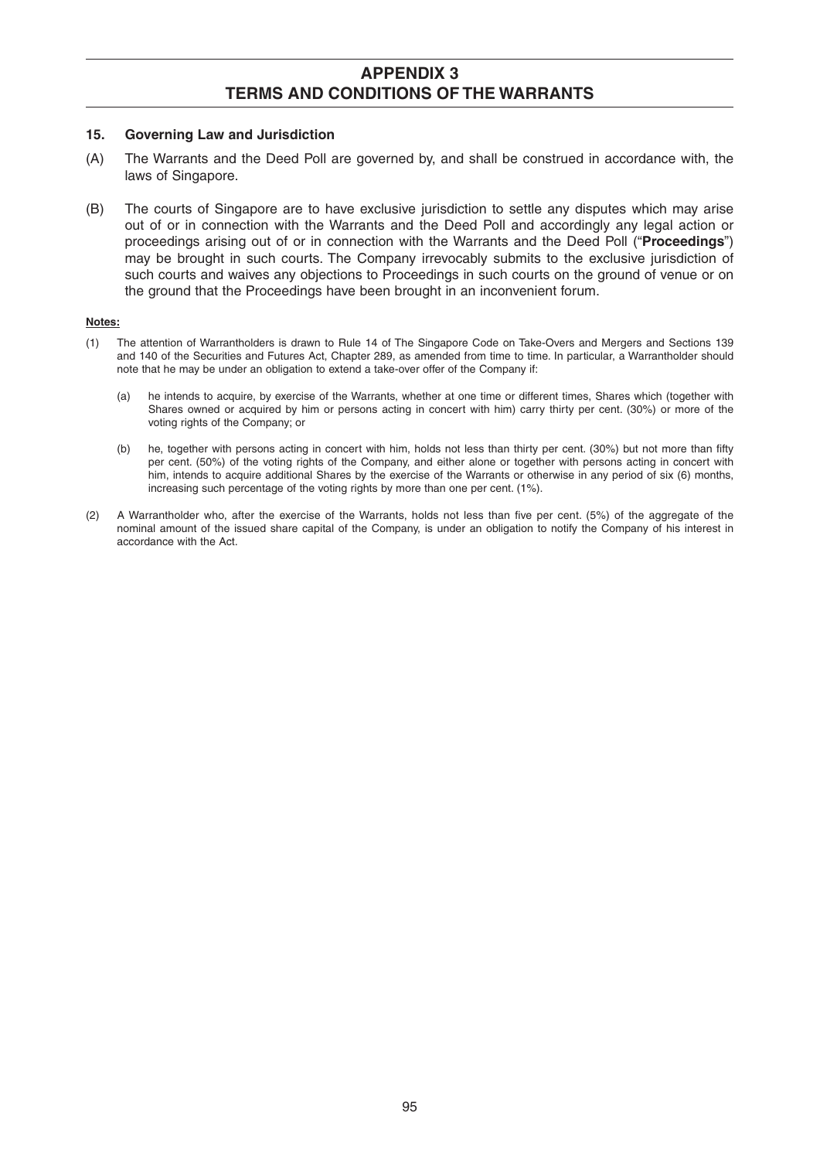#### **15. Governing Law and Jurisdiction**

- (A) The Warrants and the Deed Poll are governed by, and shall be construed in accordance with, the laws of Singapore.
- (B) The courts of Singapore are to have exclusive jurisdiction to settle any disputes which may arise out of or in connection with the Warrants and the Deed Poll and accordingly any legal action or proceedings arising out of or in connection with the Warrants and the Deed Poll ("**Proceedings**") may be brought in such courts. The Company irrevocably submits to the exclusive jurisdiction of such courts and waives any objections to Proceedings in such courts on the ground of venue or on the ground that the Proceedings have been brought in an inconvenient forum.

#### **Notes:**

- (1) The attention of Warrantholders is drawn to Rule 14 of The Singapore Code on Take-Overs and Mergers and Sections 139 and 140 of the Securities and Futures Act, Chapter 289, as amended from time to time. In particular, a Warrantholder should note that he may be under an obligation to extend a take-over offer of the Company if:
	- (a) he intends to acquire, by exercise of the Warrants, whether at one time or different times, Shares which (together with Shares owned or acquired by him or persons acting in concert with him) carry thirty per cent. (30%) or more of the voting rights of the Company; or
	- (b) he, together with persons acting in concert with him, holds not less than thirty per cent. (30%) but not more than fifty per cent. (50%) of the voting rights of the Company, and either alone or together with persons acting in concert with him, intends to acquire additional Shares by the exercise of the Warrants or otherwise in any period of six (6) months, increasing such percentage of the voting rights by more than one per cent. (1%).
- (2) A Warrantholder who, after the exercise of the Warrants, holds not less than five per cent. (5%) of the aggregate of the nominal amount of the issued share capital of the Company, is under an obligation to notify the Company of his interest in accordance with the Act.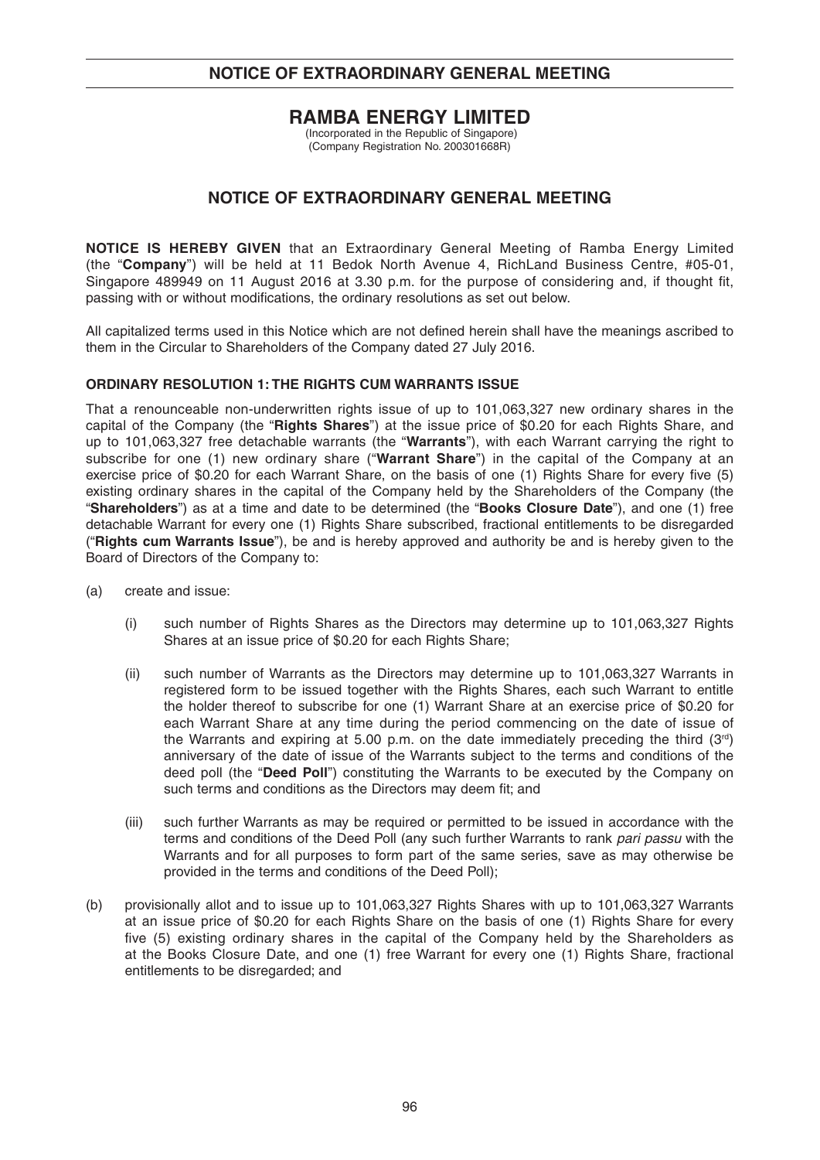# **NOTICE OF EXTRAORDINARY GENERAL MEETING**

## **RAMBA ENERGY LIMITED**

 (Incorporated in the Republic of Singapore) (Company Registration No. 200301668R)

## **NOTICE OF EXTRAORDINARY GENERAL MEETING**

**NOTICE IS HEREBY GIVEN** that an Extraordinary General Meeting of Ramba Energy Limited (the "**Company**") will be held at 11 Bedok North Avenue 4, RichLand Business Centre, #05-01, Singapore 489949 on 11 August 2016 at 3.30 p.m. for the purpose of considering and, if thought fit, passing with or without modifications, the ordinary resolutions as set out below.

All capitalized terms used in this Notice which are not defined herein shall have the meanings ascribed to them in the Circular to Shareholders of the Company dated 27 July 2016.

#### **ORDINARY RESOLUTION 1: THE RIGHTS CUM WARRANTS ISSUE**

That a renounceable non-underwritten rights issue of up to 101,063,327 new ordinary shares in the capital of the Company (the "**Rights Shares**") at the issue price of \$0.20 for each Rights Share, and up to 101,063,327 free detachable warrants (the "**Warrants**"), with each Warrant carrying the right to subscribe for one (1) new ordinary share ("**Warrant Share**") in the capital of the Company at an exercise price of \$0.20 for each Warrant Share, on the basis of one (1) Rights Share for every five (5) existing ordinary shares in the capital of the Company held by the Shareholders of the Company (the "**Shareholders**") as at a time and date to be determined (the "**Books Closure Date**"), and one (1) free detachable Warrant for every one (1) Rights Share subscribed, fractional entitlements to be disregarded ("**Rights cum Warrants Issue**"), be and is hereby approved and authority be and is hereby given to the Board of Directors of the Company to:

- (a) create and issue:
	- (i) such number of Rights Shares as the Directors may determine up to 101,063,327 Rights Shares at an issue price of \$0.20 for each Rights Share;
	- (ii) such number of Warrants as the Directors may determine up to 101,063,327 Warrants in registered form to be issued together with the Rights Shares, each such Warrant to entitle the holder thereof to subscribe for one (1) Warrant Share at an exercise price of \$0.20 for each Warrant Share at any time during the period commencing on the date of issue of the Warrants and expiring at 5.00 p.m. on the date immediately preceding the third  $(3<sup>rd</sup>)$ anniversary of the date of issue of the Warrants subject to the terms and conditions of the deed poll (the "**Deed Poll**") constituting the Warrants to be executed by the Company on such terms and conditions as the Directors may deem fit; and
	- (iii) such further Warrants as may be required or permitted to be issued in accordance with the terms and conditions of the Deed Poll (any such further Warrants to rank *pari passu* with the Warrants and for all purposes to form part of the same series, save as may otherwise be provided in the terms and conditions of the Deed Poll);
- (b) provisionally allot and to issue up to 101,063,327 Rights Shares with up to 101,063,327 Warrants at an issue price of \$0.20 for each Rights Share on the basis of one (1) Rights Share for every five (5) existing ordinary shares in the capital of the Company held by the Shareholders as at the Books Closure Date, and one (1) free Warrant for every one (1) Rights Share, fractional entitlements to be disregarded; and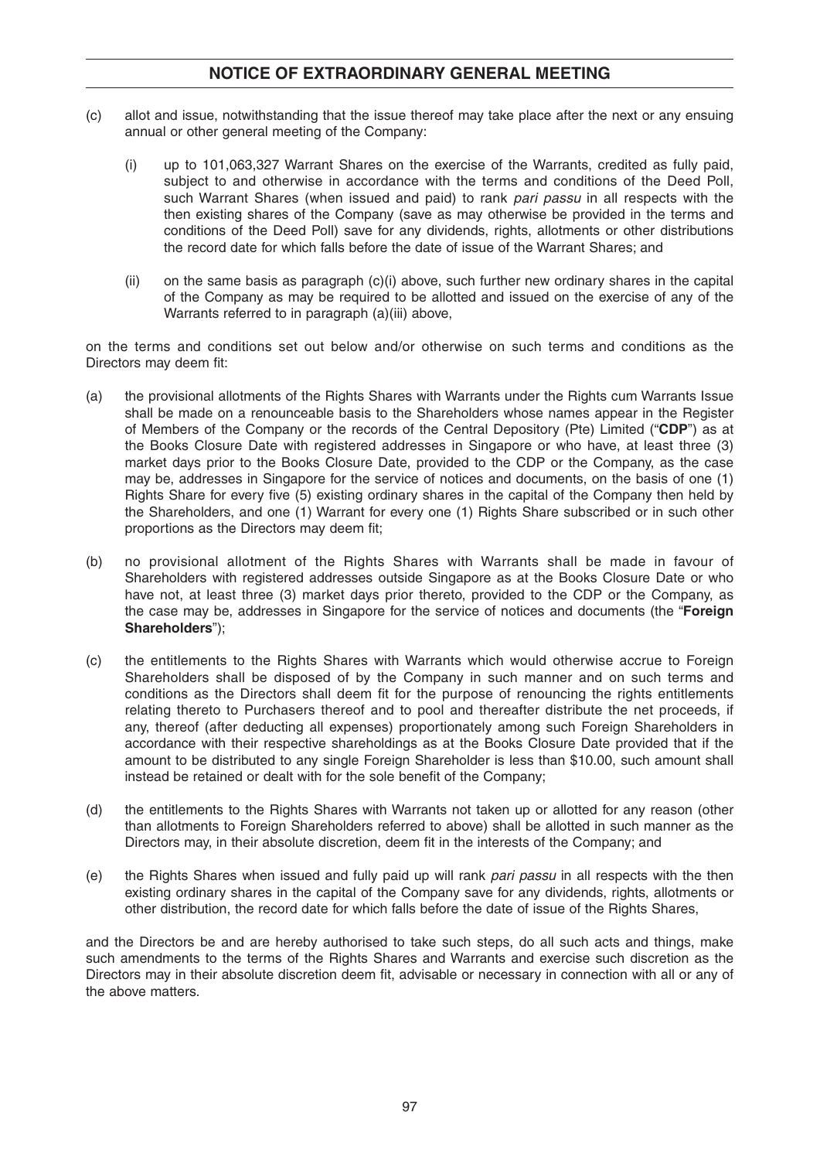# **NOTICE OF EXTRAORDINARY GENERAL MEETING**

- (c) allot and issue, notwithstanding that the issue thereof may take place after the next or any ensuing annual or other general meeting of the Company:
	- (i) up to 101,063,327 Warrant Shares on the exercise of the Warrants, credited as fully paid, subject to and otherwise in accordance with the terms and conditions of the Deed Poll, such Warrant Shares (when issued and paid) to rank *pari passu* in all respects with the then existing shares of the Company (save as may otherwise be provided in the terms and conditions of the Deed Poll) save for any dividends, rights, allotments or other distributions the record date for which falls before the date of issue of the Warrant Shares; and
	- (ii) on the same basis as paragraph (c)(i) above, such further new ordinary shares in the capital of the Company as may be required to be allotted and issued on the exercise of any of the Warrants referred to in paragraph (a)(iii) above,

on the terms and conditions set out below and/or otherwise on such terms and conditions as the Directors may deem fit:

- (a) the provisional allotments of the Rights Shares with Warrants under the Rights cum Warrants Issue shall be made on a renounceable basis to the Shareholders whose names appear in the Register of Members of the Company or the records of the Central Depository (Pte) Limited ("**CDP**") as at the Books Closure Date with registered addresses in Singapore or who have, at least three (3) market days prior to the Books Closure Date, provided to the CDP or the Company, as the case may be, addresses in Singapore for the service of notices and documents, on the basis of one (1) Rights Share for every five (5) existing ordinary shares in the capital of the Company then held by the Shareholders, and one (1) Warrant for every one (1) Rights Share subscribed or in such other proportions as the Directors may deem fit;
- (b) no provisional allotment of the Rights Shares with Warrants shall be made in favour of Shareholders with registered addresses outside Singapore as at the Books Closure Date or who have not, at least three (3) market days prior thereto, provided to the CDP or the Company, as the case may be, addresses in Singapore for the service of notices and documents (the "**Foreign Shareholders**");
- (c) the entitlements to the Rights Shares with Warrants which would otherwise accrue to Foreign Shareholders shall be disposed of by the Company in such manner and on such terms and conditions as the Directors shall deem fit for the purpose of renouncing the rights entitlements relating thereto to Purchasers thereof and to pool and thereafter distribute the net proceeds, if any, thereof (after deducting all expenses) proportionately among such Foreign Shareholders in accordance with their respective shareholdings as at the Books Closure Date provided that if the amount to be distributed to any single Foreign Shareholder is less than \$10.00, such amount shall instead be retained or dealt with for the sole benefit of the Company;
- (d) the entitlements to the Rights Shares with Warrants not taken up or allotted for any reason (other than allotments to Foreign Shareholders referred to above) shall be allotted in such manner as the Directors may, in their absolute discretion, deem fit in the interests of the Company; and
- (e) the Rights Shares when issued and fully paid up will rank *pari passu* in all respects with the then existing ordinary shares in the capital of the Company save for any dividends, rights, allotments or other distribution, the record date for which falls before the date of issue of the Rights Shares,

and the Directors be and are hereby authorised to take such steps, do all such acts and things, make such amendments to the terms of the Rights Shares and Warrants and exercise such discretion as the Directors may in their absolute discretion deem fit, advisable or necessary in connection with all or any of the above matters.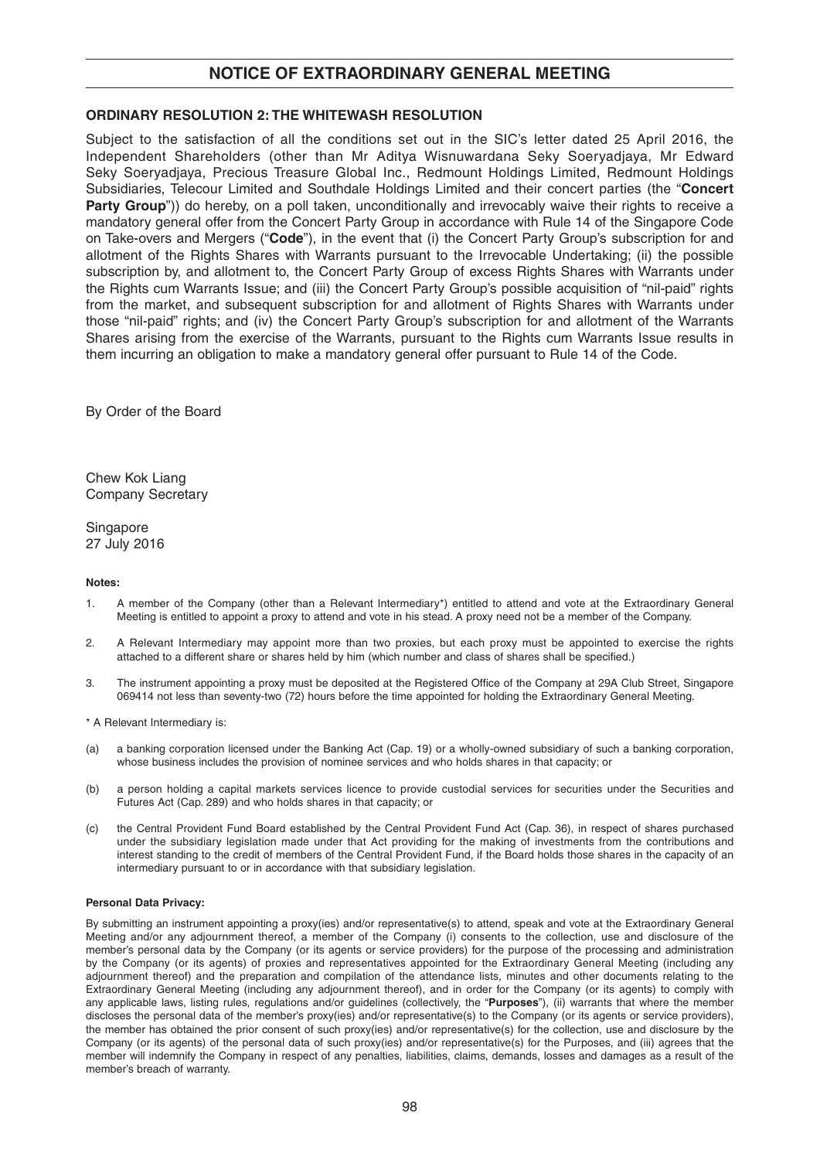## **NOTICE OF EXTRAORDINARY GENERAL MEETING**

#### **ORDINARY RESOLUTION 2: THE WHITEWASH RESOLUTION**

Subject to the satisfaction of all the conditions set out in the SIC's letter dated 25 April 2016, the Independent Shareholders (other than Mr Aditya Wisnuwardana Seky Soeryadjaya, Mr Edward Seky Soeryadjaya, Precious Treasure Global Inc., Redmount Holdings Limited, Redmount Holdings Subsidiaries, Telecour Limited and Southdale Holdings Limited and their concert parties (the "**Concert Party Group**")) do hereby, on a poll taken, unconditionally and irrevocably waive their rights to receive a mandatory general offer from the Concert Party Group in accordance with Rule 14 of the Singapore Code on Take-overs and Mergers ("**Code**"), in the event that (i) the Concert Party Group's subscription for and allotment of the Rights Shares with Warrants pursuant to the Irrevocable Undertaking; (ii) the possible subscription by, and allotment to, the Concert Party Group of excess Rights Shares with Warrants under the Rights cum Warrants Issue; and (iii) the Concert Party Group's possible acquisition of "nil-paid" rights from the market, and subsequent subscription for and allotment of Rights Shares with Warrants under those "nil-paid" rights; and (iv) the Concert Party Group's subscription for and allotment of the Warrants Shares arising from the exercise of the Warrants, pursuant to the Rights cum Warrants Issue results in them incurring an obligation to make a mandatory general offer pursuant to Rule 14 of the Code.

By Order of the Board

Chew Kok Liang Company Secretary

**Singapore** 27 July 2016

#### **Notes:**

- 1. A member of the Company (other than a Relevant Intermediary\*) entitled to attend and vote at the Extraordinary General Meeting is entitled to appoint a proxy to attend and vote in his stead. A proxy need not be a member of the Company.
- 2. A Relevant Intermediary may appoint more than two proxies, but each proxy must be appointed to exercise the rights attached to a different share or shares held by him (which number and class of shares shall be specified.)
- 3. The instrument appointing a proxy must be deposited at the Registered Office of the Company at 29A Club Street, Singapore 069414 not less than seventy-two (72) hours before the time appointed for holding the Extraordinary General Meeting.
- \* A Relevant Intermediary is:
- (a) a banking corporation licensed under the Banking Act (Cap. 19) or a wholly-owned subsidiary of such a banking corporation, whose business includes the provision of nominee services and who holds shares in that capacity; or
- (b) a person holding a capital markets services licence to provide custodial services for securities under the Securities and Futures Act (Cap. 289) and who holds shares in that capacity; or
- (c) the Central Provident Fund Board established by the Central Provident Fund Act (Cap. 36), in respect of shares purchased under the subsidiary legislation made under that Act providing for the making of investments from the contributions and interest standing to the credit of members of the Central Provident Fund, if the Board holds those shares in the capacity of an intermediary pursuant to or in accordance with that subsidiary legislation.

#### **Personal Data Privacy:**

By submitting an instrument appointing a proxy(ies) and/or representative(s) to attend, speak and vote at the Extraordinary General Meeting and/or any adjournment thereof, a member of the Company (i) consents to the collection, use and disclosure of the member's personal data by the Company (or its agents or service providers) for the purpose of the processing and administration by the Company (or its agents) of proxies and representatives appointed for the Extraordinary General Meeting (including any adjournment thereof) and the preparation and compilation of the attendance lists, minutes and other documents relating to the Extraordinary General Meeting (including any adjournment thereof), and in order for the Company (or its agents) to comply with any applicable laws, listing rules, regulations and/or guidelines (collectively, the "**Purposes**"), (ii) warrants that where the member discloses the personal data of the member's proxy(ies) and/or representative(s) to the Company (or its agents or service providers), the member has obtained the prior consent of such proxy(ies) and/or representative(s) for the collection, use and disclosure by the Company (or its agents) of the personal data of such proxy(ies) and/or representative(s) for the Purposes, and (iii) agrees that the member will indemnify the Company in respect of any penalties, liabilities, claims, demands, losses and damages as a result of the member's breach of warranty.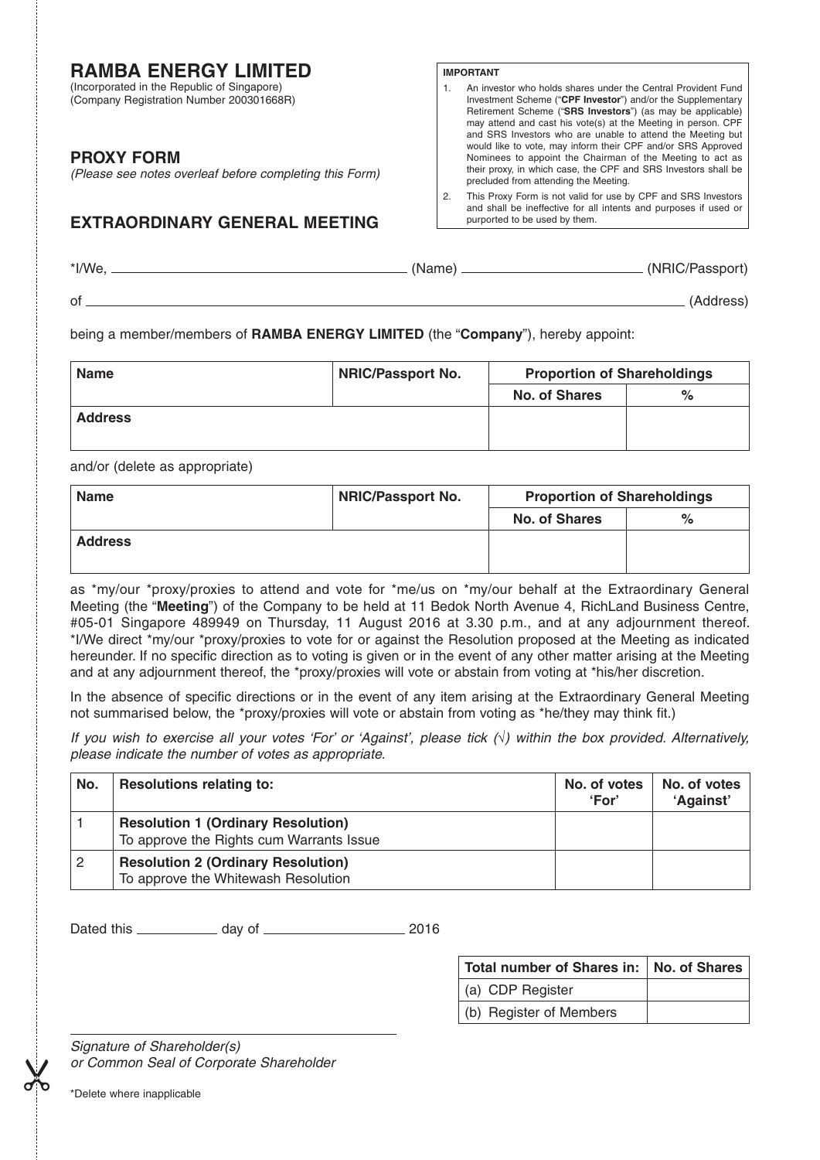# **RAMBA ENERGY LIMITED**

(Incorporated in the Republic of Singapore) (Company Registration Number 200301668R)

## **PROXY FORM**

*(Please see notes overleaf before completing this Form)*

# **EXTRAORDINARY GENERAL MEETING**

#### **IMPORTANT**

- 1. An investor who holds shares under the Central Provident Fund Investment Scheme ("**CPF Investor**") and/or the Supplementary Retirement Scheme ("**SRS Investors**") (as may be applicable) may attend and cast his vote(s) at the Meeting in person. CPF and SRS Investors who are unable to attend the Meeting but would like to vote, may inform their CPF and/or SRS Approved Nominees to appoint the Chairman of the Meeting to act as their proxy, in which case, the CPF and SRS Investors shall be precluded from attending the Meeting.
- 2. This Proxy Form is not valid for use by CPF and SRS Investors and shall be ineffective for all intents and purposes if used or purported to be used by them.

| *I/We, | (Name) | (NRIC/Passport) |
|--------|--------|-----------------|
|        |        |                 |

of (Address)

being a member/members of **RAMBA ENERGY LIMITED** (the "**Company**"), hereby appoint:

| <b>Name</b>    | <b>NRIC/Passport No.</b> | <b>Proportion of Shareholdings</b> |      |
|----------------|--------------------------|------------------------------------|------|
|                |                          | <b>No. of Shares</b>               | $\%$ |
| <b>Address</b> |                          |                                    |      |
|                |                          |                                    |      |

and/or (delete as appropriate)

| <b>Name</b>    | <b>NRIC/Passport No.</b> | <b>Proportion of Shareholdings</b> |   |
|----------------|--------------------------|------------------------------------|---|
|                |                          | <b>No. of Shares</b>               | % |
| <b>Address</b> |                          |                                    |   |
|                |                          |                                    |   |

as \*my/our \*proxy/proxies to attend and vote for \*me/us on \*my/our behalf at the Extraordinary General Meeting (the "**Meeting**") of the Company to be held at 11 Bedok North Avenue 4 , RichLand Business Centre, #05-01 Singapore 489949 on Thursday, 11 August 2016 at 3.30 p.m., and at any adjournment thereof. \*I/We direct \*my/our \*proxy/proxies to vote for or against the Resolution proposed at the Meeting as indicated hereunder. If no specific direction as to voting is given or in the event of any other matter arising at the Meeting and at any adjournment thereof, the \*proxy/proxies will vote or abstain from voting at \*his/her discretion.

In the absence of specific directions or in the event of any item arising at the Extraordinary General Meeting not summarised below, the \*proxy/proxies will vote or abstain from voting as \*he/they may think fit.)

*If you wish to exercise all your votes 'For' or 'Against', please tick () within the box provided. Alternatively, please indicate the number of votes as appropriate.*

| No. | <b>Resolutions relating to:</b>                                                       | No. of votes<br>'For' | No. of votes<br>'Against' |
|-----|---------------------------------------------------------------------------------------|-----------------------|---------------------------|
|     | <b>Resolution 1 (Ordinary Resolution)</b><br>To approve the Rights cum Warrants Issue |                       |                           |
|     | <b>Resolution 2 (Ordinary Resolution)</b><br>To approve the Whitewash Resolution      |                       |                           |

Dated this day of 2016

| Total number of Shares in:   No. of Shares |  |
|--------------------------------------------|--|
| (a) CDP Register                           |  |
| (b) Register of Members                    |  |

*Signature of Shareholder(s) or Common Seal of Corporate Shareholder* \*Delete where inapplicable